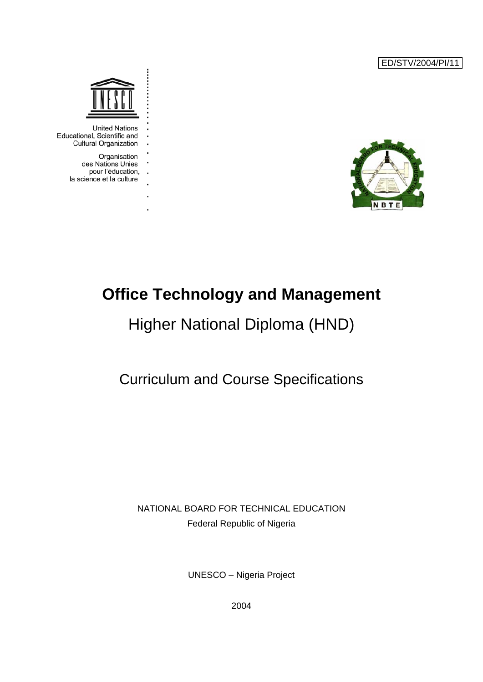ED/STV/2004/PI/11





**United Nations** Educational, Scientific and **Cultural Organization** 

> Organisation des Nations Unies pour l'éducation, . . la science et la culture

> > l,

# **Office Technology and Management**

# Higher National Diploma (HND)

## Curriculum and Course Specifications

### NATIONAL BOARD FOR TECHNICAL EDUCATION Federal Republic of Nigeria

UNESCO – Nigeria Project

2004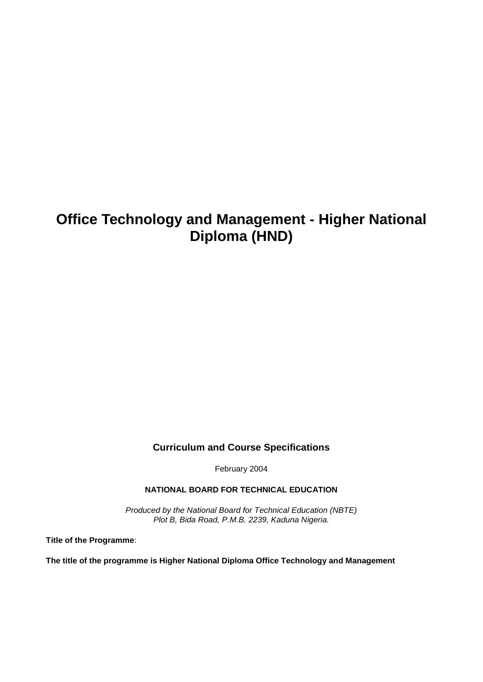## **Office Technology and Management - Higher National Diploma (HND)**

### **Curriculum and Course Specifications**

February 2004

**NATIONAL BOARD FOR TECHNICAL EDUCATION**

*Produced by the National Board for Technical Education (NBTE) Plot B, Bida Road, P.M.B. 2239, Kaduna Nigeria.*

**Title of the Programme**:

**The title of the programme is Higher National Diploma Office Technology and Management**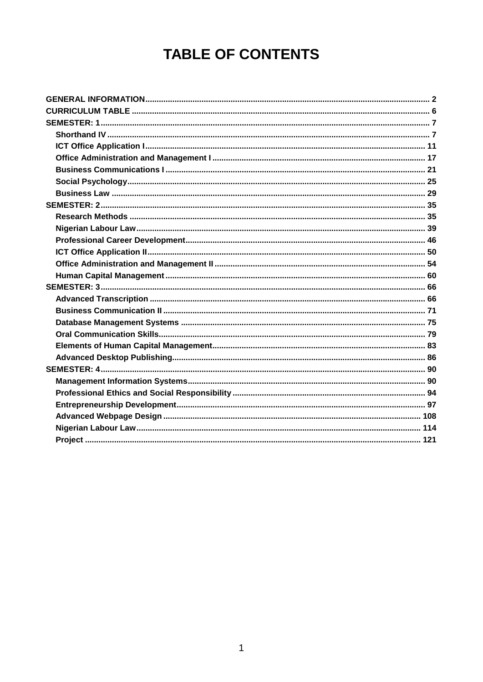# **TABLE OF CONTENTS**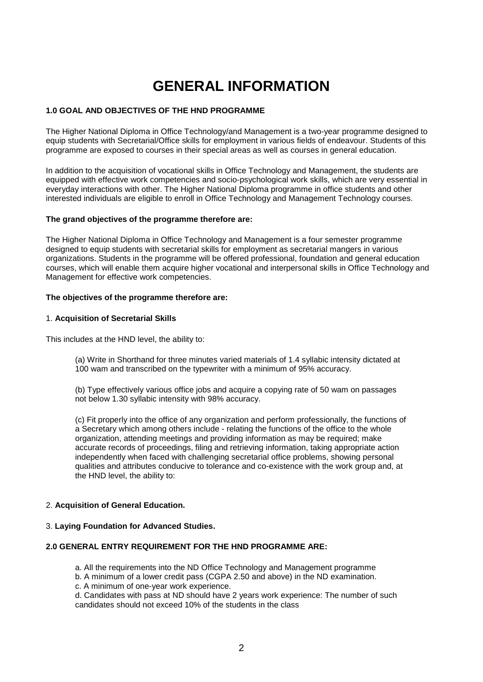# **GENERAL INFORMATION**

#### <span id="page-3-0"></span>**1.0 GOAL AND OBJECTIVES OF THE HND PROGRAMME**

The Higher National Diploma in Office Technology/and Management is a two-year programme designed to equip students with Secretarial/Office skills for employment in various fields of endeavour. Students of this programme are exposed to courses in their special areas as well as courses in general education.

In addition to the acquisition of vocational skills in Office Technology and Management, the students are equipped with effective work competencies and socio-psychological work skills, which are very essential in everyday interactions with other. The Higher National Diploma programme in office students and other interested individuals are eligible to enroll in Office Technology and Management Technology courses.

#### **The grand objectives of the programme therefore are:**

The Higher National Diploma in Office Technology and Management is a four semester programme designed to equip students with secretarial skills for employment as secretarial mangers in various organizations. Students in the programme will be offered professional, foundation and general education courses, which will enable them acquire higher vocational and interpersonal skills in Office Technology and Management for effective work competencies.

#### **The objectives of the programme therefore are:**

#### 1. **Acquisition of Secretarial Skills**

This includes at the HND level, the ability to:

(a) Write in Shorthand for three minutes varied materials of 1.4 syllabic intensity dictated at 100 wam and transcribed on the typewriter with a minimum of 95% accuracy.

(b) Type effectively various office jobs and acquire a copying rate of 50 wam on passages not below 1.30 syllabic intensity with 98% accuracy.

(c) Fit properly into the office of any organization and perform professionally, the functions of a Secretary which among others include - relating the functions of the office to the whole organization, attending meetings and providing information as may be required; make accurate records of proceedings, filing and retrieving information, taking appropriate action independently when faced with challenging secretarial office problems, showing personal qualities and attributes conducive to tolerance and co-existence with the work group and, at the HND level, the ability to:

#### 2. **Acquisition of General Education.**

#### 3. **Laying Foundation for Advanced Studies.**

#### **2.0 GENERAL ENTRY REQUIREMENT FOR THE HND PROGRAMME ARE:**

a. All the requirements into the ND Office Technology and Management programme

b. A minimum of a lower credit pass (CGPA 2.50 and above) in the ND examination.

c. A minimum of one-year work experience.

d. Candidates with pass at ND should have 2 years work experience: The number of such candidates should not exceed 10% of the students in the class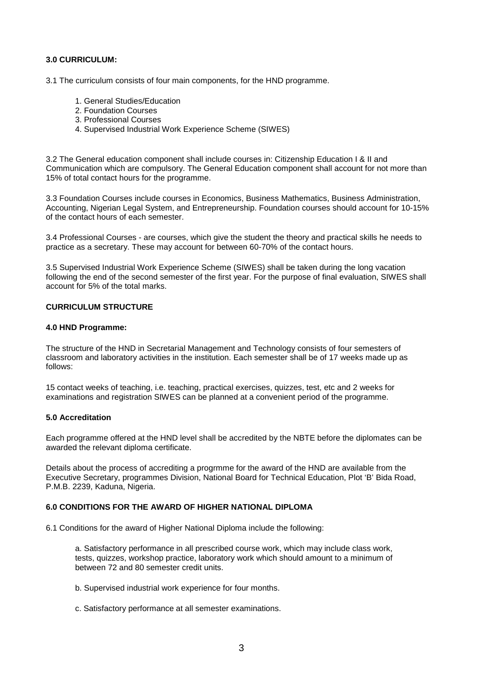#### **3.0 CURRICULUM:**

3.1 The curriculum consists of four main components, for the HND programme.

- 1. General Studies/Education
- 2. Foundation Courses
- 3. Professional Courses
- 4. Supervised Industrial Work Experience Scheme (SIWES)

3.2 The General education component shall include courses in: Citizenship Education I & II and Communication which are compulsory. The General Education component shall account for not more than 15% of total contact hours for the programme.

3.3 Foundation Courses include courses in Economics, Business Mathematics, Business Administration, Accounting, Nigerian Legal System, and Entrepreneurship. Foundation courses should account for 10-15% of the contact hours of each semester.

3.4 Professional Courses - are courses, which give the student the theory and practical skills he needs to practice as a secretary. These may account for between 60-70% of the contact hours.

3.5 Supervised Industrial Work Experience Scheme (SIWES) shall be taken during the long vacation following the end of the second semester of the first year. For the purpose of final evaluation, SIWES shall account for 5% of the total marks.

#### **CURRICULUM STRUCTURE**

#### **4.0 HND Programme:**

The structure of the HND in Secretarial Management and Technology consists of four semesters of classroom and laboratory activities in the institution. Each semester shall be of 17 weeks made up as follows:

15 contact weeks of teaching, i.e. teaching, practical exercises, quizzes, test, etc and 2 weeks for examinations and registration SIWES can be planned at a convenient period of the programme.

#### **5.0 Accreditation**

Each programme offered at the HND level shall be accredited by the NBTE before the diplomates can be awarded the relevant diploma certificate.

Details about the process of accrediting a progrmme for the award of the HND are available from the Executive Secretary, programmes Division, National Board for Technical Education, Plot 'B' Bida Road, P.M.B. 2239, Kaduna, Nigeria.

#### **6.0 CONDITIONS FOR THE AWARD OF HIGHER NATIONAL DIPLOMA**

6.1 Conditions for the award of Higher National Diploma include the following:

a. Satisfactory performance in all prescribed course work, which may include class work, tests, quizzes, workshop practice, laboratory work which should amount to a minimum of between 72 and 80 semester credit units.

- b. Supervised industrial work experience for four months.
- c. Satisfactory performance at all semester examinations.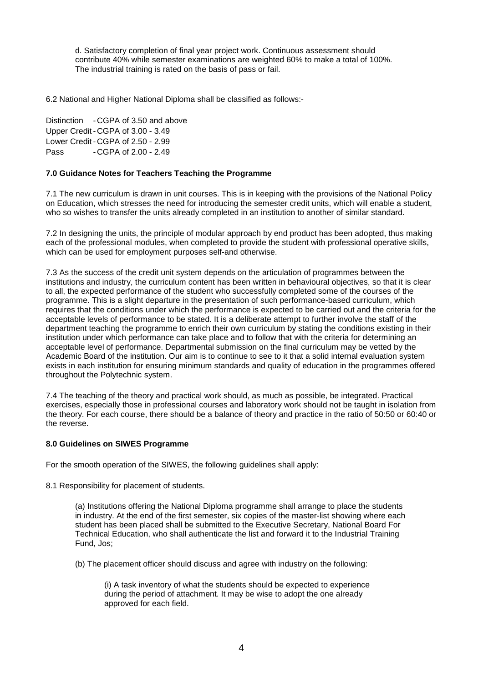d. Satisfactory completion of final year project work. Continuous assessment should contribute 40% while semester examinations are weighted 60% to make a total of 100%. The industrial training is rated on the basis of pass or fail.

6.2 National and Higher National Diploma shall be classified as follows:-

Distinction - CGPA of 3.50 and above Upper Credit - CGPA of 3.00 - 3.49 Lower Credit - CGPA of 2.50 - 2.99 Pass - CGPA of 2.00 - 2.49

#### **7.0 Guidance Notes for Teachers Teaching the Programme**

7.1 The new curriculum is drawn in unit courses. This is in keeping with the provisions of the National Policy on Education, which stresses the need for introducing the semester credit units, which will enable a student, who so wishes to transfer the units already completed in an institution to another of similar standard.

7.2 In designing the units, the principle of modular approach by end product has been adopted, thus making each of the professional modules, when completed to provide the student with professional operative skills, which can be used for employment purposes self-and otherwise.

7.3 As the success of the credit unit system depends on the articulation of programmes between the institutions and industry, the curriculum content has been written in behavioural objectives, so that it is clear to all, the expected performance of the student who successfully completed some of the courses of the programme. This is a slight departure in the presentation of such performance-based curriculum, which requires that the conditions under which the performance is expected to be carried out and the criteria for the acceptable levels of performance to be stated. It is a deliberate attempt to further involve the staff of the department teaching the programme to enrich their own curriculum by stating the conditions existing in their institution under which performance can take place and to follow that with the criteria for determining an acceptable level of performance. Departmental submission on the final curriculum may be vetted by the Academic Board of the institution. Our aim is to continue to see to it that a solid internal evaluation system exists in each institution for ensuring minimum standards and quality of education in the programmes offered throughout the Polytechnic system.

7.4 The teaching of the theory and practical work should, as much as possible, be integrated. Practical exercises, especially those in professional courses and laboratory work should not be taught in isolation from the theory. For each course, there should be a balance of theory and practice in the ratio of 50:50 or 60:40 or the reverse.

#### **8.0 Guidelines on SIWES Programme**

For the smooth operation of the SIWES, the following guidelines shall apply:

8.1 Responsibility for placement of students.

(a) Institutions offering the National Diploma programme shall arrange to place the students in industry. At the end of the first semester, six copies of the master-list showing where each student has been placed shall be submitted to the Executive Secretary, National Board For Technical Education, who shall authenticate the list and forward it to the Industrial Training Fund, Jos;

(b) The placement officer should discuss and agree with industry on the following:

(i) A task inventory of what the students should be expected to experience during the period of attachment. It may be wise to adopt the one already approved for each field.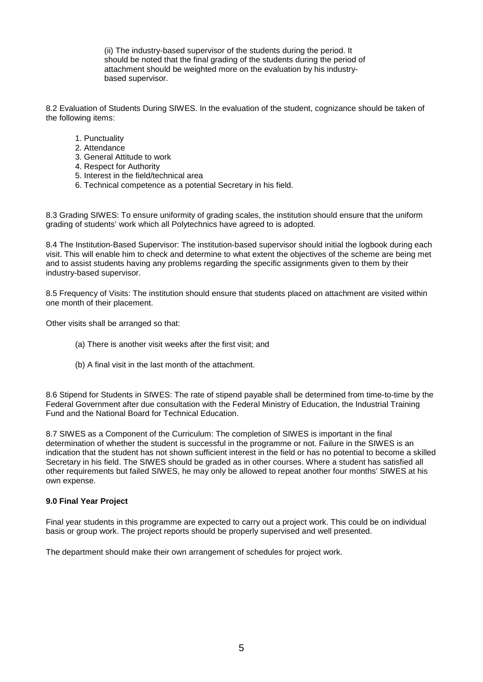(ii) The industry-based supervisor of the students during the period. It should be noted that the final grading of the students during the period of attachment should be weighted more on the evaluation by his industrybased supervisor.

8.2 Evaluation of Students During SIWES. In the evaluation of the student, cognizance should be taken of the following items:

- 1. Punctuality
- 2. Attendance
- 3. General Attitude to work
- 4. Respect for Authority
- 5. Interest in the field/technical area
- 6. Technical competence as a potential Secretary in his field.

8.3 Grading SIWES: To ensure uniformity of grading scales, the institution should ensure that the uniform grading of students' work which all Polytechnics have agreed to is adopted.

8.4 The Institution-Based Supervisor: The institution-based supervisor should initial the logbook during each visit. This will enable him to check and determine to what extent the objectives of the scheme are being met and to assist students having any problems regarding the specific assignments given to them by their industry-based supervisor.

8.5 Frequency of Visits: The institution should ensure that students placed on attachment are visited within one month of their placement.

Other visits shall be arranged so that:

- (a) There is another visit weeks after the first visit; and
- (b) A final visit in the last month of the attachment.

8.6 Stipend for Students in SIWES: The rate of stipend payable shall be determined from time-to-time by the Federal Government after due consultation with the Federal Ministry of Education, the Industrial Training Fund and the National Board for Technical Education.

8.7 SIWES as a Component of the Curriculum: The completion of SIWES is important in the final determination of whether the student is successful in the programme or not. Failure in the SIWES is an indication that the student has not shown sufficient interest in the field or has no potential to become a skilled Secretary in his field. The SIWES should be graded as in other courses. Where a student has satisfied all other requirements but failed SIWES, he may only be allowed to repeat another four months' SIWES at his own expense.

#### **9.0 Final Year Project**

Final year students in this programme are expected to carry out a project work. This could be on individual basis or group work. The project reports should be properly supervised and well presented.

The department should make their own arrangement of schedules for project work.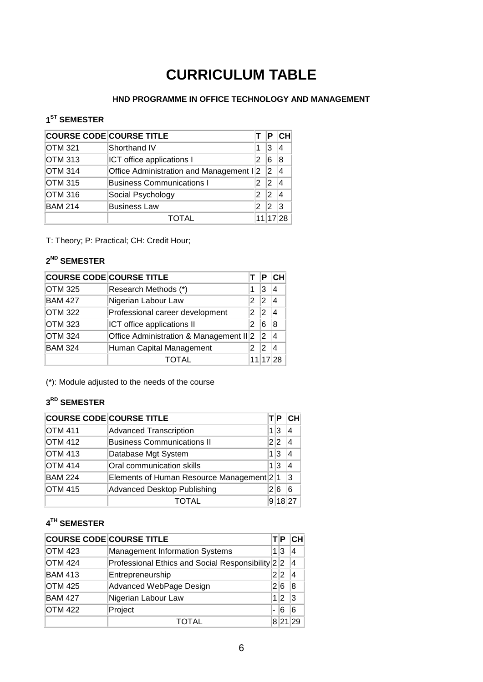# **CURRICULUM TABLE**

### **HND PROGRAMME IN OFFICE TECHNOLOGY AND MANAGEMENT**

### <span id="page-7-0"></span>**1ST SEMESTER**

| <b>COURSE CODE COURSE TITLE</b> |                                         |   | Р        | CН |
|---------------------------------|-----------------------------------------|---|----------|----|
| <b>OTM 321</b>                  | Shorthand IV                            | 1 | 3        |    |
| <b>OTM 313</b>                  | ICT office applications I               | 2 | 6        |    |
| <b>OTM 314</b>                  | Office Administration and Management I2 |   | 2        |    |
| <b>OTM 315</b>                  | <b>Business Communications I</b>        | 2 | 2        |    |
| <b>OTM 316</b>                  | Social Psychology                       | 2 | 2        |    |
| <b>BAM 214</b>                  | <b>Business Law</b>                     | 2 | 2        | ľЗ |
|                                 | TOTAI                                   |   | 11 17 28 |    |

T: Theory; P: Practical; CH: Credit Hour;

### **2ND SEMESTER**

|                | <b>COURSE CODE COURSE TITLE</b>         |   | Р              | CН  |
|----------------|-----------------------------------------|---|----------------|-----|
| <b>OTM 325</b> | Research Methods (*)                    | 1 | 3              |     |
| <b>BAM 427</b> | Nigerian Labour Law                     | 2 | 2              |     |
| <b>OTM 322</b> | Professional career development         | 2 | 12             |     |
| <b>OTM 323</b> | ICT office applications II              | 2 | 6              | 8   |
| <b>OTM 324</b> | Office Administration & Management II 2 |   | $\overline{2}$ | 4   |
| <b>BAM 324</b> | Human Capital Management<br>2           |   | 2              |     |
|                | TOTAL                                   |   | 11 17          | 128 |

(\*): Module adjusted to the needs of the course

### **3RD SEMESTER**

| <b>COURSE CODE COURSE TITLE</b> |                                          |     | Р   | <b>CH</b> |
|---------------------------------|------------------------------------------|-----|-----|-----------|
| OTM 411                         | <b>Advanced Transcription</b>            |     | 1 3 | 4         |
| <b>OTM 412</b>                  | <b>Business Communications II</b>        |     | 2 2 | 4         |
| <b>OTM 413</b>                  | Database Mgt System                      |     | 1 3 | 4         |
| <b>OTM 414</b>                  | Oral communication skills                |     | 1 3 | 4         |
| <b>BAM 224</b>                  | Elements of Human Resource Management 21 |     |     | 3         |
| <b>OTM 415</b>                  | <b>Advanced Desktop Publishing</b>       | 2 6 |     | 6         |
|                                 | <b>ITAL</b>                              |     |     | 18 27     |

### **4TH SEMESTER**

|                | <b>COURSE CODE COURSE TITLE</b>                  |                | P    | CН  |
|----------------|--------------------------------------------------|----------------|------|-----|
| <b>OTM 423</b> | <b>Management Information Systems</b>            |                | 1 3  | 4   |
| <b>OTM 424</b> | Professional Ethics and Social Responsibility 22 |                |      | 14  |
| <b>BAM 413</b> | Entrepreneurship                                 | 2 2            |      |     |
| <b>OTM 425</b> | Advanced WebPage Design                          |                | 2 6  | 8   |
| <b>BAM 427</b> | Nigerian Labour Law                              |                | 1 2  | l3  |
| <b>OTM 422</b> | Project                                          | $\blacksquare$ | 6    | 6   |
|                | TAI                                              |                | 8 21 | 129 |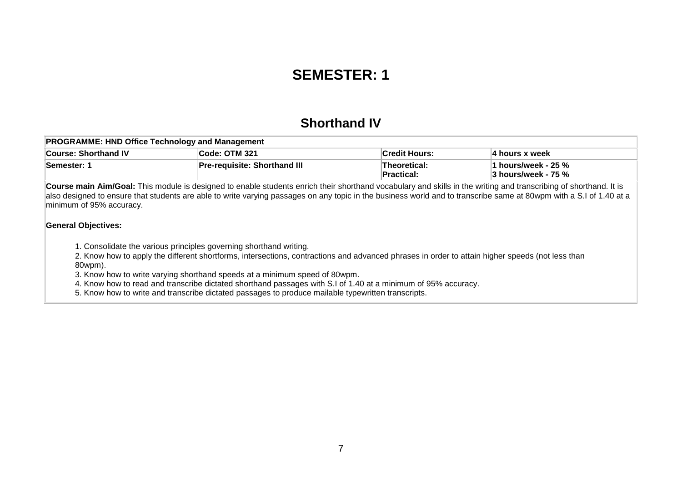## **SEMESTER: 1**

### **Shorthand IV**

| <b>PROGRAMME: HND Office Technology and Management</b>                                   |                                     |                             |                     |  |  |
|------------------------------------------------------------------------------------------|-------------------------------------|-----------------------------|---------------------|--|--|
| <b>Code: OTM 321</b><br>∣Credit Hours:<br><b>Course: Shorthand IV</b><br>∣4 hours x week |                                     |                             |                     |  |  |
| <b>Semester: 1</b>                                                                       | <b>Pre-requisite: Shorthand III</b> | Theoretical:<br>∣Practical: | 3 hours/week - 75 % |  |  |

**Course main Aim/Goal:** This module is designed to enable students enrich their shorthand vocabulary and skills in the writing and transcribing of shorthand. It is also designed to ensure that students are able to write varying passages on any topic in the business world and to transcribe same at 80wpm with a S.I of 1.40 at a minimum of 95% accuracy.

#### **General Objectives:**

1. Consolidate the various principles governing shorthand writing.

2. Know how to apply the different shortforms, intersections, contractions and advanced phrases in order to attain higher speeds (not less than 80wpm).

3. Know how to write varying shorthand speeds at a minimum speed of 80wpm.

4. Know how to read and transcribe dictated shorthand passages with S.I of 1.40 at a minimum of 95% accuracy.

<span id="page-8-0"></span>5. Know how to write and transcribe dictated passages to produce mailable typewritten transcripts.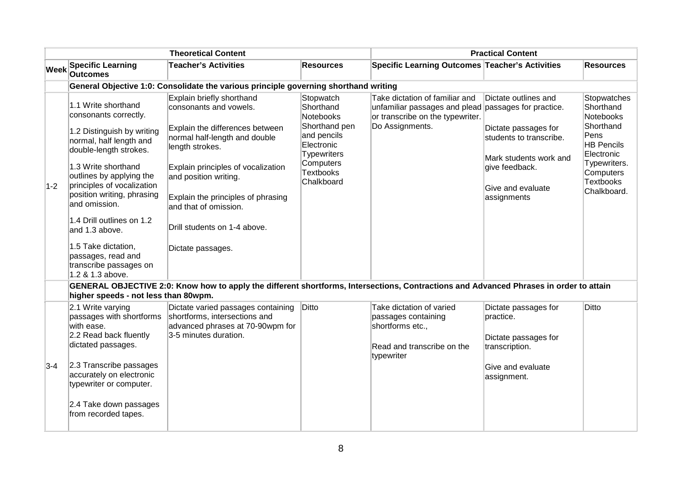|       |                                                                                                                                                                                                                                                                                                                                                                                                           | <b>Theoretical Content</b>                                                                                                                                                                                                                                                                                                    |                                                                                                                                                        | <b>Practical Content</b>                                                                                               |                                                                                                                                                                                   |                                                                                                                                                               |  |
|-------|-----------------------------------------------------------------------------------------------------------------------------------------------------------------------------------------------------------------------------------------------------------------------------------------------------------------------------------------------------------------------------------------------------------|-------------------------------------------------------------------------------------------------------------------------------------------------------------------------------------------------------------------------------------------------------------------------------------------------------------------------------|--------------------------------------------------------------------------------------------------------------------------------------------------------|------------------------------------------------------------------------------------------------------------------------|-----------------------------------------------------------------------------------------------------------------------------------------------------------------------------------|---------------------------------------------------------------------------------------------------------------------------------------------------------------|--|
| Week  | <b>Specific Learning</b><br><b>Outcomes</b>                                                                                                                                                                                                                                                                                                                                                               | <b>Teacher's Activities</b>                                                                                                                                                                                                                                                                                                   | <b>Resources</b>                                                                                                                                       | Specific Learning Outcomes Teacher's Activities                                                                        |                                                                                                                                                                                   | <b>Resources</b>                                                                                                                                              |  |
|       |                                                                                                                                                                                                                                                                                                                                                                                                           | General Objective 1:0: Consolidate the various principle governing shorthand writing                                                                                                                                                                                                                                          |                                                                                                                                                        |                                                                                                                        |                                                                                                                                                                                   |                                                                                                                                                               |  |
| $1-2$ | 1.1 Write shorthand<br>consonants correctly.<br>1.2 Distinguish by writing<br>normal, half length and<br>double-length strokes.<br>1.3 Write shorthand<br>outlines by applying the<br>principles of vocalization<br>position writing, phrasing<br>and omission.<br>1.4 Drill outlines on 1.2<br>and 1.3 above.<br>1.5 Take dictation,<br>passages, read and<br>transcribe passages on<br>1.2 & 1.3 above. | Explain briefly shorthand<br>consonants and vowels.<br>Explain the differences between<br>normal half-length and double<br>length strokes.<br>Explain principles of vocalization<br>and position writing.<br>Explain the principles of phrasing<br>and that of omission.<br>Drill students on 1-4 above.<br>Dictate passages. | Stopwatch<br>Shorthand<br>Notebooks<br>Shorthand pen<br>and pencils<br>Electronic<br><b>Typewriters</b><br>Computers<br><b>Textbooks</b><br>Chalkboard | Take dictation of familiar and<br>unfamiliar passages and plead<br>or transcribe on the typewriter.<br>Do Assignments. | Dictate outlines and<br>passages for practice.<br>Dictate passages for<br>students to transcribe.<br>Mark students work and<br>give feedback.<br>Give and evaluate<br>assignments | Stopwatches<br>Shorthand<br>Notebooks<br>Shorthand<br>Pens<br><b>HB Pencils</b><br>Electronic<br>Typewriters.<br>Computers<br><b>Textbooks</b><br>Chalkboard. |  |
|       | higher speeds - not less than 80wpm.                                                                                                                                                                                                                                                                                                                                                                      | GENERAL OBJECTIVE 2:0: Know how to apply the different shortforms, Intersections, Contractions and Advanced Phrases in order to attain                                                                                                                                                                                        |                                                                                                                                                        |                                                                                                                        |                                                                                                                                                                                   |                                                                                                                                                               |  |
| $3-4$ | 2.1 Write varying<br>passages with shortforms<br>with ease.<br>2.2 Read back fluently<br>dictated passages.<br>2.3 Transcribe passages<br>accurately on electronic<br>typewriter or computer.<br>2.4 Take down passages<br>from recorded tapes.                                                                                                                                                           | Dictate varied passages containing<br>shortforms, intersections and<br>advanced phrases at 70-90wpm for<br>3-5 minutes duration.                                                                                                                                                                                              | Ditto                                                                                                                                                  | Take dictation of varied<br>passages containing<br>shortforms etc.,<br>Read and transcribe on the<br>typewriter        | Dictate passages for<br>practice.<br>Dictate passages for<br>transcription.<br>Give and evaluate<br>assignment.                                                                   | Ditto                                                                                                                                                         |  |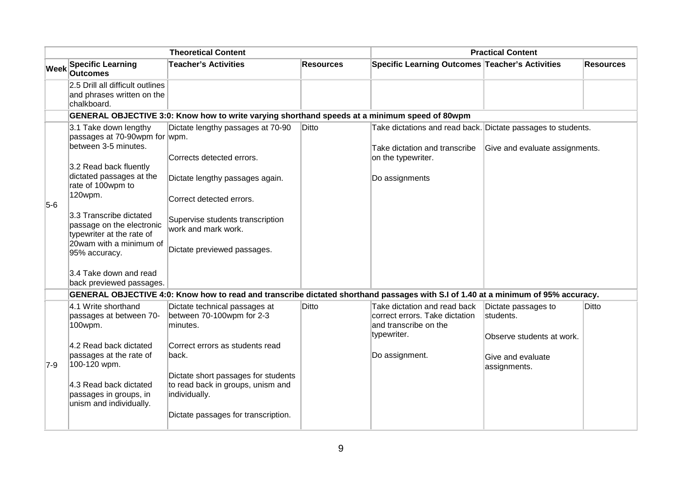|       | <b>Theoretical Content</b>                                                                                                                                                                                                                                                                                                                                  |                                                                                                                                                                                                                                                                                                                                                              |                  | <b>Practical Content</b>                                                                                                              |                                                                                                    |                  |  |
|-------|-------------------------------------------------------------------------------------------------------------------------------------------------------------------------------------------------------------------------------------------------------------------------------------------------------------------------------------------------------------|--------------------------------------------------------------------------------------------------------------------------------------------------------------------------------------------------------------------------------------------------------------------------------------------------------------------------------------------------------------|------------------|---------------------------------------------------------------------------------------------------------------------------------------|----------------------------------------------------------------------------------------------------|------------------|--|
| Week  | <b>Specific Learning</b><br><b>Outcomes</b>                                                                                                                                                                                                                                                                                                                 | <b>Teacher's Activities</b>                                                                                                                                                                                                                                                                                                                                  | <b>Resources</b> | Specific Learning Outcomes Teacher's Activities                                                                                       |                                                                                                    | <b>Resources</b> |  |
|       | 2.5 Drill all difficult outlines<br>and phrases written on the<br>chalkboard.                                                                                                                                                                                                                                                                               |                                                                                                                                                                                                                                                                                                                                                              |                  |                                                                                                                                       |                                                                                                    |                  |  |
|       |                                                                                                                                                                                                                                                                                                                                                             | GENERAL OBJECTIVE 3:0: Know how to write varying shorthand speeds at a minimum speed of 80wpm                                                                                                                                                                                                                                                                |                  |                                                                                                                                       |                                                                                                    |                  |  |
| $5-6$ | 3.1 Take down lengthy<br>passages at 70-90wpm for wpm.<br>between 3-5 minutes.<br>3.2 Read back fluently<br>dictated passages at the<br>rate of 100wpm to<br>120wpm.<br>3.3 Transcribe dictated<br>passage on the electronic<br>typewriter at the rate of<br>20wam with a minimum of<br>95% accuracy.<br>3.4 Take down and read<br>back previewed passages. | Dictate lengthy passages at 70-90<br>Corrects detected errors.<br>Dictate lengthy passages again.<br>Correct detected errors.<br>Supervise students transcription<br>work and mark work.<br>Dictate previewed passages.<br>GENERAL OBJECTIVE 4:0: Know how to read and transcribe dictated shorthand passages with S.I of 1.40 at a minimum of 95% accuracy. | <b>Ditto</b>     | Take dictations and read back. Dictate passages to students.<br>Take dictation and transcribe<br>on the typewriter.<br>Do assignments | Give and evaluate assignments.                                                                     |                  |  |
| 7-9   | 4.1 Write shorthand<br>passages at between 70-<br>100wpm.<br>4.2 Read back dictated<br>passages at the rate of<br>100-120 wpm.<br>4.3 Read back dictated<br>passages in groups, in<br>unism and individually.                                                                                                                                               | Dictate technical passages at<br>between 70-100wpm for 2-3<br>minutes.<br>Correct errors as students read<br>back.<br>Dictate short passages for students<br>to read back in groups, unism and<br>individually.<br>Dictate passages for transcription.                                                                                                       | <b>Ditto</b>     | Take dictation and read back<br>correct errors. Take dictation<br>and transcribe on the<br>typewriter.<br>Do assignment.              | Dictate passages to<br>students.<br>Observe students at work.<br>Give and evaluate<br>assignments. | Ditto            |  |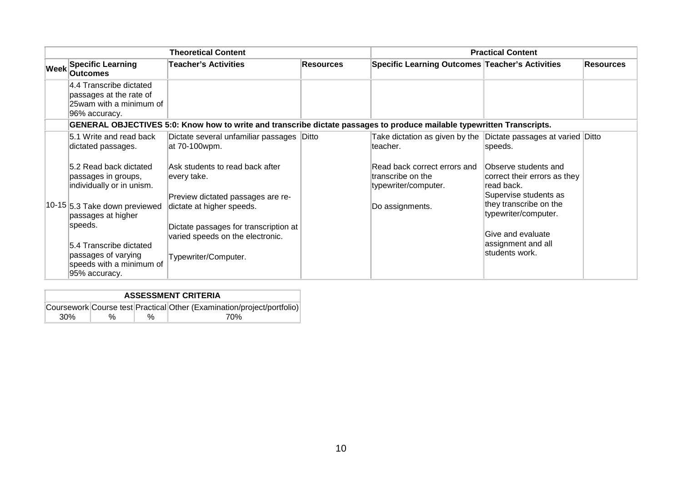|                   | <b>Theoretical Content</b>                                                                      |                                                                                                                                             |                  | <b>Practical Content</b>                                                    |                                                                                             |                  |  |
|-------------------|-------------------------------------------------------------------------------------------------|---------------------------------------------------------------------------------------------------------------------------------------------|------------------|-----------------------------------------------------------------------------|---------------------------------------------------------------------------------------------|------------------|--|
| $ \mathsf{Week} $ | <b>Specific Learning</b><br><b>Outcomes</b>                                                     | <b>Teacher's Activities</b>                                                                                                                 | <b>Resources</b> | Specific Learning Outcomes Teacher's Activities                             |                                                                                             | <b>Resources</b> |  |
|                   | 4.4 Transcribe dictated<br>passages at the rate of<br>25 wam with a minimum of<br>96% accuracy. |                                                                                                                                             |                  |                                                                             |                                                                                             |                  |  |
|                   |                                                                                                 | GENERAL OBJECTIVES 5:0: Know how to write and transcribe dictate passages to produce mailable typewritten Transcripts.                      |                  |                                                                             |                                                                                             |                  |  |
|                   | 5.1 Write and read back<br>dictated passages.                                                   | Dictate several unfamiliar passages Ditto<br>at 70-100wpm.                                                                                  |                  | Take dictation as given by the Dictate passages at varied Ditto<br>teacher. | speeds.                                                                                     |                  |  |
|                   | 5.2 Read back dictated<br>passages in groups,<br>individually or in unism.                      | Ask students to read back after<br>every take.                                                                                              |                  | Read back correct errors and<br>transcribe on the<br>typewriter/computer.   | Observe students and<br>correct their errors as they<br>read back.<br>Supervise students as |                  |  |
|                   | 10-15 5.3 Take down previewed<br>passages at higher<br>speeds.                                  | Preview dictated passages are re-<br>dictate at higher speeds.<br>Dictate passages for transcription at<br>varied speeds on the electronic. |                  | Do assignments.                                                             | they transcribe on the<br>typewriter/computer.<br>Give and evaluate                         |                  |  |
|                   | 5.4 Transcribe dictated<br>passages of varying<br>speeds with a minimum of<br>95% accuracy.     | Typewriter/Computer.                                                                                                                        |                  |                                                                             | assignment and all<br>students work.                                                        |                  |  |

| <b>ASSESSMENT CRITERIA</b> |   |      |                                                                        |  |  |  |  |
|----------------------------|---|------|------------------------------------------------------------------------|--|--|--|--|
|                            |   |      | Coursework Course test Practical Other (Examination/project/portfolio) |  |  |  |  |
| 30 <sup>%</sup>            | % | $\%$ | 70%                                                                    |  |  |  |  |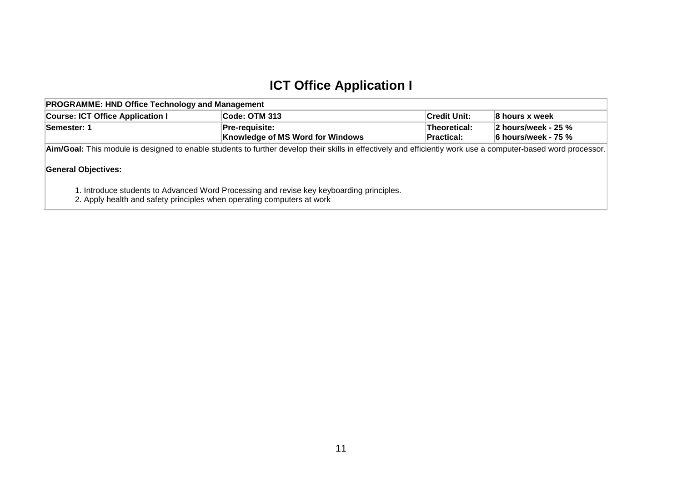### **ICT Office Application I**

| <b>PROGRAMME: HND Office Technology and Management</b>                                                                                                       |                                                           |                                   |                                                            |  |  |  |  |
|--------------------------------------------------------------------------------------------------------------------------------------------------------------|-----------------------------------------------------------|-----------------------------------|------------------------------------------------------------|--|--|--|--|
| <b>Course: ICT Office Application I</b><br><b>Code: OTM 313</b><br><b>∣Credit Unit:</b><br>8 hours x week                                                    |                                                           |                                   |                                                            |  |  |  |  |
| Semester: 1                                                                                                                                                  | Pre-requisite:<br><b>Knowledge of MS Word for Windows</b> | Theoretical:<br><b>Practical:</b> | $\,$ 2 hours/week - 25 $\%$<br>$\,$ 6 hours/week - 75 $\%$ |  |  |  |  |
| Aim/Goal: This module is designed to enable students to further develop their skills in effectively and efficiently work use a computer-based word processor |                                                           |                                   |                                                            |  |  |  |  |

**Aim/Goal:** This module is designed to enable students to further develop their skills in effectively and efficiently work use a computer-based word processor.

#### **General Objectives:**

1. Introduce students to Advanced Word Processing and revise key keyboarding principles.

<span id="page-12-0"></span>2. Apply health and safety principles when operating computers at work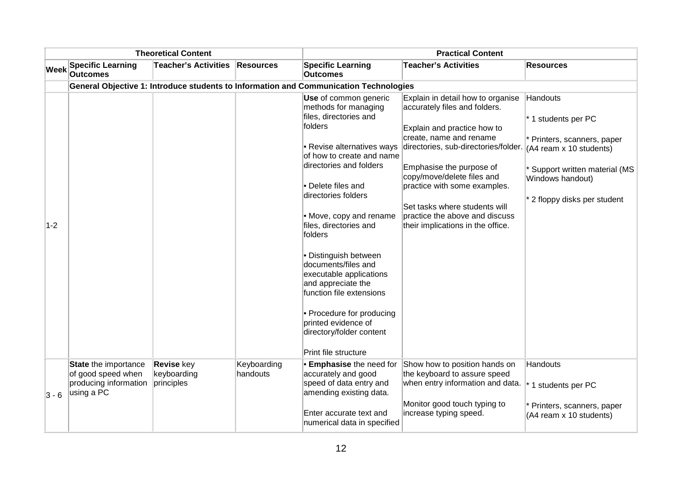| <b>Theoretical Content</b> |                                                                                   |                                                |                         | <b>Practical Content</b>                                                                                                                                                                                                                                                                                                                                                                                                                                                                                                   |                                                                                                                                                                                                                                                                                                                                                                        |                                                                                                                                                                             |
|----------------------------|-----------------------------------------------------------------------------------|------------------------------------------------|-------------------------|----------------------------------------------------------------------------------------------------------------------------------------------------------------------------------------------------------------------------------------------------------------------------------------------------------------------------------------------------------------------------------------------------------------------------------------------------------------------------------------------------------------------------|------------------------------------------------------------------------------------------------------------------------------------------------------------------------------------------------------------------------------------------------------------------------------------------------------------------------------------------------------------------------|-----------------------------------------------------------------------------------------------------------------------------------------------------------------------------|
| <b>Week</b>                | <b>Specific Learning</b><br><b>Outcomes</b>                                       | <b>Teacher's Activities</b>                    | <b>Resources</b>        | <b>Specific Learning</b><br><b>Outcomes</b>                                                                                                                                                                                                                                                                                                                                                                                                                                                                                | <b>Teacher's Activities</b>                                                                                                                                                                                                                                                                                                                                            | <b>Resources</b>                                                                                                                                                            |
|                            |                                                                                   |                                                |                         | General Objective 1: Introduce students to Information and Communication Technologies                                                                                                                                                                                                                                                                                                                                                                                                                                      |                                                                                                                                                                                                                                                                                                                                                                        |                                                                                                                                                                             |
| $1-2$                      |                                                                                   |                                                |                         | Use of common generic<br>methods for managing<br>files, directories and<br>folders<br>• Revise alternatives ways<br>of how to create and name<br>directories and folders<br>• Delete files and<br>directories folders<br>• Move, copy and rename<br>files, directories and<br>folders<br>• Distinguish between<br>documents/files and<br>executable applications<br>and appreciate the<br>function file extensions<br>• Procedure for producing<br>printed evidence of<br>directory/folder content<br>Print file structure | Explain in detail how to organise<br>accurately files and folders.<br>Explain and practice how to<br>create, name and rename<br>directories, sub-directories/folder.<br>Emphasise the purpose of<br>copy/move/delete files and<br>practice with some examples.<br>Set tasks where students will<br>practice the above and discuss<br>their implications in the office. | Handouts<br>* 1 students per PC<br>* Printers, scanners, paper<br>(A4 ream x 10 students)<br>Support written material (MS<br>Windows handout)<br>2 floppy disks per student |
| $3 - 6$                    | State the importance<br>of good speed when<br>producing information<br>using a PC | <b>Revise key</b><br>keyboarding<br>principles | Keyboarding<br>handouts | <b>Emphasise</b> the need for<br>accurately and good<br>speed of data entry and<br>amending existing data.<br>Enter accurate text and<br>numerical data in specified                                                                                                                                                                                                                                                                                                                                                       | Show how to position hands on<br>the keyboard to assure speed<br>when entry information and data.<br>Monitor good touch typing to<br>increase typing speed.                                                                                                                                                                                                            | Handouts<br>* 1 students per PC<br>Printers, scanners, paper<br>(A4 ream x 10 students)                                                                                     |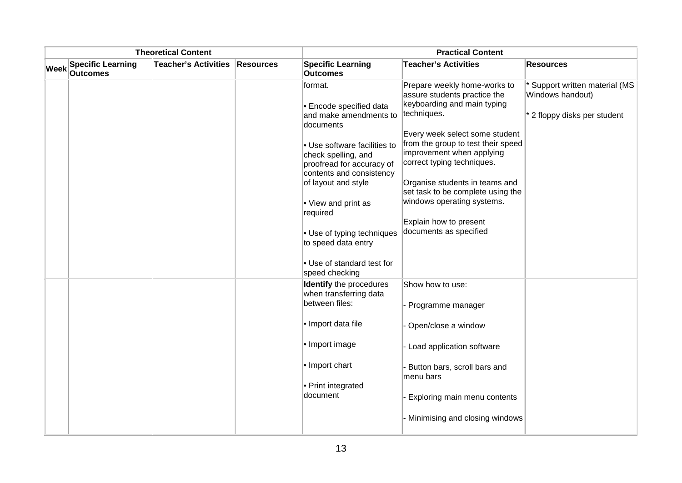| <b>Theoretical Content</b> |                                             |                             |                  |                                                                                                                                                            | <b>Practical Content</b>                                                                                                                                                                                                             |                                                                                |  |
|----------------------------|---------------------------------------------|-----------------------------|------------------|------------------------------------------------------------------------------------------------------------------------------------------------------------|--------------------------------------------------------------------------------------------------------------------------------------------------------------------------------------------------------------------------------------|--------------------------------------------------------------------------------|--|
| <b>Week</b>                | <b>Specific Learning</b><br><b>Outcomes</b> | <b>Teacher's Activities</b> | <b>Resources</b> | <b>Specific Learning</b><br><b>Outcomes</b>                                                                                                                | <b>Teacher's Activities</b>                                                                                                                                                                                                          | <b>Resources</b>                                                               |  |
|                            |                                             |                             |                  | format.<br><b>Encode specified data</b><br>and make amendments to<br>documents                                                                             | Prepare weekly home-works to<br>assure students practice the<br>keyboarding and main typing<br>techniques.                                                                                                                           | Support written material (MS<br>Windows handout)<br>2 floppy disks per student |  |
|                            |                                             |                             |                  | • Use software facilities to<br>check spelling, and<br>proofread for accuracy of<br>contents and consistency<br>of layout and style<br>• View and print as | Every week select some student<br>from the group to test their speed<br>improvement when applying<br>correct typing techniques.<br>Organise students in teams and<br>set task to be complete using the<br>windows operating systems. |                                                                                |  |
|                            |                                             |                             |                  | required<br>• Use of typing techniques<br>to speed data entry<br>Use of standard test for<br>speed checking                                                | Explain how to present<br>documents as specified                                                                                                                                                                                     |                                                                                |  |
|                            |                                             |                             |                  | <b>Identify</b> the procedures<br>when transferring data<br>between files:                                                                                 | Show how to use:<br>Programme manager                                                                                                                                                                                                |                                                                                |  |
|                            |                                             |                             |                  | $\cdot$ Import data file                                                                                                                                   | Open/close a window                                                                                                                                                                                                                  |                                                                                |  |
|                            |                                             |                             |                  | • Import image                                                                                                                                             | Load application software                                                                                                                                                                                                            |                                                                                |  |
|                            |                                             |                             |                  | $\cdot$ Import chart                                                                                                                                       | Button bars, scroll bars and<br>menu bars                                                                                                                                                                                            |                                                                                |  |
|                            |                                             |                             |                  | • Print integrated<br>document                                                                                                                             | Exploring main menu contents                                                                                                                                                                                                         |                                                                                |  |
|                            |                                             |                             |                  |                                                                                                                                                            | Minimising and closing windows                                                                                                                                                                                                       |                                                                                |  |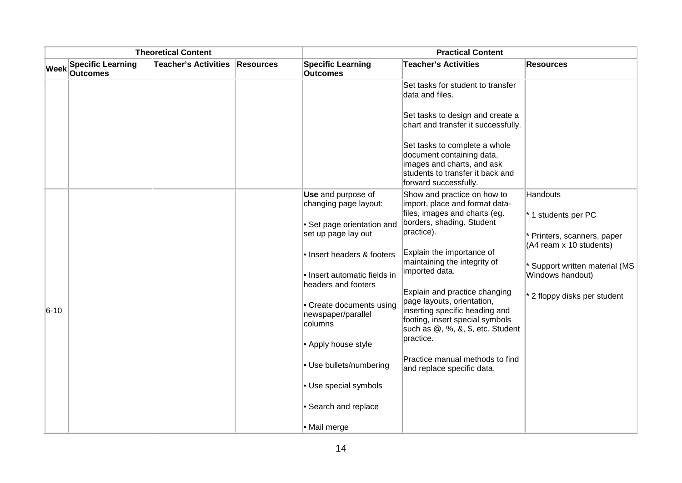|             |                                             | <b>Theoretical Content</b>  |           | <b>Practical Content</b>                                   |                                                                                                                                                       |                                                               |
|-------------|---------------------------------------------|-----------------------------|-----------|------------------------------------------------------------|-------------------------------------------------------------------------------------------------------------------------------------------------------|---------------------------------------------------------------|
| <b>Week</b> | <b>Specific Learning</b><br><b>Outcomes</b> | <b>Teacher's Activities</b> | Resources | <b>Specific Learning</b><br><b>Outcomes</b>                | <b>Teacher's Activities</b>                                                                                                                           | <b>Resources</b>                                              |
|             |                                             |                             |           |                                                            | Set tasks for student to transfer<br>data and files.                                                                                                  |                                                               |
|             |                                             |                             |           |                                                            | Set tasks to design and create a<br>chart and transfer it successfully.                                                                               |                                                               |
|             |                                             |                             |           |                                                            | Set tasks to complete a whole<br>document containing data,<br>images and charts, and ask<br>students to transfer it back and<br>forward successfully. |                                                               |
|             |                                             |                             |           | <b>Use</b> and purpose of<br>changing page layout:         | Show and practice on how to<br>import, place and format data-<br>files, images and charts (eg.                                                        | <b>Handouts</b><br>* 1 students per PC                        |
|             |                                             |                             |           | • Set page orientation and<br>set up page lay out          | borders, shading. Student<br>practice).                                                                                                               | * Printers, scanners, paper<br>(A4 ream x 10 students)        |
|             |                                             |                             |           | • Insert headers & footers<br>· Insert automatic fields in | Explain the importance of<br>maintaining the integrity of<br>imported data.                                                                           | <sup>*</sup> Support written material (MS<br>Windows handout) |
|             |                                             |                             |           | headers and footers                                        | Explain and practice changing                                                                                                                         | 2 floppy disks per student                                    |
| $6 - 10$    |                                             |                             |           | • Create documents using<br>newspaper/parallel<br>columns  | page layouts, orientation,<br>inserting specific heading and<br>footing, insert special symbols<br>such as $@$ , %, &, \$, etc. Student               |                                                               |
|             |                                             |                             |           | • Apply house style                                        | practice.                                                                                                                                             |                                                               |
|             |                                             |                             |           | • Use bullets/numbering                                    | Practice manual methods to find<br>and replace specific data.                                                                                         |                                                               |
|             |                                             |                             |           | • Use special symbols                                      |                                                                                                                                                       |                                                               |
|             |                                             |                             |           | • Search and replace                                       |                                                                                                                                                       |                                                               |
|             |                                             |                             |           | • Mail merge                                               |                                                                                                                                                       |                                                               |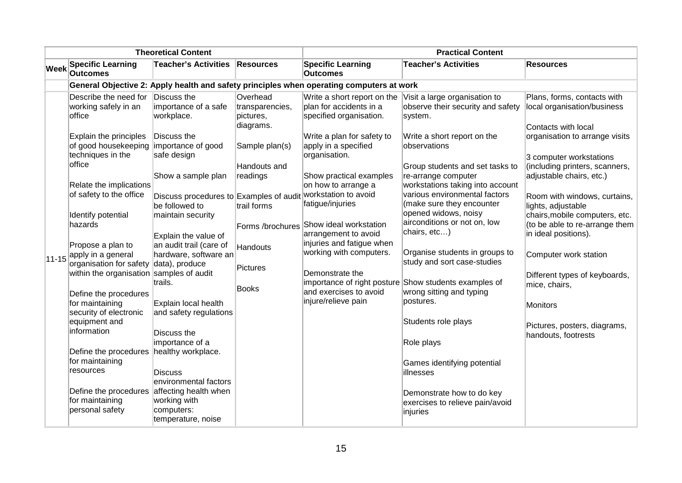| <b>Theoretical Content</b> |                                                                                                                                                             |                                                                                                       | <b>Practical Content</b>                                                                            |                                                                                                                                                                                     |                                                                                                                                                                                        |                                                                                                                                                                                                              |
|----------------------------|-------------------------------------------------------------------------------------------------------------------------------------------------------------|-------------------------------------------------------------------------------------------------------|-----------------------------------------------------------------------------------------------------|-------------------------------------------------------------------------------------------------------------------------------------------------------------------------------------|----------------------------------------------------------------------------------------------------------------------------------------------------------------------------------------|--------------------------------------------------------------------------------------------------------------------------------------------------------------------------------------------------------------|
| <b>Week</b>                | <b>Specific Learning</b><br><b>Outcomes</b>                                                                                                                 | <b>Teacher's Activities</b>                                                                           | Resources                                                                                           | <b>Specific Learning</b><br><b>Outcomes</b>                                                                                                                                         | <b>Teacher's Activities</b>                                                                                                                                                            | <b>Resources</b>                                                                                                                                                                                             |
|                            |                                                                                                                                                             |                                                                                                       |                                                                                                     | General Objective 2: Apply health and safety principles when operating computers at work                                                                                            |                                                                                                                                                                                        |                                                                                                                                                                                                              |
|                            | Describe the need for<br>working safely in an<br>office<br>Explain the principles<br>of good housekeeping importance of good<br>techniques in the<br>office | Discuss the<br>importance of a safe<br>workplace.<br>Discuss the<br>safe design<br>Show a sample plan | Overhead<br>transparencies,<br>pictures,<br>diagrams.<br>Sample plan(s)<br>Handouts and<br>readings | Write a short report on the<br>plan for accidents in a<br>specified organisation.<br>Write a plan for safety to<br>apply in a specified<br>organisation.<br>Show practical examples | Visit a large organisation to<br>observe their security and safety<br>system.<br>Write a short report on the<br>observations<br>Group students and set tasks to<br>re-arrange computer | Plans, forms, contacts with<br>local organisation/business<br>Contacts with local<br>organisation to arrange visits<br>3 computer workstations<br>(including printers, scanners,<br>adjustable chairs, etc.) |
|                            | Relate the implications<br>of safety to the office<br>Identify potential                                                                                    | Discuss procedures to Examples of audit<br>be followed to<br>maintain security                        | trail forms                                                                                         | on how to arrange a<br>workstation to avoid<br>fatigue/injuries                                                                                                                     | workstations taking into account<br>various environmental factors<br>(make sure they encounter<br>opened widows, noisy                                                                 | Room with windows, curtains,<br>lights, adjustable<br>chairs, mobile computers, etc.                                                                                                                         |
|                            | hazards                                                                                                                                                     | Explain the value of                                                                                  | Forms /brochures                                                                                    | Show ideal workstation<br>arrangement to avoid                                                                                                                                      | airconditions or not on, low<br>chairs, etc)                                                                                                                                           | (to be able to re-arrange them<br>in ideal positions).                                                                                                                                                       |
| $11 - 15$                  | Propose a plan to<br>apply in a general<br>organisation for safety data), produce                                                                           | an audit trail (care of<br>hardware, software an                                                      | Handouts                                                                                            | injuries and fatigue when<br>working with computers.                                                                                                                                | Organise students in groups to<br>study and sort case-studies                                                                                                                          | Computer work station                                                                                                                                                                                        |
|                            | within the organisation samples of audit<br>Define the procedures                                                                                           | trails.                                                                                               | Pictures<br>Books                                                                                   | Demonstrate the<br>and exercises to avoid                                                                                                                                           | importance of right posture Show students examples of<br>wrong sitting and typing                                                                                                      | Different types of keyboards,<br>mice, chairs,                                                                                                                                                               |
|                            | for maintaining<br>security of electronic                                                                                                                   | Explain local health<br>and safety regulations                                                        |                                                                                                     | injure/relieve pain                                                                                                                                                                 | postures.                                                                                                                                                                              | Monitors                                                                                                                                                                                                     |
|                            | equipment and<br>information<br>Define the procedures                                                                                                       | Discuss the<br>importance of a<br>healthy workplace.                                                  |                                                                                                     |                                                                                                                                                                                     | Students role plays<br>Role plays                                                                                                                                                      | Pictures, posters, diagrams,<br>handouts, footrests                                                                                                                                                          |
|                            | for maintaining<br>resources                                                                                                                                | <b>Discuss</b><br>environmental factors                                                               |                                                                                                     |                                                                                                                                                                                     | Games identifying potential<br>illnesses                                                                                                                                               |                                                                                                                                                                                                              |
|                            | Define the procedures affecting health when<br>for maintaining<br>personal safety                                                                           | working with<br>computers:<br>temperature, noise                                                      |                                                                                                     |                                                                                                                                                                                     | Demonstrate how to do key<br>exercises to relieve pain/avoid<br>injuries                                                                                                               |                                                                                                                                                                                                              |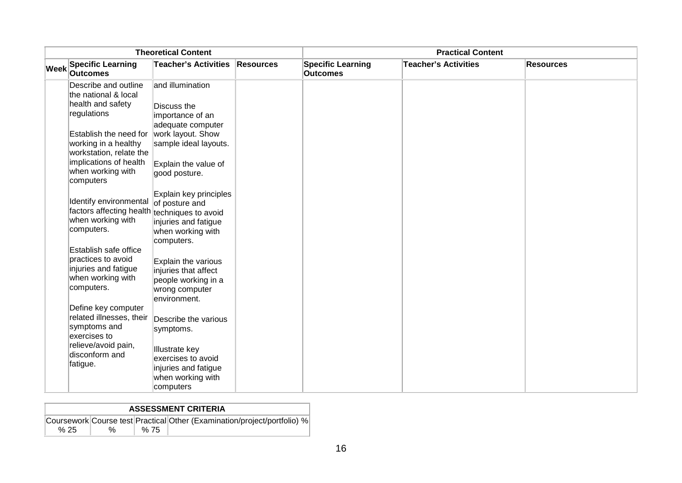| <b>Theoretical Content</b> |                                                                                                           |                                                                                                      | <b>Practical Content</b> |                                             |                             |                  |
|----------------------------|-----------------------------------------------------------------------------------------------------------|------------------------------------------------------------------------------------------------------|--------------------------|---------------------------------------------|-----------------------------|------------------|
|                            | Week Specific Learning<br><b>Outcomes</b>                                                                 | <b>Teacher's Activities</b>                                                                          | <b>Resources</b>         | <b>Specific Learning</b><br><b>Outcomes</b> | <b>Teacher's Activities</b> | <b>Resources</b> |
|                            | Describe and outline<br>the national & local                                                              | and illumination                                                                                     |                          |                                             |                             |                  |
|                            | health and safety<br>regulations                                                                          | Discuss the<br>importance of an<br>adequate computer                                                 |                          |                                             |                             |                  |
|                            | Establish the need for work layout. Show<br>working in a healthy<br>workstation, relate the               | sample ideal layouts.                                                                                |                          |                                             |                             |                  |
|                            | implications of health<br>when working with<br>computers                                                  | Explain the value of<br>good posture.                                                                |                          |                                             |                             |                  |
|                            | Identify environmental<br>factors affecting health techniques to avoid<br>when working with<br>computers. | Explain key principles<br>of posture and<br>injuries and fatigue<br>when working with<br>computers.  |                          |                                             |                             |                  |
|                            | Establish safe office<br>practices to avoid<br>injuries and fatigue<br>when working with<br>computers.    | Explain the various<br>injuries that affect<br>people working in a<br>wrong computer<br>environment. |                          |                                             |                             |                  |
|                            | Define key computer<br>related illnesses, their<br>symptoms and<br>exercises to                           | Describe the various<br>symptoms.                                                                    |                          |                                             |                             |                  |
|                            | relieve/avoid pain,<br>disconform and<br>fatigue.                                                         | Illustrate key<br>exercises to avoid<br>injuries and fatigue<br>when working with<br>computers       |                          |                                             |                             |                  |

|      | <b>ASSESSMENT CRITERIA</b> |      |                                                                          |  |  |  |  |  |  |  |
|------|----------------------------|------|--------------------------------------------------------------------------|--|--|--|--|--|--|--|
|      |                            |      | Coursework Course test Practical Other (Examination/project/portfolio) % |  |  |  |  |  |  |  |
| % 25 | $\%$                       | % 75 |                                                                          |  |  |  |  |  |  |  |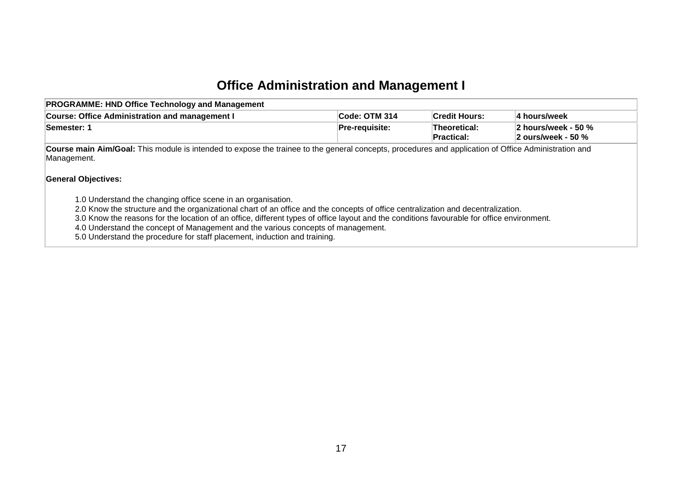## **Office Administration and Management I**

<span id="page-18-0"></span>

| <b>PROGRAMME: HND Office Technology and Management</b>                                                                                                                                                                                                                                                                                                                                                                                                                                                                                                                                                                                                                                                               |                       |                            |                                           |  |  |  |  |  |
|----------------------------------------------------------------------------------------------------------------------------------------------------------------------------------------------------------------------------------------------------------------------------------------------------------------------------------------------------------------------------------------------------------------------------------------------------------------------------------------------------------------------------------------------------------------------------------------------------------------------------------------------------------------------------------------------------------------------|-----------------------|----------------------------|-------------------------------------------|--|--|--|--|--|
| <b>Course: Office Administration and management I</b>                                                                                                                                                                                                                                                                                                                                                                                                                                                                                                                                                                                                                                                                | <b>Code: OTM 314</b>  | <b>Credit Hours:</b>       | 4 hours/week                              |  |  |  |  |  |
| Semester: 1                                                                                                                                                                                                                                                                                                                                                                                                                                                                                                                                                                                                                                                                                                          | <b>Pre-requisite:</b> | Theoretical:<br>Practical: | 2 hours/week - 50 %<br>2 ours/week - 50 % |  |  |  |  |  |
| Course main Aim/Goal: This module is intended to expose the trainee to the general concepts, procedures and application of Office Administration and<br>Management.<br><b>General Objectives:</b><br>1.0 Understand the changing office scene in an organisation.<br>2.0 Know the structure and the organizational chart of an office and the concepts of office centralization and decentralization.<br>3.0 Know the reasons for the location of an office, different types of office layout and the conditions favourable for office environment.<br>4.0 Understand the concept of Management and the various concepts of management.<br>5.0 Understand the procedure for staff placement, induction and training. |                       |                            |                                           |  |  |  |  |  |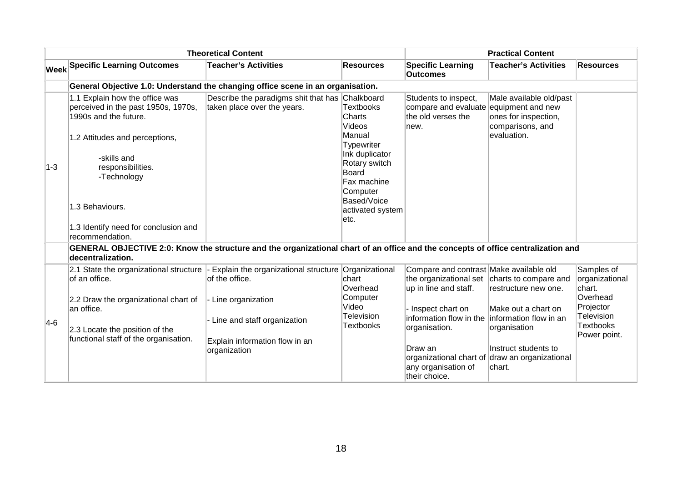|         |                                                                                                                                  | <b>Theoretical Content</b>                                                                                                        |                                                                                   |                                                                                            | <b>Practical Content</b>                                                                                |                                                |
|---------|----------------------------------------------------------------------------------------------------------------------------------|-----------------------------------------------------------------------------------------------------------------------------------|-----------------------------------------------------------------------------------|--------------------------------------------------------------------------------------------|---------------------------------------------------------------------------------------------------------|------------------------------------------------|
|         | <b>Week Specific Learning Outcomes</b>                                                                                           | <b>Teacher's Activities</b>                                                                                                       | <b>Resources</b>                                                                  | <b>Specific Learning</b><br><b>Outcomes</b>                                                | <b>Teacher's Activities</b>                                                                             | <b>Resources</b>                               |
|         |                                                                                                                                  | General Objective 1.0: Understand the changing office scene in an organisation.                                                   |                                                                                   |                                                                                            |                                                                                                         |                                                |
|         | 1.1 Explain how the office was<br>perceived in the past 1950s, 1970s,<br>1990s and the future.<br>1.2 Attitudes and perceptions, | Describe the paradigms shit that has Chalkboard<br>taken place over the years.                                                    | <b>Textbooks</b><br>Charts<br>Videos<br>Manual                                    | Students to inspect,<br>compare and evaluate<br>the old verses the<br>lnew.                | Male available old/past<br>equipment and new<br>ones for inspection,<br>comparisons, and<br>evaluation. |                                                |
| $1 - 3$ | -skills and<br>responsibilities.<br>-Technology                                                                                  |                                                                                                                                   | Typewriter<br>Ink duplicator<br>Rotary switch<br>Board<br>Fax machine<br>Computer |                                                                                            |                                                                                                         |                                                |
|         | 1.3 Behaviours.<br>1.3 Identify need for conclusion and                                                                          |                                                                                                                                   | Based/Voice<br>activated system<br>letc.                                          |                                                                                            |                                                                                                         |                                                |
|         | recommendation.                                                                                                                  |                                                                                                                                   |                                                                                   |                                                                                            |                                                                                                         |                                                |
|         | decentralization.                                                                                                                | GENERAL OBJECTIVE 2:0: Know the structure and the organizational chart of an office and the concepts of office centralization and |                                                                                   |                                                                                            |                                                                                                         |                                                |
|         | 2.1 State the organizational structure<br>of an office.                                                                          | Explain the organizational structure Organizational<br>of the office.                                                             | chart<br>Overhead                                                                 | Compare and contrast Make available old<br>the organizational set<br>up in line and staff. | charts to compare and<br>restructure new one.                                                           | Samples of<br>organizational<br>chart.         |
|         | 2.2 Draw the organizational chart of<br>lan office.                                                                              | Line organization                                                                                                                 | Computer<br>Video                                                                 | - Inspect chart on                                                                         | Make out a chart on                                                                                     | Overhead<br>Projector                          |
| $ 4-6 $ | 2.3 Locate the position of the                                                                                                   | Line and staff organization                                                                                                       | Television<br>Textbooks                                                           | linformation flow in the<br>organisation.                                                  | information flow in an<br>organisation                                                                  | Television<br><b>Textbooks</b><br>Power point. |
|         | functional staff of the organisation.                                                                                            | Explain information flow in an<br>organization                                                                                    |                                                                                   | Draw an<br>any organisation of<br>their choice.                                            | Instruct students to<br>organizational chart of draw an organizational<br>lchart.                       |                                                |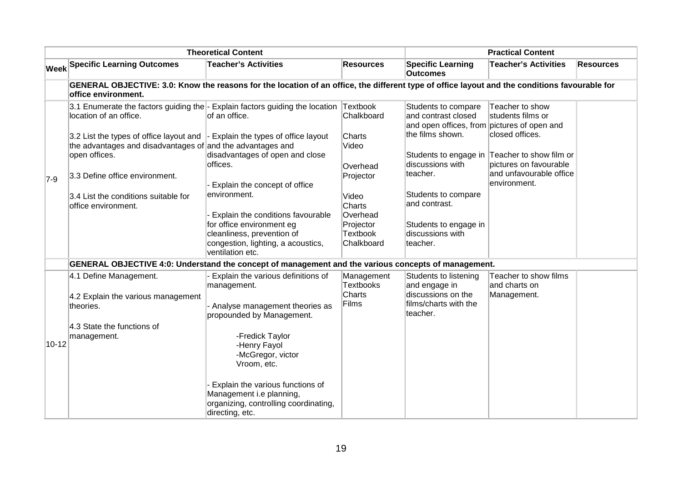|                    |                                                                                                                                                                             | <b>Theoretical Content</b>                                                                                                              |                                            |                                                                                                               | <b>Practical Content</b>                                |                  |
|--------------------|-----------------------------------------------------------------------------------------------------------------------------------------------------------------------------|-----------------------------------------------------------------------------------------------------------------------------------------|--------------------------------------------|---------------------------------------------------------------------------------------------------------------|---------------------------------------------------------|------------------|
|                    | <b>Week Specific Learning Outcomes</b>                                                                                                                                      | <b>Teacher's Activities</b>                                                                                                             | <b>Resources</b>                           | <b>Specific Learning</b><br><b>Outcomes</b>                                                                   | <b>Teacher's Activities</b>                             | <b>Resources</b> |
|                    | GENERAL OBJECTIVE: 3.0: Know the reasons for the location of an office, the different type of office layout and the conditions favourable for<br><b>Office environment.</b> |                                                                                                                                         |                                            |                                                                                                               |                                                         |                  |
| $7-9$<br>$10 - 12$ | 3.1 Enumerate the factors guiding the $\overline{\phantom{a}}$ Explain factors guiding the location<br>llocation of an office.                                              | lof an office.                                                                                                                          | Textbook<br>Chalkboard                     | Students to compare<br>and contrast closed<br>and open offices, from pictures of open and<br>the films shown. | Teacher to show<br>students films or<br>closed offices. |                  |
|                    | 3.2 List the types of office layout and $\vert$ - Explain the types of office layout<br>the advantages and disadvantages of and the advantages and<br>open offices.         | disadvantages of open and close                                                                                                         | Charts<br>Video                            |                                                                                                               | Students to engage in Teacher to show film or           |                  |
|                    | 3.3 Define office environment.                                                                                                                                              | offices.                                                                                                                                | Overhead<br>Projector                      | discussions with<br>teacher.                                                                                  | pictures on favourable<br>and unfavourable office       |                  |
|                    | 3.4 List the conditions suitable for                                                                                                                                        | Explain the concept of office<br>environment.                                                                                           | Video                                      | Students to compare                                                                                           | environment.                                            |                  |
|                    | office environment.                                                                                                                                                         | Explain the conditions favourable                                                                                                       | Charts<br>Overhead                         | and contrast.                                                                                                 |                                                         |                  |
|                    |                                                                                                                                                                             | for office environment eg<br>cleanliness, prevention of<br>congestion, lighting, a acoustics,<br>ventilation etc.                       | Projector<br><b>Textbook</b><br>Chalkboard | Students to engage in<br>discussions with<br>teacher.                                                         |                                                         |                  |
|                    | GENERAL OBJECTIVE 4:0: Understand the concept of management and the various concepts of management.                                                                         |                                                                                                                                         |                                            |                                                                                                               |                                                         |                  |
|                    | 4.1 Define Management.                                                                                                                                                      | Explain the various definitions of<br>management.                                                                                       | Management<br><b>Textbooks</b><br>Charts   | Students to listening<br>and engage in<br>discussions on the                                                  | Teacher to show films<br>and charts on                  |                  |
|                    | 4.2 Explain the various management<br>theories.                                                                                                                             | - Analyse management theories as<br>propounded by Management.                                                                           | Films                                      | films/charts with the<br>teacher.                                                                             | Management.                                             |                  |
|                    | 4.3 State the functions of<br>management.                                                                                                                                   | -Fredick Taylor<br>-Henry Fayol<br>-McGregor, victor                                                                                    |                                            |                                                                                                               |                                                         |                  |
|                    |                                                                                                                                                                             | Vroom, etc.<br>Explain the various functions of<br>Management i.e planning,<br>organizing, controlling coordinating,<br>directing, etc. |                                            |                                                                                                               |                                                         |                  |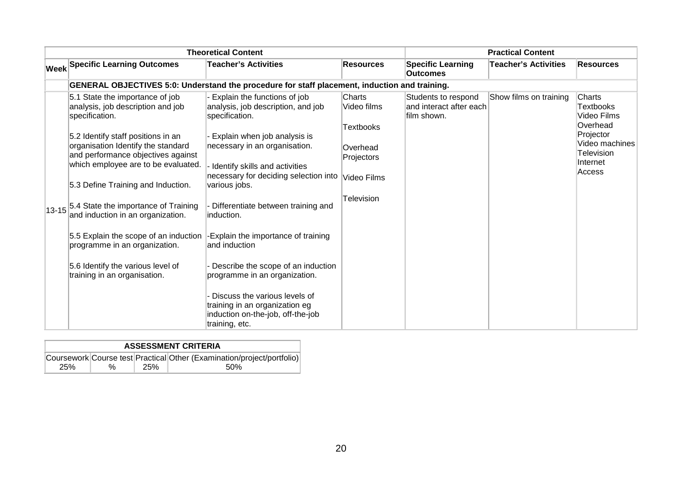|                                                                                                                                                                                                                                                                                                                                                                                                                                          | <b>Theoretical Content</b>                                                                                                                                                                                                                                                                                                                                                                                                                                              |                                                                         |                                                               | <b>Practical Content</b>    |                                                                             |
|------------------------------------------------------------------------------------------------------------------------------------------------------------------------------------------------------------------------------------------------------------------------------------------------------------------------------------------------------------------------------------------------------------------------------------------|-------------------------------------------------------------------------------------------------------------------------------------------------------------------------------------------------------------------------------------------------------------------------------------------------------------------------------------------------------------------------------------------------------------------------------------------------------------------------|-------------------------------------------------------------------------|---------------------------------------------------------------|-----------------------------|-----------------------------------------------------------------------------|
| <b>Week Specific Learning Outcomes</b>                                                                                                                                                                                                                                                                                                                                                                                                   | <b>Teacher's Activities</b>                                                                                                                                                                                                                                                                                                                                                                                                                                             | <b>Resources</b>                                                        | <b>Specific Learning</b><br><b>Outcomes</b>                   | <b>Teacher's Activities</b> | <b>Resources</b>                                                            |
|                                                                                                                                                                                                                                                                                                                                                                                                                                          | GENERAL OBJECTIVES 5:0: Understand the procedure for staff placement, induction and training.                                                                                                                                                                                                                                                                                                                                                                           |                                                                         |                                                               |                             |                                                                             |
| 5.1 State the importance of job<br>analysis, job description and job<br>specification.                                                                                                                                                                                                                                                                                                                                                   | Explain the functions of job<br>analysis, job description, and job<br>specification.                                                                                                                                                                                                                                                                                                                                                                                    | <b>Charts</b><br>Video films                                            | Students to respond<br>and interact after each<br>film shown. | Show films on training      | Charts<br>Textbooks<br>Video Films                                          |
| 5.2 Identify staff positions in an<br>organisation Identify the standard<br>and performance objectives against<br>which employee are to be evaluated.<br>5.3 Define Training and Induction.<br>13-15 <sup>5.4</sup> State the importance of Training<br>and induction in an organization.<br>5.5 Explain the scope of an induction<br>programme in an organization.<br>5.6 Identify the various level of<br>training in an organisation. | Explain when job analysis is<br>necessary in an organisation.<br>Identify skills and activities<br>necessary for deciding selection into<br>various jobs.<br>Differentiate between training and<br>linduction.<br>-Explain the importance of training<br>and induction<br>Describe the scope of an induction<br>programme in an organization.<br>Discuss the various levels of<br>training in an organization eg<br>induction on-the-job, off-the-job<br>training, etc. | <b>Textbooks</b><br>Overhead<br>Projectors<br>Video Films<br>Television |                                                               |                             | Overhead<br>Projector<br>Video machines<br>Television<br>Internet<br>Access |

|     | <b>ASSESSMENT CRITERIA</b> |     |                                                                        |  |  |  |  |  |  |
|-----|----------------------------|-----|------------------------------------------------------------------------|--|--|--|--|--|--|
|     |                            |     | Coursework Course test Practical Other (Examination/project/portfolio) |  |  |  |  |  |  |
| 25% | %                          | 25% | .50%                                                                   |  |  |  |  |  |  |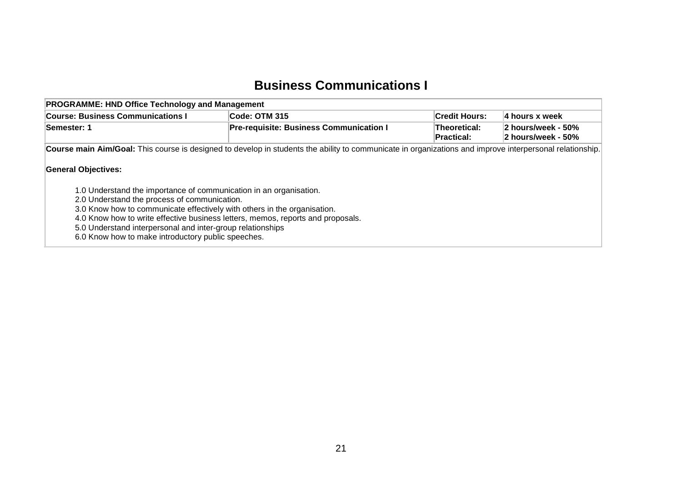## **Business Communications I**

<span id="page-22-0"></span>

| <b>PROGRAMME: HND Office Technology and Management</b>                          |                                                                                                                                                          |                            |                                          |  |
|---------------------------------------------------------------------------------|----------------------------------------------------------------------------------------------------------------------------------------------------------|----------------------------|------------------------------------------|--|
| <b>Course: Business Communications I</b>                                        | Code: OTM 315                                                                                                                                            | <b>Credit Hours:</b>       | 4 hours x week                           |  |
| <b>Pre-requisite: Business Communication I</b><br><b>Semester: 1</b>            |                                                                                                                                                          | Theoretical:<br>Practical: | 2 hours/week - 50%<br>2 hours/week - 50% |  |
|                                                                                 | Course main Aim/Goal: This course is designed to develop in students the ability to communicate in organizations and improve interpersonal relationship. |                            |                                          |  |
| <b>General Objectives:</b>                                                      |                                                                                                                                                          |                            |                                          |  |
| 1.0 Understand the importance of communication in an organisation.              |                                                                                                                                                          |                            |                                          |  |
| 2.0 Understand the process of communication.                                    |                                                                                                                                                          |                            |                                          |  |
| 3.0 Know how to communicate effectively with others in the organisation.        |                                                                                                                                                          |                            |                                          |  |
| 4.0 Know how to write effective business letters, memos, reports and proposals. |                                                                                                                                                          |                            |                                          |  |
| 5.0 Understand interpersonal and inter-group relationships                      |                                                                                                                                                          |                            |                                          |  |
| 6.0 Know how to make introductory public speeches.                              |                                                                                                                                                          |                            |                                          |  |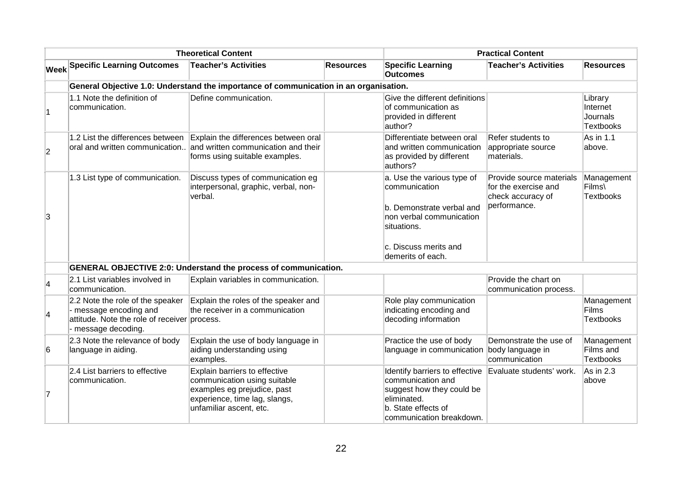|                          |                                                                                                                                   | <b>Theoretical Content</b>                                                                                                                               |                  |                                                                                                                                                                    | <b>Practical Content</b>                                                              |                                                     |
|--------------------------|-----------------------------------------------------------------------------------------------------------------------------------|----------------------------------------------------------------------------------------------------------------------------------------------------------|------------------|--------------------------------------------------------------------------------------------------------------------------------------------------------------------|---------------------------------------------------------------------------------------|-----------------------------------------------------|
|                          | <b>Week Specific Learning Outcomes</b>                                                                                            | <b>Teacher's Activities</b>                                                                                                                              | <b>Resources</b> | <b>Specific Learning</b><br><b>Outcomes</b>                                                                                                                        | <b>Teacher's Activities</b>                                                           | <b>Resources</b>                                    |
|                          |                                                                                                                                   | General Objective 1.0: Understand the importance of communication in an organisation.                                                                    |                  |                                                                                                                                                                    |                                                                                       |                                                     |
| 1                        | 1.1 Note the definition of<br>communication.                                                                                      | Define communication.                                                                                                                                    |                  | Give the different definitions<br>of communication as<br>provided in different<br>author?                                                                          |                                                                                       | Library<br>Internet<br>Journals<br><b>Textbooks</b> |
| $\overline{2}$           | 1.2 List the differences between<br>oral and written communication                                                                | Explain the differences between oral<br>and written communication and their<br>forms using suitable examples.                                            |                  | Differentiate between oral<br>and written communication<br>as provided by different<br>authors?                                                                    | Refer students to<br>appropriate source<br>materials.                                 | As in 1.1<br>above.                                 |
| 3                        | 1.3 List type of communication.                                                                                                   | Discuss types of communication eg<br>interpersonal, graphic, verbal, non-<br>verbal.                                                                     |                  | a. Use the various type of<br>communication<br>b. Demonstrate verbal and<br>non verbal communication<br>lsituations.<br>c. Discuss merits and<br>demerits of each. | Provide source materials<br>for the exercise and<br>check accuracy of<br>performance. | Management<br>Films\<br><b>Textbooks</b>            |
|                          |                                                                                                                                   | <b>GENERAL OBJECTIVE 2:0: Understand the process of communication.</b>                                                                                   |                  |                                                                                                                                                                    |                                                                                       |                                                     |
| $\vert$ 4                | 2.1 List variables involved in<br>communication.                                                                                  | Explain variables in communication.                                                                                                                      |                  |                                                                                                                                                                    | Provide the chart on<br>communication process.                                        |                                                     |
| $\overline{\mathcal{A}}$ | 2.2 Note the role of the speaker<br>- message encoding and<br>attitude. Note the role of receiver process.<br>- message decoding. | Explain the roles of the speaker and<br>the receiver in a communication                                                                                  |                  | Role play communication<br>indicating encoding and<br>decoding information                                                                                         |                                                                                       | Management<br><b>Films</b><br><b>Textbooks</b>      |
| 6                        | 2.3 Note the relevance of body<br>language in aiding.                                                                             | Explain the use of body language in<br>aiding understanding using<br>examples.                                                                           |                  | Practice the use of body<br>language in communication                                                                                                              | Demonstrate the use of<br>body language in<br>communication                           | Management<br>Films and<br><b>Textbooks</b>         |
| 7                        | 2.4 List barriers to effective<br>communication.                                                                                  | Explain barriers to effective<br>communication using suitable<br>examples eg prejudice, past<br>experience, time lag, slangs,<br>unfamiliar ascent, etc. |                  | Identify barriers to effective<br>communication and<br>suggest how they could be<br>eliminated.<br>b. State effects of<br>communication breakdown.                 | Evaluate students' work.                                                              | As in 2.3<br>above                                  |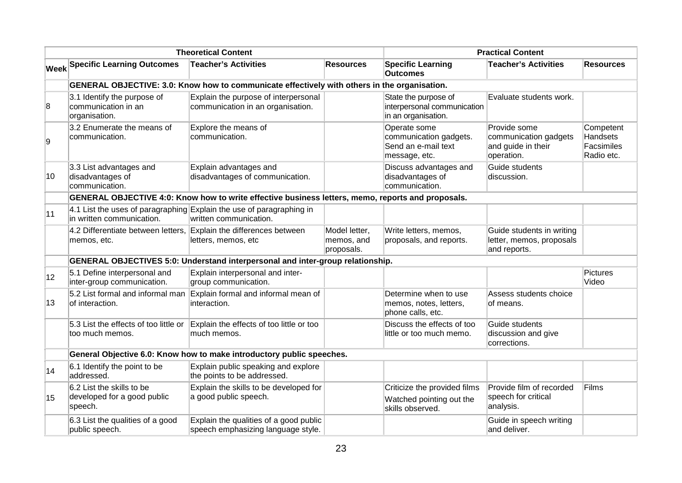|    |                                                                     | <b>Theoretical Content</b>                                                                        |                                           |                                                                                | <b>Practical Content</b>                                                  |                                                          |
|----|---------------------------------------------------------------------|---------------------------------------------------------------------------------------------------|-------------------------------------------|--------------------------------------------------------------------------------|---------------------------------------------------------------------------|----------------------------------------------------------|
|    | <b>Week Specific Learning Outcomes</b>                              | <b>Teacher's Activities</b>                                                                       | <b>Resources</b>                          | <b>Specific Learning</b><br><b>Outcomes</b>                                    | <b>Teacher's Activities</b>                                               | <b>Resources</b>                                         |
|    |                                                                     | GENERAL OBJECTIVE: 3.0: Know how to communicate effectively with others in the organisation.      |                                           |                                                                                |                                                                           |                                                          |
| 8  | 3.1 Identify the purpose of<br>communication in an<br>organisation. | Explain the purpose of interpersonal<br>communication in an organisation.                         |                                           | State the purpose of<br>interpersonal communication<br>in an organisation.     | Evaluate students work.                                                   |                                                          |
| 9  | 3.2 Enumerate the means of<br>communication.                        | Explore the means of<br>communication.                                                            |                                           | Operate some<br>communication gadgets.<br>Send an e-mail text<br>message, etc. | Provide some<br>communication gadgets<br>and guide in their<br>operation. | Competent<br><b>Handsets</b><br>Facsimiles<br>Radio etc. |
| 10 | 3.3 List advantages and<br>disadvantages of<br>communication.       | Explain advantages and<br>disadvantages of communication.                                         |                                           | Discuss advantages and<br>disadvantages of<br>communication.                   | Guide students<br>discussion.                                             |                                                          |
|    |                                                                     | GENERAL OBJECTIVE 4:0: Know how to write effective business letters, memo, reports and proposals. |                                           |                                                                                |                                                                           |                                                          |
| 11 | in written communication.                                           | 4.1 List the uses of paragraphing Explain the use of paragraphing in<br>written communication.    |                                           |                                                                                |                                                                           |                                                          |
|    | 4.2 Differentiate between letters,<br>memos, etc.                   | Explain the differences between<br>letters, memos, etc                                            | Model letter,<br>memos, and<br>proposals. | Write letters, memos,<br>proposals, and reports.                               | Guide students in writing<br>letter, memos, proposals<br>and reports.     |                                                          |
|    |                                                                     | <b>GENERAL OBJECTIVES 5:0: Understand interpersonal and inter-group relationship.</b>             |                                           |                                                                                |                                                                           |                                                          |
| 12 | 5.1 Define interpersonal and<br>inter-group communication.          | Explain interpersonal and inter-<br>group communication.                                          |                                           |                                                                                |                                                                           | <b>Pictures</b><br>Video                                 |
| 13 | 5.2 List formal and informal man<br>of interaction.                 | Explain formal and informal mean of<br>interaction.                                               |                                           | Determine when to use<br>memos, notes, letters,<br>phone calls, etc.           | Assess students choice<br>of means.                                       |                                                          |
|    | 5.3 List the effects of too little or<br>too much memos.            | Explain the effects of too little or too<br>much memos.                                           |                                           | Discuss the effects of too<br>little or too much memo.                         | Guide students<br>discussion and give<br>corrections.                     |                                                          |
|    |                                                                     | General Objective 6.0: Know how to make introductory public speeches.                             |                                           |                                                                                |                                                                           |                                                          |
| 14 | 6.1 Identify the point to be<br>addressed.                          | Explain public speaking and explore<br>the points to be addressed.                                |                                           |                                                                                |                                                                           |                                                          |
| 15 | 6.2 List the skills to be<br>developed for a good public<br>speech. | Explain the skills to be developed for<br>a good public speech.                                   |                                           | Criticize the provided films<br>Watched pointing out the<br>skills observed.   | Provide film of recorded<br>speech for critical<br>analysis.              | Films                                                    |
|    | 6.3 List the qualities of a good<br>public speech.                  | Explain the qualities of a good public<br>speech emphasizing language style.                      |                                           |                                                                                | Guide in speech writing<br>and deliver.                                   |                                                          |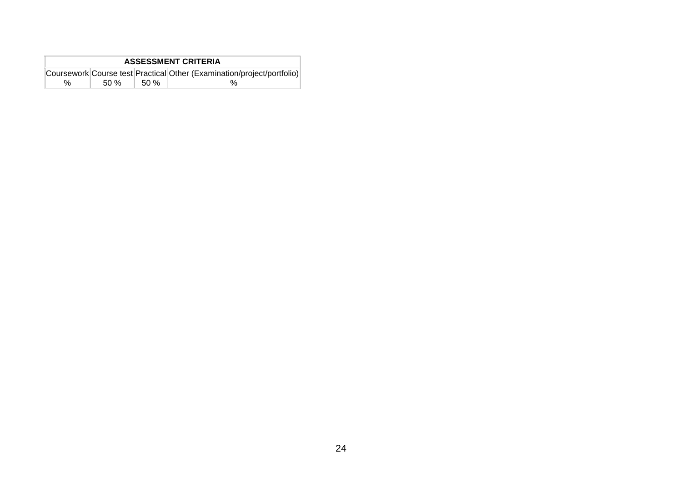| <b>ASSESSMENT CRITERIA</b> |     |       |                                                                        |  |  |  |
|----------------------------|-----|-------|------------------------------------------------------------------------|--|--|--|
|                            |     |       | Coursework Course test Practical Other (Examination/project/portfolio) |  |  |  |
| %                          | 50% | .50 % |                                                                        |  |  |  |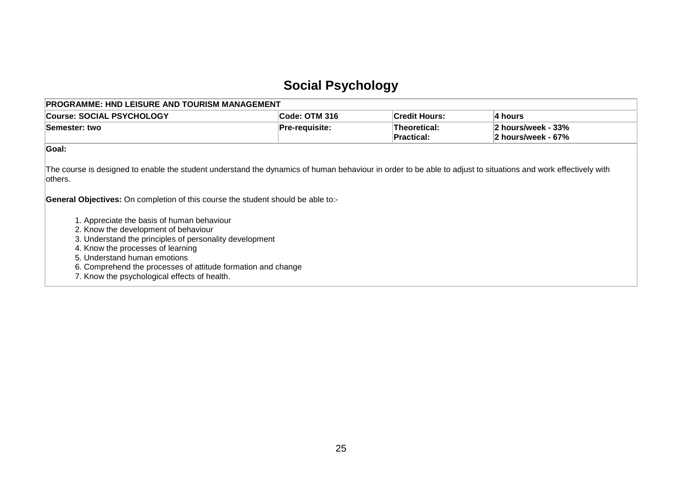## **Social Psychology**

<span id="page-26-0"></span>

| <b>Course: SOCIAL PSYCHOLOGY</b>                                                                                                                                                                                                                                                                                                   | Code: OTM 316         | <b>Credit Hours:</b>              | 4 hours                                  |
|------------------------------------------------------------------------------------------------------------------------------------------------------------------------------------------------------------------------------------------------------------------------------------------------------------------------------------|-----------------------|-----------------------------------|------------------------------------------|
| Semester: two                                                                                                                                                                                                                                                                                                                      | <b>Pre-requisite:</b> | Theoretical:<br><b>Practical:</b> | 2 hours/week - 33%<br>2 hours/week - 67% |
| Goal:                                                                                                                                                                                                                                                                                                                              |                       |                                   |                                          |
| The course is designed to enable the student understand the dynamics of human behaviour in order to be able to adjust to situations and work effectively with<br>lothers.<br><b>General Objectives:</b> On completion of this course the student should be able to:-                                                               |                       |                                   |                                          |
| 1. Appreciate the basis of human behaviour<br>2. Know the development of behaviour<br>3. Understand the principles of personality development<br>4. Know the processes of learning<br>5. Understand human emotions<br>6. Comprehend the processes of attitude formation and change<br>7. Know the psychological effects of health. |                       |                                   |                                          |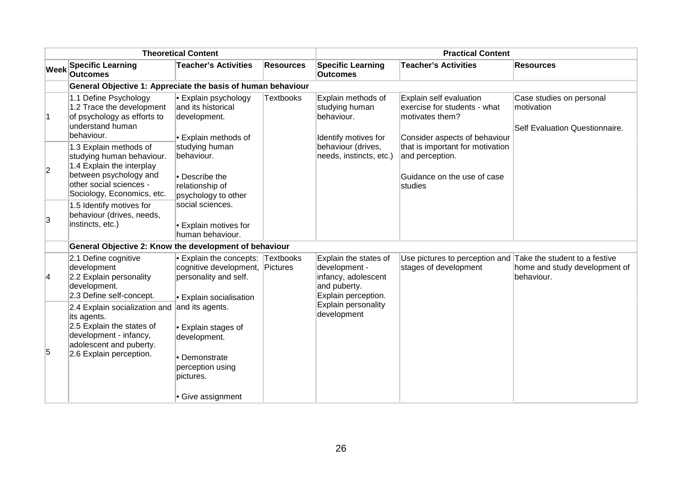|                |                                                                                                                                                                     | <b>Theoretical Content</b>                                                                                                      |                  |                                                                                                      | <b>Practical Content</b>                                                                                    |                                                                          |
|----------------|---------------------------------------------------------------------------------------------------------------------------------------------------------------------|---------------------------------------------------------------------------------------------------------------------------------|------------------|------------------------------------------------------------------------------------------------------|-------------------------------------------------------------------------------------------------------------|--------------------------------------------------------------------------|
| <b>Week</b>    | <b>Specific Learning</b><br><b>Outcomes</b>                                                                                                                         | <b>Teacher's Activities</b>                                                                                                     | <b>Resources</b> | <b>Specific Learning</b><br><b>Outcomes</b>                                                          | <b>Teacher's Activities</b>                                                                                 | <b>Resources</b>                                                         |
|                | General Objective 1: Appreciate the basis of human behaviour                                                                                                        |                                                                                                                                 |                  |                                                                                                      |                                                                                                             |                                                                          |
| 1              | 1.1 Define Psychology<br>1.2 Trace the development<br>of psychology as efforts to<br>understand human<br>behaviour.                                                 | • Explain psychology<br>and its historical<br>development.<br>• Explain methods of                                              | <b>Textbooks</b> | Explain methods of<br>studying human<br>behaviour.<br>Identify motives for                           | Explain self evaluation<br>exercise for students - what<br>motivates them?<br>Consider aspects of behaviour | Case studies on personal<br>motivation<br>Self Evaluation Questionnaire. |
| $\overline{2}$ | 1.3 Explain methods of<br>studying human behaviour.<br>1.4 Explain the interplay<br>between psychology and<br>other social sciences -<br>Sociology, Economics, etc. | studying human<br>behaviour.<br>• Describe the<br>relationship of<br>psychology to other                                        |                  | behaviour (drives,<br>needs, instincts, etc.)                                                        | that is important for motivation<br>and perception.<br>Guidance on the use of case<br>studies               |                                                                          |
| 3              | 1.5 Identify motives for<br>behaviour (drives, needs,<br>instincts, etc.)                                                                                           | social sciences.<br>• Explain motives for<br>human behaviour.                                                                   |                  |                                                                                                      |                                                                                                             |                                                                          |
|                | General Objective 2: Know the development of behaviour                                                                                                              |                                                                                                                                 |                  |                                                                                                      |                                                                                                             |                                                                          |
| 4              | 2.1 Define cognitive<br>development<br>2.2 Explain personality<br>development.<br>2.3 Define self-concept.                                                          | • Explain the concepts: Textbooks<br>cognitive development, Pictures<br>personality and self.<br><b>• Explain socialisation</b> |                  | Explain the states of<br>development -<br>infancy, adolescent<br>and puberty.<br>Explain perception. | Use pictures to perception and Take the student to a festive<br>stages of development                       | home and study development of<br>behaviour.                              |
| 5              | 2.4 Explain socialization and<br>its agents.<br>2.5 Explain the states of<br>development - infancy,<br>adolescent and puberty.<br>2.6 Explain perception.           | and its agents.<br>• Explain stages of<br>development.<br>• Demonstrate<br>perception using<br>pictures.<br>• Give assignment   |                  | Explain personality<br>development                                                                   |                                                                                                             |                                                                          |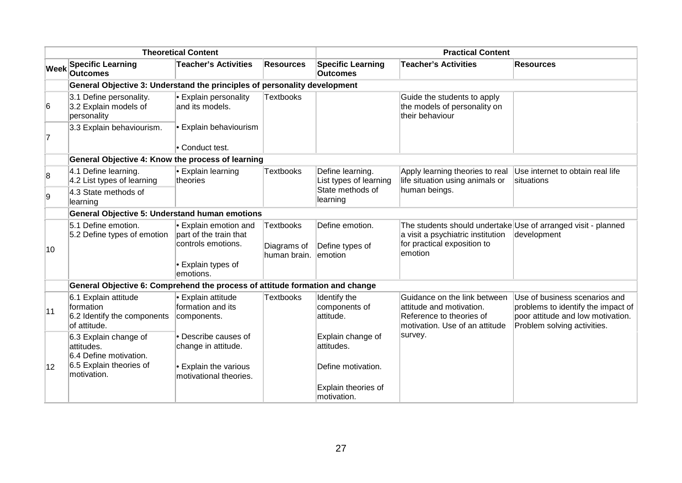|                         |                                                                                          | <b>Theoretical Content</b>                                                                             |                                                 |                                                       | <b>Practical Content</b>                                                                                               |                                                                                                                                         |
|-------------------------|------------------------------------------------------------------------------------------|--------------------------------------------------------------------------------------------------------|-------------------------------------------------|-------------------------------------------------------|------------------------------------------------------------------------------------------------------------------------|-----------------------------------------------------------------------------------------------------------------------------------------|
| Week                    | <b>Specific Learning</b><br><b>Outcomes</b>                                              | <b>Teacher's Activities</b>                                                                            | Resources                                       | <b>Specific Learning</b><br><b>Outcomes</b>           | <b>Teacher's Activities</b>                                                                                            | <b>Resources</b>                                                                                                                        |
|                         | General Objective 3: Understand the principles of personality development                |                                                                                                        |                                                 |                                                       |                                                                                                                        |                                                                                                                                         |
| 6                       | 3.1 Define personality.<br>3.2 Explain models of<br>personality                          | <b>Explain personality</b><br>and its models.                                                          | Textbooks                                       |                                                       | Guide the students to apply<br>the models of personality on<br>their behaviour                                         |                                                                                                                                         |
| $\overline{7}$          | 3.3 Explain behaviourism.                                                                | • Explain behaviourism<br>• Conduct test.                                                              |                                                 |                                                       |                                                                                                                        |                                                                                                                                         |
|                         | General Objective 4: Know the process of learning                                        |                                                                                                        |                                                 |                                                       |                                                                                                                        |                                                                                                                                         |
| $\overline{\mathbf{8}}$ | 4.1 Define learning.<br>4.2 List types of learning                                       | • Explain learning<br>theories                                                                         | <b>Textbooks</b>                                | Define learning.<br>List types of learning            | Apply learning theories to real<br>life situation using animals or                                                     | Use internet to obtain real life<br>situations                                                                                          |
| 9                       | 4.3 State methods of<br>learning                                                         |                                                                                                        |                                                 | State methods of<br>learning                          | human beings.                                                                                                          |                                                                                                                                         |
|                         | <b>General Objective 5: Understand human emotions</b>                                    |                                                                                                        |                                                 |                                                       |                                                                                                                        |                                                                                                                                         |
| 10                      | 5.1 Define emotion.<br>5.2 Define types of emotion                                       | Explain emotion and<br>part of the train that<br>controls emotions.<br>• Explain types of<br>emotions. | <b>Textbooks</b><br>Diagrams of<br>human brain. | Define emotion.<br>Define types of<br>lemotion        | a visit a psychiatric institution<br>for practical exposition to<br>emotion                                            | The students should undertake Use of arranged visit - planned<br>development                                                            |
|                         | General Objective 6: Comprehend the process of attitude formation and change             |                                                                                                        |                                                 |                                                       |                                                                                                                        |                                                                                                                                         |
| 11                      | 6.1 Explain attitude<br>formation<br>6.2 Identify the components<br>of attitude.         | • Explain attitude<br>formation and its<br>components.                                                 | <b>Textbooks</b>                                | Identify the<br>components of<br>attitude.            | Guidance on the link between<br>attitude and motivation.<br>Reference to theories of<br>motivation. Use of an attitude | Use of business scenarios and<br>problems to identify the impact of<br>poor attitude and low motivation.<br>Problem solving activities. |
| 12                      | 6.3 Explain change of<br>attitudes.<br>6.4 Define motivation.<br>6.5 Explain theories of | • Describe causes of<br>change in attitude.<br>• Explain the various                                   |                                                 | Explain change of<br>attitudes.<br>Define motivation. | survey.                                                                                                                |                                                                                                                                         |
|                         | motivation.                                                                              | motivational theories.                                                                                 |                                                 | Explain theories of<br>motivation.                    |                                                                                                                        |                                                                                                                                         |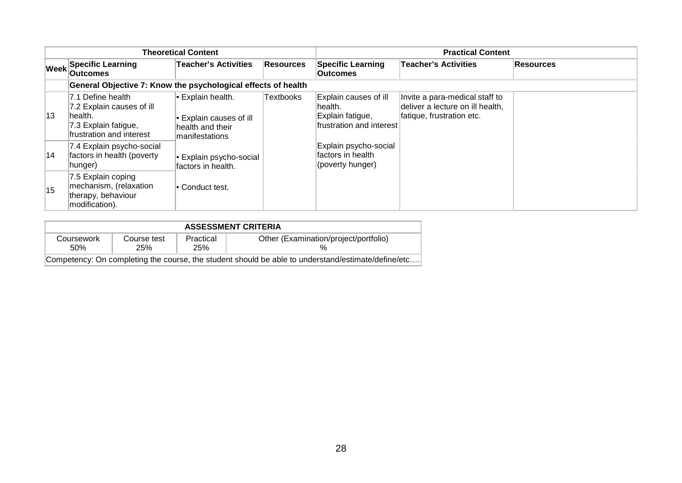|      |                                                                                                                | <b>Theoretical Content</b>                                                              |                  |                                                                                   | <b>Practical Content</b>                                                                        |           |
|------|----------------------------------------------------------------------------------------------------------------|-----------------------------------------------------------------------------------------|------------------|-----------------------------------------------------------------------------------|-------------------------------------------------------------------------------------------------|-----------|
| Week | <b>Specific Learning</b><br><b>Outcomes</b>                                                                    | <b>Teacher's Activities</b>                                                             | <b>Resources</b> | <b>Specific Learning</b><br><b>Outcomes</b>                                       | <b>Teacher's Activities</b>                                                                     | Resources |
|      | General Objective 7: Know the psychological effects of health                                                  |                                                                                         |                  |                                                                                   |                                                                                                 |           |
| 13   | 7.1 Define health<br>7.2 Explain causes of ill<br>lhealth.<br>7.3 Explain fatigue,<br>frustration and interest | $\cdot$ Explain health.<br>Explain causes of ill<br>health and their<br>Imanifestations | <b>Textbooks</b> | Explain causes of ill<br>lhealth.<br>Explain fatigue,<br>frustration and interest | Invite a para-medical staff to<br>deliver a lecture on ill health,<br>fatique, frustration etc. |           |
| 14   | 7.4 Explain psycho-social<br>factors in health (poverty<br>hunger)                                             | Explain psycho-social<br>factors in health.                                             |                  | Explain psycho-social<br>factors in health<br>(poverty hunger)                    |                                                                                                 |           |
| 15   | 7.5 Explain coping<br>mechanism, (relaxation<br>therapy, behaviour<br>modification).                           | l∙ Conduct test.                                                                        |                  |                                                                                   |                                                                                                 |           |

|                    | <b>ASSESSMENT CRITERIA</b> |                  |                                                                                                    |  |  |  |  |  |
|--------------------|----------------------------|------------------|----------------------------------------------------------------------------------------------------|--|--|--|--|--|
| Coursework<br>.50% | Course test<br>25%         | Practical<br>25% | Other (Examination/project/portfolio)                                                              |  |  |  |  |  |
|                    |                            |                  | Competency: On completing the course, the student should be able to understand/estimate/define/etc |  |  |  |  |  |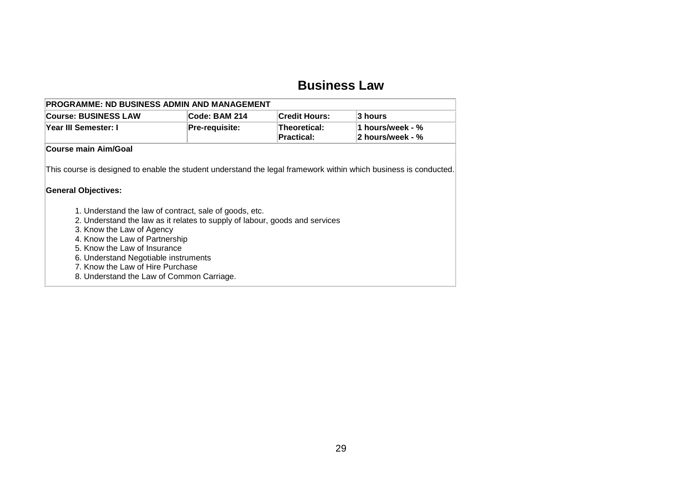### **Business Law**

| <b>PROGRAMME: ND BUSINESS ADMIN AND MANAGEMENT</b> |                       |                            |                                                |  |  |  |
|----------------------------------------------------|-----------------------|----------------------------|------------------------------------------------|--|--|--|
| <b>Course: BUSINESS LAW</b>                        | ∣Code: BAM 214        | <b>Credit Hours:</b>       | ∣3 hours                                       |  |  |  |
| <b>Year III Semester: I</b>                        | <b>Pre-requisite:</b> | Theoretical:<br>Practical: | 1 hours/week - $%$<br>$\vert$ 2 hours/week - % |  |  |  |
| <b>Course main Aim/Goal</b>                        |                       |                            |                                                |  |  |  |

This course is designed to enable the student understand the legal framework within which business is conducted.

#### **General Objectives:**

- 1. Understand the law of contract, sale of goods, etc.
- 2. Understand the law as it relates to supply of labour, goods and services
- 3. Know the Law of Agency
- 4. Know the Law of Partnership
- 5. Know the Law of Insurance
- 6. Understand Negotiable instruments
- 7. Know the Law of Hire Purchase
- <span id="page-30-0"></span>8. Understand the Law of Common Carriage.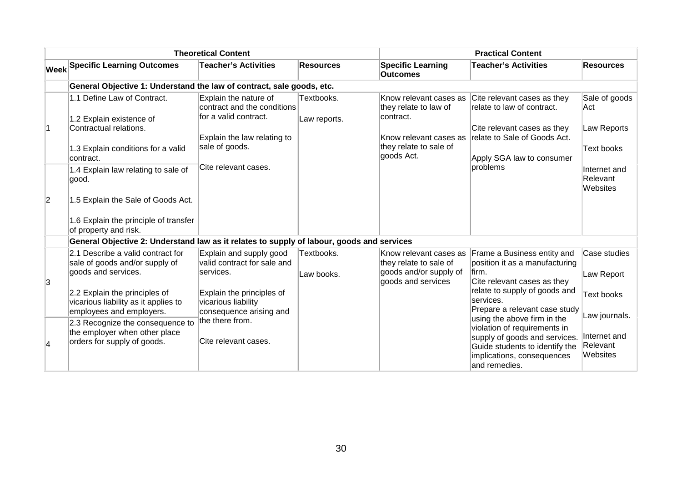|             |                                                                                           | <b>Theoretical Content</b>                                                    |                            |                                                              | <b>Practical Content</b>                                                                                                                       |                                      |
|-------------|-------------------------------------------------------------------------------------------|-------------------------------------------------------------------------------|----------------------------|--------------------------------------------------------------|------------------------------------------------------------------------------------------------------------------------------------------------|--------------------------------------|
|             | <b>Week Specific Learning Outcomes</b>                                                    | <b>Teacher's Activities</b>                                                   | <b>Resources</b>           | <b>Specific Learning</b><br><b>Outcomes</b>                  | <b>Teacher's Activities</b>                                                                                                                    | <b>Resources</b>                     |
|             | General Objective 1: Understand the law of contract, sale goods, etc.                     |                                                                               |                            |                                                              |                                                                                                                                                |                                      |
|             | 1.1 Define Law of Contract.<br>1.2 Explain existence of                                   | Explain the nature of<br>contract and the conditions<br>for a valid contract. | Textbooks.<br>Law reports. | Know relevant cases as<br>they relate to law of<br>contract. | Cite relevant cases as they<br>relate to law of contract.                                                                                      | Sale of goods<br>∣Act                |
|             | Contractual relations.                                                                    | Explain the law relating to                                                   |                            | Know relevant cases as                                       | Cite relevant cases as they<br>relate to Sale of Goods Act.                                                                                    | Law Reports                          |
|             | 1.3 Explain conditions for a valid<br>contract.                                           | sale of goods.                                                                |                            | they relate to sale of<br>goods Act.                         | Apply SGA law to consumer                                                                                                                      | Text books                           |
|             | 1.4 Explain law relating to sale of<br>good.                                              | Cite relevant cases.                                                          |                            |                                                              | problems                                                                                                                                       | Internet and<br>Relevant<br>Websites |
| $ 2\rangle$ | 1.5 Explain the Sale of Goods Act.                                                        |                                                                               |                            |                                                              |                                                                                                                                                |                                      |
|             | 1.6 Explain the principle of transfer<br>of property and risk.                            |                                                                               |                            |                                                              |                                                                                                                                                |                                      |
|             | General Objective 2: Understand law as it relates to supply of labour, goods and services |                                                                               |                            |                                                              |                                                                                                                                                |                                      |
|             | 2.1 Describe a valid contract for<br>sale of goods and/or supply of                       | Explain and supply good<br>valid contract for sale and                        | Textbooks.                 | Know relevant cases as<br>they relate to sale of             | Frame a Business entity and<br>position it as a manufacturing                                                                                  | Case studies                         |
| Ι3          | goods and services.                                                                       | services.                                                                     | Law books.                 | goods and/or supply of<br>goods and services                 | lfirm.<br>Cite relevant cases as they                                                                                                          | Law Report                           |
|             | 2.2 Explain the principles of<br>vicarious liability as it applies to                     | Explain the principles of<br>vicarious liability                              |                            |                                                              | relate to supply of goods and<br>services.                                                                                                     | Text books                           |
|             | employees and employers.<br>2.3 Recognize the consequence to                              | consequence arising and<br>the there from.                                    |                            |                                                              | Prepare a relevant case study<br>using the above firm in the                                                                                   | Law journals.                        |
| 4           | the employer when other place<br>orders for supply of goods.                              | Cite relevant cases.                                                          |                            |                                                              | violation of requirements in<br>supply of goods and services.<br>Guide students to identify the<br>implications, consequences<br>and remedies. | Internet and<br>Relevant<br>Websites |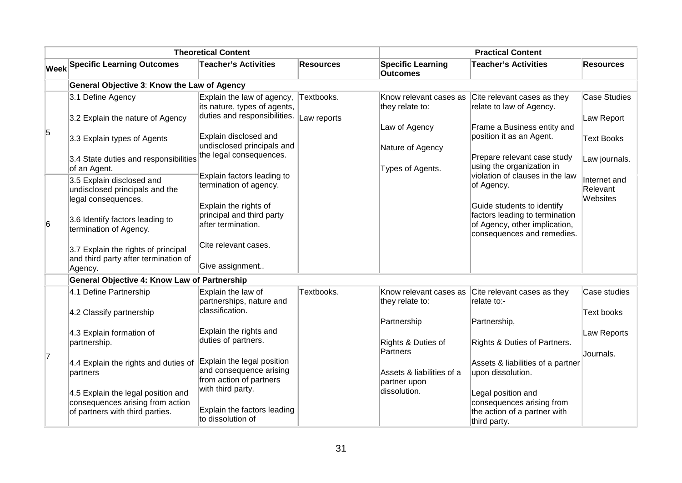|   |                                                                                        | <b>Theoretical Content</b>                                                                 |                  |                                             | <b>Practical Content</b>                                                                                                    |                                      |
|---|----------------------------------------------------------------------------------------|--------------------------------------------------------------------------------------------|------------------|---------------------------------------------|-----------------------------------------------------------------------------------------------------------------------------|--------------------------------------|
|   | <b>Week Specific Learning Outcomes</b>                                                 | <b>Teacher's Activities</b>                                                                | <b>Resources</b> | <b>Specific Learning</b><br><b>Outcomes</b> | <b>Teacher's Activities</b>                                                                                                 | Resources                            |
|   | General Objective 3: Know the Law of Agency                                            |                                                                                            |                  |                                             |                                                                                                                             |                                      |
|   | 3.1 Define Agency                                                                      | Explain the law of agency,<br>its nature, types of agents,<br>duties and responsibilities. | Textbooks.       | Know relevant cases as<br>they relate to:   | Cite relevant cases as they<br>relate to law of Agency.                                                                     | <b>Case Studies</b>                  |
| 5 | 3.2 Explain the nature of Agency                                                       |                                                                                            | Law reports      | Law of Agency                               | Frame a Business entity and                                                                                                 | Law Report                           |
|   | 3.3 Explain types of Agents                                                            | Explain disclosed and<br>undisclosed principals and                                        |                  | Nature of Agency                            | position it as an Agent.                                                                                                    | <b>Text Books</b>                    |
|   | 3.4 State duties and responsibilities<br>of an Agent.                                  | the legal consequences.                                                                    |                  | Types of Agents.                            | Prepare relevant case study<br>using the organization in                                                                    | Law journals.                        |
|   | 3.5 Explain disclosed and<br>undisclosed principals and the<br>legal consequences.     | Explain factors leading to<br>termination of agency.                                       |                  |                                             | violation of clauses in the law<br>of Agency.                                                                               | Internet and<br>Relevant<br>Websites |
| 6 | 3.6 Identify factors leading to<br>termination of Agency.                              | Explain the rights of<br>principal and third party<br>after termination.                   |                  |                                             | Guide students to identify<br>factors leading to termination<br>of Agency, other implication,<br>consequences and remedies. |                                      |
|   | 3.7 Explain the rights of principal<br>and third party after termination of<br>Agency. | Cite relevant cases.<br>Give assignment                                                    |                  |                                             |                                                                                                                             |                                      |
|   | General Objective 4: Know Law of Partnership                                           |                                                                                            |                  |                                             |                                                                                                                             |                                      |
|   | 4.1 Define Partnership                                                                 | Explain the law of<br>partnerships, nature and                                             | Textbooks.       | Know relevant cases as<br>they relate to:   | Cite relevant cases as they<br>relate to:-                                                                                  | Case studies                         |
|   | 4.2 Classify partnership                                                               | classification.                                                                            |                  | Partnership                                 | Partnership,                                                                                                                | Text books                           |
|   | 4.3 Explain formation of<br>partnership.                                               | Explain the rights and<br>duties of partners.                                              |                  | Rights & Duties of                          | Rights & Duties of Partners.                                                                                                | Law Reports                          |
| 7 |                                                                                        | Explain the legal position                                                                 |                  | Partners                                    |                                                                                                                             | Journals.                            |
|   | 4.4 Explain the rights and duties of<br>partners                                       | and consequence arising<br>from action of partners                                         |                  | Assets & liabilities of a<br>partner upon   | Assets & liabilities of a partner<br>upon dissolution.                                                                      |                                      |
|   | 4.5 Explain the legal position and<br>consequences arising from action                 | with third party.                                                                          |                  | dissolution.                                | Legal position and<br>consequences arising from                                                                             |                                      |
|   | of partners with third parties.                                                        | Explain the factors leading<br>to dissolution of                                           |                  |                                             | the action of a partner with<br>third party.                                                                                |                                      |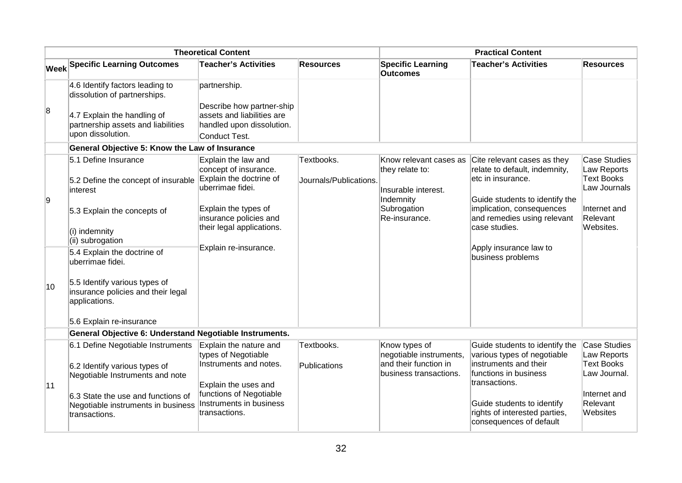|    |                                                                                           | <b>Theoretical Content</b>                                                                  |                                      |                                                                               | <b>Practical Content</b>                                                                                            |                                                                         |
|----|-------------------------------------------------------------------------------------------|---------------------------------------------------------------------------------------------|--------------------------------------|-------------------------------------------------------------------------------|---------------------------------------------------------------------------------------------------------------------|-------------------------------------------------------------------------|
|    | <b>Week Specific Learning Outcomes</b>                                                    | <b>Teacher's Activities</b>                                                                 | <b>Resources</b>                     | <b>Specific Learning</b><br><b>Outcomes</b>                                   | <b>Teacher's Activities</b>                                                                                         | <b>Resources</b>                                                        |
|    | 4.6 Identify factors leading to<br>dissolution of partnerships.                           | partnership.                                                                                |                                      |                                                                               |                                                                                                                     |                                                                         |
| 8  | 4.7 Explain the handling of<br>partnership assets and liabilities<br>upon dissolution.    | Describe how partner-ship<br>assets and liabilities are<br>handled upon dissolution.        |                                      |                                                                               |                                                                                                                     |                                                                         |
|    |                                                                                           | Conduct Test.                                                                               |                                      |                                                                               |                                                                                                                     |                                                                         |
|    | General Objective 5: Know the Law of Insurance                                            |                                                                                             |                                      |                                                                               |                                                                                                                     |                                                                         |
| Ι9 | 5.1 Define Insurance<br>5.2 Define the concept of insurable<br>interest                   | Explain the law and<br>concept of insurance.<br>Explain the doctrine of<br>uberrimae fidei. | Textbooks.<br>Journals/Publications. | Know relevant cases as<br>they relate to:<br>Insurable interest.<br>Indemnity | Cite relevant cases as they<br>relate to default, indemnity,<br>etc in insurance.<br>Guide students to identify the | <b>Case Studies</b><br>Law Reports<br><b>Text Books</b><br>Law Journals |
|    | 5.3 Explain the concepts of<br>(i) indemnity<br>(ii) subrogation                          | Explain the types of<br>insurance policies and<br>their legal applications.                 |                                      | Subrogation<br>Re-insurance.                                                  | implication, consequences<br>and remedies using relevant<br>case studies.                                           | Internet and<br>Relevant<br>Websites.                                   |
|    | 5.4 Explain the doctrine of<br>uberrimae fidei.                                           | Explain re-insurance.                                                                       |                                      |                                                                               | Apply insurance law to<br>business problems                                                                         |                                                                         |
| 10 | 5.5 Identify various types of<br>insurance policies and their legal<br>applications.      |                                                                                             |                                      |                                                                               |                                                                                                                     |                                                                         |
|    | 5.6 Explain re-insurance                                                                  |                                                                                             |                                      |                                                                               |                                                                                                                     |                                                                         |
|    | General Objective 6: Understand Negotiable Instruments.                                   |                                                                                             |                                      |                                                                               |                                                                                                                     |                                                                         |
|    | 6.1 Define Negotiable Instruments                                                         | Explain the nature and                                                                      | Textbooks.                           | Know types of                                                                 | Guide students to identify the                                                                                      | <b>Case Studies</b>                                                     |
| 11 | 6.2 Identify various types of<br>Negotiable Instruments and note                          | types of Negotiable<br>Instruments and notes.<br>Explain the uses and                       | Publications                         | negotiable instruments,<br>and their function in<br>business transactions.    | various types of negotiable<br>instruments and their<br>functions in business<br>transactions.                      | Law Reports<br><b>Text Books</b><br>Law Journal.                        |
|    | 6.3 State the use and functions of<br>Negotiable instruments in business<br>transactions. | functions of Negotiable<br>Instruments in business<br>transactions.                         |                                      |                                                                               | Guide students to identify<br>rights of interested parties,<br>consequences of default                              | Internet and<br>Relevant<br>Websites                                    |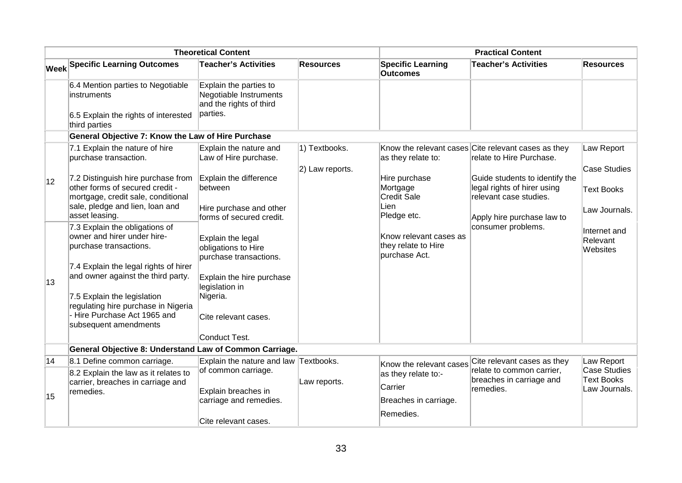|              |                                                                                                                                                                  | <b>Theoretical Content</b>                                                               |                                  |                                                                 | <b>Practical Content</b>                                                                                              |                                                                  |
|--------------|------------------------------------------------------------------------------------------------------------------------------------------------------------------|------------------------------------------------------------------------------------------|----------------------------------|-----------------------------------------------------------------|-----------------------------------------------------------------------------------------------------------------------|------------------------------------------------------------------|
|              | <b>Week Specific Learning Outcomes</b>                                                                                                                           | <b>Teacher's Activities</b>                                                              | <b>Resources</b>                 | <b>Specific Learning</b><br><b>Outcomes</b>                     | <b>Teacher's Activities</b>                                                                                           | <b>Resources</b>                                                 |
|              | 6.4 Mention parties to Negotiable<br>instruments<br>6.5 Explain the rights of interested<br>third parties                                                        | Explain the parties to<br>Negotiable Instruments<br>and the rights of third<br>parties.  |                                  |                                                                 |                                                                                                                       |                                                                  |
|              | General Objective 7: Know the Law of Hire Purchase                                                                                                               |                                                                                          |                                  |                                                                 |                                                                                                                       |                                                                  |
|              | 7.1 Explain the nature of hire<br>purchase transaction.                                                                                                          | Explain the nature and<br>Law of Hire purchase.                                          | 1) Textbooks.<br>2) Law reports. | as they relate to:                                              | Know the relevant cases Cite relevant cases as they<br>relate to Hire Purchase.                                       | Law Report<br><b>Case Studies</b>                                |
| $ 12\rangle$ | 7.2 Distinguish hire purchase from<br>other forms of secured credit -<br>mortgage, credit sale, conditional<br>sale, pledge and lien, loan and<br>asset leasing. | Explain the difference<br>between<br>Hire purchase and other<br>forms of secured credit. |                                  | Hire purchase<br>Mortgage<br>Credit Sale<br>Lien<br>Pledge etc. | Guide students to identify the<br>legal rights of hirer using<br>relevant case studies.<br>Apply hire purchase law to | <b>Text Books</b><br>Law Journals.                               |
|              | 7.3 Explain the obligations of<br>owner and hirer under hire-<br>purchase transactions.                                                                          | Explain the legal<br>obligations to Hire<br>purchase transactions.                       |                                  | Know relevant cases as<br>they relate to Hire<br>purchase Act.  | consumer problems.                                                                                                    | Internet and<br>Relevant<br>Websites                             |
| 13           | 7.4 Explain the legal rights of hirer<br>and owner against the third party.<br>7.5 Explain the legislation                                                       | Explain the hire purchase<br>legislation in<br>Nigeria.                                  |                                  |                                                                 |                                                                                                                       |                                                                  |
|              | regulating hire purchase in Nigeria<br>- Hire Purchase Act 1965 and<br>subsequent amendments                                                                     | Cite relevant cases.                                                                     |                                  |                                                                 |                                                                                                                       |                                                                  |
|              |                                                                                                                                                                  | Conduct Test.                                                                            |                                  |                                                                 |                                                                                                                       |                                                                  |
|              | General Objective 8: Understand Law of Common Carriage.                                                                                                          |                                                                                          |                                  |                                                                 |                                                                                                                       |                                                                  |
| 14           | 8.1 Define common carriage.<br>8.2 Explain the law as it relates to<br>carrier, breaches in carriage and<br>remedies.                                            | Explain the nature and law Textbooks.<br>of common carriage.<br>Explain breaches in      | Law reports.                     | Know the relevant cases<br>as they relate to:-<br>Carrier       | Cite relevant cases as they<br>relate to common carrier,<br>breaches in carriage and<br>remedies.                     | Law Report<br>Case Studies<br><b>Text Books</b><br>Law Journals. |
| 15           |                                                                                                                                                                  | carriage and remedies.<br>Cite relevant cases.                                           |                                  | Breaches in carriage.<br>Remedies.                              |                                                                                                                       |                                                                  |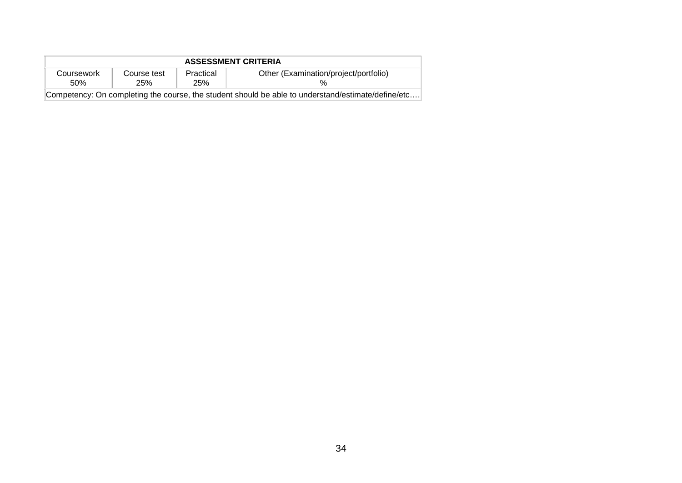| <b>ASSESSMENT CRITERIA</b>                                                                         |                           |                  |                                       |
|----------------------------------------------------------------------------------------------------|---------------------------|------------------|---------------------------------------|
| Coursework<br>.50%                                                                                 | Course test<br><b>25%</b> | Practical<br>25% | Other (Examination/project/portfolio) |
| Competency: On completing the course, the student should be able to understand/estimate/define/etc |                           |                  |                                       |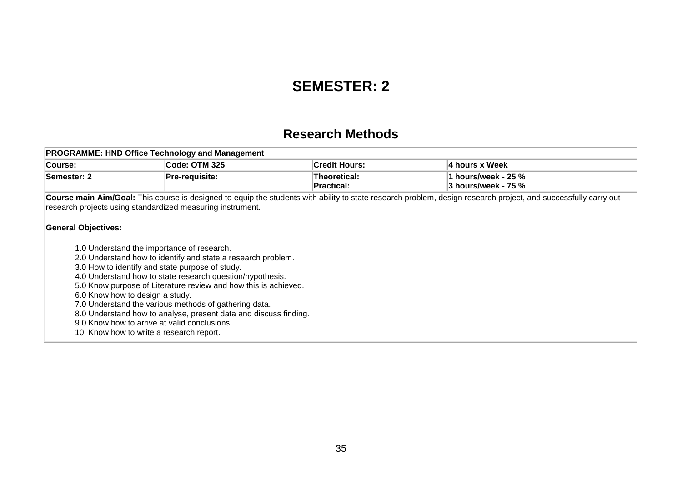## **SEMESTER: 2**

### **Research Methods**

|                            | <b>PROGRAMME: HND Office Technology and Management</b>                                                                                                                                                                                                                                                                                                                                                                                                                                                        |                            |                                                                                                                                                                 |
|----------------------------|---------------------------------------------------------------------------------------------------------------------------------------------------------------------------------------------------------------------------------------------------------------------------------------------------------------------------------------------------------------------------------------------------------------------------------------------------------------------------------------------------------------|----------------------------|-----------------------------------------------------------------------------------------------------------------------------------------------------------------|
| Course:                    | Code: OTM 325                                                                                                                                                                                                                                                                                                                                                                                                                                                                                                 | <b>Credit Hours:</b>       | ∣4 hours x Week                                                                                                                                                 |
| Semester: 2                | <b>Pre-requisite:</b>                                                                                                                                                                                                                                                                                                                                                                                                                                                                                         | Theoretical:<br>Practical: | 1 hours/week - 25 %<br>3 hours/week - 75 %                                                                                                                      |
| <b>General Objectives:</b> | research projects using standardized measuring instrument.                                                                                                                                                                                                                                                                                                                                                                                                                                                    |                            | Course main Aim/Goal: This course is designed to equip the students with ability to state research problem, design research project, and successfully carry out |
|                            | 1.0 Understand the importance of research.<br>2.0 Understand how to identify and state a research problem.<br>3.0 How to identify and state purpose of study.<br>4.0 Understand how to state research question/hypothesis.<br>5.0 Know purpose of Literature review and how this is achieved.<br>6.0 Know how to design a study.<br>7.0 Understand the various methods of gathering data.<br>8.0 Understand how to analyse, present data and discuss finding.<br>9.0 Know how to arrive at valid conclusions. |                            |                                                                                                                                                                 |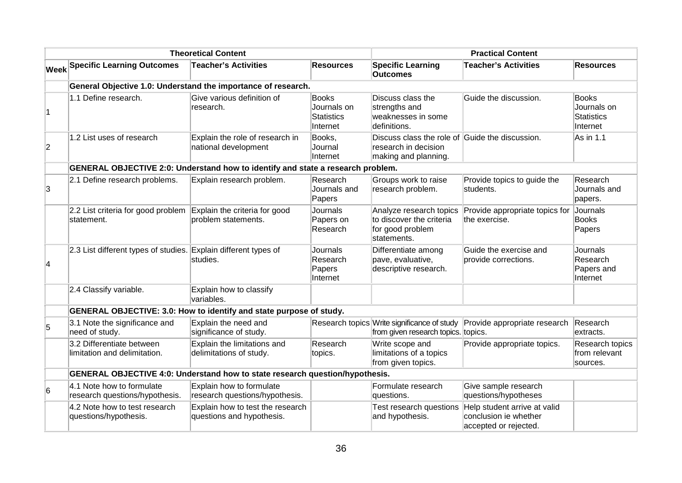|                |                                                                                        | <b>Theoretical Content</b>                                    |                                                              | <b>Practical Content</b>                                                                        |                                                                                |                                                              |  |
|----------------|----------------------------------------------------------------------------------------|---------------------------------------------------------------|--------------------------------------------------------------|-------------------------------------------------------------------------------------------------|--------------------------------------------------------------------------------|--------------------------------------------------------------|--|
|                | <b>Week Specific Learning Outcomes</b>                                                 | <b>Teacher's Activities</b>                                   | <b>Resources</b>                                             | <b>Specific Learning</b><br><b>Outcomes</b>                                                     | <b>Teacher's Activities</b>                                                    | <b>Resources</b>                                             |  |
|                | General Objective 1.0: Understand the importance of research.                          |                                                               |                                                              |                                                                                                 |                                                                                |                                                              |  |
| 1              | 1.1 Define research.                                                                   | Give various definition of<br>research.                       | <b>Books</b><br>Journals on<br><b>Statistics</b><br>Internet | Discuss class the<br>strengths and<br>weaknesses in some<br>definitions.                        | Guide the discussion.                                                          | <b>Books</b><br>Journals on<br><b>Statistics</b><br>Internet |  |
| $\overline{2}$ | 1.2 List uses of research                                                              | Explain the role of research in<br>national development       | Books,<br>Journal<br>Internet                                | Discuss class the role of Guide the discussion.<br>research in decision<br>making and planning. |                                                                                | As in 1.1                                                    |  |
|                | <b>GENERAL OBJECTIVE 2:0: Understand how to identify and state a research problem.</b> |                                                               |                                                              |                                                                                                 |                                                                                |                                                              |  |
| 3              | 2.1 Define research problems.                                                          | Explain research problem.                                     | Research<br>Journals and<br>Papers                           | Groups work to raise<br>research problem.                                                       | Provide topics to guide the<br>students.                                       | Research<br>Journals and<br>papers.                          |  |
|                | 2.2 List criteria for good problem<br>statement.                                       | Explain the criteria for good<br>problem statements.          | <b>Journals</b><br>Papers on<br>Research                     | Analyze research topics<br>to discover the criteria<br>for good problem<br>statements.          | Provide appropriate topics for<br>the exercise.                                | Journals<br><b>Books</b><br>Papers                           |  |
| 4              | 2.3 List different types of studies. Explain different types of                        | studies.                                                      | Journals<br>Research<br>Papers<br>Internet                   | Differentiate among<br>pave, evaluative,<br>descriptive research.                               | Guide the exercise and<br>provide corrections.                                 | <b>Journals</b><br>Research<br>Papers and<br>Internet        |  |
|                | 2.4 Classify variable.                                                                 | Explain how to classify<br>variables.                         |                                                              |                                                                                                 |                                                                                |                                                              |  |
|                | GENERAL OBJECTIVE: 3.0: How to identify and state purpose of study.                    |                                                               |                                                              |                                                                                                 |                                                                                |                                                              |  |
| 5              | 3.1 Note the significance and<br>need of study.                                        | Explain the need and<br>significance of study.                |                                                              | Research topics Write significance of study<br>from given research topics. topics.              | Provide appropriate research                                                   | Research<br>extracts.                                        |  |
|                | 3.2 Differentiate between<br>limitation and delimitation.                              | Explain the limitations and<br>delimitations of study.        | Research<br>topics.                                          | Write scope and<br>limitations of a topics<br>from given topics.                                | Provide appropriate topics.                                                    | Research topics<br>from relevant<br>sources.                 |  |
|                | <b>GENERAL OBJECTIVE 4:0: Understand how to state research question/hypothesis.</b>    |                                                               |                                                              |                                                                                                 |                                                                                |                                                              |  |
| 6              | 4.1 Note how to formulate<br>research questions/hypothesis.                            | Explain how to formulate<br>research questions/hypothesis.    |                                                              | Formulate research<br>questions.                                                                | Give sample research<br>questions/hypotheses                                   |                                                              |  |
|                | 4.2 Note how to test research<br>questions/hypothesis.                                 | Explain how to test the research<br>questions and hypothesis. |                                                              | Test research questions<br>and hypothesis.                                                      | Help student arrive at valid<br>conclusion ie whether<br>accepted or rejected. |                                                              |  |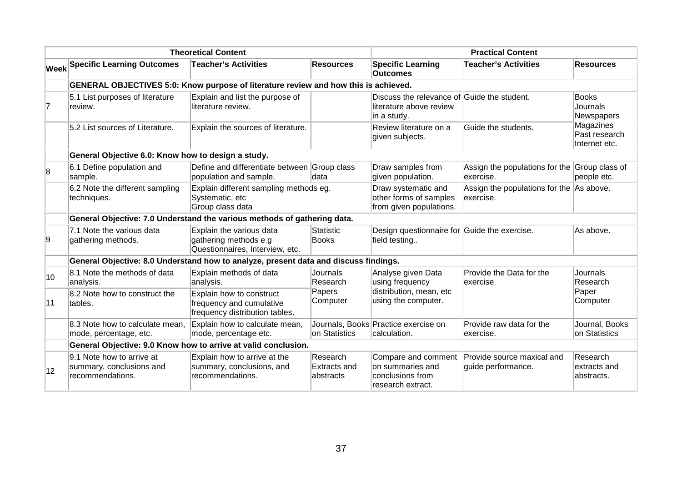|              |                                                                                                                                 | <b>Theoretical Content</b>                                                             |                                                                          |                                                                                       | <b>Practical Content</b>                                   |                                             |  |  |
|--------------|---------------------------------------------------------------------------------------------------------------------------------|----------------------------------------------------------------------------------------|--------------------------------------------------------------------------|---------------------------------------------------------------------------------------|------------------------------------------------------------|---------------------------------------------|--|--|
|              | <b>Week Specific Learning Outcomes</b>                                                                                          | <b>Teacher's Activities</b>                                                            | <b>Resources</b>                                                         | <b>Specific Learning</b><br><b>Outcomes</b>                                           | <b>Teacher's Activities</b>                                | <b>Resources</b>                            |  |  |
|              |                                                                                                                                 | GENERAL OBJECTIVES 5:0: Know purpose of literature review and how this is achieved.    |                                                                          |                                                                                       |                                                            |                                             |  |  |
| 17           | 5.1 List purposes of literature<br>review.                                                                                      | Explain and list the purpose of<br>literature review.                                  |                                                                          | Discuss the relevance of Guide the student.<br>literature above review<br>in a study. |                                                            | <b>Books</b><br>Journals<br>Newspapers      |  |  |
|              | 5.2 List sources of Literature.                                                                                                 | Explain the sources of literature.                                                     |                                                                          | Review literature on a<br>given subjects.                                             | Guide the students.                                        | Magazines<br>Past research<br>Internet etc. |  |  |
|              | General Objective 6.0: Know how to design a study.                                                                              |                                                                                        |                                                                          |                                                                                       |                                                            |                                             |  |  |
| 8            | 6.1 Define population and<br>sample.                                                                                            | Define and differentiate between Group class<br>population and sample.                 | data                                                                     | Draw samples from<br>given population.                                                | Assign the populations for the Group class of<br>exercise. | people etc.                                 |  |  |
|              | 6.2 Note the different sampling<br>Explain different sampling methods eg.<br>Systematic, etc<br>techniques.<br>Group class data |                                                                                        | Draw systematic and<br>other forms of samples<br>from given populations. | Assign the populations for the As above.<br>exercise.                                 |                                                            |                                             |  |  |
|              |                                                                                                                                 | General Objective: 7.0 Understand the various methods of gathering data.               |                                                                          |                                                                                       |                                                            |                                             |  |  |
| 9            | 7.1 Note the various data<br>gathering methods.                                                                                 | Explain the various data<br>gathering methods e.g<br>Questionnaires, Interview, etc.   | <b>Statistic</b><br><b>Books</b>                                         | Design questionnaire for Guide the exercise.<br>field testing                         |                                                            | As above.                                   |  |  |
|              |                                                                                                                                 | General Objective: 8.0 Understand how to analyze, present data and discuss findings.   |                                                                          |                                                                                       |                                                            |                                             |  |  |
| 10           | 8.1 Note the methods of data<br>analysis.                                                                                       | Explain methods of data<br>analysis.                                                   | Journals<br>Research                                                     | Analyse given Data<br>using frequency                                                 | Provide the Data for the<br>exercise.                      | Journals<br>Research                        |  |  |
| 11           | 8.2 Note how to construct the<br>tables.                                                                                        | Explain how to construct<br>frequency and cumulative<br>frequency distribution tables. | Papers<br>Computer                                                       | distribution, mean, etc<br>using the computer.                                        |                                                            | Paper<br>Computer                           |  |  |
|              | 8.3 Note how to calculate mean,<br>mode, percentage, etc.                                                                       | Explain how to calculate mean,<br>mode, percentage etc.                                | on Statistics                                                            | Journals, Books Practice exercise on<br>calculation.                                  | Provide raw data for the<br>exercise.                      | Journal, Books<br>on Statistics             |  |  |
|              |                                                                                                                                 | General Objective: 9.0 Know how to arrive at valid conclusion.                         |                                                                          |                                                                                       |                                                            |                                             |  |  |
| $ 12\rangle$ | 9.1 Note how to arrive at<br>summary, conclusions and<br>recommendations.                                                       | Explain how to arrive at the<br>summary, conclusions, and<br>recommendations.          | Research<br><b>Extracts and</b><br>abstracts                             | Compare and comment<br>on summaries and<br>conclusions from<br>research extract.      | Provide source maxical and<br>guide performance.           | Research<br>extracts and<br>abstracts.      |  |  |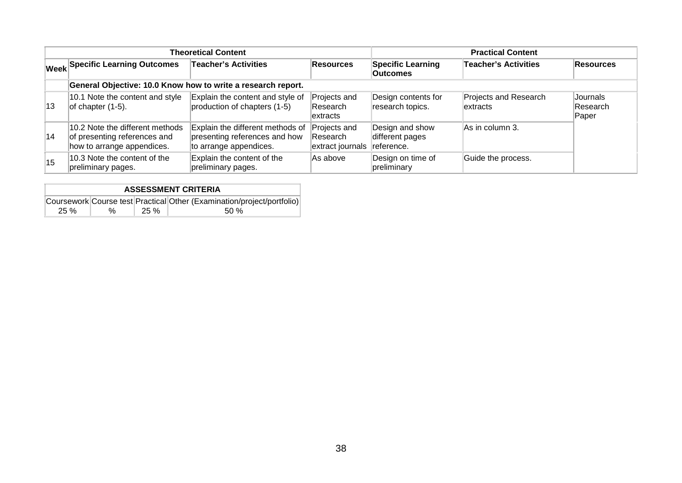|    |                                                                                               | <b>Theoretical Content</b>                                                                  | <b>Practical Content</b>                                       |                                             |                                   |                                      |  |
|----|-----------------------------------------------------------------------------------------------|---------------------------------------------------------------------------------------------|----------------------------------------------------------------|---------------------------------------------|-----------------------------------|--------------------------------------|--|
|    | <b>Week Specific Learning Outcomes</b>                                                        | <b>Teacher's Activities</b>                                                                 | <b>Resources</b>                                               | <b>Specific Learning</b><br><b>Outcomes</b> | <b>Teacher's Activities</b>       | <b>Resources</b>                     |  |
|    | General Objective: 10.0 Know how to write a research report.                                  |                                                                                             |                                                                |                                             |                                   |                                      |  |
| 13 | 10.1 Note the content and style<br>of chapter $(1-5)$ .                                       | Explain the content and style of<br>production of chapters (1-5)                            | Projects and<br><b>Research</b><br>lextracts                   | Design contents for<br>research topics.     | Projects and Research<br>extracts | Journals<br><b>Research</b><br>Paper |  |
| 14 | 10.2 Note the different methods<br>of presenting references and<br>how to arrange appendices. | Explain the different methods of<br>presenting references and how<br>to arrange appendices. | Projects and<br><b>Research</b><br>extract journals reference. | Design and show<br>different pages          | As in column 3.                   |                                      |  |
| 15 | 10.3 Note the content of the<br>preliminary pages.                                            | Explain the content of the<br>preliminary pages.                                            | As above                                                       | Design on time of<br>preliminary            | Guide the process.                |                                      |  |

| <b>ASSESSMENT CRITERIA</b> |   |      |                                                                        |  |  |  |  |  |
|----------------------------|---|------|------------------------------------------------------------------------|--|--|--|--|--|
|                            |   |      | Coursework Course test Practical Other (Examination/project/portfolio) |  |  |  |  |  |
| 25%                        | % | 25 % | .50 %                                                                  |  |  |  |  |  |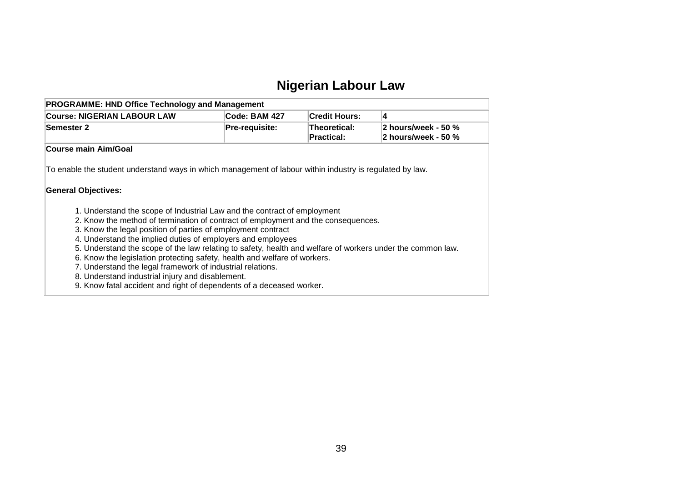# **Nigerian Labour Law**

| <b>PROGRAMME: HND Office Technology and Management</b>                                                                                                                                                                                                                                                                                                                                                                                                                                                                                                                                                    |                |                                   |                                            |
|-----------------------------------------------------------------------------------------------------------------------------------------------------------------------------------------------------------------------------------------------------------------------------------------------------------------------------------------------------------------------------------------------------------------------------------------------------------------------------------------------------------------------------------------------------------------------------------------------------------|----------------|-----------------------------------|--------------------------------------------|
| <b>Course: NIGERIAN LABOUR LAW</b>                                                                                                                                                                                                                                                                                                                                                                                                                                                                                                                                                                        | Code: BAM 427  | <b>Credit Hours:</b>              | 4                                          |
| <b>Semester 2</b>                                                                                                                                                                                                                                                                                                                                                                                                                                                                                                                                                                                         | Pre-requisite: | Theoretical:<br><b>Practical:</b> | 2 hours/week - 50 %<br>2 hours/week - 50 % |
| Course main Aim/Goal                                                                                                                                                                                                                                                                                                                                                                                                                                                                                                                                                                                      |                |                                   |                                            |
| To enable the student understand ways in which management of labour within industry is regulated by law.<br><b>General Objectives:</b>                                                                                                                                                                                                                                                                                                                                                                                                                                                                    |                |                                   |                                            |
| 1. Understand the scope of Industrial Law and the contract of employment<br>2. Know the method of termination of contract of employment and the consequences.<br>3. Know the legal position of parties of employment contract<br>4. Understand the implied duties of employers and employees<br>5. Understand the scope of the law relating to safety, health and welfare of workers under the common law.<br>6. Know the legislation protecting safety, health and welfare of workers.<br>7. Understand the legal framework of industrial relations.<br>8. Understand industrial injury and disablement. |                |                                   |                                            |

9. Know fatal accident and right of dependents of a deceased worker.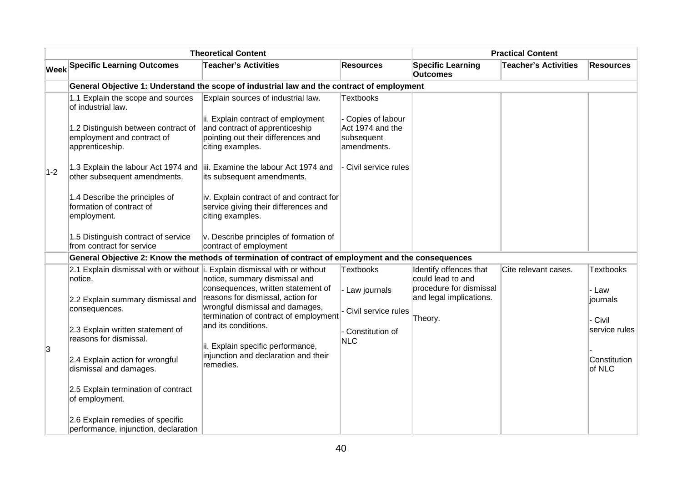|       |                                                                                       | <b>Theoretical Content</b>                                                                                                     |                                                                   |                                                    | <b>Practical Content</b>    |                        |
|-------|---------------------------------------------------------------------------------------|--------------------------------------------------------------------------------------------------------------------------------|-------------------------------------------------------------------|----------------------------------------------------|-----------------------------|------------------------|
|       | <b>Week Specific Learning Outcomes</b>                                                | <b>Teacher's Activities</b>                                                                                                    | <b>Resources</b>                                                  | <b>Specific Learning</b><br><b>Outcomes</b>        | <b>Teacher's Activities</b> | <b>Resources</b>       |
|       |                                                                                       | General Objective 1: Understand the scope of industrial law and the contract of employment                                     |                                                                   |                                                    |                             |                        |
|       | 1.1 Explain the scope and sources<br>of industrial law.                               | Explain sources of industrial law.                                                                                             | <b>Textbooks</b>                                                  |                                                    |                             |                        |
|       | 1.2 Distinguish between contract of<br>employment and contract of<br>apprenticeship.  | ii. Explain contract of employment<br>and contract of apprenticeship<br>pointing out their differences and<br>citing examples. | Copies of labour<br>Act 1974 and the<br>subsequent<br>amendments. |                                                    |                             |                        |
| $1-2$ | other subsequent amendments.                                                          | 1.3 Explain the labour Act 1974 and iii. Examine the labour Act 1974 and<br>its subsequent amendments.                         | Civil service rules                                               |                                                    |                             |                        |
|       | 1.4 Describe the principles of<br>formation of contract of<br>employment.             | iv. Explain contract of and contract for<br>service giving their differences and<br>citing examples.                           |                                                                   |                                                    |                             |                        |
|       | 1.5 Distinguish contract of service<br>from contract for service                      | v. Describe principles of formation of<br>contract of employment                                                               |                                                                   |                                                    |                             |                        |
|       |                                                                                       | General Objective 2: Know the methods of termination of contract of employment and the consequences                            |                                                                   |                                                    |                             |                        |
|       | 2.1 Explain dismissal with or without i. Explain dismissal with or without<br>notice. | notice, summary dismissal and                                                                                                  | Textbooks                                                         | Identify offences that<br>could lead to and        | Cite relevant cases.        | <b>Textbooks</b>       |
|       | 2.2 Explain summary dismissal and<br>consequences.                                    | consequences, written statement of<br>reasons for dismissal, action for<br>wrongful dismissal and damages,                     | Law journals                                                      | procedure for dismissal<br>and legal implications. |                             | - Law<br>journals      |
|       |                                                                                       | termination of contract of employment                                                                                          | Civil service rules                                               | Theory.                                            |                             | - Civil                |
|       | 2.3 Explain written statement of<br>reasons for dismissal.                            | and its conditions.<br>ii. Explain specific performance,                                                                       | - Constitution of<br><b>NLC</b>                                   |                                                    |                             | service rules          |
| 3     | 2.4 Explain action for wrongful<br>dismissal and damages.                             | injunction and declaration and their<br>remedies.                                                                              |                                                                   |                                                    |                             | Constitution<br>of NLC |
|       | 2.5 Explain termination of contract<br>of employment.                                 |                                                                                                                                |                                                                   |                                                    |                             |                        |
|       | 2.6 Explain remedies of specific<br>performance, injunction, declaration              |                                                                                                                                |                                                                   |                                                    |                             |                        |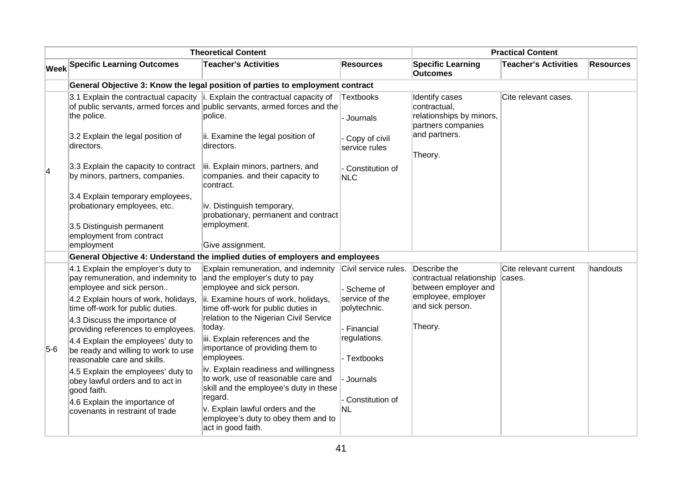|                |                                                                                                          | <b>Theoretical Content</b>                                                                                                                                               |                                   |                                                                                  | <b>Practical Content</b>        |                  |
|----------------|----------------------------------------------------------------------------------------------------------|--------------------------------------------------------------------------------------------------------------------------------------------------------------------------|-----------------------------------|----------------------------------------------------------------------------------|---------------------------------|------------------|
|                | <b>Week Specific Learning Outcomes</b>                                                                   | <b>Teacher's Activities</b>                                                                                                                                              | <b>Resources</b>                  | <b>Specific Learning</b><br><b>Outcomes</b>                                      | <b>Teacher's Activities</b>     | <b>Resources</b> |
|                |                                                                                                          | General Objective 3: Know the legal position of parties to employment contract                                                                                           |                                   |                                                                                  |                                 |                  |
|                | the police.                                                                                              | 3.1 Explain the contractual capacity $\ $ . Explain the contractual capacity of<br>of public servants, armed forces and public servants, armed forces and the<br>police. | <b>Textbooks</b><br>- Journals    | Identify cases<br>contractual,<br>relationships by minors,<br>partners companies | Cite relevant cases.            |                  |
|                | 3.2 Explain the legal position of<br>directors.                                                          | ii. Examine the legal position of<br>directors.                                                                                                                          | Copy of civil<br>service rules    | and partners.<br>Theory.                                                         |                                 |                  |
| $\overline{4}$ | 3.3 Explain the capacity to contract<br>by minors, partners, companies.                                  | iii. Explain minors, partners, and<br>companies. and their capacity to<br>contract.                                                                                      | - Constitution of<br><b>NLC</b>   |                                                                                  |                                 |                  |
|                | 3.4 Explain temporary employees,<br>probationary employees, etc.                                         | iv. Distinguish temporary,<br>probationary, permanent and contract                                                                                                       |                                   |                                                                                  |                                 |                  |
|                | 3.5 Distinguish permanent<br>employment from contract<br>employment                                      | employment.<br>Give assignment.                                                                                                                                          |                                   |                                                                                  |                                 |                  |
|                |                                                                                                          | General Objective 4: Understand the implied duties of employers and employees                                                                                            |                                   |                                                                                  |                                 |                  |
|                | 4.1 Explain the employer's duty to<br>pay remuneration, and indemnity to<br>employee and sick person     | Explain remuneration, and indemnity<br>and the employer's duty to pay<br>employee and sick person.                                                                       | Civil service rules.<br>Scheme of | Describe the<br>contractual relationship<br>between employer and                 | Cite relevant current<br>cases. | handouts         |
|                | 4.2 Explain hours of work, holidays,<br>time off-work for public duties.                                 | ii. Examine hours of work, holidays,<br>time off-work for public duties in                                                                                               | service of the<br>polytechnic.    | employee, employer<br>and sick person.                                           |                                 |                  |
|                | 4.3 Discuss the importance of<br>providing references to employees.                                      | relation to the Nigerian Civil Service<br>today.                                                                                                                         | - Financial                       | Theory.                                                                          |                                 |                  |
| $5-6$          | 4.4 Explain the employees' duty to<br>be ready and willing to work to use<br>reasonable care and skills. | iii. Explain references and the<br>importance of providing them to<br>employees.                                                                                         | regulations.<br>- Textbooks       |                                                                                  |                                 |                  |
|                | 4.5 Explain the employees' duty to<br>obey lawful orders and to act in<br>good faith.                    | iv. Explain readiness and willingness<br>to work, use of reasonable care and<br>skill and the employee's duty in these                                                   | Journals                          |                                                                                  |                                 |                  |
|                | 4.6 Explain the importance of<br>covenants in restraint of trade                                         | regard.<br>v. Explain lawful orders and the<br>employee's duty to obey them and to<br>act in good faith.                                                                 | Constitution of<br><b>NL</b>      |                                                                                  |                                 |                  |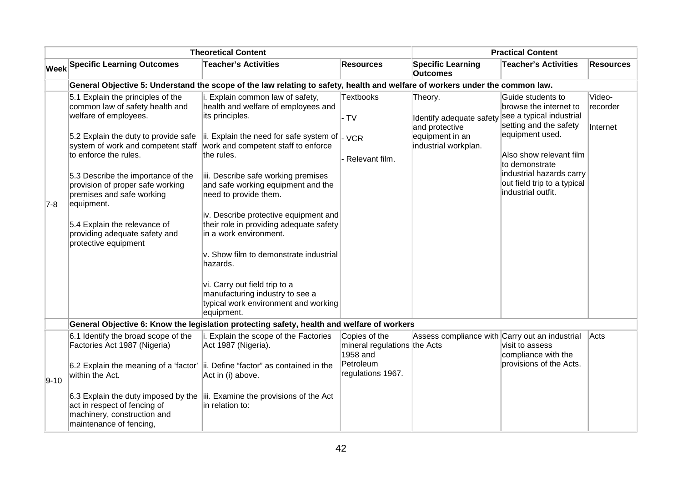|          |                                                                                                                                                                                                                                                                                                                                                                                                                    | <b>Theoretical Content</b>                                                                                                                                                                                                                                                                                                                                                                                                                                                                                                                                                                               |                                                           |                                                                                                  | <b>Practical Content</b>                                                                                                                                                                                                                           |                                |
|----------|--------------------------------------------------------------------------------------------------------------------------------------------------------------------------------------------------------------------------------------------------------------------------------------------------------------------------------------------------------------------------------------------------------------------|----------------------------------------------------------------------------------------------------------------------------------------------------------------------------------------------------------------------------------------------------------------------------------------------------------------------------------------------------------------------------------------------------------------------------------------------------------------------------------------------------------------------------------------------------------------------------------------------------------|-----------------------------------------------------------|--------------------------------------------------------------------------------------------------|----------------------------------------------------------------------------------------------------------------------------------------------------------------------------------------------------------------------------------------------------|--------------------------------|
|          | <b>Week Specific Learning Outcomes</b>                                                                                                                                                                                                                                                                                                                                                                             | <b>Teacher's Activities</b>                                                                                                                                                                                                                                                                                                                                                                                                                                                                                                                                                                              | <b>Resources</b>                                          | <b>Specific Learning</b><br>Outcomes                                                             | <b>Teacher's Activities</b>                                                                                                                                                                                                                        | <b>Resources</b>               |
|          |                                                                                                                                                                                                                                                                                                                                                                                                                    | General Objective 5: Understand the scope of the law relating to safety, health and welfare of workers under the common law.                                                                                                                                                                                                                                                                                                                                                                                                                                                                             |                                                           |                                                                                                  |                                                                                                                                                                                                                                                    |                                |
| 7-8      | 5.1 Explain the principles of the<br>common law of safety health and<br>welfare of employees.<br>5.2 Explain the duty to provide safe<br>system of work and competent staff<br>to enforce the rules.<br>5.3 Describe the importance of the<br>provision of proper safe working<br>premises and safe working<br>equipment.<br>5.4 Explain the relevance of<br>providing adequate safety and<br>protective equipment | i. Explain common law of safety,<br>health and welfare of employees and<br>its principles.<br>ii. Explain the need for safe system of $L_{VCR}$<br>work and competent staff to enforce<br>the rules.<br>iii. Describe safe working premises<br>and safe working equipment and the<br>need to provide them.<br>iv. Describe protective equipment and<br>their role in providing adequate safety<br>in a work environment.<br>v. Show film to demonstrate industrial<br>hazards.<br>vi. Carry out field trip to a<br>manufacturing industry to see a<br>typical work environment and working<br>equipment. | <b>Textbooks</b><br>- TV<br>Relevant film.                | Theory.<br>Identify adequate safety<br>and protective<br>equipment in an<br>industrial workplan. | Guide students to<br>browse the internet to<br>see a typical industrial<br>setting and the safety<br>equipment used.<br>Also show relevant film<br>to demonstrate<br>industrial hazards carry<br>out field trip to a typical<br>industrial outfit. | Video-<br>recorder<br>Internet |
|          |                                                                                                                                                                                                                                                                                                                                                                                                                    | General Objective 6: Know the legislation protecting safety, health and welfare of workers                                                                                                                                                                                                                                                                                                                                                                                                                                                                                                               |                                                           |                                                                                                  |                                                                                                                                                                                                                                                    |                                |
|          | 6.1 Identify the broad scope of the<br>Factories Act 1987 (Nigeria)                                                                                                                                                                                                                                                                                                                                                | i. Explain the scope of the Factories<br>Act 1987 (Nigeria).                                                                                                                                                                                                                                                                                                                                                                                                                                                                                                                                             | Copies of the<br>mineral regulations the Acts<br>1958 and | Assess compliance with Carry out an industrial                                                   | visit to assess<br>compliance with the                                                                                                                                                                                                             | Acts                           |
| $9 - 10$ | within the Act.                                                                                                                                                                                                                                                                                                                                                                                                    | 6.2 Explain the meaning of a 'factor'  ii. Define "factor" as contained in the<br>Act in (i) above.                                                                                                                                                                                                                                                                                                                                                                                                                                                                                                      | Petroleum<br>regulations 1967.                            |                                                                                                  | provisions of the Acts.                                                                                                                                                                                                                            |                                |
|          | 6.3 Explain the duty imposed by the<br>act in respect of fencing of<br>machinery, construction and<br>maintenance of fencing,                                                                                                                                                                                                                                                                                      | iii. Examine the provisions of the Act<br>in relation to:                                                                                                                                                                                                                                                                                                                                                                                                                                                                                                                                                |                                                           |                                                                                                  |                                                                                                                                                                                                                                                    |                                |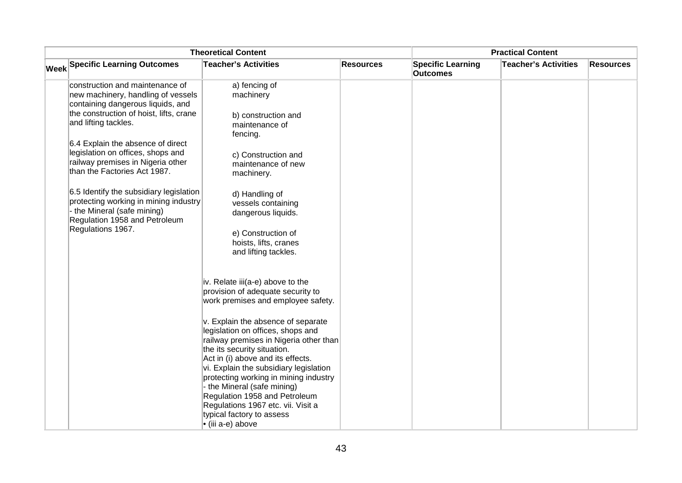| <b>Theoretical Content</b>                                                                                                                                                    |                                                                                                                                                                                                                                                                                                                                                                                                                                  |                  | <b>Practical Content</b>                    |                             |                  |
|-------------------------------------------------------------------------------------------------------------------------------------------------------------------------------|----------------------------------------------------------------------------------------------------------------------------------------------------------------------------------------------------------------------------------------------------------------------------------------------------------------------------------------------------------------------------------------------------------------------------------|------------------|---------------------------------------------|-----------------------------|------------------|
| <b>Week Specific Learning Outcomes</b>                                                                                                                                        | <b>Teacher's Activities</b>                                                                                                                                                                                                                                                                                                                                                                                                      | <b>Resources</b> | <b>Specific Learning</b><br><b>Outcomes</b> | <b>Teacher's Activities</b> | <b>Resources</b> |
| construction and maintenance of<br>new machinery, handling of vessels<br>containing dangerous liquids, and<br>the construction of hoist, lifts, crane<br>and lifting tackles. | a) fencing of<br>machinery<br>b) construction and<br>maintenance of<br>fencing.                                                                                                                                                                                                                                                                                                                                                  |                  |                                             |                             |                  |
| 6.4 Explain the absence of direct<br>legislation on offices, shops and<br>railway premises in Nigeria other<br>than the Factories Act 1987.                                   | c) Construction and<br>maintenance of new<br>machinery.                                                                                                                                                                                                                                                                                                                                                                          |                  |                                             |                             |                  |
| 6.5 Identify the subsidiary legislation<br>protecting working in mining industry<br>the Mineral (safe mining)<br>Regulation 1958 and Petroleum<br>Regulations 1967.           | d) Handling of<br>vessels containing<br>dangerous liquids.<br>e) Construction of<br>hoists, lifts, cranes<br>and lifting tackles.                                                                                                                                                                                                                                                                                                |                  |                                             |                             |                  |
|                                                                                                                                                                               | iv. Relate iii(a-e) above to the<br>provision of adequate security to<br>work premises and employee safety.                                                                                                                                                                                                                                                                                                                      |                  |                                             |                             |                  |
|                                                                                                                                                                               | v. Explain the absence of separate<br>legislation on offices, shops and<br>railway premises in Nigeria other than<br>the its security situation.<br>Act in (i) above and its effects.<br>vi. Explain the subsidiary legislation<br>protecting working in mining industry<br>- the Mineral (safe mining)<br>Regulation 1958 and Petroleum<br>Regulations 1967 etc. vii. Visit a<br>typical factory to assess<br>• (iii a-e) above |                  |                                             |                             |                  |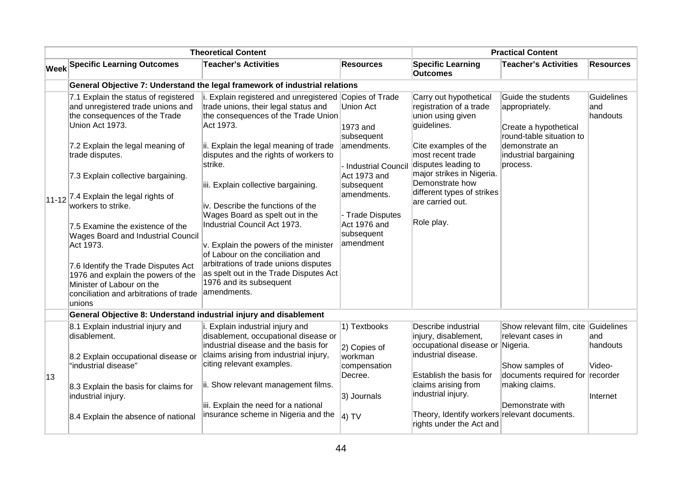|    |                                                                                                                                                                                                                                                                                                                                                                                                                                                                                                                                                    | <b>Theoretical Content</b>                                                                                                                                                                                                                                                                                                                                                                                                                                                                                                                                                                                 |                                                                                                                                                                                             |                                                                                                                                                                                                                                                                           | <b>Practical Content</b>                                                                                                                         |                                |
|----|----------------------------------------------------------------------------------------------------------------------------------------------------------------------------------------------------------------------------------------------------------------------------------------------------------------------------------------------------------------------------------------------------------------------------------------------------------------------------------------------------------------------------------------------------|------------------------------------------------------------------------------------------------------------------------------------------------------------------------------------------------------------------------------------------------------------------------------------------------------------------------------------------------------------------------------------------------------------------------------------------------------------------------------------------------------------------------------------------------------------------------------------------------------------|---------------------------------------------------------------------------------------------------------------------------------------------------------------------------------------------|---------------------------------------------------------------------------------------------------------------------------------------------------------------------------------------------------------------------------------------------------------------------------|--------------------------------------------------------------------------------------------------------------------------------------------------|--------------------------------|
|    | <b>Week Specific Learning Outcomes</b>                                                                                                                                                                                                                                                                                                                                                                                                                                                                                                             | <b>Teacher's Activities</b>                                                                                                                                                                                                                                                                                                                                                                                                                                                                                                                                                                                | <b>Resources</b>                                                                                                                                                                            | <b>Specific Learning</b><br><b>Outcomes</b>                                                                                                                                                                                                                               | <b>Teacher's Activities</b>                                                                                                                      | <b>Resources</b>               |
|    |                                                                                                                                                                                                                                                                                                                                                                                                                                                                                                                                                    | General Objective 7: Understand the legal framework of industrial relations                                                                                                                                                                                                                                                                                                                                                                                                                                                                                                                                |                                                                                                                                                                                             |                                                                                                                                                                                                                                                                           |                                                                                                                                                  |                                |
|    | 7.1 Explain the status of registered<br>and unregistered trade unions and<br>the consequences of the Trade<br>Union Act 1973.<br>7.2 Explain the legal meaning of<br>trade disputes.<br>7.3 Explain collective bargaining.<br>$ 11-12 $ 7.4 Explain the legal rights of<br>workers to strike.<br>7.5 Examine the existence of the<br>Wages Board and Industrial Council<br>Act 1973.<br>7.6 Identify the Trade Disputes Act<br>1976 and explain the powers of the<br>Minister of Labour on the<br>conciliation and arbitrations of trade<br>unions | i. Explain registered and unregistered Copies of Trade<br>trade unions, their legal status and<br>the consequences of the Trade Union<br>Act 1973.<br>ii. Explain the legal meaning of trade<br>disputes and the rights of workers to<br>strike.<br>iii. Explain collective bargaining.<br>iv. Describe the functions of the<br>Wages Board as spelt out in the<br>Industrial Council Act 1973.<br>v. Explain the powers of the minister<br>of Labour on the conciliation and<br>arbitrations of trade unions disputes<br>as spelt out in the Trade Disputes Act<br>1976 and its subsequent<br>amendments. | <b>Union Act</b><br>1973 and<br>subsequent<br>amendments.<br>Industrial Council<br>Act 1973 and<br>subsequent<br>amendments.<br>- Trade Disputes<br>Act 1976 and<br>subsequent<br>amendment | Carry out hypothetical<br>registration of a trade<br>union using given<br>guidelines.<br>Cite examples of the<br>most recent trade<br>disputes leading to<br>major strikes in Nigeria.<br>Demonstrate how<br>different types of strikes<br>are carried out.<br>Role play. | Guide the students<br>appropriately.<br>Create a hypothetical<br>round-table situation to<br>demonstrate an<br>industrial bargaining<br>process. | Guidelines<br>and<br>handouts  |
|    | General Objective 8: Understand industrial injury and disablement                                                                                                                                                                                                                                                                                                                                                                                                                                                                                  |                                                                                                                                                                                                                                                                                                                                                                                                                                                                                                                                                                                                            |                                                                                                                                                                                             |                                                                                                                                                                                                                                                                           |                                                                                                                                                  |                                |
|    | 8.1 Explain industrial injury and<br>disablement.<br>8.2 Explain occupational disease or                                                                                                                                                                                                                                                                                                                                                                                                                                                           | i. Explain industrial injury and<br>disablement, occupational disease or<br>industrial disease and the basis for<br>claims arising from industrial injury,                                                                                                                                                                                                                                                                                                                                                                                                                                                 | 1) Textbooks<br>2) Copies of<br>workman                                                                                                                                                     | Describe industrial<br>injury, disablement,<br>occupational disease or<br>industrial disease.                                                                                                                                                                             | Show relevant film, cite<br>relevant cases in<br>Nigeria.                                                                                        | Guidelines<br>land<br>handouts |
| 13 | "industrial disease"<br>8.3 Explain the basis for claims for                                                                                                                                                                                                                                                                                                                                                                                                                                                                                       | citing relevant examples.<br>ii. Show relevant management films.                                                                                                                                                                                                                                                                                                                                                                                                                                                                                                                                           | compensation<br>Decree.                                                                                                                                                                     | Establish the basis for<br>claims arising from                                                                                                                                                                                                                            | Show samples of<br>documents required for recorder<br>making claims.                                                                             | Video-                         |
|    | industrial injury.<br>8.4 Explain the absence of national                                                                                                                                                                                                                                                                                                                                                                                                                                                                                          | iii. Explain the need for a national<br>insurance scheme in Nigeria and the                                                                                                                                                                                                                                                                                                                                                                                                                                                                                                                                | 3) Journals<br>4) TV                                                                                                                                                                        | industrial injury.<br>Theory, Identify workers relevant documents.<br>rights under the Act and                                                                                                                                                                            | Demonstrate with                                                                                                                                 | Internet                       |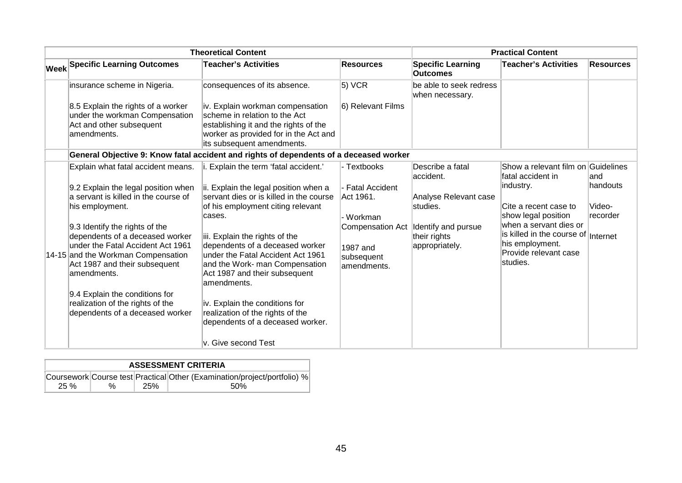|                                                                                                                          | <b>Theoretical Content</b>                                                                                                                                                        |                                       |                                             | <b>Practical Content</b>                                                         |                    |
|--------------------------------------------------------------------------------------------------------------------------|-----------------------------------------------------------------------------------------------------------------------------------------------------------------------------------|---------------------------------------|---------------------------------------------|----------------------------------------------------------------------------------|--------------------|
| <b>Week Specific Learning Outcomes</b>                                                                                   | <b>Teacher's Activities</b>                                                                                                                                                       | <b>Resources</b>                      | <b>Specific Learning</b><br><b>Outcomes</b> | <b>Teacher's Activities</b>                                                      | <b>Resources</b>   |
| insurance scheme in Nigeria.                                                                                             | consequences of its absence.                                                                                                                                                      | 5) VCR                                | be able to seek redress<br>when necessary.  |                                                                                  |                    |
| 8.5 Explain the rights of a worker<br>under the workman Compensation<br>Act and other subsequent<br>amendments.          | iv. Explain workman compensation<br>scheme in relation to the Act<br>establishing it and the rights of the<br>worker as provided for in the Act and<br>its subsequent amendments. | 6) Relevant Films                     |                                             |                                                                                  |                    |
|                                                                                                                          | General Objective 9: Know fatal accident and rights of dependents of a deceased worker                                                                                            |                                       |                                             |                                                                                  |                    |
| Explain what fatal accident means.                                                                                       | i. Explain the term 'fatal accident.'                                                                                                                                             | - Textbooks                           | Describe a fatal<br>accident.               | Show a relevant film on Guidelines<br>fatal accident in                          | land               |
| 9.2 Explain the legal position when<br>a servant is killed in the course of                                              | ii. Explain the legal position when a<br>servant dies or is killed in the course                                                                                                  | <b>Fatal Accident</b><br>Act 1961.    | Analyse Relevant case                       | industry.                                                                        | lhandouts          |
| his employment.                                                                                                          | of his employment citing relevant<br>cases.                                                                                                                                       | - Workman                             | studies.                                    | Cite a recent case to<br>show legal position                                     | Video-<br>recorder |
| 9.3 Identify the rights of the<br>dependents of a deceased worker                                                        | iii. Explain the rights of the                                                                                                                                                    | <b>Compensation Act</b>               | Identify and pursue<br>their rights         | when a servant dies or<br>is killed in the course of Internet<br>his employment. |                    |
| under the Fatal Accident Act 1961<br>14-15 and the Workman Compensation<br>Act 1987 and their subsequent<br>lamendments. | dependents of a deceased worker<br>under the Fatal Accident Act 1961<br>and the Work- man Compensation<br>Act 1987 and their subsequent<br>amendments.                            | 1987 and<br>subsequent<br>amendments. | appropriately.                              | Provide relevant case<br>studies.                                                |                    |
| 9.4 Explain the conditions for                                                                                           |                                                                                                                                                                                   |                                       |                                             |                                                                                  |                    |
| realization of the rights of the<br>dependents of a deceased worker                                                      | iv. Explain the conditions for<br>realization of the rights of the<br>dependents of a deceased worker.                                                                            |                                       |                                             |                                                                                  |                    |
|                                                                                                                          | v. Give second Test                                                                                                                                                               |                                       |                                             |                                                                                  |                    |

| <b>ASSESSMENT CRITERIA</b> |   |     |                                                                          |  |  |  |
|----------------------------|---|-----|--------------------------------------------------------------------------|--|--|--|
|                            |   |     | Coursework Course test Practical Other (Examination/project/portfolio) % |  |  |  |
| $25 \%$                    | % | 25% | .50%                                                                     |  |  |  |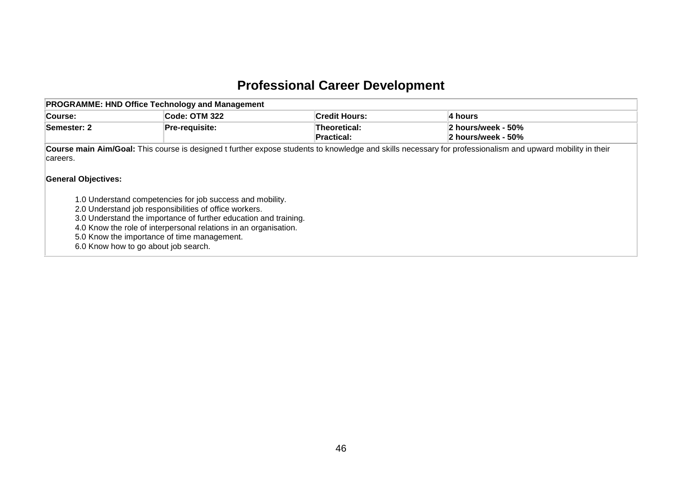# **Professional Career Development**

| <b>PROGRAMME: HND Office Technology and Management</b>                                                                        |                                                                                                                                                                                                                                                             |                            |                                                                                                                                                            |  |  |  |  |  |
|-------------------------------------------------------------------------------------------------------------------------------|-------------------------------------------------------------------------------------------------------------------------------------------------------------------------------------------------------------------------------------------------------------|----------------------------|------------------------------------------------------------------------------------------------------------------------------------------------------------|--|--|--|--|--|
| <b>Course:</b>                                                                                                                | Code: OTM 322                                                                                                                                                                                                                                               | <b>Credit Hours:</b>       | 4 hours                                                                                                                                                    |  |  |  |  |  |
| Semester: 2                                                                                                                   | Pre-requisite:                                                                                                                                                                                                                                              | Theoretical:<br>Practical: | 2 hours/week - 50%<br>2 hours/week - 50%                                                                                                                   |  |  |  |  |  |
| careers.<br><b>General Objectives:</b><br>5.0 Know the importance of time management.<br>6.0 Know how to go about job search. | 1.0 Understand competencies for job success and mobility.<br>2.0 Understand job responsibilities of office workers.<br>3.0 Understand the importance of further education and training.<br>4.0 Know the role of interpersonal relations in an organisation. |                            | Course main Aim/Goal: This course is designed t further expose students to knowledge and skills necessary for professionalism and upward mobility in their |  |  |  |  |  |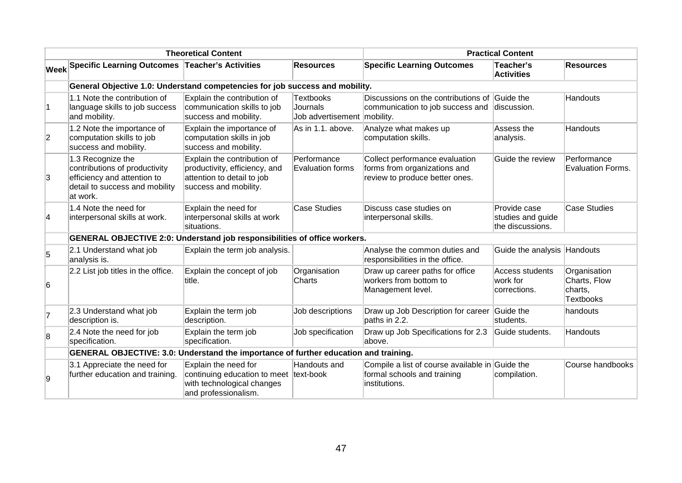|                                              |                                                                                                                                 | <b>Theoretical Content</b>                                                                                           | <b>Practical Content</b>                                    |                                                                                                  |                                                       |                                                      |
|----------------------------------------------|---------------------------------------------------------------------------------------------------------------------------------|----------------------------------------------------------------------------------------------------------------------|-------------------------------------------------------------|--------------------------------------------------------------------------------------------------|-------------------------------------------------------|------------------------------------------------------|
| $ \mathsf{W}\mathsf{e}\mathsf{e}\mathsf{k} $ | Specific Learning Outcomes Teacher's Activities                                                                                 |                                                                                                                      | <b>Resources</b>                                            | <b>Specific Learning Outcomes</b>                                                                | Teacher's<br><b>Activities</b>                        | <b>Resources</b>                                     |
|                                              | General Objective 1.0: Understand competencies for job success and mobility.                                                    |                                                                                                                      |                                                             |                                                                                                  |                                                       |                                                      |
| $\vert$ 1                                    | 1.1 Note the contribution of<br>language skills to job success<br>and mobility.                                                 | Explain the contribution of<br>communication skills to job<br>success and mobility.                                  | <b>Textbooks</b><br>Journals<br>Job advertisement mobility. | Discussions on the contributions of<br>communication to job success and                          | Guide the<br>discussion.                              | Handouts                                             |
| $\overline{2}$                               | 1.2 Note the importance of<br>computation skills to job<br>success and mobility.                                                | Explain the importance of<br>computation skills in job<br>success and mobility.                                      | As in 1.1. above.                                           | Analyze what makes up<br>computation skills.                                                     | Assess the<br>analysis.                               | Handouts                                             |
| 3                                            | 1.3 Recognize the<br>contributions of productivity<br>efficiency and attention to<br>detail to success and mobility<br>at work. | Explain the contribution of<br>productivity, efficiency, and<br>attention to detail to job<br>success and mobility.  | Performance<br><b>Evaluation forms</b>                      | Collect performance evaluation<br>forms from organizations and<br>review to produce better ones. | Guide the review                                      | Performance<br>Evaluation Forms.                     |
| 4                                            | 1.4 Note the need for<br>interpersonal skills at work.                                                                          | Explain the need for<br>interpersonal skills at work<br>situations.                                                  | <b>Case Studies</b>                                         | Discuss case studies on<br>interpersonal skills.                                                 | Provide case<br>studies and guide<br>the discussions. | <b>Case Studies</b>                                  |
|                                              | <b>GENERAL OBJECTIVE 2:0: Understand job responsibilities of office workers.</b>                                                |                                                                                                                      |                                                             |                                                                                                  |                                                       |                                                      |
| 5                                            | 2.1 Understand what job<br>analysis is.                                                                                         | Explain the term job analysis.                                                                                       |                                                             | Analyse the common duties and<br>responsibilities in the office.                                 | Guide the analysis Handouts                           |                                                      |
| 6                                            | 2.2 List job titles in the office.                                                                                              | Explain the concept of job<br>title.                                                                                 | Organisation<br>Charts                                      | Draw up career paths for office<br>workers from bottom to<br>Management level.                   | Access students<br>work for<br>corrections.           | Organisation<br>Charts, Flow<br>charts,<br>Textbooks |
| 7                                            | 2.3 Understand what job<br>description is.                                                                                      | Explain the term job<br>description.                                                                                 | Job descriptions                                            | Draw up Job Description for career<br>paths in 2.2.                                              | Guide the<br>students.                                | handouts                                             |
| $\overline{8}$                               | 2.4 Note the need for job<br>specification.                                                                                     | Explain the term job<br>specification.                                                                               | Job specification                                           | Draw up Job Specifications for 2.3<br>above.                                                     | Guide students.                                       | Handouts                                             |
|                                              | GENERAL OBJECTIVE: 3.0: Understand the importance of further education and training.                                            |                                                                                                                      |                                                             |                                                                                                  |                                                       |                                                      |
| 9                                            | 3.1 Appreciate the need for<br>further education and training.                                                                  | Explain the need for<br>continuing education to meet text-book<br>with technological changes<br>and professionalism. | Handouts and                                                | Compile a list of course available in Guide the<br>formal schools and training<br>institutions.  | compilation.                                          | Course handbooks                                     |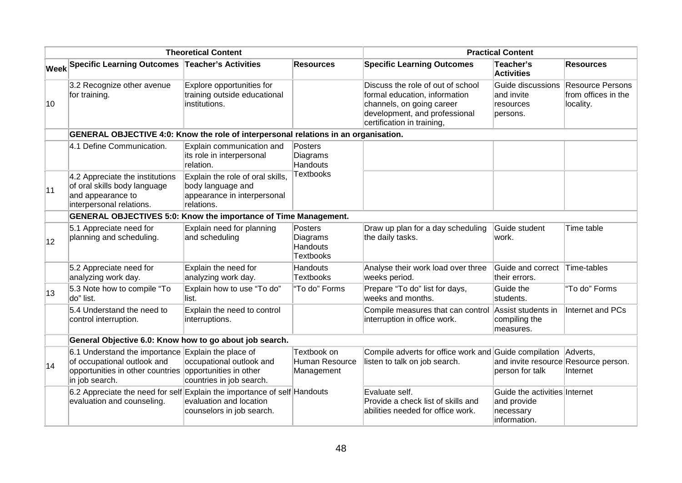| <b>Theoretical Content</b> |                                                                                                                                                                |                                                                                                    |                                                            | <b>Practical Content</b>                                                                                                                                       |                                                                           |                                                             |
|----------------------------|----------------------------------------------------------------------------------------------------------------------------------------------------------------|----------------------------------------------------------------------------------------------------|------------------------------------------------------------|----------------------------------------------------------------------------------------------------------------------------------------------------------------|---------------------------------------------------------------------------|-------------------------------------------------------------|
|                            | Week Specific Learning Outcomes Teacher's Activities                                                                                                           |                                                                                                    | <b>Resources</b>                                           | <b>Specific Learning Outcomes</b>                                                                                                                              | Teacher's<br><b>Activities</b>                                            | <b>Resources</b>                                            |
| 10                         | 3.2 Recognize other avenue<br>for training.                                                                                                                    | Explore opportunities for<br>training outside educational<br>institutions.                         |                                                            | Discuss the role of out of school<br>formal education, information<br>channels, on going career<br>development, and professional<br>certification in training, | Guide discussions<br>and invite<br>resources<br>persons.                  | <b>Resource Persons</b><br>from offices in the<br>locality. |
|                            | GENERAL OBJECTIVE 4:0: Know the role of interpersonal relations in an organisation.                                                                            |                                                                                                    |                                                            |                                                                                                                                                                |                                                                           |                                                             |
|                            | 4.1 Define Communication.                                                                                                                                      | Explain communication and<br>its role in interpersonal<br>relation.                                | Posters<br>Diagrams<br>Handouts                            |                                                                                                                                                                |                                                                           |                                                             |
| 11                         | 4.2 Appreciate the institutions<br>of oral skills body language<br>and appearance to<br>interpersonal relations.                                               | Explain the role of oral skills,<br>body language and<br>appearance in interpersonal<br>relations. | <b>Textbooks</b>                                           |                                                                                                                                                                |                                                                           |                                                             |
|                            | <b>GENERAL OBJECTIVES 5:0: Know the importance of Time Management.</b>                                                                                         |                                                                                                    |                                                            |                                                                                                                                                                |                                                                           |                                                             |
| $ 12\rangle$               | 5.1 Appreciate need for<br>planning and scheduling.                                                                                                            | Explain need for planning<br>and scheduling                                                        | Posters<br>Diagrams<br><b>Handouts</b><br><b>Textbooks</b> | Draw up plan for a day scheduling<br>the daily tasks.                                                                                                          | Guide student<br>work.                                                    | Time table                                                  |
|                            | 5.2 Appreciate need for<br>analyzing work day.                                                                                                                 | Explain the need for<br>analyzing work day.                                                        | Handouts<br><b>Textbooks</b>                               | Analyse their work load over three<br>weeks period.                                                                                                            | Guide and correct<br>their errors.                                        | Time-tables                                                 |
| 13                         | 5.3 Note how to compile "To<br>do" list.                                                                                                                       | Explain how to use "To do"<br>list.                                                                | "To do" Forms                                              | Prepare "To do" list for days,<br>weeks and months.                                                                                                            | Guide the<br>students.                                                    | "To do" Forms                                               |
|                            | 5.4 Understand the need to<br>control interruption.                                                                                                            | Explain the need to control<br>interruptions.                                                      |                                                            | Compile measures that can control<br>interruption in office work.                                                                                              | Assist students in<br>compiling the<br>measures.                          | Internet and PCs                                            |
|                            | General Objective 6.0: Know how to go about job search.                                                                                                        |                                                                                                    |                                                            |                                                                                                                                                                |                                                                           |                                                             |
| 14                         | 6.1 Understand the importance Explain the place of<br>of occupational outlook and<br>opportunities in other countries opportunities in other<br>in job search. | occupational outlook and<br>countries in job search.                                               | Textbook on<br>Human Resource<br>Management                | Compile adverts for office work and Guide compilation Adverts,<br>listen to talk on job search.                                                                | and invite resource Resource person.<br>person for talk                   | Internet                                                    |
|                            | 6.2 Appreciate the need for self Explain the importance of self Handouts<br>evaluation and counseling.                                                         | evaluation and location<br>counselors in job search.                                               |                                                            | Evaluate self.<br>Provide a check list of skills and<br>abilities needed for office work.                                                                      | Guide the activities Internet<br>and provide<br>necessary<br>information. |                                                             |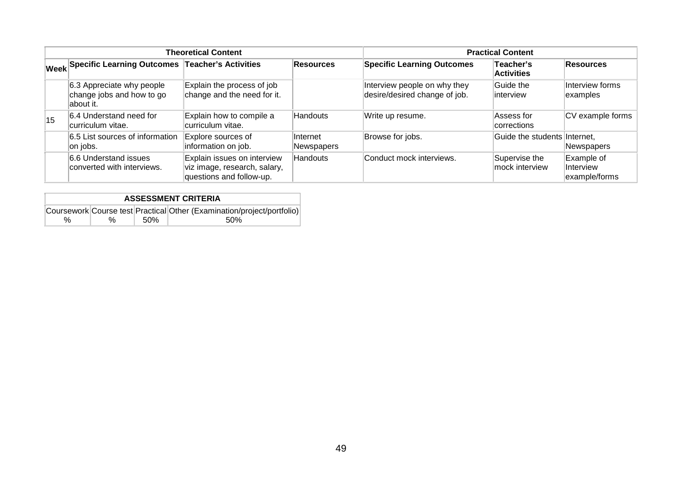|    |                                                                      | <b>Theoretical Content</b>                                                              | <b>Practical Content</b> |                                                               |                                 |                                          |
|----|----------------------------------------------------------------------|-----------------------------------------------------------------------------------------|--------------------------|---------------------------------------------------------------|---------------------------------|------------------------------------------|
|    | Week Specific Learning Outcomes Teacher's Activities                 |                                                                                         | <b>Resources</b>         | <b>Specific Learning Outcomes</b>                             | Teacher's<br><b>Activities</b>  | <b>Resources</b>                         |
|    | 6.3 Appreciate why people<br>change jobs and how to go<br>labout it. | Explain the process of job<br>change and the need for it.                               |                          | Interview people on why they<br>desire/desired change of job. | Guide the<br>linterview         | Interview forms<br>examples              |
| 15 | 6.4 Understand need for<br>curriculum vitae.                         | Explain how to compile a<br>curriculum vitae.                                           | Handouts                 | Write up resume.                                              | Assess for<br>corrections       | CV example forms                         |
|    | 6.5 List sources of information<br>on jobs.                          | Explore sources of<br>information on job.                                               | Internet<br>Newspapers   | Browse for jobs.                                              | Guide the students Internet,    | <b>Newspapers</b>                        |
|    | 6.6 Understand issues<br>converted with interviews.                  | Explain issues on interview<br>viz image, research, salary,<br>questions and follow-up. | Handouts                 | Conduct mock interviews.                                      | Supervise the<br>mock interview | Example of<br>Interview<br>example/forms |

| <b>ASSESSMENT CRITERIA</b> |      |      |                                                                        |  |  |  |
|----------------------------|------|------|------------------------------------------------------------------------|--|--|--|
|                            |      |      | Coursework Course test Practical Other (Examination/project/portfolio) |  |  |  |
| $\%$                       | $\%$ | .50% | .50%                                                                   |  |  |  |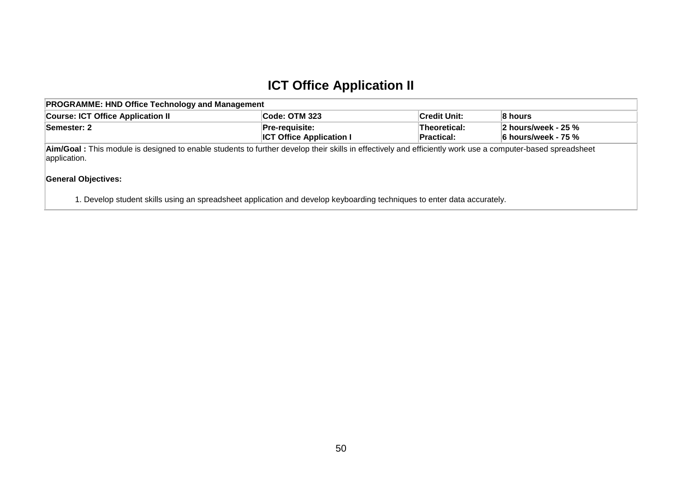### **ICT Office Application II**

| <b>PROGRAMME: HND Office Technology and Management</b>                                                                                                                    |                                                     |                                   |                                               |  |  |  |
|---------------------------------------------------------------------------------------------------------------------------------------------------------------------------|-----------------------------------------------------|-----------------------------------|-----------------------------------------------|--|--|--|
| <b>Course: ICT Office Application II</b><br>∣Credit Unit:<br><b>Code: OTM 323</b><br>8 hours                                                                              |                                                     |                                   |                                               |  |  |  |
| Semester: 2                                                                                                                                                               | $Pre-requisite:$<br><b>ICT Office Application I</b> | Theoretical:<br><b>Practical:</b> | 2 hours/week - 25 $%$<br>∣6 hours/week - 75 % |  |  |  |
| Aim/Goal: This module is designed to enable students to further develop their skills in effectively and efficiently work use a computer-based spreadsheet<br>application. |                                                     |                                   |                                               |  |  |  |

#### **General Objectives:**

1. Develop student skills using an spreadsheet application and develop keyboarding techniques to enter data accurately.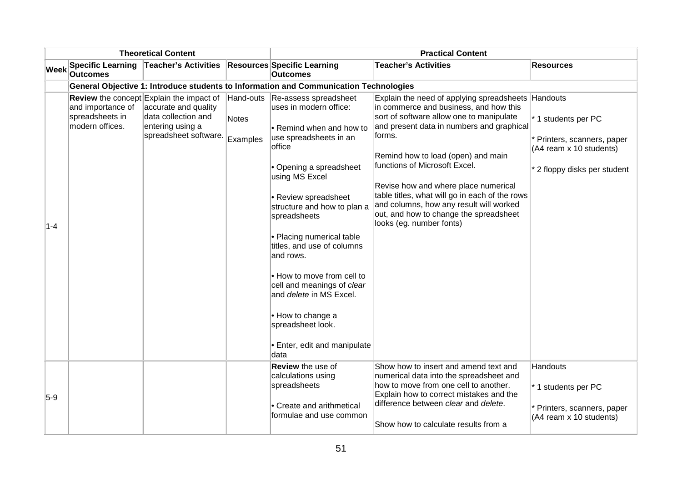|             |                                                                                       | <b>Theoretical Content</b>                                                                                                                  |                                | <b>Practical Content</b>                                                                                                                                                                                                                                                                                                                                                                                                                                                                    |                                                                                                                                                                                                                                                                                                                                                                                                                                                                                   |                                                                                                           |  |  |  |
|-------------|---------------------------------------------------------------------------------------|---------------------------------------------------------------------------------------------------------------------------------------------|--------------------------------|---------------------------------------------------------------------------------------------------------------------------------------------------------------------------------------------------------------------------------------------------------------------------------------------------------------------------------------------------------------------------------------------------------------------------------------------------------------------------------------------|-----------------------------------------------------------------------------------------------------------------------------------------------------------------------------------------------------------------------------------------------------------------------------------------------------------------------------------------------------------------------------------------------------------------------------------------------------------------------------------|-----------------------------------------------------------------------------------------------------------|--|--|--|
| <b>Week</b> | <b>Specific Learning</b><br><b>Outcomes</b>                                           | <b>Teacher's Activities</b>                                                                                                                 |                                | <b>Resources Specific Learning</b><br><b>Outcomes</b>                                                                                                                                                                                                                                                                                                                                                                                                                                       | <b>Teacher's Activities</b>                                                                                                                                                                                                                                                                                                                                                                                                                                                       | <b>Resources</b>                                                                                          |  |  |  |
|             | General Objective 1: Introduce students to Information and Communication Technologies |                                                                                                                                             |                                |                                                                                                                                                                                                                                                                                                                                                                                                                                                                                             |                                                                                                                                                                                                                                                                                                                                                                                                                                                                                   |                                                                                                           |  |  |  |
| $1 - 4$     | and importance of<br>spreadsheets in<br>modern offices.                               | <b>Review</b> the concept Explain the impact of<br>accurate and quality<br>data collection and<br>entering using a<br>spreadsheet software. | Hand-outs<br>Notes<br>Examples | Re-assess spreadsheet<br>uses in modern office:<br>• Remind when and how to<br>use spreadsheets in an<br>office<br>• Opening a spreadsheet<br>using MS Excel<br>• Review spreadsheet<br>structure and how to plan a<br>spreadsheets<br>• Placing numerical table<br>titles, and use of columns<br>and rows.<br>. How to move from cell to<br>cell and meanings of clear<br>and <i>delete</i> in MS Excel.<br>• How to change a<br>spreadsheet look.<br>• Enter, edit and manipulate<br>data | Explain the need of applying spreadsheets Handouts<br>in commerce and business, and how this<br>sort of software allow one to manipulate<br>and present data in numbers and graphical<br>forms.<br>Remind how to load (open) and main<br>functions of Microsoft Excel.<br>Revise how and where place numerical<br>table titles, what will go in each of the rows<br>and columns, how any result will worked<br>out, and how to change the spreadsheet<br>looks (eg. number fonts) | * 1 students per PC<br>Printers, scanners, paper<br>(A4 ream x 10 students)<br>2 floppy disks per student |  |  |  |
| $5-9$       |                                                                                       |                                                                                                                                             |                                | Review the use of<br>calculations using<br>spreadsheets<br>• Create and arithmetical<br>formulae and use common                                                                                                                                                                                                                                                                                                                                                                             | Show how to insert and amend text and<br>numerical data into the spreadsheet and<br>how to move from one cell to another.<br>Explain how to correct mistakes and the<br>difference between clear and delete.<br>Show how to calculate results from a                                                                                                                                                                                                                              | Handouts<br>* 1 students per PC<br>Printers, scanners, paper<br>(A4 ream x 10 students)                   |  |  |  |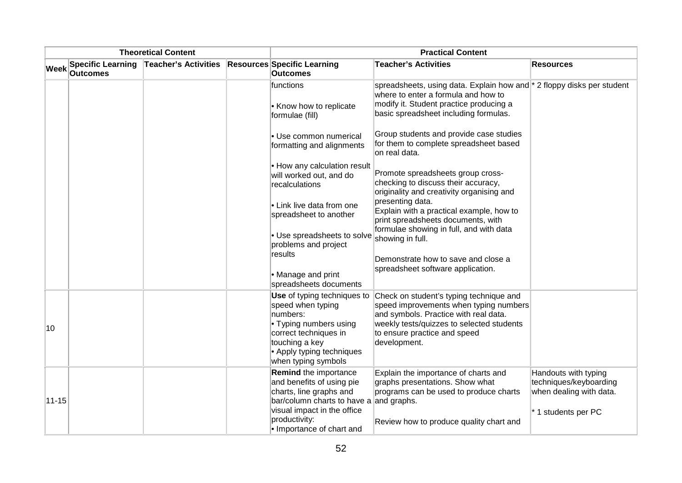| <b>Theoretical Content</b> |                                             |                             | <b>Practical Content</b>                                                                                                                                                              |                                                                                                                                                                                                                         |                                                                                                  |  |  |
|----------------------------|---------------------------------------------|-----------------------------|---------------------------------------------------------------------------------------------------------------------------------------------------------------------------------------|-------------------------------------------------------------------------------------------------------------------------------------------------------------------------------------------------------------------------|--------------------------------------------------------------------------------------------------|--|--|
| <b>Week</b>                | <b>Specific Learning</b><br><b>Outcomes</b> | <b>Teacher's Activities</b> | <b>Resources Specific Learning</b><br>Outcomes                                                                                                                                        | <b>Teacher's Activities</b>                                                                                                                                                                                             | Resources                                                                                        |  |  |
|                            |                                             |                             | functions<br>• Know how to replicate<br>formulae (fill)                                                                                                                               | spreadsheets, using data. Explain how and <sup>*</sup> 2 floppy disks per student<br>where to enter a formula and how to<br>modify it. Student practice producing a<br>basic spreadsheet including formulas.            |                                                                                                  |  |  |
|                            |                                             |                             | Use common numerical<br>formatting and alignments                                                                                                                                     | Group students and provide case studies<br>for them to complete spreadsheet based<br>lon real data.                                                                                                                     |                                                                                                  |  |  |
|                            |                                             |                             | • How any calculation result<br>will worked out, and do<br>recalculations                                                                                                             | Promote spreadsheets group cross-<br>checking to discuss their accuracy,<br>originality and creativity organising and                                                                                                   |                                                                                                  |  |  |
|                            |                                             |                             | • Link live data from one<br>spreadsheet to another                                                                                                                                   | presenting data.<br>Explain with a practical example, how to<br>print spreadsheets documents, with                                                                                                                      |                                                                                                  |  |  |
|                            |                                             |                             | • Use spreadsheets to solve<br>problems and project<br>results                                                                                                                        | formulae showing in full, and with data<br>showing in full.<br>Demonstrate how to save and close a                                                                                                                      |                                                                                                  |  |  |
|                            |                                             |                             | • Manage and print<br>spreadsheets documents                                                                                                                                          | spreadsheet software application.                                                                                                                                                                                       |                                                                                                  |  |  |
| 10                         |                                             |                             | Use of typing techniques to<br>speed when typing<br>numbers:<br>• Typing numbers using<br>correct techniques in<br>touching a key<br>• Apply typing techniques<br>when typing symbols | Check on student's typing technique and<br>speed improvements when typing numbers<br>and symbols. Practice with real data.<br>weekly tests/quizzes to selected students<br>to ensure practice and speed<br>development. |                                                                                                  |  |  |
| $11 - 15$                  |                                             |                             | <b>Remind the importance</b><br>and benefits of using pie<br>charts, line graphs and<br>bar/column charts to have a and graphs.<br>visual impact in the office                        | Explain the importance of charts and<br>graphs presentations. Show what<br>programs can be used to produce charts                                                                                                       | Handouts with typing<br>techniques/keyboarding<br>when dealing with data.<br>* 1 students per PC |  |  |
|                            |                                             |                             | productivity:<br>lo Importance of chart and                                                                                                                                           | Review how to produce quality chart and                                                                                                                                                                                 |                                                                                                  |  |  |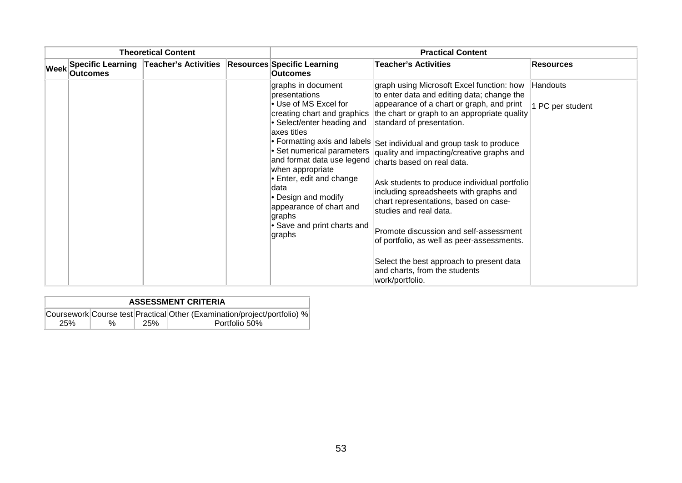| <b>Theoretical Content</b> |          |                                                                        | <b>Practical Content</b>                                                                                                                                                                                                                                                                                                                                         |                                                                                                                                                                                                                                                                                                                                                                                                                                                                                                                                                                                                                                                                                                                            |                              |  |
|----------------------------|----------|------------------------------------------------------------------------|------------------------------------------------------------------------------------------------------------------------------------------------------------------------------------------------------------------------------------------------------------------------------------------------------------------------------------------------------------------|----------------------------------------------------------------------------------------------------------------------------------------------------------------------------------------------------------------------------------------------------------------------------------------------------------------------------------------------------------------------------------------------------------------------------------------------------------------------------------------------------------------------------------------------------------------------------------------------------------------------------------------------------------------------------------------------------------------------------|------------------------------|--|
| Week                       | Outcomes | Specific Learning   Teacher's Activities   Resources Specific Learning | <b>Outcomes</b>                                                                                                                                                                                                                                                                                                                                                  | <b>Teacher's Activities</b>                                                                                                                                                                                                                                                                                                                                                                                                                                                                                                                                                                                                                                                                                                | <b>Resources</b>             |  |
|                            |          |                                                                        | graphs in document<br>presentations<br>• Use of MS Excel for<br>creating chart and graphics<br>• Select/enter heading and<br>axes titles<br>• Set numerical parameters<br>and format data use legend<br>when appropriate<br>Enter, edit and change<br>ldata<br>• Design and modify<br>appearance of chart and<br>graphs<br>• Save and print charts and<br>graphs | graph using Microsoft Excel function: how<br>to enter data and editing data; change the<br>appearance of a chart or graph, and print<br>the chart or graph to an appropriate quality<br>standard of presentation.<br>• Formatting axis and labels Set individual and group task to produce<br>quality and impacting/creative graphs and<br>charts based on real data.<br>Ask students to produce individual portfolio<br>including spreadsheets with graphs and<br>chart representations, based on case-<br>studies and real data.<br>Promote discussion and self-assessment<br>of portfolio, as well as peer-assessments.<br>Select the best approach to present data<br>and charts, from the students<br>work/portfolio. | Handouts<br>1 PC per student |  |

| <b>ASSESSMENT CRITERIA</b> |   |     |                                                                          |  |  |  |
|----------------------------|---|-----|--------------------------------------------------------------------------|--|--|--|
|                            |   |     | Coursework Course test Practical Other (Examination/project/portfolio) % |  |  |  |
| 25%                        | % | 25% | Portfolio 50%                                                            |  |  |  |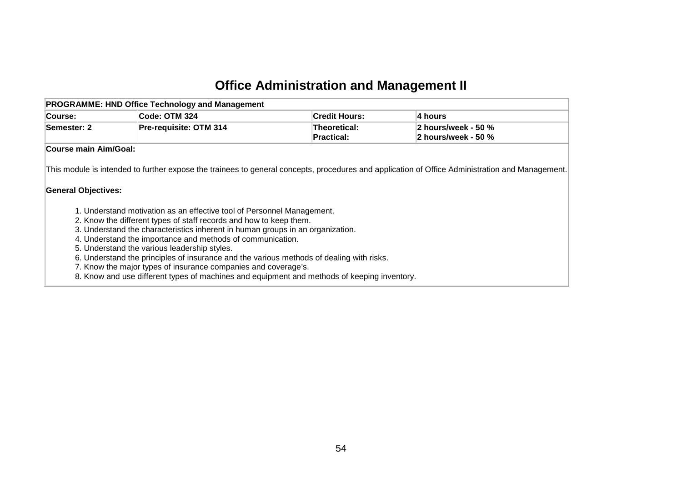### **Office Administration and Management II**

|                            | <b>PROGRAMME: HND Office Technology and Management</b>                                                                                       |                                   |                                                                                                                                                 |
|----------------------------|----------------------------------------------------------------------------------------------------------------------------------------------|-----------------------------------|-------------------------------------------------------------------------------------------------------------------------------------------------|
| <b>Course:</b>             | Code: OTM 324                                                                                                                                | <b>Credit Hours:</b>              | 4 hours                                                                                                                                         |
| Semester: 2                | Pre-requisite: OTM 314                                                                                                                       | Theoretical:<br><b>Practical:</b> | 2 hours/week - 50 %<br>2 hours/week - 50 %                                                                                                      |
| Course main Aim/Goal:      |                                                                                                                                              |                                   |                                                                                                                                                 |
| <b>General Objectives:</b> |                                                                                                                                              |                                   | This module is intended to further expose the trainees to general concepts, procedures and application of Office Administration and Management. |
|                            | 1. Understand motivation as an effective tool of Personnel Management.<br>2. Know the different types of staff records and how to keep them. |                                   |                                                                                                                                                 |
|                            | 3. Understand the characteristics inherent in human groups in an organization.                                                               |                                   |                                                                                                                                                 |
|                            | 4. Understand the importance and methods of communication.                                                                                   |                                   |                                                                                                                                                 |
|                            | 5. Understand the various leadership styles.<br>6. Understand the principles of insurance and the various methods of dealing with risks.     |                                   |                                                                                                                                                 |
|                            | 7. Know the major types of insurance companies and coverage's.                                                                               |                                   |                                                                                                                                                 |
|                            | 8. Know and use different types of machines and equipment and methods of keeping inventory.                                                  |                                   |                                                                                                                                                 |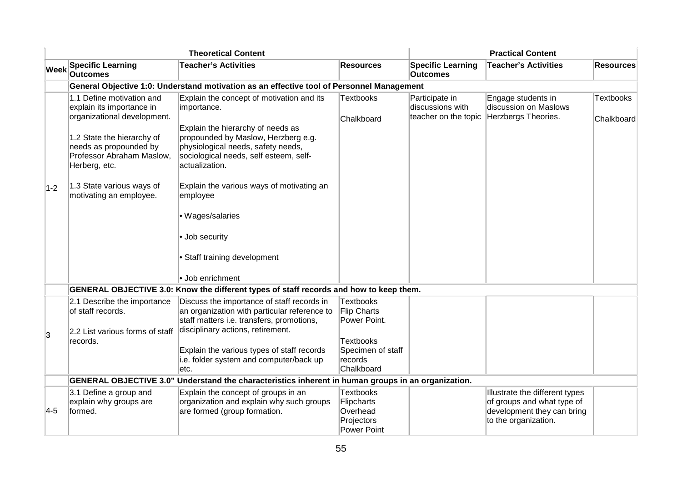|             |                                                                                                                                                                                                                                                     | <b>Theoretical Content</b>                                                                                                                                                                                                                                                                                                                                                                |                                                                                       |                                                            | <b>Practical Content</b>                                                                                           |                                |
|-------------|-----------------------------------------------------------------------------------------------------------------------------------------------------------------------------------------------------------------------------------------------------|-------------------------------------------------------------------------------------------------------------------------------------------------------------------------------------------------------------------------------------------------------------------------------------------------------------------------------------------------------------------------------------------|---------------------------------------------------------------------------------------|------------------------------------------------------------|--------------------------------------------------------------------------------------------------------------------|--------------------------------|
| <b>Week</b> | <b>Specific Learning</b><br><b>Outcomes</b>                                                                                                                                                                                                         | <b>Teacher's Activities</b>                                                                                                                                                                                                                                                                                                                                                               | <b>Resources</b>                                                                      | <b>Specific Learning</b><br><b>Outcomes</b>                | <b>Teacher's Activities</b>                                                                                        | <b>Resources</b>               |
|             |                                                                                                                                                                                                                                                     | General Objective 1:0: Understand motivation as an effective tool of Personnel Management                                                                                                                                                                                                                                                                                                 |                                                                                       |                                                            |                                                                                                                    |                                |
| $1-2$       | 1.1 Define motivation and<br>explain its importance in<br>organizational development.<br>1.2 State the hierarchy of<br>needs as propounded by<br>Professor Abraham Maslow,<br>Herberg, etc.<br>1.3 State various ways of<br>motivating an employee. | Explain the concept of motivation and its<br>importance.<br>Explain the hierarchy of needs as<br>propounded by Maslow, Herzberg e.g.<br>physiological needs, safety needs,<br>sociological needs, self esteem, self-<br>actualization.<br>Explain the various ways of motivating an<br>employee<br>· Wages/salaries<br>· Job security<br>• Staff training development<br>· Job enrichment | Textbooks<br>Chalkboard                                                               | Participate in<br>discussions with<br>teacher on the topic | Engage students in<br>discussion on Maslows<br>Herzbergs Theories.                                                 | <b>Textbooks</b><br>Chalkboard |
|             |                                                                                                                                                                                                                                                     | GENERAL OBJECTIVE 3.0: Know the different types of staff records and how to keep them.                                                                                                                                                                                                                                                                                                    |                                                                                       |                                                            |                                                                                                                    |                                |
| 3           | 2.1 Describe the importance<br>of staff records.<br>2.2 List various forms of staff<br>records.                                                                                                                                                     | Discuss the importance of staff records in<br>an organization with particular reference to<br>staff matters i.e. transfers, promotions,<br>disciplinary actions, retirement.<br>Explain the various types of staff records<br>i.e. folder system and computer/back up                                                                                                                     | Textbooks<br>Flip Charts<br>Power Point.<br>Textbooks<br>Specimen of staff<br>records |                                                            |                                                                                                                    |                                |
|             |                                                                                                                                                                                                                                                     | etc.                                                                                                                                                                                                                                                                                                                                                                                      | Chalkboard                                                                            |                                                            |                                                                                                                    |                                |
|             |                                                                                                                                                                                                                                                     | GENERAL OBJECTIVE 3.0" Understand the characteristics inherent in human groups in an organization.                                                                                                                                                                                                                                                                                        |                                                                                       |                                                            |                                                                                                                    |                                |
| 4-5         | 3.1 Define a group and<br>explain why groups are<br>formed.                                                                                                                                                                                         | Explain the concept of groups in an<br>organization and explain why such groups<br>are formed (group formation.                                                                                                                                                                                                                                                                           | Textbooks<br>Flipcharts<br>Overhead<br>Projectors<br><b>Power Point</b>               |                                                            | Illustrate the different types<br>of groups and what type of<br>development they can bring<br>to the organization. |                                |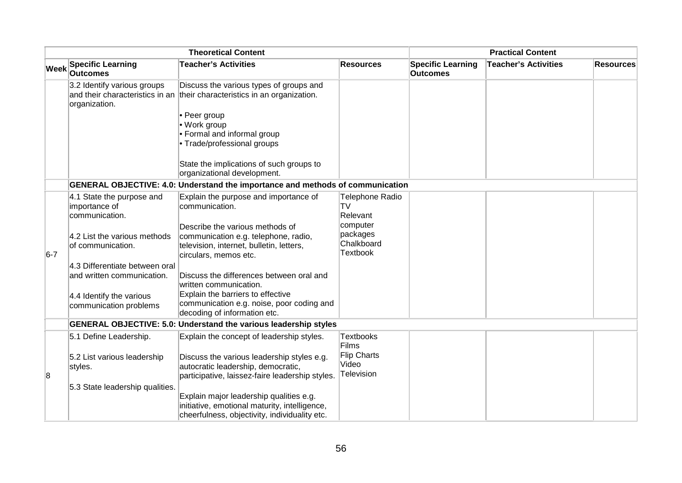| <b>Theoretical Content</b> |                                                              |                                                                                                                                              | <b>Practical Content</b>                              |                                             |                             |                  |
|----------------------------|--------------------------------------------------------------|----------------------------------------------------------------------------------------------------------------------------------------------|-------------------------------------------------------|---------------------------------------------|-----------------------------|------------------|
| <b>Week</b>                | <b>Specific Learning</b><br><b>Outcomes</b>                  | <b>Teacher's Activities</b>                                                                                                                  | <b>Resources</b>                                      | <b>Specific Learning</b><br><b>Outcomes</b> | <b>Teacher's Activities</b> | <b>Resources</b> |
|                            | 3.2 Identify various groups<br>organization.                 | Discuss the various types of groups and<br>and their characteristics in an their characteristics in an organization.                         |                                                       |                                             |                             |                  |
|                            |                                                              | • Peer group<br>• Work group<br>• Formal and informal group<br>• Trade/professional groups                                                   |                                                       |                                             |                             |                  |
|                            |                                                              | State the implications of such groups to<br>organizational development.                                                                      |                                                       |                                             |                             |                  |
|                            |                                                              | <b>GENERAL OBJECTIVE: 4.0: Understand the importance and methods of communication</b>                                                        |                                                       |                                             |                             |                  |
|                            | 4.1 State the purpose and<br>importance of<br>communication. | Explain the purpose and importance of<br>communication.                                                                                      | <b>Telephone Radio</b><br>TV<br>Relevant              |                                             |                             |                  |
| $6-7$                      | 4.2 List the various methods<br>of communication.            | Describe the various methods of<br>communication e.g. telephone, radio,<br>television, internet, bulletin, letters,<br>circulars, memos etc. | computer<br>packages<br>Chalkboard<br><b>Textbook</b> |                                             |                             |                  |
|                            | 4.3 Differentiate between oral<br>and written communication. | Discuss the differences between oral and<br>written communication.                                                                           |                                                       |                                             |                             |                  |
|                            | 4.4 Identify the various<br>communication problems           | Explain the barriers to effective<br>communication e.g. noise, poor coding and<br>decoding of information etc.                               |                                                       |                                             |                             |                  |
|                            |                                                              | <b>GENERAL OBJECTIVE: 5.0: Understand the various leadership styles</b>                                                                      |                                                       |                                             |                             |                  |
|                            | 5.1 Define Leadership.                                       | Explain the concept of leadership styles.                                                                                                    | <b>Textbooks</b><br>Films                             |                                             |                             |                  |
| 8                          | 5.2 List various leadership<br>styles.                       | Discuss the various leadership styles e.g.<br>autocratic leadership, democratic,<br>participative, laissez-faire leadership styles.          | Flip Charts<br>Video<br><b>Television</b>             |                                             |                             |                  |
|                            | 5.3 State leadership qualities.                              | Explain major leadership qualities e.g.<br>initiative, emotional maturity, intelligence,<br>cheerfulness, objectivity, individuality etc.    |                                                       |                                             |                             |                  |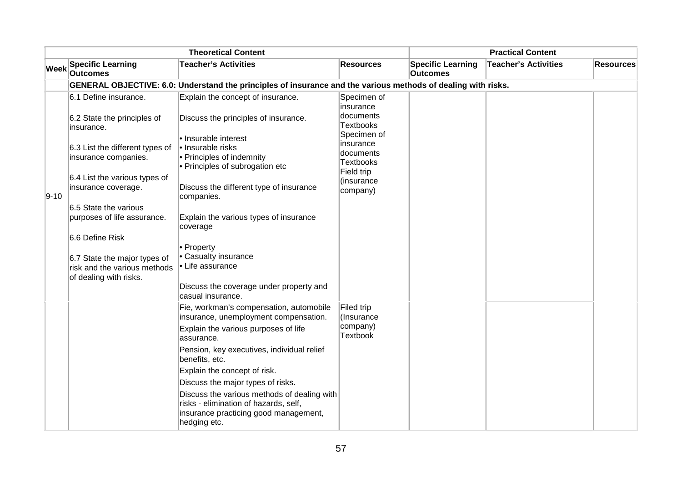| <b>Theoretical Content</b> |                                                                                                                                                                                                                                                                                                                                                            |                                                                                                                                                                                                                                                                                                                                                                                                                                 | <b>Practical Content</b>                                                                                                                                |                                             |                             |                  |
|----------------------------|------------------------------------------------------------------------------------------------------------------------------------------------------------------------------------------------------------------------------------------------------------------------------------------------------------------------------------------------------------|---------------------------------------------------------------------------------------------------------------------------------------------------------------------------------------------------------------------------------------------------------------------------------------------------------------------------------------------------------------------------------------------------------------------------------|---------------------------------------------------------------------------------------------------------------------------------------------------------|---------------------------------------------|-----------------------------|------------------|
| <b>Week</b>                | <b>Specific Learning</b><br><b>Outcomes</b>                                                                                                                                                                                                                                                                                                                | <b>Teacher's Activities</b>                                                                                                                                                                                                                                                                                                                                                                                                     | <b>Resources</b>                                                                                                                                        | <b>Specific Learning</b><br><b>Outcomes</b> | <b>Teacher's Activities</b> | <b>Resources</b> |
|                            |                                                                                                                                                                                                                                                                                                                                                            | GENERAL OBJECTIVE: 6.0: Understand the principles of insurance and the various methods of dealing with risks.                                                                                                                                                                                                                                                                                                                   |                                                                                                                                                         |                                             |                             |                  |
| 9-10                       | 6.1 Define insurance.<br>6.2 State the principles of<br>insurance.<br>6.3 List the different types of<br>insurance companies.<br>6.4 List the various types of<br>insurance coverage.<br>6.5 State the various<br>purposes of life assurance.<br>6.6 Define Risk<br>6.7 State the major types of<br>risk and the various methods<br>of dealing with risks. | Explain the concept of insurance.<br>Discuss the principles of insurance.<br>· Insurable interest<br>· Insurable risks<br>• Principles of indemnity<br>• Principles of subrogation etc<br>Discuss the different type of insurance<br>companies.<br>Explain the various types of insurance<br>coverage<br>• Property<br>• Casualty insurance<br>• Life assurance<br>Discuss the coverage under property and<br>casual insurance. | Specimen of<br>insurance<br>documents<br>Textbooks<br>Specimen of<br>insurance<br>documents<br><b>Textbooks</b><br>Field trip<br>(insurance<br>company) |                                             |                             |                  |
|                            |                                                                                                                                                                                                                                                                                                                                                            | Fie, workman's compensation, automobile<br>insurance, unemployment compensation.<br>Explain the various purposes of life<br>lassurance.<br>Pension, key executives, individual relief<br>benefits, etc.<br>Explain the concept of risk.<br>Discuss the major types of risks.<br>Discuss the various methods of dealing with<br>risks - elimination of hazards, self,<br>insurance practicing good management,<br>hedging etc.   | Filed trip<br>(Insurance<br>company)<br><b>Textbook</b>                                                                                                 |                                             |                             |                  |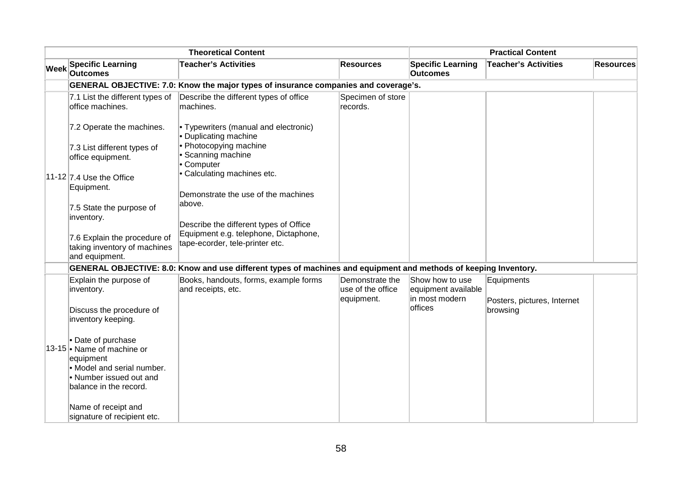|  | <b>Theoretical Content</b>                                                                                                                       |                                                                                                                  |                                                    | <b>Practical Content</b>                                 |                                           |                  |
|--|--------------------------------------------------------------------------------------------------------------------------------------------------|------------------------------------------------------------------------------------------------------------------|----------------------------------------------------|----------------------------------------------------------|-------------------------------------------|------------------|
|  | Week Specific Learning<br><b>Outcomes</b>                                                                                                        | <b>Teacher's Activities</b>                                                                                      | <b>Resources</b>                                   | <b>Specific Learning</b><br><b>Outcomes</b>              | <b>Teacher's Activities</b>               | <b>Resources</b> |
|  | GENERAL OBJECTIVE: 7.0: Know the major types of insurance companies and coverage's.                                                              |                                                                                                                  |                                                    |                                                          |                                           |                  |
|  | 7.1 List the different types of<br>office machines.                                                                                              | Describe the different types of office<br>machines.                                                              | Specimen of store<br>records.                      |                                                          |                                           |                  |
|  | 7.2 Operate the machines.                                                                                                                        | • Typewriters (manual and electronic)<br>• Duplicating machine                                                   |                                                    |                                                          |                                           |                  |
|  | 7.3 List different types of<br>office equipment.                                                                                                 | • Photocopying machine<br>• Scanning machine<br>• Computer                                                       |                                                    |                                                          |                                           |                  |
|  | 11-12 $\vert$ 7.4 Use the Office<br>Equipment.                                                                                                   | • Calculating machines etc.<br>Demonstrate the use of the machines                                               |                                                    |                                                          |                                           |                  |
|  | 7.5 State the purpose of<br>inventory.                                                                                                           | above.<br>Describe the different types of Office                                                                 |                                                    |                                                          |                                           |                  |
|  | 7.6 Explain the procedure of<br>taking inventory of machines<br>and equipment.                                                                   | Equipment e.g. telephone, Dictaphone,<br>tape-ecorder, tele-printer etc.                                         |                                                    |                                                          |                                           |                  |
|  |                                                                                                                                                  | GENERAL OBJECTIVE: 8.0: Know and use different types of machines and equipment and methods of keeping Inventory. |                                                    |                                                          |                                           |                  |
|  | Explain the purpose of<br>inventory.                                                                                                             | Books, handouts, forms, example forms<br>and receipts, etc.                                                      | Demonstrate the<br>use of the office<br>equipment. | Show how to use<br>equipment available<br>in most modern | Equipments<br>Posters, pictures, Internet |                  |
|  | Discuss the procedure of<br>inventory keeping.                                                                                                   |                                                                                                                  |                                                    | offices                                                  | browsing                                  |                  |
|  | • Date of purchase<br>13-15 • Name of machine or<br>equipment<br>• Model and serial number.<br>• Number issued out and<br>balance in the record. |                                                                                                                  |                                                    |                                                          |                                           |                  |
|  | Name of receipt and<br>signature of recipient etc.                                                                                               |                                                                                                                  |                                                    |                                                          |                                           |                  |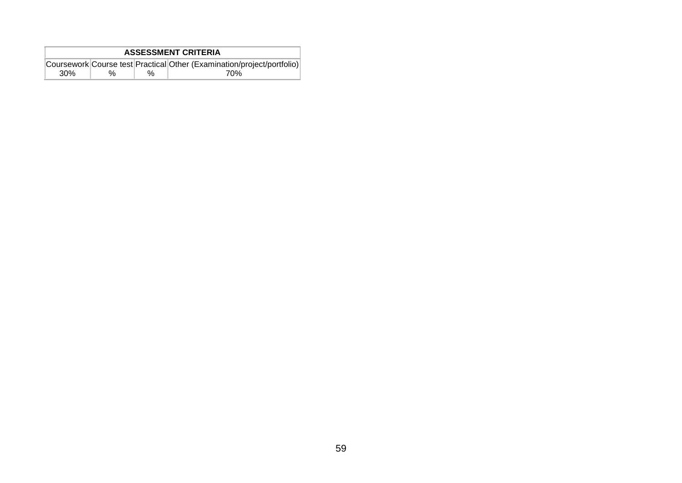|     | <b>ASSESSMENT CRITERIA</b>                                             |   |     |  |  |  |  |
|-----|------------------------------------------------------------------------|---|-----|--|--|--|--|
|     | Coursework Course test Practical Other (Examination/project/portfolio) |   |     |  |  |  |  |
| 30% | $\%$                                                                   | % | 70% |  |  |  |  |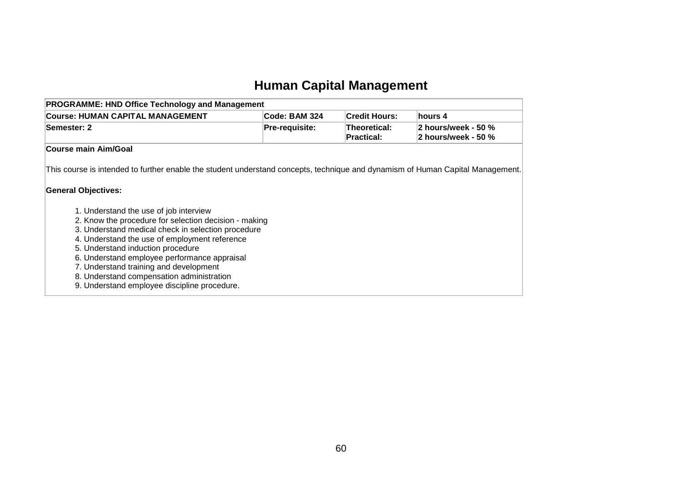# **Human Capital Management**

| <b>PROGRAMME: HND Office Technology and Management</b>                                                                                                                                                                                                                                                                                                                                                                                                                                                                                                                                             |                |                                   |                                            |  |  |
|----------------------------------------------------------------------------------------------------------------------------------------------------------------------------------------------------------------------------------------------------------------------------------------------------------------------------------------------------------------------------------------------------------------------------------------------------------------------------------------------------------------------------------------------------------------------------------------------------|----------------|-----------------------------------|--------------------------------------------|--|--|
| <b>Course: HUMAN CAPITAL MANAGEMENT</b>                                                                                                                                                                                                                                                                                                                                                                                                                                                                                                                                                            | Code: BAM 324  | <b>Credit Hours:</b>              | hours 4                                    |  |  |
| Semester: 2                                                                                                                                                                                                                                                                                                                                                                                                                                                                                                                                                                                        | Pre-requisite: | Theoretical:<br><b>Practical:</b> | 2 hours/week - 50 %<br>2 hours/week - 50 % |  |  |
| Course main Aim/Goal                                                                                                                                                                                                                                                                                                                                                                                                                                                                                                                                                                               |                |                                   |                                            |  |  |
| This course is intended to further enable the student understand concepts, technique and dynamism of Human Capital Management.<br><b>General Objectives:</b><br>1. Understand the use of job interview<br>2. Know the procedure for selection decision - making<br>3. Understand medical check in selection procedure<br>4. Understand the use of employment reference<br>5. Understand induction procedure<br>6. Understand employee performance appraisal<br>7. Understand training and development<br>8. Understand compensation administration<br>9. Understand employee discipline procedure. |                |                                   |                                            |  |  |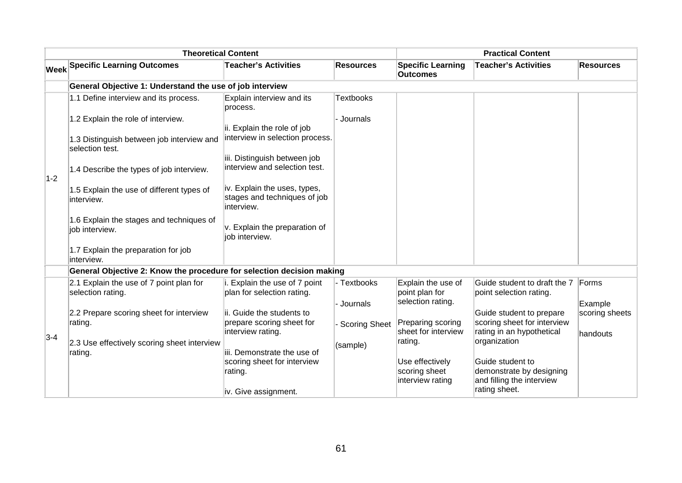|       | <b>Theoretical Content</b>                                            |                                                                            |                      |                                             | <b>Practical Content</b>                                |                  |
|-------|-----------------------------------------------------------------------|----------------------------------------------------------------------------|----------------------|---------------------------------------------|---------------------------------------------------------|------------------|
|       | <b>Week Specific Learning Outcomes</b>                                | <b>Teacher's Activities</b>                                                | <b>Resources</b>     | <b>Specific Learning</b><br><b>Outcomes</b> | <b>Teacher's Activities</b>                             | <b>Resources</b> |
|       | General Objective 1: Understand the use of job interview              |                                                                            |                      |                                             |                                                         |                  |
|       | 1.1 Define interview and its process.                                 | Explain interview and its<br>process.                                      | <b>Textbooks</b>     |                                             |                                                         |                  |
|       | 1.2 Explain the role of interview.                                    | ii. Explain the role of job                                                | · Journals           |                                             |                                                         |                  |
|       | 1.3 Distinguish between job interview and<br>selection test.          | interview in selection process.                                            |                      |                                             |                                                         |                  |
| $1-2$ | 1.4 Describe the types of job interview.                              | iii. Distinguish between job<br>interview and selection test.              |                      |                                             |                                                         |                  |
|       | 1.5 Explain the use of different types of<br>interview.               | iv. Explain the uses, types,<br>stages and techniques of job<br>interview. |                      |                                             |                                                         |                  |
|       | 1.6 Explain the stages and techniques of<br>job interview.            | v. Explain the preparation of<br>job interview.                            |                      |                                             |                                                         |                  |
|       | 1.7 Explain the preparation for job<br>interview.                     |                                                                            |                      |                                             |                                                         |                  |
|       | General Objective 2: Know the procedure for selection decision making |                                                                            |                      |                                             |                                                         |                  |
|       | 2.1 Explain the use of 7 point plan for<br>selection rating.          | i. Explain the use of 7 point<br>plan for selection rating.                | - Textbooks          | Explain the use of<br>point plan for        | Guide student to draft the 7<br>point selection rating. | Forms            |
|       |                                                                       |                                                                            | Journals             | selection rating.                           |                                                         | Example          |
|       | 2.2 Prepare scoring sheet for interview<br>rating.                    | ii. Guide the students to<br>prepare scoring sheet for                     | <b>Scoring Sheet</b> | Preparing scoring                           | Guide student to prepare<br>scoring sheet for interview | scoring sheets   |
|       |                                                                       | interview rating.                                                          |                      | sheet for interview                         | rating in an hypothetical                               | handouts         |
| $3-4$ | 2.3 Use effectively scoring sheet interview                           |                                                                            | (sample)             | rating.                                     | organization                                            |                  |
|       | rating.                                                               | iii. Demonstrate the use of                                                |                      |                                             |                                                         |                  |
|       |                                                                       | scoring sheet for interview<br>rating.                                     |                      | Use effectively<br>scoring sheet            | Guide student to<br>demonstrate by designing            |                  |
|       |                                                                       |                                                                            |                      | interview rating                            | and filling the interview                               |                  |
|       |                                                                       | iv. Give assignment.                                                       |                      |                                             | rating sheet.                                           |                  |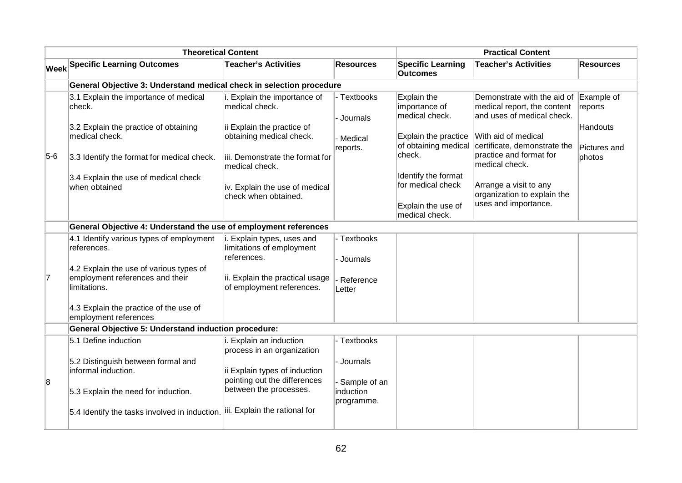|       | <b>Theoretical Content</b>                                                                 |                                                                        |                            | <b>Practical Content</b>                                                         |                                                                                          |                          |
|-------|--------------------------------------------------------------------------------------------|------------------------------------------------------------------------|----------------------------|----------------------------------------------------------------------------------|------------------------------------------------------------------------------------------|--------------------------|
|       | <b>Week Specific Learning Outcomes</b>                                                     | <b>Teacher's Activities</b>                                            | <b>Resources</b>           | <b>Specific Learning</b><br><b>Outcomes</b>                                      | <b>Teacher's Activities</b>                                                              | <b>Resources</b>         |
|       | General Objective 3: Understand medical check in selection procedure                       |                                                                        |                            |                                                                                  |                                                                                          |                          |
|       | 3.1 Explain the importance of medical<br>check.                                            | i. Explain the importance of<br>medical check.                         | - Textbooks<br>- Journals  | Explain the<br>importance of<br>medical check.                                   | Demonstrate with the aid of<br>medical report, the content<br>and uses of medical check. | Example of<br>reports    |
|       | 3.2 Explain the practice of obtaining<br>medical check.                                    | ii Explain the practice of<br>obtaining medical check.                 | - Medical<br>reports.      | Explain the practice<br>of obtaining medical                                     | With aid of medical<br>certificate, demonstrate the                                      | Handouts<br>Pictures and |
| $5-6$ | 3.3 Identify the format for medical check.                                                 | iii. Demonstrate the format for<br>medical check.                      |                            | check.                                                                           | practice and format for<br>medical check.                                                | photos                   |
|       | 3.4 Explain the use of medical check<br>when obtained                                      | iv. Explain the use of medical<br>check when obtained.                 |                            | Identify the format<br>for medical check<br>Explain the use of<br>medical check. | Arrange a visit to any<br>organization to explain the<br>uses and importance.            |                          |
|       | General Objective 4: Understand the use of employment references                           |                                                                        |                            |                                                                                  |                                                                                          |                          |
|       | 4.1 Identify various types of employment<br>references.                                    | i. Explain types, uses and<br>limitations of employment<br>references. | - Textbooks<br>- Journals  |                                                                                  |                                                                                          |                          |
| 7     | 4.2 Explain the use of various types of<br>employment references and their<br>limitations. | ii. Explain the practical usage<br>of employment references.           | - Reference<br>Letter      |                                                                                  |                                                                                          |                          |
|       | 4.3 Explain the practice of the use of<br>employment references                            |                                                                        |                            |                                                                                  |                                                                                          |                          |
|       | <b>General Objective 5: Understand induction procedure:</b>                                |                                                                        |                            |                                                                                  |                                                                                          |                          |
|       | 5.1 Define induction                                                                       | i. Explain an induction<br>process in an organization                  | - Textbooks                |                                                                                  |                                                                                          |                          |
| 8     | 5.2 Distinguish between formal and<br>informal induction.                                  | ii Explain types of induction<br>pointing out the differences          | - Journals<br>Sample of an |                                                                                  |                                                                                          |                          |
|       | 5.3 Explain the need for induction.                                                        | between the processes.                                                 | induction<br>programme.    |                                                                                  |                                                                                          |                          |
|       | 5.4 Identify the tasks involved in induction.                                              | iii. Explain the rational for                                          |                            |                                                                                  |                                                                                          |                          |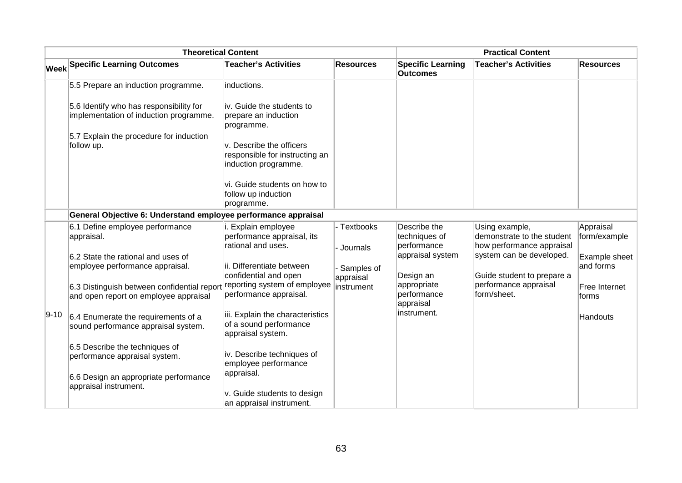|          | <b>Theoretical Content</b>                                                           |                                                                                    |                           |                                              | <b>Practical Content</b>                                                  |                            |
|----------|--------------------------------------------------------------------------------------|------------------------------------------------------------------------------------|---------------------------|----------------------------------------------|---------------------------------------------------------------------------|----------------------------|
|          | <b>Week Specific Learning Outcomes</b>                                               | <b>Teacher's Activities</b>                                                        | <b>Resources</b>          | <b>Specific Learning</b><br><b>Outcomes</b>  | <b>Teacher's Activities</b>                                               | <b>Resources</b>           |
|          | 5.5 Prepare an induction programme.                                                  | inductions.                                                                        |                           |                                              |                                                                           |                            |
|          | 5.6 Identify who has responsibility for<br>implementation of induction programme.    | liv. Guide the students to<br>prepare an induction<br>programme.                   |                           |                                              |                                                                           |                            |
|          | 5.7 Explain the procedure for induction<br>follow up.                                | v. Describe the officers<br>responsible for instructing an<br>induction programme. |                           |                                              |                                                                           |                            |
|          |                                                                                      | vi. Guide students on how to<br>follow up induction<br>programme.                  |                           |                                              |                                                                           |                            |
|          | General Objective 6: Understand employee performance appraisal                       |                                                                                    |                           |                                              |                                                                           |                            |
|          | 6.1 Define employee performance<br>appraisal.                                        | i. Explain employee<br>performance appraisal, its<br>rational and uses.            | - Textbooks<br>- Journals | Describe the<br>techniques of<br>performance | Using example,<br>demonstrate to the student<br>how performance appraisal | Appraisal<br>form/example  |
|          | 6.2 State the rational and uses of<br>employee performance appraisal.                | ii. Differentiate between<br>confidential and open                                 | Samples of                | appraisal system<br>Design an                | system can be developed.<br>Guide student to prepare a                    | Example sheet<br>and forms |
|          | 6.3 Distinguish between confidential report<br>and open report on employee appraisal | reporting system of employee<br>performance appraisal.                             | appraisal<br>instrument   | appropriate<br>performance<br>appraisal      | performance appraisal<br>form/sheet.                                      | Free Internet<br>forms     |
| $9 - 10$ | 6.4 Enumerate the requirements of a<br>sound performance appraisal system.           | iii. Explain the characteristics<br>of a sound performance<br>appraisal system.    |                           | instrument.                                  |                                                                           | Handouts                   |
|          | 6.5 Describe the techniques of<br>performance appraisal system.                      | iv. Describe techniques of<br>employee performance                                 |                           |                                              |                                                                           |                            |
|          | 6.6 Design an appropriate performance<br>appraisal instrument.                       | appraisal.<br>v. Guide students to design<br>an appraisal instrument.              |                           |                                              |                                                                           |                            |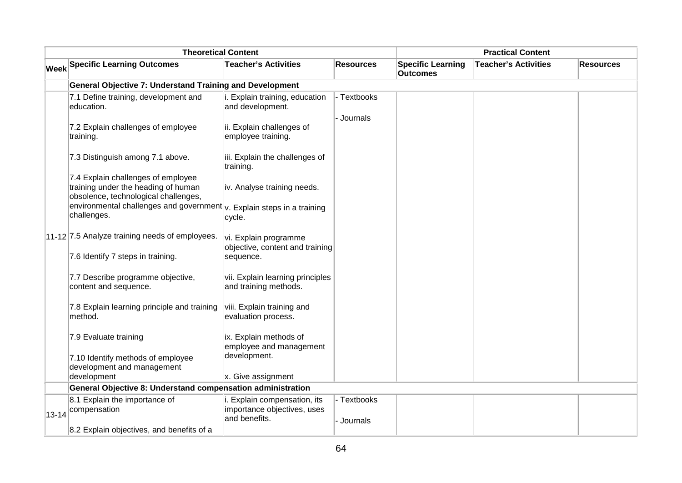| <b>Theoretical Content</b> |                                                                                                                   |                                                             | <b>Practical Content</b> |                                             |                             |                  |
|----------------------------|-------------------------------------------------------------------------------------------------------------------|-------------------------------------------------------------|--------------------------|---------------------------------------------|-----------------------------|------------------|
|                            | <b>Week Specific Learning Outcomes</b>                                                                            | <b>Teacher's Activities</b>                                 | <b>Resources</b>         | <b>Specific Learning</b><br><b>Outcomes</b> | <b>Teacher's Activities</b> | <b>Resources</b> |
|                            | <b>General Objective 7: Understand Training and Development</b>                                                   |                                                             |                          |                                             |                             |                  |
|                            | 7.1 Define training, development and<br>education.                                                                | i. Explain training, education<br>and development.          | - Textbooks              |                                             |                             |                  |
|                            | 7.2 Explain challenges of employee<br>training.                                                                   | ii. Explain challenges of<br>employee training.             | - Journals               |                                             |                             |                  |
|                            | 7.3 Distinguish among 7.1 above.                                                                                  | iii. Explain the challenges of<br>training.                 |                          |                                             |                             |                  |
|                            | 7.4 Explain challenges of employee<br>training under the heading of human<br>obsolence, technological challenges, | iv. Analyse training needs.                                 |                          |                                             |                             |                  |
|                            | environmental challenges and government $ v $ . Explain steps in a training<br>challenges.                        | cycle.                                                      |                          |                                             |                             |                  |
|                            | 11-12 7.5 Analyze training needs of employees.                                                                    | vi. Explain programme<br>objective, content and training    |                          |                                             |                             |                  |
|                            | 7.6 Identify 7 steps in training.                                                                                 | sequence.                                                   |                          |                                             |                             |                  |
|                            | 7.7 Describe programme objective,<br>content and sequence.                                                        | vii. Explain learning principles<br>and training methods.   |                          |                                             |                             |                  |
|                            | 7.8 Explain learning principle and training<br>method.                                                            | viii. Explain training and<br>evaluation process.           |                          |                                             |                             |                  |
|                            | 7.9 Evaluate training                                                                                             | ix. Explain methods of<br>employee and management           |                          |                                             |                             |                  |
|                            | 7.10 Identify methods of employee<br>development and management                                                   | development.                                                |                          |                                             |                             |                  |
|                            | development                                                                                                       | x. Give assignment                                          |                          |                                             |                             |                  |
|                            | General Objective 8: Understand compensation administration                                                       |                                                             |                          |                                             |                             |                  |
|                            | 8.1 Explain the importance of                                                                                     | i. Explain compensation, its<br>importance objectives, uses | - Textbooks              |                                             |                             |                  |
|                            | 13-14 compensation                                                                                                | and benefits.                                               | - Journals               |                                             |                             |                  |
|                            | 8.2 Explain objectives, and benefits of a                                                                         |                                                             |                          |                                             |                             |                  |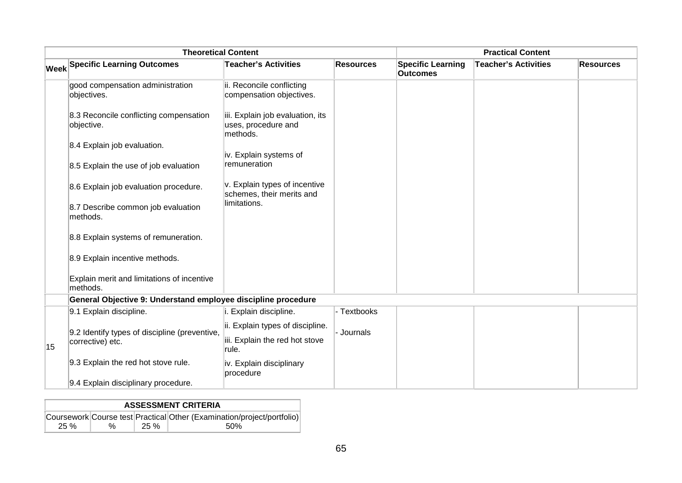|    | <b>Theoretical Content</b>                                    |                                                                     |                  |                                             | <b>Practical Content</b>    |                  |
|----|---------------------------------------------------------------|---------------------------------------------------------------------|------------------|---------------------------------------------|-----------------------------|------------------|
|    | <b>Week Specific Learning Outcomes</b>                        | <b>Teacher's Activities</b>                                         | <b>Resources</b> | <b>Specific Learning</b><br><b>Outcomes</b> | <b>Teacher's Activities</b> | <b>Resources</b> |
|    | good compensation administration<br>objectives.               | ii. Reconcile conflicting<br>compensation objectives.               |                  |                                             |                             |                  |
|    | 8.3 Reconcile conflicting compensation<br>objective.          | iii. Explain job evaluation, its<br>uses, procedure and<br>methods. |                  |                                             |                             |                  |
|    | 8.4 Explain job evaluation.                                   |                                                                     |                  |                                             |                             |                  |
|    | 8.5 Explain the use of job evaluation                         | iv. Explain systems of<br>remuneration                              |                  |                                             |                             |                  |
|    | 8.6 Explain job evaluation procedure.                         | v. Explain types of incentive<br>schemes, their merits and          |                  |                                             |                             |                  |
|    | 8.7 Describe common job evaluation<br>methods.                | limitations.                                                        |                  |                                             |                             |                  |
|    | 8.8 Explain systems of remuneration.                          |                                                                     |                  |                                             |                             |                  |
|    | 8.9 Explain incentive methods.                                |                                                                     |                  |                                             |                             |                  |
|    | Explain merit and limitations of incentive<br>methods.        |                                                                     |                  |                                             |                             |                  |
|    | General Objective 9: Understand employee discipline procedure |                                                                     |                  |                                             |                             |                  |
|    | 9.1 Explain discipline.                                       | i. Explain discipline.                                              | - Textbooks      |                                             |                             |                  |
|    | 9.2 Identify types of discipline (preventive,                 | ii. Explain types of discipline.                                    | Journals         |                                             |                             |                  |
| 15 | corrective) etc.                                              | iii. Explain the red hot stove<br>rule.                             |                  |                                             |                             |                  |
|    | 9.3 Explain the red hot stove rule.                           | iv. Explain disciplinary<br>procedure                               |                  |                                             |                             |                  |
|    | 9.4 Explain disciplinary procedure.                           |                                                                     |                  |                                             |                             |                  |

|     |   |         | <b>ASSESSMENT CRITERIA</b>                                             |
|-----|---|---------|------------------------------------------------------------------------|
|     |   |         | Coursework Course test Practical Other (Examination/project/portfolio) |
| 25% | % | $25 \%$ | .50%                                                                   |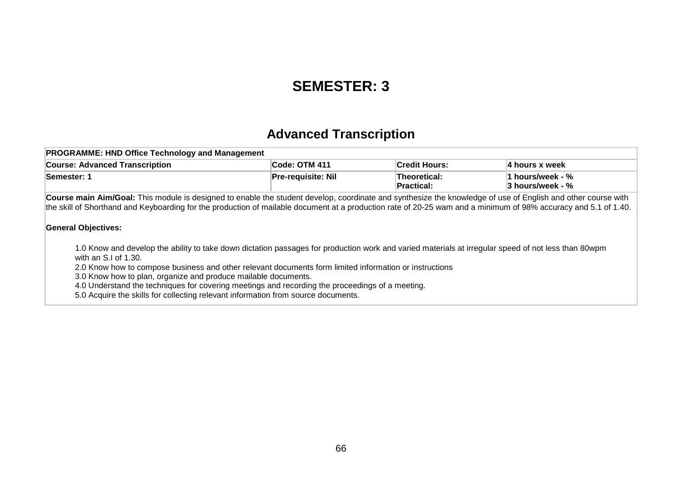### **SEMESTER: 3**

### **Advanced Transcription**

| <b>PROGRAMME: HND Office Technology and Management</b>                                                                                                                                                                                                                                                                                                        |                                                                                                                                                     |                            |                                      |  |
|---------------------------------------------------------------------------------------------------------------------------------------------------------------------------------------------------------------------------------------------------------------------------------------------------------------------------------------------------------------|-----------------------------------------------------------------------------------------------------------------------------------------------------|----------------------------|--------------------------------------|--|
| <b>Course: Advanced Transcription</b>                                                                                                                                                                                                                                                                                                                         | Code: OTM 411                                                                                                                                       | <b>Credit Hours:</b>       | 4 hours x week                       |  |
| Semester: 1                                                                                                                                                                                                                                                                                                                                                   | <b>Pre-requisite: Nil</b>                                                                                                                           | Theoretical:<br>Practical: | 1 hours/week - %<br>3 hours/week - % |  |
| Course main Aim/Goal: This module is designed to enable the student develop, coordinate and synthesize the knowledge of use of English and other course with<br>the skill of Shorthand and Keyboarding for the production of mailable document at a production rate of 20-25 wam and a minimum of 98% accuracy and 5.1 of 1.40.<br><b>General Objectives:</b> |                                                                                                                                                     |                            |                                      |  |
| with an S.I of 1.30.                                                                                                                                                                                                                                                                                                                                          | 1.0 Know and develop the ability to take down dictation passages for production work and varied materials at irregular speed of not less than 80wpm |                            |                                      |  |

2.0 Know how to compose business and other relevant documents form limited information or instructions

3.0 Know how to plan, organize and produce mailable documents.

4.0 Understand the techniques for covering meetings and recording the proceedings of a meeting.

5.0 Acquire the skills for collecting relevant information from source documents.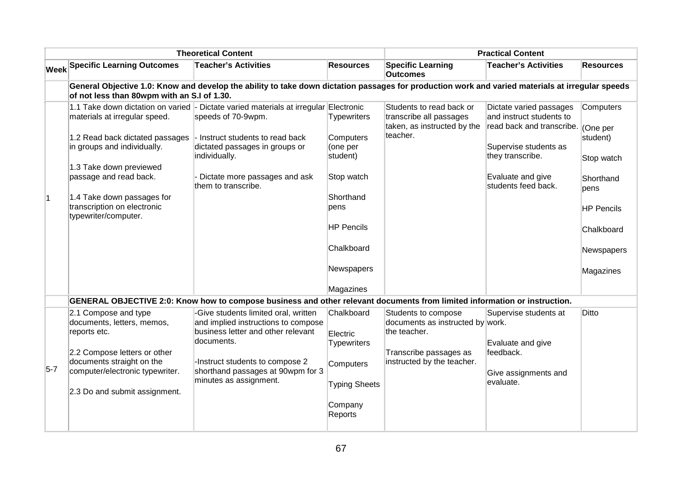|           | <b>Theoretical Content</b>                                                        |                                                                                                                                                  |                                          | <b>Practical Content</b>                                                           |                                                                                           |                        |
|-----------|-----------------------------------------------------------------------------------|--------------------------------------------------------------------------------------------------------------------------------------------------|------------------------------------------|------------------------------------------------------------------------------------|-------------------------------------------------------------------------------------------|------------------------|
|           | <b>Week Specific Learning Outcomes</b>                                            | <b>Teacher's Activities</b>                                                                                                                      | <b>Resources</b>                         | <b>Specific Learning</b><br><b>Outcomes</b>                                        | <b>Teacher's Activities</b>                                                               | <b>Resources</b>       |
|           | of not less than 80wpm with an S.I of 1.30.                                       | General Objective 1.0: Know and develop the ability to take down dictation passages for production work and varied materials at irregular speeds |                                          |                                                                                    |                                                                                           |                        |
|           | materials at irregular speed.                                                     | 1.1 Take down dictation on varied - Dictate varied materials at irregular Electronic<br>speeds of 70-9wpm.                                       | <b>Typewriters</b>                       | Students to read back or<br>transcribe all passages<br>taken, as instructed by the | Dictate varied passages<br>and instruct students to<br>read back and transcribe. (One per | Computers              |
|           | 1.2 Read back dictated passages<br>in groups and individually.                    | - Instruct students to read back<br>dictated passages in groups or<br>individually.                                                              | <b>Computers</b><br>(one per<br>student) | teacher.                                                                           | Supervise students as<br>they transcribe.                                                 | student)<br>Stop watch |
|           | 1.3 Take down previewed<br>passage and read back.                                 | Dictate more passages and ask<br>them to transcribe.                                                                                             | Stop watch                               |                                                                                    | Evaluate and give<br>students feed back.                                                  | Shorthand<br>pens      |
| $\vert$ 1 | 1.4 Take down passages for<br>transcription on electronic<br>typewriter/computer. |                                                                                                                                                  | Shorthand<br>pens                        |                                                                                    |                                                                                           | HP Pencils             |
|           |                                                                                   |                                                                                                                                                  | <b>HP Pencils</b>                        |                                                                                    |                                                                                           | Chalkboard             |
|           |                                                                                   |                                                                                                                                                  | Chalkboard                               |                                                                                    |                                                                                           | Newspapers             |
|           |                                                                                   |                                                                                                                                                  | Newspapers                               |                                                                                    |                                                                                           | Magazines              |
|           |                                                                                   |                                                                                                                                                  | Magazines                                |                                                                                    |                                                                                           |                        |
|           |                                                                                   | GENERAL OBJECTIVE 2:0: Know how to compose business and other relevant documents from limited information or instruction.                        |                                          |                                                                                    |                                                                                           |                        |
|           | 2.1 Compose and type<br>documents, letters, memos,<br>reports etc.                | -Give students limited oral, written<br>and implied instructions to compose<br>business letter and other relevant                                | Chalkboard                               | Students to compose<br>documents as instructed by work.<br>the teacher.            | Supervise students at                                                                     | <b>Ditto</b>           |
|           | 2.2 Compose letters or other                                                      | documents.                                                                                                                                       | Electric<br><b>Typewriters</b>           | Transcribe passages as                                                             | Evaluate and give<br>feedback.                                                            |                        |
| $5-7$     | documents straight on the<br>computer/electronic typewriter.                      | -Instruct students to compose 2<br>shorthand passages at 90wpm for 3                                                                             | Computers                                | instructed by the teacher.                                                         | Give assignments and                                                                      |                        |
|           | 2.3 Do and submit assignment.                                                     | minutes as assignment.                                                                                                                           | <b>Typing Sheets</b>                     |                                                                                    | evaluate.                                                                                 |                        |
|           |                                                                                   |                                                                                                                                                  | Company<br>Reports                       |                                                                                    |                                                                                           |                        |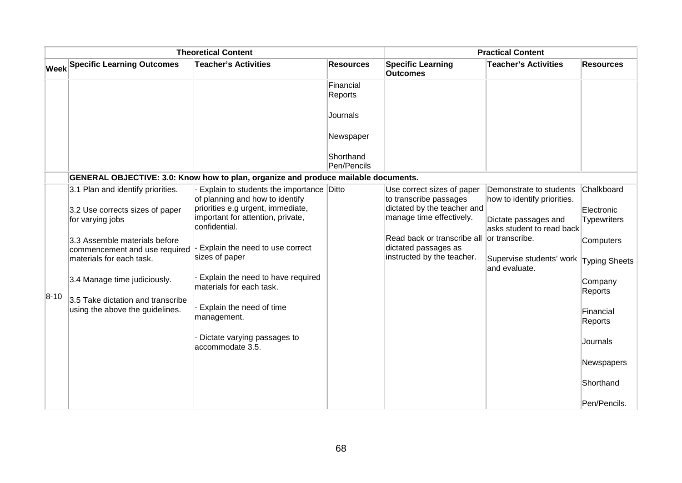| <b>Theoretical Content</b> |                                                                      |                                                                                         | <b>Practical Content</b> |                                                                                   |                                                        |                                  |
|----------------------------|----------------------------------------------------------------------|-----------------------------------------------------------------------------------------|--------------------------|-----------------------------------------------------------------------------------|--------------------------------------------------------|----------------------------------|
|                            | <b>Week Specific Learning Outcomes</b>                               | <b>Teacher's Activities</b>                                                             | <b>Resources</b>         | <b>Specific Learning</b><br><b>Outcomes</b>                                       | <b>Teacher's Activities</b>                            | <b>Resources</b>                 |
|                            |                                                                      |                                                                                         | Financial<br>Reports     |                                                                                   |                                                        |                                  |
|                            |                                                                      |                                                                                         | Journals                 |                                                                                   |                                                        |                                  |
|                            |                                                                      |                                                                                         | Newspaper                |                                                                                   |                                                        |                                  |
|                            |                                                                      |                                                                                         | Shorthand<br>Pen/Pencils |                                                                                   |                                                        |                                  |
|                            |                                                                      | GENERAL OBJECTIVE: 3.0: Know how to plan, organize and produce mailable documents.      |                          |                                                                                   |                                                        |                                  |
|                            | 3.1 Plan and identify priorities.                                    | Explain to students the importance Ditto<br>of planning and how to identify             |                          | Use correct sizes of paper<br>to transcribe passages                              | Demonstrate to students<br>how to identify priorities. | Chalkboard                       |
|                            | 3.2 Use corrects sizes of paper<br>for varying jobs                  | priorities e.g urgent, immediate,<br>important for attention, private,<br>confidential. |                          | dictated by the teacher and<br>manage time effectively.                           | Dictate passages and<br>asks student to read back      | Electronic<br><b>Typewriters</b> |
|                            | 3.3 Assemble materials before<br>commencement and use required       | Explain the need to use correct<br>sizes of paper                                       |                          | Read back or transcribe all<br>dictated passages as<br>instructed by the teacher. | or transcribe.                                         | Computers                        |
|                            | materials for each task.                                             |                                                                                         |                          |                                                                                   | Supervise students' work<br>and evaluate.              | Typing Sheets                    |
|                            | 3.4 Manage time judiciously.                                         | Explain the need to have required<br>materials for each task.                           |                          |                                                                                   |                                                        | Company<br>Reports               |
| $ 8-10 $                   | 3.5 Take dictation and transcribe<br>using the above the guidelines. | Explain the need of time<br>management.                                                 |                          |                                                                                   |                                                        | Financial<br>Reports             |
|                            |                                                                      | Dictate varying passages to<br>accommodate 3.5.                                         |                          |                                                                                   |                                                        | Journals                         |
|                            |                                                                      |                                                                                         |                          |                                                                                   |                                                        | Newspapers                       |
|                            |                                                                      |                                                                                         |                          |                                                                                   |                                                        | Shorthand                        |
|                            |                                                                      |                                                                                         |                          |                                                                                   |                                                        | Pen/Pencils.                     |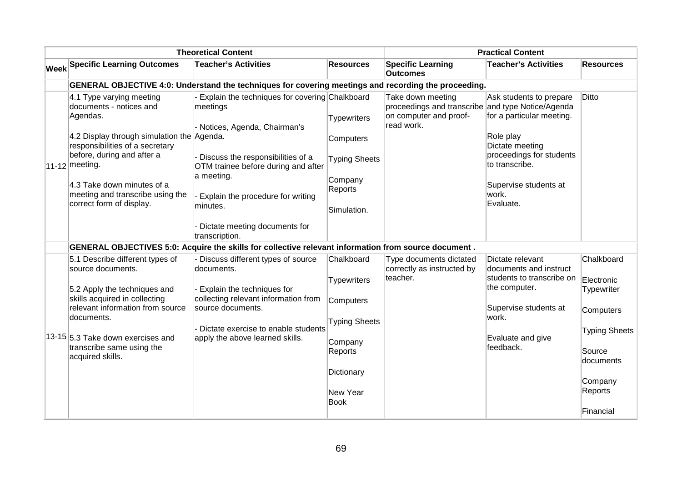| <b>Theoretical Content</b>                                                                                                                                                                                                                                                                         |                                                                                                                                                                                                                                                                                               |                                                                                              | <b>Practical Content</b>                                                                                       |                                                                                                                                                                                   |                                        |
|----------------------------------------------------------------------------------------------------------------------------------------------------------------------------------------------------------------------------------------------------------------------------------------------------|-----------------------------------------------------------------------------------------------------------------------------------------------------------------------------------------------------------------------------------------------------------------------------------------------|----------------------------------------------------------------------------------------------|----------------------------------------------------------------------------------------------------------------|-----------------------------------------------------------------------------------------------------------------------------------------------------------------------------------|----------------------------------------|
| <b>Week Specific Learning Outcomes</b>                                                                                                                                                                                                                                                             | <b>Teacher's Activities</b>                                                                                                                                                                                                                                                                   | <b>Resources</b>                                                                             | <b>Specific Learning</b><br><b>Outcomes</b>                                                                    | <b>Teacher's Activities</b>                                                                                                                                                       | <b>Resources</b>                       |
|                                                                                                                                                                                                                                                                                                    | GENERAL OBJECTIVE 4:0: Understand the techniques for covering meetings and recording the proceeding.                                                                                                                                                                                          |                                                                                              |                                                                                                                |                                                                                                                                                                                   |                                        |
| 4.1 Type varying meeting<br>documents - notices and<br>Agendas.<br>4.2 Display through simulation the Agenda.<br>responsibilities of a secretary<br>before, during and after a<br>$ 11-12 $ meeting.<br>4.3 Take down minutes of a<br>meeting and transcribe using the<br>correct form of display. | - Explain the techniques for covering Chalkboard<br>meetings<br>- Notices, Agenda, Chairman's<br>Discuss the responsibilities of a<br>OTM trainee before during and after<br>a meeting.<br>Explain the procedure for writing<br>minutes.<br>- Dictate meeting documents for<br>transcription. | <b>Typewriters</b><br>Computers<br><b>Typing Sheets</b><br>Company<br>Reports<br>Simulation. | Take down meeting<br>proceedings and transcribe and type Notice/Agenda<br>on computer and proof-<br>read work. | Ask students to prepare<br>for a particular meeting.<br>Role play<br>Dictate meeting<br>proceedings for students<br>to transcribe.<br>Supervise students at<br>work.<br>Evaluate. | Ditto                                  |
|                                                                                                                                                                                                                                                                                                    | GENERAL OBJECTIVES 5:0: Acquire the skills for collective relevant information from source document.                                                                                                                                                                                          |                                                                                              |                                                                                                                |                                                                                                                                                                                   |                                        |
| 5.1 Describe different types of<br>source documents.<br>5.2 Apply the techniques and<br>skills acquired in collecting                                                                                                                                                                              | Discuss different types of source<br>documents.<br>- Explain the techniques for<br>collecting relevant information from                                                                                                                                                                       | Chalkboard<br><b>Typewriters</b>                                                             | Type documents dictated<br>correctly as instructed by<br>teacher.                                              | Dictate relevant<br>documents and instruct<br>students to transcribe on<br>the computer.                                                                                          | Chalkboard<br>Electronic<br>Typewriter |
| relevant information from source<br>source documents.<br>documents.<br>13-15 5.3 Take down exercises and<br>apply the above learned skills.<br>transcribe same using the<br>acquired skills.                                                                                                       | - Dictate exercise to enable students                                                                                                                                                                                                                                                         | Computers<br><b>Typing Sheets</b>                                                            |                                                                                                                | Supervise students at<br>work.                                                                                                                                                    | Computers<br><b>Typing Sheets</b>      |
|                                                                                                                                                                                                                                                                                                    | Company<br>Reports                                                                                                                                                                                                                                                                            |                                                                                              | Evaluate and give<br>feedback.                                                                                 | Source<br>documents                                                                                                                                                               |                                        |
|                                                                                                                                                                                                                                                                                                    |                                                                                                                                                                                                                                                                                               | Dictionary<br>New Year<br><b>Book</b>                                                        |                                                                                                                |                                                                                                                                                                                   | Company<br>Reports                     |
|                                                                                                                                                                                                                                                                                                    |                                                                                                                                                                                                                                                                                               |                                                                                              |                                                                                                                |                                                                                                                                                                                   | Financial                              |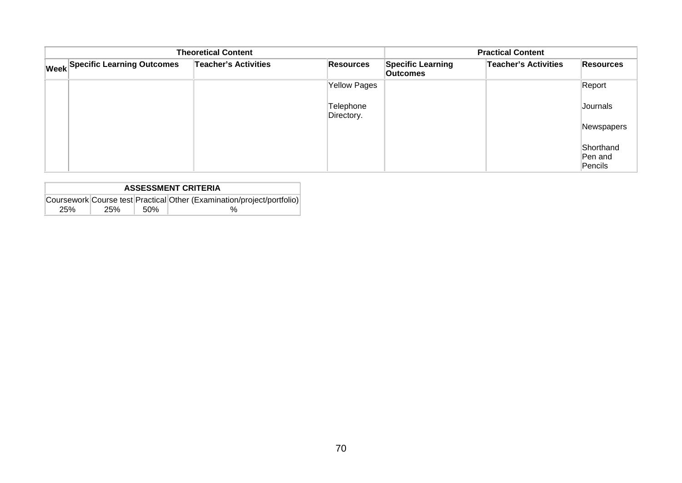| <b>Theoretical Content</b> |                                 |                             | <b>Practical Content</b> |                                             |                             |                                 |
|----------------------------|---------------------------------|-----------------------------|--------------------------|---------------------------------------------|-----------------------------|---------------------------------|
|                            | Week Specific Learning Outcomes | <b>Teacher's Activities</b> | Resources                | <b>Specific Learning</b><br><b>Outcomes</b> | <b>Teacher's Activities</b> | Resources                       |
|                            |                                 |                             | <b>Yellow Pages</b>      |                                             |                             | Report                          |
|                            |                                 |                             | Telephone<br>Directory.  |                                             |                             | Journals                        |
|                            |                                 |                             |                          |                                             |                             | Newspapers                      |
|                            |                                 |                             |                          |                                             |                             | Shorthand<br>Pen and<br>Pencils |

| <b>ASSESSMENT CRITERIA</b> |     |      |                                                                        |  |  |
|----------------------------|-----|------|------------------------------------------------------------------------|--|--|
|                            |     |      | Coursework Course test Practical Other (Examination/project/portfolio) |  |  |
| <b>25%</b>                 | 25% | .50% | %                                                                      |  |  |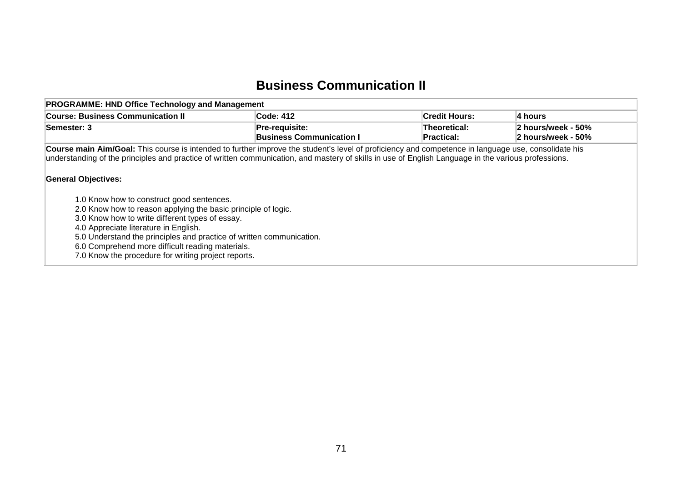#### **Business Communication II**

| <b>PROGRAMME: HND Office Technology and Management</b>                                                                                                                                                                                                                                                                                                                                                                                                                                                                                                                                                                                                                                                                                |                                                   |                                   |                                          |  |  |  |  |  |
|---------------------------------------------------------------------------------------------------------------------------------------------------------------------------------------------------------------------------------------------------------------------------------------------------------------------------------------------------------------------------------------------------------------------------------------------------------------------------------------------------------------------------------------------------------------------------------------------------------------------------------------------------------------------------------------------------------------------------------------|---------------------------------------------------|-----------------------------------|------------------------------------------|--|--|--|--|--|
| <b>Course: Business Communication II</b>                                                                                                                                                                                                                                                                                                                                                                                                                                                                                                                                                                                                                                                                                              | <b>Code: 412</b>                                  | <b>Credit Hours:</b>              | 4 hours                                  |  |  |  |  |  |
| Semester: 3                                                                                                                                                                                                                                                                                                                                                                                                                                                                                                                                                                                                                                                                                                                           | Pre-requisite:<br><b>Business Communication I</b> | Theoretical:<br><b>Practical:</b> | 2 hours/week - 50%<br>2 hours/week - 50% |  |  |  |  |  |
| Course main Aim/Goal: This course is intended to further improve the student's level of proficiency and competence in language use, consolidate his<br>understanding of the principles and practice of written communication, and mastery of skills in use of English Language in the various professions.<br><b>General Objectives:</b><br>1.0 Know how to construct good sentences.<br>2.0 Know how to reason applying the basic principle of logic.<br>3.0 Know how to write different types of essay.<br>4.0 Appreciate literature in English.<br>5.0 Understand the principles and practice of written communication.<br>6.0 Comprehend more difficult reading materials.<br>7.0 Know the procedure for writing project reports. |                                                   |                                   |                                          |  |  |  |  |  |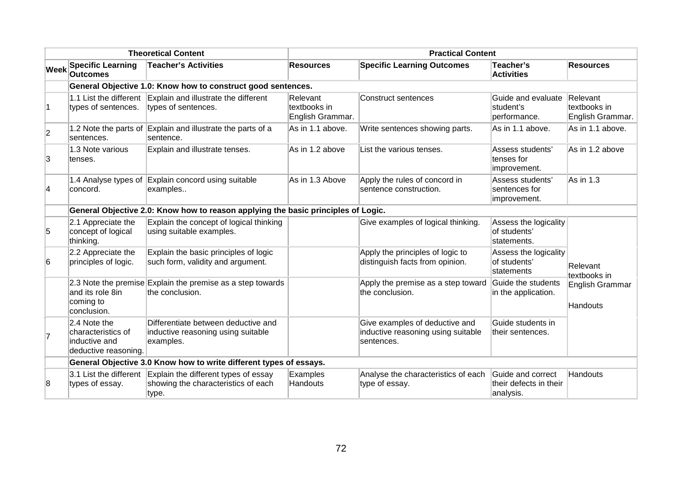| <b>Theoretical Content</b> |                                                                             | <b>Practical Content</b>                                                                                    |                                              |                                                                                    |                                                          |                                  |
|----------------------------|-----------------------------------------------------------------------------|-------------------------------------------------------------------------------------------------------------|----------------------------------------------|------------------------------------------------------------------------------------|----------------------------------------------------------|----------------------------------|
| <b>Week</b>                | <b>Specific Learning</b><br><b>Outcomes</b>                                 | <b>Teacher's Activities</b>                                                                                 | <b>Resources</b>                             | <b>Specific Learning Outcomes</b>                                                  | Teacher's<br><b>Activities</b>                           | <b>Resources</b>                 |
|                            |                                                                             | General Objective 1.0: Know how to construct good sentences.                                                |                                              |                                                                                    |                                                          |                                  |
| 11.                        | types of sentences.                                                         | 1.1 List the different Explain and illustrate the different<br>types of sentences.                          | Relevant<br>textbooks in<br>English Grammar. | Construct sentences                                                                | Guide and evaluate Relevant<br>student's<br>performance. | textbooks in<br>English Grammar. |
| 2                          | sentences.                                                                  | 1.2 Note the parts of Explain and illustrate the parts of a<br>sentence.                                    | As in 1.1 above.                             | Write sentences showing parts.                                                     | As in 1.1 above.                                         | As in 1.1 above.                 |
| 3                          | 1.3 Note various<br>tenses.                                                 | Explain and illustrate tenses.                                                                              | As in 1.2 above                              | List the various tenses.                                                           | Assess students'<br>tenses for<br>improvement.           | As in 1.2 above                  |
| 4                          | 1.4 Analyse types of<br>concord.                                            | Explain concord using suitable<br>examples                                                                  | As in 1.3 Above                              | Apply the rules of concord in<br>sentence construction.                            | Assess students'<br>sentences for<br>improvement.        | As in 1.3                        |
|                            |                                                                             | General Objective 2.0: Know how to reason applying the basic principles of Logic.                           |                                              |                                                                                    |                                                          |                                  |
| 5                          | 2.1 Appreciate the<br>concept of logical<br>thinking.                       | Explain the concept of logical thinking<br>using suitable examples.                                         |                                              | Give examples of logical thinking.                                                 | Assess the logicality<br>of students'<br>statements.     |                                  |
| 6                          | 2.2 Appreciate the<br>principles of logic.                                  | Explain the basic principles of logic<br>such form, validity and argument.                                  |                                              | Apply the principles of logic to<br>distinguish facts from opinion.                | Assess the logicality<br>of students'<br>statements      | Relevant<br>textbooks in         |
|                            | and its role 8in<br>coming to<br>conclusion.                                | 2.3 Note the premise Explain the premise as a step towards<br>the conclusion.                               |                                              | Apply the premise as a step toward<br>the conclusion.                              | Guide the students<br>in the application.                | English Grammar<br>Handouts      |
| 7                          | 2.4 Note the<br>characteristics of<br>inductive and<br>deductive reasoning. | Differentiate between deductive and<br>inductive reasoning using suitable<br>examples.                      |                                              | Give examples of deductive and<br>inductive reasoning using suitable<br>sentences. | Guide students in<br>their sentences.                    |                                  |
|                            |                                                                             | General Objective 3.0 Know how to write different types of essays.                                          |                                              |                                                                                    |                                                          |                                  |
| 8                          | types of essay.                                                             | 3.1 List the different Explain the different types of essay<br>showing the characteristics of each<br>type. | Examples<br>Handouts                         | Analyse the characteristics of each<br>type of essay.                              | Guide and correct<br>their defects in their<br>analysis. | Handouts                         |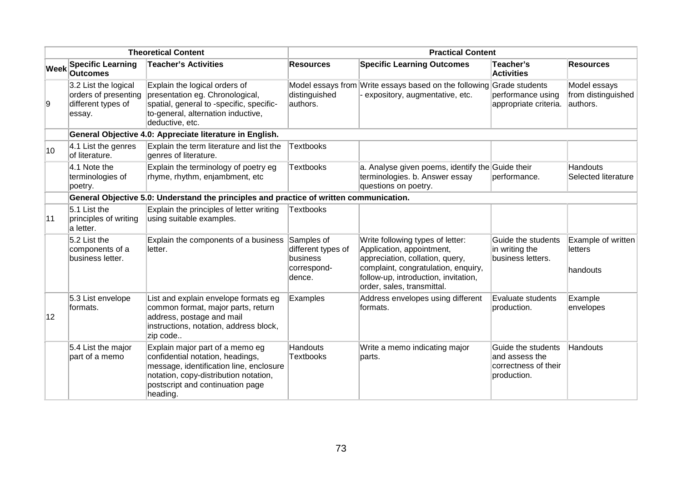| <b>Theoretical Content</b> |                                                                              | <b>Practical Content</b>                                                                                                                                                                                |                                                                       |                                                                                                                                                                                                               |                                                                             |                                                |
|----------------------------|------------------------------------------------------------------------------|---------------------------------------------------------------------------------------------------------------------------------------------------------------------------------------------------------|-----------------------------------------------------------------------|---------------------------------------------------------------------------------------------------------------------------------------------------------------------------------------------------------------|-----------------------------------------------------------------------------|------------------------------------------------|
| <b>Week</b>                | <b>Specific Learning</b><br><b>Outcomes</b>                                  | <b>Teacher's Activities</b>                                                                                                                                                                             | <b>Resources</b>                                                      | <b>Specific Learning Outcomes</b>                                                                                                                                                                             | Teacher's<br><b>Activities</b>                                              | <b>Resources</b>                               |
| Ι9                         | 3.2 List the logical<br>orders of presenting<br>different types of<br>essay. | Explain the logical orders of<br>presentation eg. Chronological,<br>spatial, general to -specific, specific-<br>to-general, alternation inductive,<br>deductive, etc.                                   | distinguished<br>authors.                                             | Model essays from Write essays based on the following<br>expository, augmentative, etc.                                                                                                                       | Grade students<br>performance using<br>appropriate criteria.                | Model essays<br>from distinguished<br>authors. |
|                            |                                                                              | General Objective 4.0: Appreciate literature in English.                                                                                                                                                |                                                                       |                                                                                                                                                                                                               |                                                                             |                                                |
| 10                         | 4.1 List the genres<br>of literature.                                        | Explain the term literature and list the<br>genres of literature.                                                                                                                                       | <b>Textbooks</b>                                                      |                                                                                                                                                                                                               |                                                                             |                                                |
|                            | 4.1 Note the<br>terminologies of<br>poetry.                                  | Explain the terminology of poetry eg<br>rhyme, rhythm, enjambment, etc                                                                                                                                  | <b>Textbooks</b>                                                      | a. Analyse given poems, identify the Guide their<br>terminologies. b. Answer essay<br>questions on poetry.                                                                                                    | performance.                                                                | Handouts<br><b>Selected literature</b>         |
|                            |                                                                              | General Objective 5.0: Understand the principles and practice of written communication.                                                                                                                 |                                                                       |                                                                                                                                                                                                               |                                                                             |                                                |
| 11                         | $5.1$ List the<br>principles of writing<br>a letter.                         | Explain the principles of letter writing<br>using suitable examples.                                                                                                                                    | <b>Textbooks</b>                                                      |                                                                                                                                                                                                               |                                                                             |                                                |
|                            | 5.2 List the<br>components of a<br>business letter.                          | Explain the components of a business<br>letter.                                                                                                                                                         | Samples of<br>different types of<br>business<br>correspond-<br>dence. | Write following types of letter:<br>Application, appointment,<br>appreciation, collation, query,<br>complaint, congratulation, enquiry,<br>follow-up, introduction, invitation,<br>order, sales, transmittal. | Guide the students<br>in writing the<br>business letters.                   | Example of written<br>letters<br>handouts      |
| 12                         | 5.3 List envelope<br>formats.                                                | List and explain envelope formats eg<br>common format, major parts, return<br>address, postage and mail<br>instructions, notation, address block,<br>zip code                                           | Examples                                                              | Address envelopes using different<br>formats.                                                                                                                                                                 | Evaluate students<br>production.                                            | Example<br>envelopes                           |
|                            | 5.4 List the major<br>part of a memo                                         | Explain major part of a memo eg<br>confidential notation, headings,<br>message, identification line, enclosure<br>notation, copy-distribution notation,<br>postscript and continuation page<br>heading. | <b>Handouts</b><br><b>Textbooks</b>                                   | Write a memo indicating major<br>parts.                                                                                                                                                                       | Guide the students<br>and assess the<br>correctness of their<br>production. | Handouts                                       |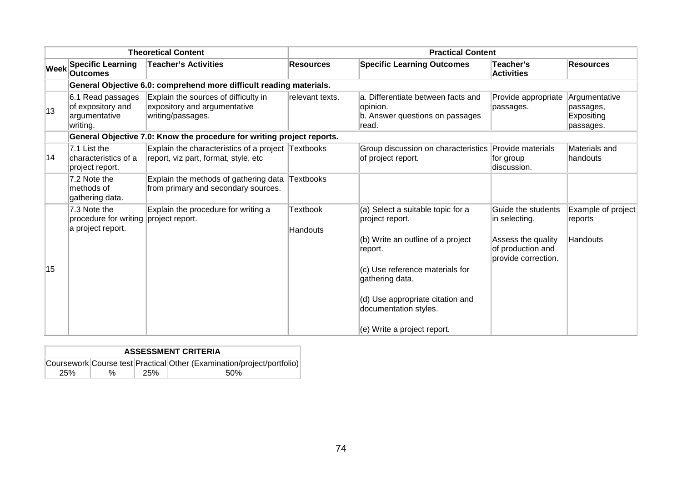| <b>Theoretical Content</b> |                                                                            | <b>Practical Content</b>                                                                   |                      |                                                                                            |                                                                |                                                       |
|----------------------------|----------------------------------------------------------------------------|--------------------------------------------------------------------------------------------|----------------------|--------------------------------------------------------------------------------------------|----------------------------------------------------------------|-------------------------------------------------------|
| Week                       | <b>Specific Learning</b><br><b>Outcomes</b>                                | <b>Teacher's Activities</b>                                                                | <b>Resources</b>     | <b>Specific Learning Outcomes</b>                                                          | Teacher's<br><b>Activities</b>                                 | <b>Resources</b>                                      |
|                            |                                                                            | General Objective 6.0: comprehend more difficult reading materials.                        |                      |                                                                                            |                                                                |                                                       |
| 13                         | 6.1 Read passages<br>of expository and<br>argumentative<br>writing.        | Explain the sources of difficulty in<br>expository and argumentative<br>writing/passages.  | relevant texts.      | a. Differentiate between facts and<br>opinion.<br>b. Answer questions on passages<br>read. | Provide appropriate<br>passages.                               | Argumentative<br>passages,<br>Expositing<br>passages. |
|                            |                                                                            | General Objective 7.0: Know the procedure for writing project reports.                     |                      |                                                                                            |                                                                |                                                       |
| 14                         | 7.1 List the<br>characteristics of a<br>project report.                    | Explain the characteristics of a project Textbooks<br>report, viz part, format, style, etc |                      | Group discussion on characteristics<br>of project report.                                  | Provide materials<br>for group<br>discussion.                  | Materials and<br>handouts                             |
|                            | 7.2 Note the<br>methods of<br>gathering data.                              | Explain the methods of gathering data<br>from primary and secondary sources.               | Textbooks            |                                                                                            |                                                                |                                                       |
|                            | 7.3 Note the<br>procedure for writing project report.<br>a project report. | Explain the procedure for writing a                                                        | Textbook<br>Handouts | (a) Select a suitable topic for a<br>project report.                                       | Guide the students<br>in selecting.                            | Example of project<br>reports                         |
|                            |                                                                            |                                                                                            |                      | (b) Write an outline of a project<br>report.                                               | Assess the quality<br>of production and<br>provide correction. | Handouts                                              |
| 15                         |                                                                            |                                                                                            |                      | (c) Use reference materials for<br>gathering data.                                         |                                                                |                                                       |
|                            |                                                                            |                                                                                            |                      | (d) Use appropriate citation and<br>documentation styles.                                  |                                                                |                                                       |
|                            |                                                                            |                                                                                            |                      | (e) Write a project report.                                                                |                                                                |                                                       |

| <b>ASSESSMENT CRITERIA</b> |   |            |                                                                        |  |  |  |  |
|----------------------------|---|------------|------------------------------------------------------------------------|--|--|--|--|
|                            |   |            | Coursework Course test Practical Other (Examination/project/portfolio) |  |  |  |  |
| 25%                        | % | <b>25%</b> | .50%                                                                   |  |  |  |  |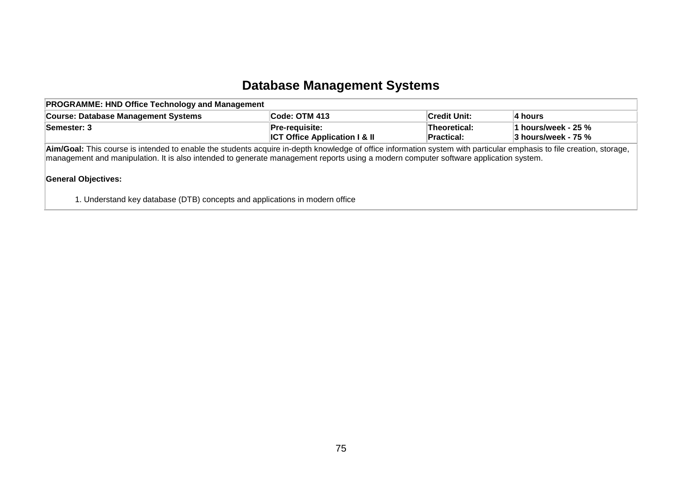#### **Database Management Systems**

| <b>PROGRAMME: HND Office Technology and Management</b>                                                                                                               |                                                                   |                            |                                                       |  |  |  |  |
|----------------------------------------------------------------------------------------------------------------------------------------------------------------------|-------------------------------------------------------------------|----------------------------|-------------------------------------------------------|--|--|--|--|
| <b>Course: Database Management Systems</b>                                                                                                                           | <b>Code: OTM 413</b>                                              | <b>Credit Unit:</b>        | ∣4 hours                                              |  |  |  |  |
| Semester: 3                                                                                                                                                          | <b>Pre-requisite:</b><br><b>ICT Office Application I &amp; II</b> | Theoretical:<br>Practical: | 1 hours/week - 25 $\%$<br>$\vert$ 3 hours/week - 75 % |  |  |  |  |
| Aim/Goal: This course is intended to enable the students acquire in-depth knowledge of office information system with particular emphasis to file creation, storage, |                                                                   |                            |                                                       |  |  |  |  |

management and manipulation. It is also intended to generate management reports using a modern computer software application system.

#### **General Objectives:**

1. Understand key database (DTB) concepts and applications in modern office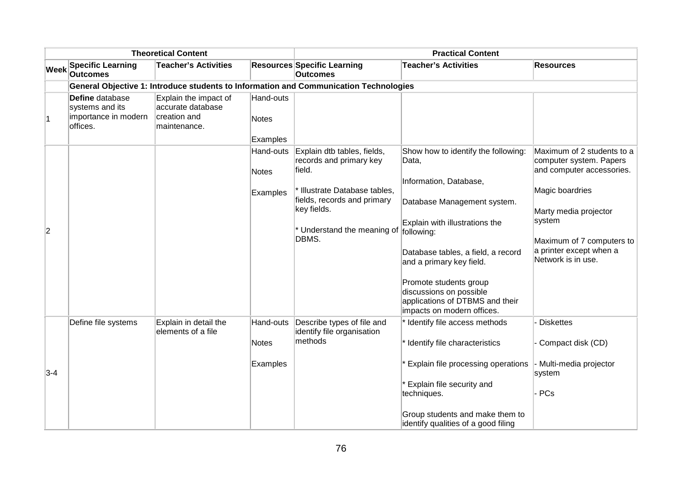| <b>Theoretical Content</b> |                                                                        |                                                                            | <b>Practical Content</b>              |                                                                                                                                                          |                                                                                                                                                                                                                                                                                                        |                                                                                                                                                                                          |
|----------------------------|------------------------------------------------------------------------|----------------------------------------------------------------------------|---------------------------------------|----------------------------------------------------------------------------------------------------------------------------------------------------------|--------------------------------------------------------------------------------------------------------------------------------------------------------------------------------------------------------------------------------------------------------------------------------------------------------|------------------------------------------------------------------------------------------------------------------------------------------------------------------------------------------|
| <b>Week</b>                | <b>Specific Learning</b><br><b>Outcomes</b>                            | <b>Teacher's Activities</b>                                                |                                       | <b>Resources Specific Learning</b><br><b>Outcomes</b>                                                                                                    | <b>Teacher's Activities</b>                                                                                                                                                                                                                                                                            | <b>Resources</b>                                                                                                                                                                         |
|                            |                                                                        |                                                                            |                                       | General Objective 1: Introduce students to Information and Communication Technologies                                                                    |                                                                                                                                                                                                                                                                                                        |                                                                                                                                                                                          |
|                            | Define database<br>systems and its<br>importance in modern<br>offices. | Explain the impact of<br>accurate database<br>creation and<br>maintenance. | Hand-outs<br><b>Notes</b><br>Examples |                                                                                                                                                          |                                                                                                                                                                                                                                                                                                        |                                                                                                                                                                                          |
|                            |                                                                        |                                                                            | Hand-outs                             | Explain dtb tables, fields,                                                                                                                              | Show how to identify the following:                                                                                                                                                                                                                                                                    | Maximum of 2 students to a                                                                                                                                                               |
| 2                          |                                                                        |                                                                            | <b>Notes</b><br>Examples              | records and primary key<br>field.<br>* Illustrate Database tables,<br>fields, records and primary<br>key fields.<br>* Understand the meaning of<br>DBMS. | Data,<br>Information, Database,<br>Database Management system.<br>Explain with illustrations the<br>following:<br>Database tables, a field, a record<br>and a primary key field.<br>Promote students group<br>discussions on possible<br>applications of DTBMS and their<br>impacts on modern offices. | computer system. Papers<br>and computer accessories.<br>Magic boardries<br>Marty media projector<br>system<br>Maximum of 7 computers to<br>a printer except when a<br>Network is in use. |
| $3-4$                      | Define file systems                                                    | Explain in detail the<br>elements of a file                                | Hand-outs<br><b>Notes</b><br>Examples | Describe types of file and<br>identify file organisation<br>methods                                                                                      | * Identify file access methods<br>* Identify file characteristics<br>* Explain file processing operations<br>* Explain file security and<br>techniques.<br>Group students and make them to<br>identify qualities of a good filing                                                                      | <b>Diskettes</b><br>Compact disk (CD)<br>Multi-media projector<br>system<br>PCs                                                                                                          |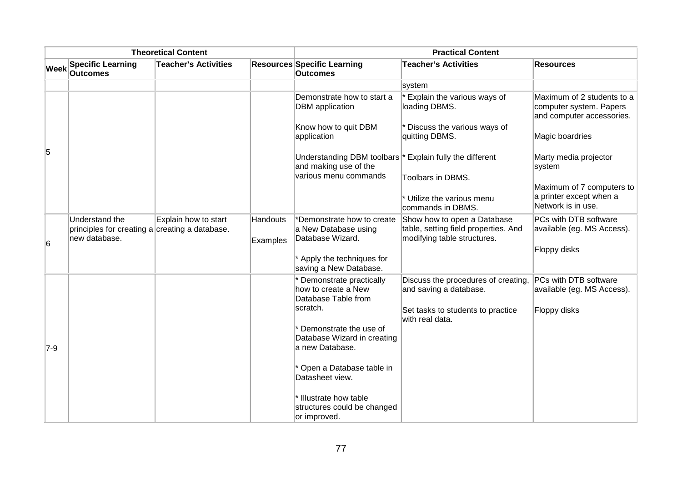| <b>Theoretical Content</b> |                                                                                   |                             | <b>Practical Content</b>    |                                                                                                                       |                                                                                                    |                                                                                    |
|----------------------------|-----------------------------------------------------------------------------------|-----------------------------|-----------------------------|-----------------------------------------------------------------------------------------------------------------------|----------------------------------------------------------------------------------------------------|------------------------------------------------------------------------------------|
| <b>Week</b>                | <b>Specific Learning</b><br><b>Outcomes</b>                                       | <b>Teacher's Activities</b> |                             | <b>Resources Specific Learning</b><br><b>Outcomes</b>                                                                 | <b>Teacher's Activities</b>                                                                        | <b>Resources</b>                                                                   |
|                            |                                                                                   |                             |                             |                                                                                                                       | system                                                                                             |                                                                                    |
|                            |                                                                                   |                             |                             | Demonstrate how to start a<br><b>DBM</b> application                                                                  | Explain the various ways of<br>loading DBMS.                                                       | Maximum of 2 students to a<br>computer system. Papers<br>and computer accessories. |
|                            |                                                                                   |                             |                             | Know how to quit DBM<br>application                                                                                   | * Discuss the various ways of<br>quitting DBMS.                                                    | Magic boardries                                                                    |
| 5                          |                                                                                   |                             |                             | Understanding DBM toolbars <sup>*</sup> Explain fully the different<br>and making use of the<br>various menu commands |                                                                                                    | Marty media projector<br>system                                                    |
|                            |                                                                                   |                             |                             |                                                                                                                       | Toolbars in DBMS.                                                                                  | Maximum of 7 computers to                                                          |
|                            |                                                                                   |                             |                             |                                                                                                                       | * Utilize the various menu<br>commands in DBMS.                                                    | a printer except when a<br>Network is in use.                                      |
|                            | Understand the<br>principles for creating a creating a database.<br>new database. | Explain how to start        | <b>Handouts</b><br>Examples | *Demonstrate how to create<br>a New Database using<br>Database Wizard.                                                | Show how to open a Database<br>table, setting field properties. And<br>modifying table structures. | PCs with DTB software<br>available (eg. MS Access).                                |
| 6                          |                                                                                   |                             |                             |                                                                                                                       |                                                                                                    | Floppy disks                                                                       |
|                            |                                                                                   |                             |                             | Apply the techniques for<br>saving a New Database.                                                                    |                                                                                                    |                                                                                    |
|                            |                                                                                   |                             |                             | Demonstrate practically                                                                                               | Discuss the procedures of creating,                                                                | PCs with DTB software                                                              |
|                            |                                                                                   |                             |                             | how to create a New<br>Database Table from                                                                            | and saving a database.                                                                             | available (eg. MS Access).                                                         |
|                            |                                                                                   |                             |                             | scratch.                                                                                                              | Set tasks to students to practice<br>with real data.                                               | Floppy disks                                                                       |
|                            |                                                                                   |                             |                             | Demonstrate the use of                                                                                                |                                                                                                    |                                                                                    |
| $7-9$                      |                                                                                   |                             |                             | Database Wizard in creating<br>a new Database.                                                                        |                                                                                                    |                                                                                    |
|                            |                                                                                   |                             |                             | Open a Database table in<br>Datasheet view.                                                                           |                                                                                                    |                                                                                    |
|                            |                                                                                   |                             |                             | * Illustrate how table<br>structures could be changed<br>or improved.                                                 |                                                                                                    |                                                                                    |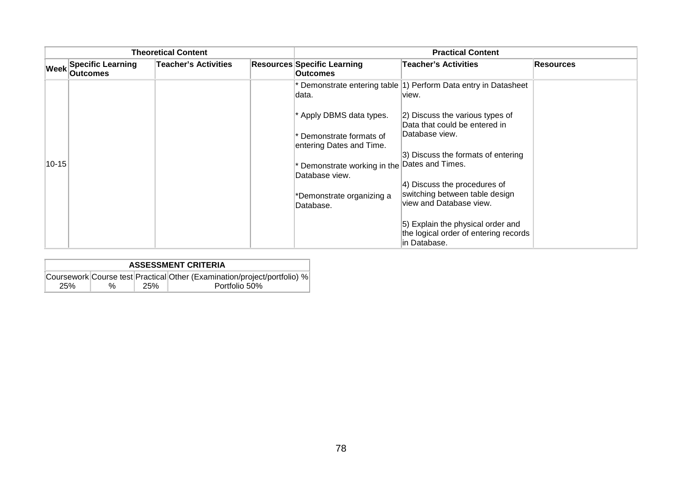|             |                                             | <b>Theoretical Content</b>  | <b>Practical Content</b>                              |                                                                                            |                  |  |
|-------------|---------------------------------------------|-----------------------------|-------------------------------------------------------|--------------------------------------------------------------------------------------------|------------------|--|
| Week        | <b>Specific Learning</b><br><b>Outcomes</b> | <b>Teacher's Activities</b> | <b>Resources Specific Learning</b><br><b>Outcomes</b> | Teacher's Activities                                                                       | <b>Resources</b> |  |
|             |                                             |                             | data.                                                 | Demonstrate entering table (1) Perform Data entry in Datasheet<br>view.                    |                  |  |
|             |                                             |                             | * Apply DBMS data types.                              | 2) Discuss the various types of<br>Data that could be entered in                           |                  |  |
|             |                                             |                             | Demonstrate formats of<br>entering Dates and Time.    | Database view.                                                                             |                  |  |
| $ 10 - 15 $ |                                             |                             | Demonstrate working in the                            | 3) Discuss the formats of entering<br>Dates and Times.                                     |                  |  |
|             |                                             |                             | Database view.                                        |                                                                                            |                  |  |
|             |                                             |                             | *Demonstrate organizing a<br>Database.                | 4) Discuss the procedures of<br>switching between table design<br>view and Database view.  |                  |  |
|             |                                             |                             |                                                       | 5) Explain the physical order and<br>the logical order of entering records<br>in Database. |                  |  |

| <b>ASSESSMENT CRITERIA</b> |   |     |                                                                          |  |  |
|----------------------------|---|-----|--------------------------------------------------------------------------|--|--|
|                            |   |     | Coursework Course test Practical Other (Examination/project/portfolio) % |  |  |
| 25%                        | % | 25% | Portfolio 50%                                                            |  |  |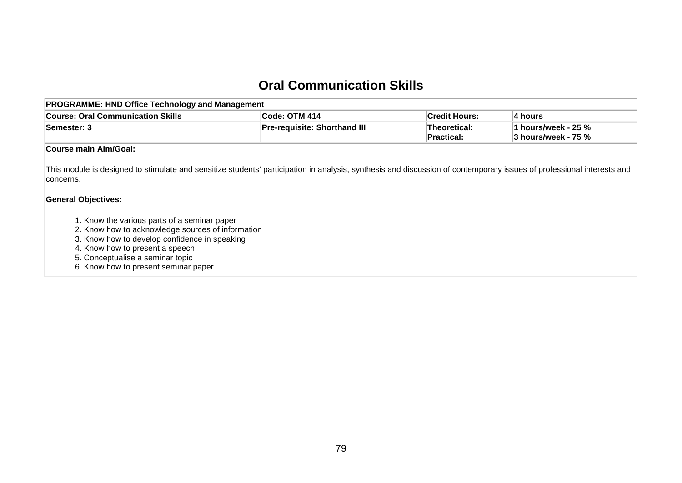#### **Oral Communication Skills**

| <b>PROGRAMME: HND Office Technology and Management</b> |                                                                   |                      |                                             |  |  |  |  |
|--------------------------------------------------------|-------------------------------------------------------------------|----------------------|---------------------------------------------|--|--|--|--|
| <b>Course: Oral Communication Skills</b>               | ∣Code: OTM 414                                                    | <b>Credit Hours:</b> | ∣4 hours                                    |  |  |  |  |
| Semester: 3                                            | <b>Pre-requisite: Shorthand III</b><br>Theoretical:<br>Practical: |                      | 1 hours/week - 25 %<br> 3 hours/week - 75 % |  |  |  |  |
| <b>Course main Aim/Goal:</b>                           |                                                                   |                      |                                             |  |  |  |  |

This module is designed to stimulate and sensitize students' participation in analysis, synthesis and discussion of contemporary issues of professional interests and concerns.

#### **General Objectives:**

- 1. Know the various parts of a seminar paper
- 2. Know how to acknowledge sources of information
- 3. Know how to develop confidence in speaking
- 4. Know how to present a speech
- 5. Conceptualise a seminar topic
- 6. Know how to present seminar paper.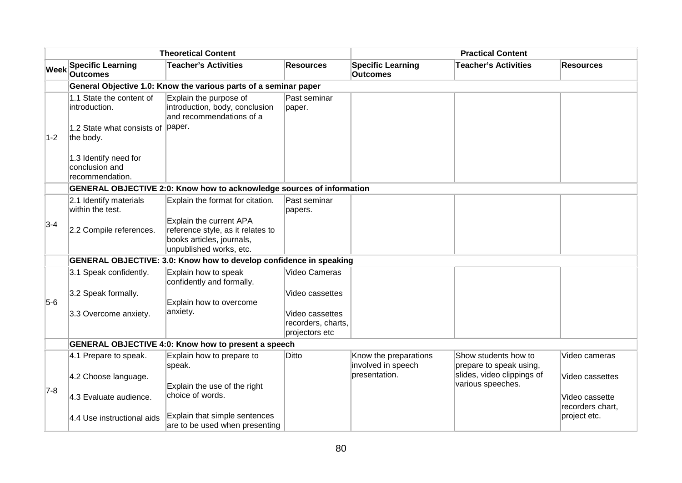|             | <b>Theoretical Content</b>                                 |                                                                                                                      |                                                         | <b>Practical Content</b>                    |                                                 |                                    |  |
|-------------|------------------------------------------------------------|----------------------------------------------------------------------------------------------------------------------|---------------------------------------------------------|---------------------------------------------|-------------------------------------------------|------------------------------------|--|
| <b>Week</b> | <b>Specific Learning</b><br><b>Outcomes</b>                | <b>Teacher's Activities</b>                                                                                          | <b>Resources</b>                                        | <b>Specific Learning</b><br><b>Outcomes</b> | <b>Teacher's Activities</b>                     | <b>Resources</b>                   |  |
|             |                                                            | General Objective 1.0: Know the various parts of a seminar paper                                                     |                                                         |                                             |                                                 |                                    |  |
|             | 1.1 State the content of<br>introduction.                  | Explain the purpose of<br>introduction, body, conclusion<br>and recommendations of a                                 | Past seminar<br>paper.                                  |                                             |                                                 |                                    |  |
| $1 - 2$     | 1.2 State what consists of<br>the body.                    | paper.                                                                                                               |                                                         |                                             |                                                 |                                    |  |
|             | 1.3 Identify need for<br>conclusion and<br>recommendation. |                                                                                                                      |                                                         |                                             |                                                 |                                    |  |
|             |                                                            | <b>GENERAL OBJECTIVE 2:0: Know how to acknowledge sources of information</b>                                         |                                                         |                                             |                                                 |                                    |  |
|             | 2.1 Identify materials<br>within the test.                 | Explain the format for citation.                                                                                     | Past seminar<br>papers.                                 |                                             |                                                 |                                    |  |
| $3-4$       | 2.2 Compile references.                                    | Explain the current APA<br>reference style, as it relates to<br>books articles, journals,<br>unpublished works, etc. |                                                         |                                             |                                                 |                                    |  |
|             |                                                            | GENERAL OBJECTIVE: 3.0: Know how to develop confidence in speaking                                                   |                                                         |                                             |                                                 |                                    |  |
|             | 3.1 Speak confidently.                                     | Explain how to speak<br>confidently and formally.                                                                    | Video Cameras                                           |                                             |                                                 |                                    |  |
| $5-6$       | 3.2 Speak formally.                                        | Explain how to overcome                                                                                              | Video cassettes                                         |                                             |                                                 |                                    |  |
|             | 3.3 Overcome anxiety.                                      | anxiety.                                                                                                             | Video cassettes<br>recorders, charts,<br>projectors etc |                                             |                                                 |                                    |  |
|             |                                                            | <b>GENERAL OBJECTIVE 4:0: Know how to present a speech</b>                                                           |                                                         |                                             |                                                 |                                    |  |
|             | 4.1 Prepare to speak.                                      | Explain how to prepare to<br>speak.                                                                                  | Ditto                                                   | Know the preparations<br>involved in speech | Show students how to<br>prepare to speak using, | Video cameras                      |  |
| $ 7-8 $     | 4.2 Choose language.                                       | Explain the use of the right                                                                                         |                                                         | presentation.                               | slides, video clippings of<br>various speeches. | Video cassettes                    |  |
|             | 4.3 Evaluate audience.                                     | choice of words.                                                                                                     |                                                         |                                             |                                                 | Video cassette<br>recorders chart, |  |
|             | 4.4 Use instructional aids                                 | Explain that simple sentences<br>are to be used when presenting                                                      |                                                         |                                             |                                                 | project etc.                       |  |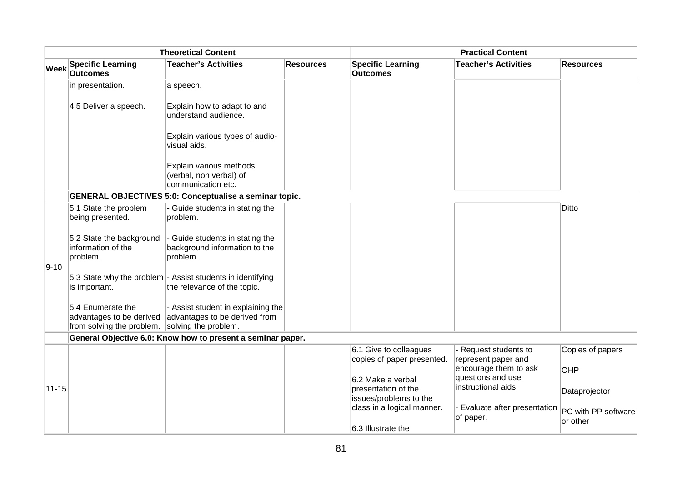|             |                                                                                                 | <b>Theoretical Content</b>                                                                |                  |                                                                    | <b>Practical Content</b>                     |                                 |
|-------------|-------------------------------------------------------------------------------------------------|-------------------------------------------------------------------------------------------|------------------|--------------------------------------------------------------------|----------------------------------------------|---------------------------------|
| <b>Week</b> | <b>Specific Learning</b><br><b>Outcomes</b>                                                     | <b>Teacher's Activities</b>                                                               | <b>Resources</b> | <b>Specific Learning</b><br><b>Outcomes</b>                        | <b>Teacher's Activities</b>                  | <b>Resources</b>                |
|             | in presentation.                                                                                | a speech.                                                                                 |                  |                                                                    |                                              |                                 |
|             | 4.5 Deliver a speech.                                                                           | Explain how to adapt to and<br>understand audience.                                       |                  |                                                                    |                                              |                                 |
|             |                                                                                                 | Explain various types of audio-<br>visual aids.                                           |                  |                                                                    |                                              |                                 |
|             |                                                                                                 | Explain various methods<br>(verbal, non verbal) of<br>communication etc.                  |                  |                                                                    |                                              |                                 |
|             |                                                                                                 | <b>GENERAL OBJECTIVES 5:0: Conceptualise a seminar topic.</b>                             |                  |                                                                    |                                              |                                 |
|             | 5.1 State the problem<br>being presented.                                                       | - Guide students in stating the<br>problem.                                               |                  |                                                                    |                                              | Ditto                           |
| $9 - 10$    | 5.2 State the background<br>information of the<br>problem.                                      | - Guide students in stating the<br>background information to the<br>problem.              |                  |                                                                    |                                              |                                 |
|             | is important.                                                                                   | 5.3 State why the problem - Assist students in identifying<br>the relevance of the topic. |                  |                                                                    |                                              |                                 |
|             | 5.4 Enumerate the<br>advantages to be derived<br>from solving the problem. solving the problem. | - Assist student in explaining the<br>advantages to be derived from                       |                  |                                                                    |                                              |                                 |
|             |                                                                                                 | General Objective 6.0: Know how to present a seminar paper.                               |                  |                                                                    |                                              |                                 |
|             |                                                                                                 |                                                                                           |                  | 6.1 Give to colleagues<br>copies of paper presented.               | - Request students to<br>represent paper and | Copies of papers                |
|             |                                                                                                 |                                                                                           |                  |                                                                    | encourage them to ask<br>questions and use   | OHP                             |
| $11 - 15$   |                                                                                                 |                                                                                           |                  | 6.2 Make a verbal<br>presentation of the<br>issues/problems to the | instructional aids.                          | Dataprojector                   |
|             |                                                                                                 |                                                                                           |                  | class in a logical manner.                                         | - Evaluate after presentation<br>of paper.   | PC with PP software<br>or other |
|             |                                                                                                 |                                                                                           |                  | 6.3 Illustrate the                                                 |                                              |                                 |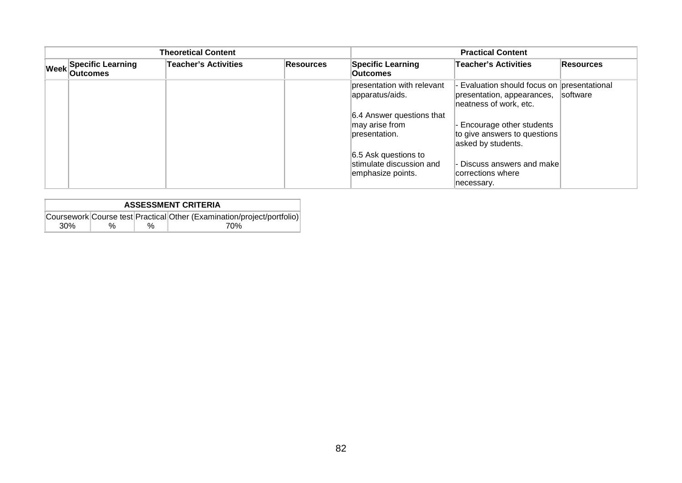|                                           | <b>Theoretical Content</b>  |           | <b>Practical Content</b>                                              |                                                                                                     |                  |  |
|-------------------------------------------|-----------------------------|-----------|-----------------------------------------------------------------------|-----------------------------------------------------------------------------------------------------|------------------|--|
| Week Specific Learning<br><b>Outcomes</b> | <b>Teacher's Activities</b> | Resources | <b>Specific Learning</b><br><b>Outcomes</b>                           | Teacher's Activities                                                                                | <b>Resources</b> |  |
|                                           |                             |           | presentation with relevant<br>apparatus/aids.                         | - Evaluation should focus on presentational<br>presentation, appearances,<br>neatness of work, etc. | software         |  |
|                                           |                             |           | 6.4 Answer questions that<br>may arise from<br>presentation.          | - Encourage other students<br>to give answers to questions<br>asked by students.                    |                  |  |
|                                           |                             |           | 6.5 Ask questions to<br>stimulate discussion and<br>emphasize points. | - Discuss answers and make<br>corrections where<br>necessary.                                       |                  |  |

| <b>ASSESSMENT CRITERIA</b> |      |   |                                                                        |  |  |  |  |  |
|----------------------------|------|---|------------------------------------------------------------------------|--|--|--|--|--|
|                            |      |   | Coursework Course test Practical Other (Examination/project/portfolio) |  |  |  |  |  |
| 30%                        | $\%$ | % | 70%                                                                    |  |  |  |  |  |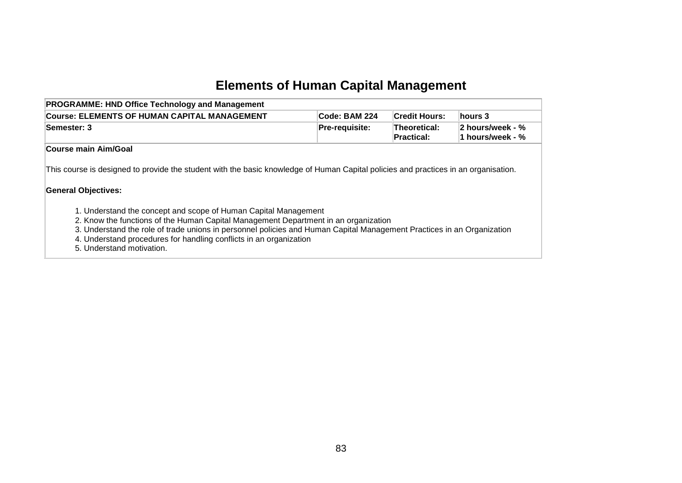# **Elements of Human Capital Management**

| <b>PROGRAMME: HND Office Technology and Management</b>                                                                                                                                                                                                                                                                                                                              |                       |                            |                                      |  |  |  |
|-------------------------------------------------------------------------------------------------------------------------------------------------------------------------------------------------------------------------------------------------------------------------------------------------------------------------------------------------------------------------------------|-----------------------|----------------------------|--------------------------------------|--|--|--|
| Course: ELEMENTS OF HUMAN CAPITAL MANAGEMENT                                                                                                                                                                                                                                                                                                                                        | <b>Code: BAM 224</b>  | <b>Credit Hours:</b>       | hours 3                              |  |  |  |
| Semester: 3                                                                                                                                                                                                                                                                                                                                                                         | <b>Pre-requisite:</b> | Theoretical:<br>Practical: | 2 hours/week - %<br>1 hours/week - % |  |  |  |
| Course main Aim/Goal                                                                                                                                                                                                                                                                                                                                                                |                       |                            |                                      |  |  |  |
| This course is designed to provide the student with the basic knowledge of Human Capital policies and practices in an organisation.<br><b>General Objectives:</b>                                                                                                                                                                                                                   |                       |                            |                                      |  |  |  |
| 1. Understand the concept and scope of Human Capital Management<br>2. Know the functions of the Human Capital Management Department in an organization<br>3. Understand the role of trade unions in personnel policies and Human Capital Management Practices in an Organization<br>4. Understand procedures for handling conflicts in an organization<br>5. Understand motivation. |                       |                            |                                      |  |  |  |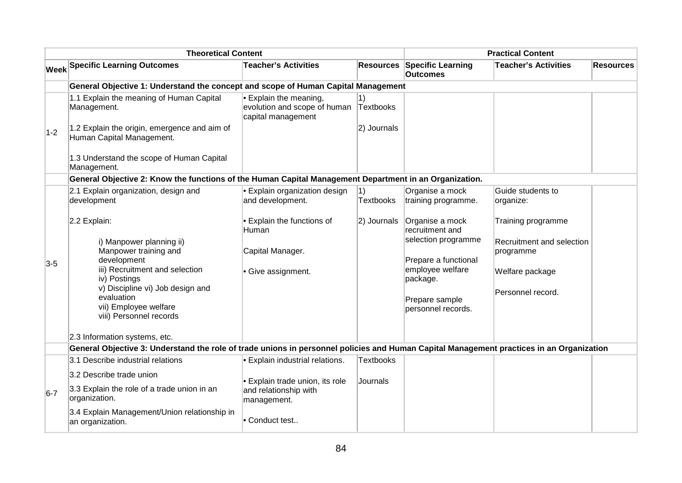|       | <b>Theoretical Content</b>                                                                                                               |                                                                            |                        |                                                       | <b>Practical Content</b>               |                  |
|-------|------------------------------------------------------------------------------------------------------------------------------------------|----------------------------------------------------------------------------|------------------------|-------------------------------------------------------|----------------------------------------|------------------|
|       | <b>Week Specific Learning Outcomes</b>                                                                                                   | <b>Teacher's Activities</b>                                                |                        | <b>Resources Specific Learning</b><br><b>Outcomes</b> | <b>Teacher's Activities</b>            | <b>Resources</b> |
|       | General Objective 1: Understand the concept and scope of Human Capital Management                                                        |                                                                            |                        |                                                       |                                        |                  |
|       | 1.1 Explain the meaning of Human Capital<br>Management.                                                                                  | Explain the meaning,<br>evolution and scope of human<br>capital management | 1)<br>Textbooks        |                                                       |                                        |                  |
| $1-2$ | 1.2 Explain the origin, emergence and aim of<br>Human Capital Management.                                                                |                                                                            | 2) Journals            |                                                       |                                        |                  |
|       | 1.3 Understand the scope of Human Capital<br>Management.                                                                                 |                                                                            |                        |                                                       |                                        |                  |
|       | General Objective 2: Know the functions of the Human Capital Management Department in an Organization.                                   |                                                                            |                        |                                                       |                                        |                  |
|       | 2.1 Explain organization, design and<br>development                                                                                      | $\cdot$ Explain organization design<br>and development.                    | 1)<br><b>Textbooks</b> | Organise a mock<br>training programme.                | Guide students to<br>organize:         |                  |
|       | 2.2 Explain:                                                                                                                             | Explain the functions of<br>Human                                          | 2) Journals            | Organise a mock<br>recruitment and                    | Training programme                     |                  |
|       | i) Manpower planning ii)<br>Manpower training and                                                                                        | Capital Manager.                                                           |                        | selection programme                                   | Recruitment and selection<br>programme |                  |
| $3-5$ | development<br>iii) Recruitment and selection                                                                                            |                                                                            |                        | Prepare a functional<br>employee welfare              |                                        |                  |
|       | iv) Postings                                                                                                                             | • Give assignment.                                                         |                        | package.                                              | Welfare package                        |                  |
|       | v) Discipline vi) Job design and<br>evaluation                                                                                           |                                                                            |                        | Prepare sample                                        | Personnel record.                      |                  |
|       | vii) Employee welfare<br>viii) Personnel records                                                                                         |                                                                            |                        | personnel records.                                    |                                        |                  |
|       | 2.3 Information systems, etc.                                                                                                            |                                                                            |                        |                                                       |                                        |                  |
|       | General Objective 3: Understand the role of trade unions in personnel policies and Human Capital Management practices in an Organization |                                                                            |                        |                                                       |                                        |                  |
|       | 3.1 Describe industrial relations                                                                                                        | <b>Explain industrial relations.</b>                                       | <b>Textbooks</b>       |                                                       |                                        |                  |
|       | 3.2 Describe trade union                                                                                                                 | · Explain trade union, its role                                            | Journals               |                                                       |                                        |                  |
| $6-7$ | 3.3 Explain the role of a trade union in an<br>organization.                                                                             | and relationship with<br>management.                                       |                        |                                                       |                                        |                  |
|       | 3.4 Explain Management/Union relationship in<br>an organization.                                                                         | Conduct test                                                               |                        |                                                       |                                        |                  |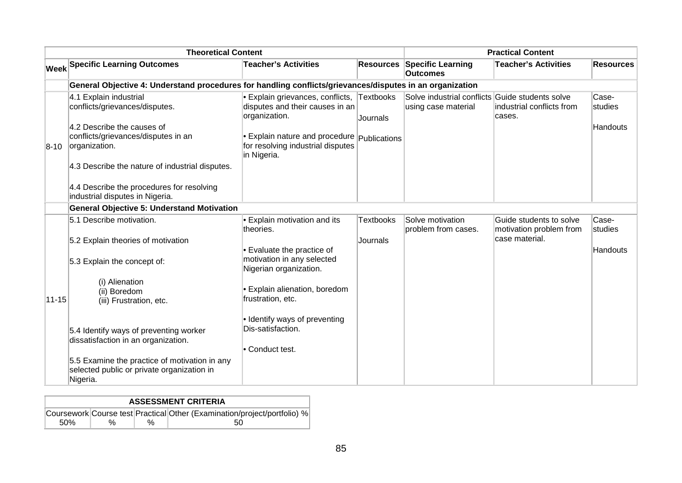|           | <b>Theoretical Content</b>                                                                                                                                                                        |                                                                                                                                                                                                               | <b>Practical Content</b>     |                                                                        |                                           |                              |
|-----------|---------------------------------------------------------------------------------------------------------------------------------------------------------------------------------------------------|---------------------------------------------------------------------------------------------------------------------------------------------------------------------------------------------------------------|------------------------------|------------------------------------------------------------------------|-------------------------------------------|------------------------------|
|           | <b>Week Specific Learning Outcomes</b>                                                                                                                                                            | <b>Teacher's Activities</b>                                                                                                                                                                                   | <b>Resources</b>             | <b>Specific Learning</b><br><b>Outcomes</b>                            | <b>Teacher's Activities</b>               | <b>Resources</b>             |
|           | General Objective 4: Understand procedures for handling conflicts/grievances/disputes in an organization                                                                                          |                                                                                                                                                                                                               |                              |                                                                        |                                           |                              |
| $8-10$    | 4.1 Explain industrial<br>conflicts/grievances/disputes.<br>4.2 Describe the causes of<br>conflicts/grievances/disputes in an<br>organization.<br>4.3 Describe the nature of industrial disputes. | • Explain grievances, conflicts, Textbooks<br>disputes and their causes in an<br>organization.<br>$\bullet$ Explain nature and procedure $ $ Publications<br>for resolving industrial disputes<br>in Nigeria. | Journals                     | Solve industrial conflicts Guide students solve<br>using case material | industrial conflicts from<br>cases.       | Case-<br>studies<br>Handouts |
|           | 4.4 Describe the procedures for resolving<br>industrial disputes in Nigeria.<br><b>General Objective 5: Understand Motivation</b>                                                                 |                                                                                                                                                                                                               |                              |                                                                        |                                           |                              |
|           | 5.1 Describe motivation.                                                                                                                                                                          |                                                                                                                                                                                                               |                              | Solve motivation                                                       | Guide students to solve                   | Case-                        |
|           | 5.2 Explain theories of motivation<br>5.3 Explain the concept of:                                                                                                                                 | • Explain motivation and its<br>theories.<br>• Evaluate the practice of<br>motivation in any selected                                                                                                         | <b>Textbooks</b><br>Journals | problem from cases.                                                    | motivation problem from<br>case material. | studies<br>Handouts          |
| $11 - 15$ | (i) Alienation<br>(ii) Boredom<br>(iii) Frustration, etc.                                                                                                                                         | Nigerian organization.<br>• Explain alienation, boredom<br>frustration, etc.                                                                                                                                  |                              |                                                                        |                                           |                              |
|           | 5.4 Identify ways of preventing worker<br>dissatisfaction in an organization.<br>5.5 Examine the practice of motivation in any                                                                    | · Identify ways of preventing<br>Dis-satisfaction.<br>• Conduct test.                                                                                                                                         |                              |                                                                        |                                           |                              |
|           | selected public or private organization in<br>Nigeria.                                                                                                                                            |                                                                                                                                                                                                               |                              |                                                                        |                                           |                              |

| <b>ASSESSMENT CRITERIA</b> |   |   |                                                                          |  |  |  |  |
|----------------------------|---|---|--------------------------------------------------------------------------|--|--|--|--|
|                            |   |   | Coursework Course test Practical Other (Examination/project/portfolio) % |  |  |  |  |
| .50%                       | % | % | 50                                                                       |  |  |  |  |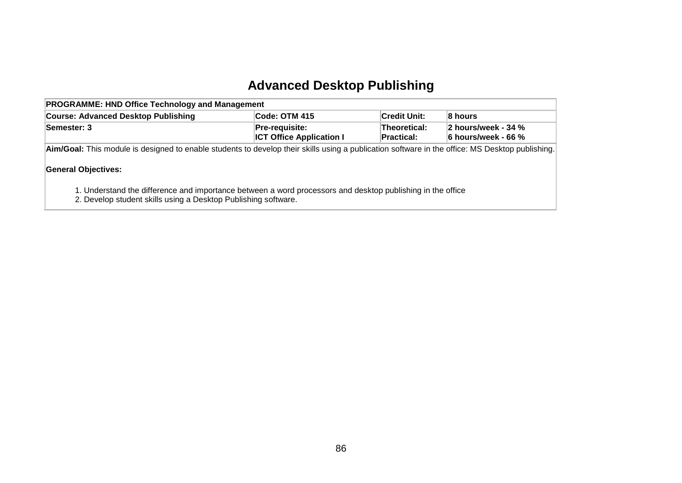# **Advanced Desktop Publishing**

| <b>PROGRAMME: HND Office Technology and Management</b>                                                                                                                        |               |                     |         |  |  |  |  |  |
|-------------------------------------------------------------------------------------------------------------------------------------------------------------------------------|---------------|---------------------|---------|--|--|--|--|--|
| <b>Course: Advanced Desktop Publishing</b>                                                                                                                                    | Code: OTM 415 | <b>Credit Unit:</b> | 8 hours |  |  |  |  |  |
| Pre-requisite:<br>2 hours/week - 34 %<br>Semester: 3<br><b>Theoretical:</b><br><b>ICT Office Application I</b><br>6 hours/week - 66 %<br>Practical:                           |               |                     |         |  |  |  |  |  |
| Aim/Goal: This module is designed to enable students to develop their skills using a publication software in the office: MS Desktop publishing.<br><b>General Objectives:</b> |               |                     |         |  |  |  |  |  |
| 1. Understand the difference and importance between a word processors and desktop publishing in the office<br>2. Develop student skills using a Desktop Publishing software.  |               |                     |         |  |  |  |  |  |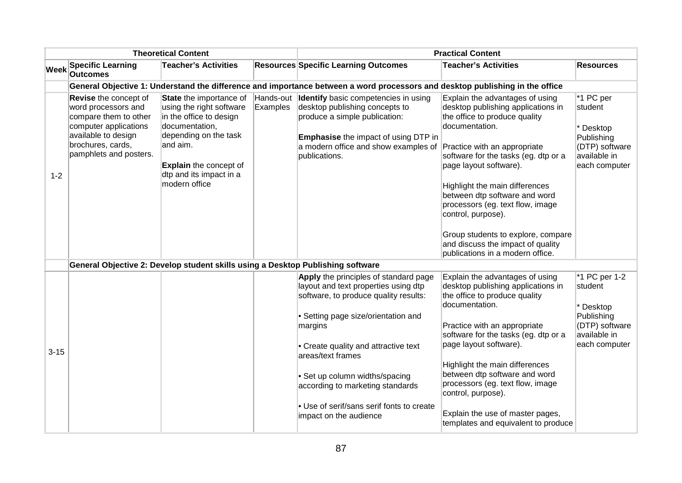|             |                                                                                                                                                                             | <b>Theoretical Content</b>                                                                                                                                                                                         |                       |                                                                                                                                                                                                                                       | <b>Practical Content</b>                                                                                                                                                                                                                                                                                                                                                                                                                                               |                                                                                                      |
|-------------|-----------------------------------------------------------------------------------------------------------------------------------------------------------------------------|--------------------------------------------------------------------------------------------------------------------------------------------------------------------------------------------------------------------|-----------------------|---------------------------------------------------------------------------------------------------------------------------------------------------------------------------------------------------------------------------------------|------------------------------------------------------------------------------------------------------------------------------------------------------------------------------------------------------------------------------------------------------------------------------------------------------------------------------------------------------------------------------------------------------------------------------------------------------------------------|------------------------------------------------------------------------------------------------------|
| <b>Week</b> | <b>Specific Learning</b><br><b>Outcomes</b>                                                                                                                                 | <b>Teacher's Activities</b>                                                                                                                                                                                        |                       | <b>Resources Specific Learning Outcomes</b>                                                                                                                                                                                           | <b>Teacher's Activities</b>                                                                                                                                                                                                                                                                                                                                                                                                                                            | <b>Resources</b>                                                                                     |
|             |                                                                                                                                                                             |                                                                                                                                                                                                                    |                       | General Objective 1: Understand the difference and importance between a word processors and desktop publishing in the office                                                                                                          |                                                                                                                                                                                                                                                                                                                                                                                                                                                                        |                                                                                                      |
| $1 - 2$     | <b>Revise</b> the concept of<br>word processors and<br>compare them to other<br>computer applications<br>available to design<br>brochures, cards,<br>pamphlets and posters. | State the importance of<br>using the right software<br>in the office to design<br>documentation,<br>depending on the task<br>and aim.<br><b>Explain the concept of</b><br>dtp and its impact in a<br>modern office | Hands-out<br>Examples | <b>Identify</b> basic competencies in using<br>desktop publishing concepts to<br>produce a simple publication:<br><b>Emphasise</b> the impact of using DTP in<br>a modern office and show examples of<br>publications.                | Explain the advantages of using<br>desktop publishing applications in<br>the office to produce quality<br>documentation.<br>Practice with an appropriate<br>software for the tasks (eg. dtp or a<br>page layout software).<br>Highlight the main differences<br>between dtp software and word<br>processors (eg. text flow, image<br>control, purpose).<br>Group students to explore, compare<br>and discuss the impact of quality<br>publications in a modern office. | *1 PC per<br>student<br>Desktop<br>Publishing<br>(DTP) software<br>available in<br>each computer     |
|             |                                                                                                                                                                             | General Objective 2: Develop student skills using a Desktop Publishing software                                                                                                                                    |                       |                                                                                                                                                                                                                                       |                                                                                                                                                                                                                                                                                                                                                                                                                                                                        |                                                                                                      |
| $3 - 15$    |                                                                                                                                                                             |                                                                                                                                                                                                                    |                       | Apply the principles of standard page<br>layout and text properties using dtp<br>software, to produce quality results:<br>· Setting page size/orientation and<br>margins<br>• Create quality and attractive text<br>areas/text frames | Explain the advantages of using<br>desktop publishing applications in<br>the office to produce quality<br>documentation.<br>Practice with an appropriate<br>software for the tasks (eg. dtp or a<br>page layout software).<br>Highlight the main differences<br>between dtp software and word                                                                                                                                                                          | *1 PC per 1-2<br>student<br>Desktop<br>Publishing<br>(DTP) software<br>available in<br>each computer |
|             |                                                                                                                                                                             |                                                                                                                                                                                                                    |                       | • Set up column widths/spacing<br>according to marketing standards<br>• Use of serif/sans serif fonts to create<br>impact on the audience                                                                                             | processors (eg. text flow, image<br>control, purpose).<br>Explain the use of master pages,<br>templates and equivalent to produce                                                                                                                                                                                                                                                                                                                                      |                                                                                                      |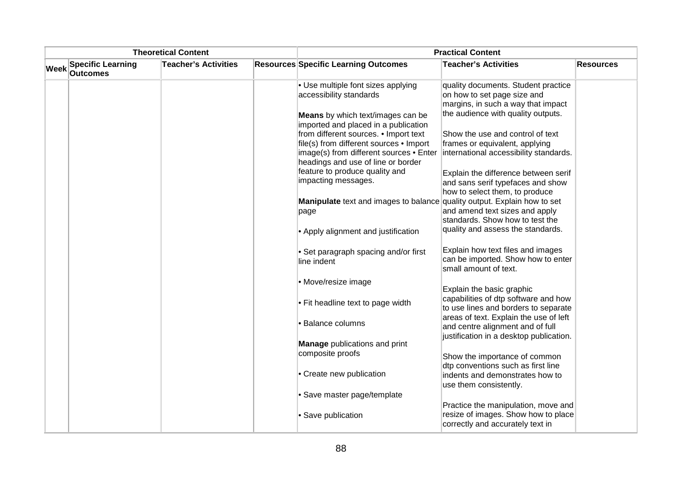|             |                                             | <b>Theoretical Content</b>  |                                                                                                                                                                   | <b>Practical Content</b>                                                                                              |                  |
|-------------|---------------------------------------------|-----------------------------|-------------------------------------------------------------------------------------------------------------------------------------------------------------------|-----------------------------------------------------------------------------------------------------------------------|------------------|
| <b>Week</b> | <b>Specific Learning</b><br><b>Outcomes</b> | <b>Teacher's Activities</b> | <b>Resources Specific Learning Outcomes</b>                                                                                                                       | <b>Teacher's Activities</b>                                                                                           | <b>Resources</b> |
|             |                                             |                             | $\bullet$ Use multiple font sizes applying<br>accessibility standards                                                                                             | quality documents. Student practice<br>on how to set page size and<br>margins, in such a way that impact              |                  |
|             |                                             |                             | Means by which text/images can be<br>imported and placed in a publication                                                                                         | the audience with quality outputs.                                                                                    |                  |
|             |                                             |                             | from different sources. • Import text<br>file(s) from different sources • Import<br>image(s) from different sources . Enter<br>headings and use of line or border | Show the use and control of text<br>frames or equivalent, applying<br>international accessibility standards.          |                  |
|             |                                             |                             | feature to produce quality and<br>impacting messages.                                                                                                             | Explain the difference between serif<br>and sans serif typefaces and show<br>how to select them, to produce           |                  |
|             |                                             |                             | <b>Manipulate</b> text and images to balance<br>page                                                                                                              | quality output. Explain how to set<br>and amend text sizes and apply<br>standards. Show how to test the               |                  |
|             |                                             |                             | • Apply alignment and justification                                                                                                                               | quality and assess the standards.                                                                                     |                  |
|             |                                             |                             | • Set paragraph spacing and/or first<br>line indent                                                                                                               | Explain how text files and images<br>can be imported. Show how to enter<br>small amount of text.                      |                  |
|             |                                             |                             | • Move/resize image                                                                                                                                               | Explain the basic graphic                                                                                             |                  |
|             |                                             |                             | $\cdot$ Fit headline text to page width                                                                                                                           | capabilities of dtp software and how<br>to use lines and borders to separate                                          |                  |
|             |                                             |                             | · Balance columns                                                                                                                                                 | areas of text. Explain the use of left<br>and centre alignment and of full<br>justification in a desktop publication. |                  |
|             |                                             |                             | <b>Manage</b> publications and print                                                                                                                              |                                                                                                                       |                  |
|             |                                             |                             | composite proofs                                                                                                                                                  | Show the importance of common<br>dtp conventions such as first line                                                   |                  |
|             |                                             |                             | • Create new publication                                                                                                                                          | indents and demonstrates how to<br>use them consistently.                                                             |                  |
|             |                                             |                             | • Save master page/template                                                                                                                                       |                                                                                                                       |                  |
|             |                                             |                             | • Save publication                                                                                                                                                | Practice the manipulation, move and<br>resize of images. Show how to place<br>correctly and accurately text in        |                  |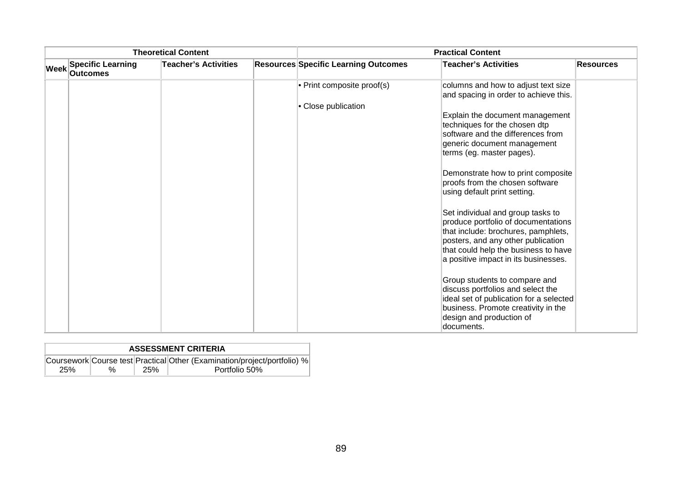| <b>Theoretical Content</b> |                                             |                             | <b>Practical Content</b>                    |                                                                                                                                                                                                                                       |                  |  |
|----------------------------|---------------------------------------------|-----------------------------|---------------------------------------------|---------------------------------------------------------------------------------------------------------------------------------------------------------------------------------------------------------------------------------------|------------------|--|
| Week                       | <b>Specific Learning</b><br><b>Outcomes</b> | <b>Teacher's Activities</b> | <b>Resources Specific Learning Outcomes</b> | <b>Teacher's Activities</b>                                                                                                                                                                                                           | <b>Resources</b> |  |
|                            |                                             |                             | • Print composite proof(s)                  | columns and how to adjust text size<br>and spacing in order to achieve this.                                                                                                                                                          |                  |  |
|                            |                                             |                             | • Close publication                         |                                                                                                                                                                                                                                       |                  |  |
|                            |                                             |                             |                                             | Explain the document management<br>techniques for the chosen dtp<br>software and the differences from                                                                                                                                 |                  |  |
|                            |                                             |                             |                                             | generic document management<br>terms (eg. master pages).                                                                                                                                                                              |                  |  |
|                            |                                             |                             |                                             | Demonstrate how to print composite<br>proofs from the chosen software<br>using default print setting.                                                                                                                                 |                  |  |
|                            |                                             |                             |                                             | Set individual and group tasks to<br>produce portfolio of documentations<br>that include: brochures, pamphlets,<br>posters, and any other publication<br>that could help the business to have<br>a positive impact in its businesses. |                  |  |
|                            |                                             |                             |                                             | Group students to compare and<br>discuss portfolios and select the<br>ideal set of publication for a selected<br>business. Promote creativity in the<br>design and production of<br>ldocuments.                                       |                  |  |

|     | <b>ASSESSMENT CRITERIA</b> |            |                                                                          |  |  |  |  |  |
|-----|----------------------------|------------|--------------------------------------------------------------------------|--|--|--|--|--|
|     |                            |            | Coursework Course test Practical Other (Examination/project/portfolio) % |  |  |  |  |  |
| 25% | %                          | <b>25%</b> | Portfolio 50%                                                            |  |  |  |  |  |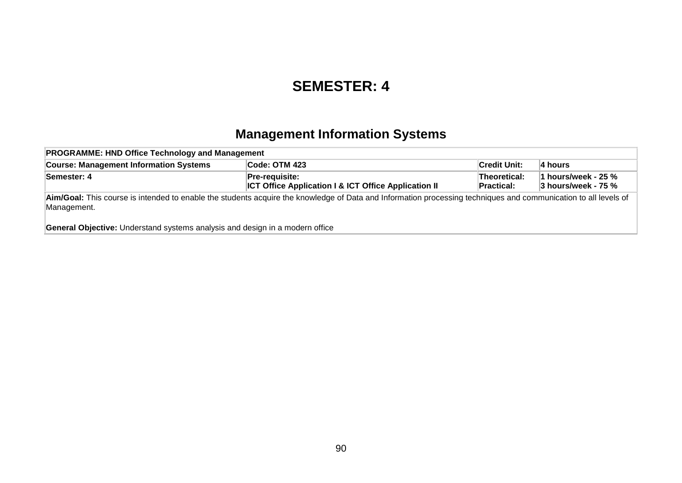### **SEMESTER: 4**

### **Management Information Systems**

| <b>PROGRAMME: HND Office Technology and Management</b>                              |                                                                                                                                                                 |                                   |                                                  |  |  |  |  |  |  |
|-------------------------------------------------------------------------------------|-----------------------------------------------------------------------------------------------------------------------------------------------------------------|-----------------------------------|--------------------------------------------------|--|--|--|--|--|--|
| <b>Course: Management Information Systems</b>                                       | Code: OTM 423                                                                                                                                                   | <b>Credit Unit:</b>               | ∣4 hours                                         |  |  |  |  |  |  |
| Semester: 4                                                                         | <b>Pre-requisite:</b><br><b>ICT Office Application I &amp; ICT Office Application II</b>                                                                        | Theoretical:<br><b>Practical:</b> | 1 hours/week - 25 $%$<br>$3$ hours/week - 75 $%$ |  |  |  |  |  |  |
| Management.                                                                         | Aim/Goal: This course is intended to enable the students acquire the knowledge of Data and Information processing techniques and communication to all levels of |                                   |                                                  |  |  |  |  |  |  |
| <b>General Objective:</b> Understand systems analysis and design in a modern office |                                                                                                                                                                 |                                   |                                                  |  |  |  |  |  |  |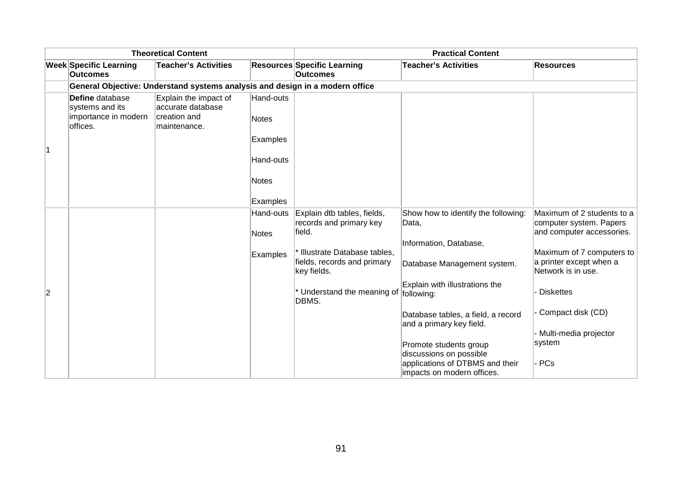|                |                                                                        | <b>Theoretical Content</b>                                                   |                                                                    |                                                                                                                                  | <b>Practical Content</b>                                                                              |                                                                                                                                            |
|----------------|------------------------------------------------------------------------|------------------------------------------------------------------------------|--------------------------------------------------------------------|----------------------------------------------------------------------------------------------------------------------------------|-------------------------------------------------------------------------------------------------------|--------------------------------------------------------------------------------------------------------------------------------------------|
|                | <b>Week Specific Learning</b><br>Outcomes                              | <b>Teacher's Activities</b>                                                  |                                                                    | <b>Resources Specific Learning</b><br><b>Outcomes</b>                                                                            | <b>Teacher's Activities</b>                                                                           | <b>Resources</b>                                                                                                                           |
|                |                                                                        | General Objective: Understand systems analysis and design in a modern office |                                                                    |                                                                                                                                  |                                                                                                       |                                                                                                                                            |
| 1              | Define database<br>systems and its<br>importance in modern<br>offices. | Explain the impact of<br>accurate database<br>creation and<br>maintenance.   | Hand-outs<br><b>Notes</b><br>Examples<br>Hand-outs<br><b>Notes</b> |                                                                                                                                  |                                                                                                       |                                                                                                                                            |
|                |                                                                        |                                                                              | Examples                                                           |                                                                                                                                  |                                                                                                       |                                                                                                                                            |
|                |                                                                        |                                                                              | Hand-outs<br><b>Notes</b><br>Examples                              | Explain dtb tables, fields,<br>records and primary key<br>field.<br>* Illustrate Database tables,<br>fields, records and primary | Show how to identify the following:<br>Data,<br>Information, Database,<br>Database Management system. | Maximum of 2 students to a<br>computer system. Papers<br>and computer accessories.<br>Maximum of 7 computers to<br>a printer except when a |
|                |                                                                        |                                                                              |                                                                    | key fields.                                                                                                                      |                                                                                                       | Network is in use.                                                                                                                         |
| $\overline{2}$ |                                                                        |                                                                              |                                                                    | * Understand the meaning of<br>DBMS.                                                                                             | Explain with illustrations the<br>following:                                                          | <b>Diskettes</b>                                                                                                                           |
|                |                                                                        |                                                                              |                                                                    |                                                                                                                                  | Database tables, a field, a record<br>and a primary key field.                                        | Compact disk (CD)                                                                                                                          |
|                |                                                                        |                                                                              |                                                                    |                                                                                                                                  |                                                                                                       | - Multi-media projector<br>system                                                                                                          |
|                |                                                                        |                                                                              |                                                                    |                                                                                                                                  | Promote students group<br>discussions on possible                                                     |                                                                                                                                            |
|                |                                                                        |                                                                              |                                                                    |                                                                                                                                  | applications of DTBMS and their<br>impacts on modern offices.                                         | PCs                                                                                                                                        |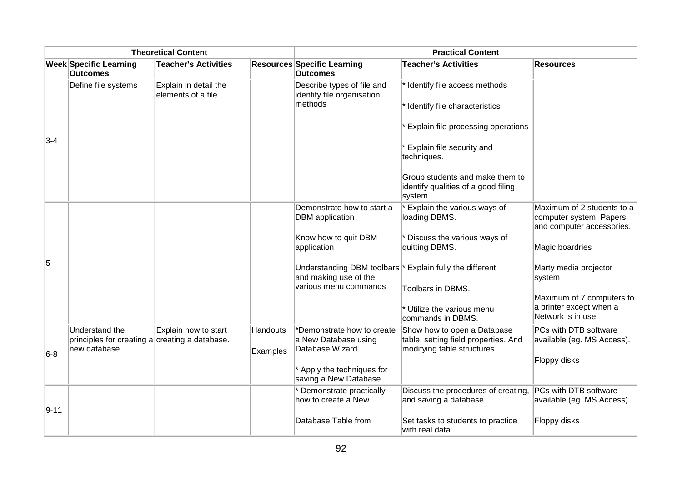| <b>Theoretical Content</b> |                                                                                   |                                             | <b>Practical Content</b>    |                                                                        |                                                                                                    |                                                                                    |  |
|----------------------------|-----------------------------------------------------------------------------------|---------------------------------------------|-----------------------------|------------------------------------------------------------------------|----------------------------------------------------------------------------------------------------|------------------------------------------------------------------------------------|--|
|                            | <b>Week Specific Learning</b><br><b>Outcomes</b>                                  | <b>Teacher's Activities</b>                 |                             | <b>Resources Specific Learning</b><br><b>Outcomes</b>                  | <b>Teacher's Activities</b>                                                                        | <b>Resources</b>                                                                   |  |
|                            | Define file systems                                                               | Explain in detail the<br>elements of a file |                             | Describe types of file and<br>identify file organisation<br>methods    | * Identify file access methods<br>* Identify file characteristics                                  |                                                                                    |  |
| $3-4$                      |                                                                                   |                                             |                             |                                                                        | Explain file processing operations                                                                 |                                                                                    |  |
|                            |                                                                                   |                                             |                             |                                                                        | Explain file security and<br>techniques.                                                           |                                                                                    |  |
|                            |                                                                                   |                                             |                             |                                                                        | Group students and make them to<br>identify qualities of a good filing<br>system                   |                                                                                    |  |
|                            |                                                                                   |                                             |                             | Demonstrate how to start a<br><b>DBM</b> application                   | Explain the various ways of<br>loading DBMS.                                                       | Maximum of 2 students to a<br>computer system. Papers<br>and computer accessories. |  |
|                            |                                                                                   |                                             |                             | Know how to quit DBM<br>application                                    | Discuss the various ways of<br>quitting DBMS.                                                      | Magic boardries                                                                    |  |
| 5                          |                                                                                   |                                             |                             | Understanding DBM toolbars <sup>*</sup><br>and making use of the       | Explain fully the different                                                                        | Marty media projector<br>system                                                    |  |
|                            |                                                                                   |                                             |                             | various menu commands                                                  | Toolbars in DBMS.                                                                                  | Maximum of 7 computers to                                                          |  |
|                            |                                                                                   |                                             |                             |                                                                        | * Utilize the various menu<br>commands in DBMS.                                                    | a printer except when a<br>Network is in use.                                      |  |
|                            | Understand the<br>principles for creating a creating a database.<br>new database. | Explain how to start                        | <b>Handouts</b><br>Examples | *Demonstrate how to create<br>a New Database using<br>Database Wizard. | Show how to open a Database<br>table, setting field properties. And<br>modifying table structures. | PCs with DTB software<br>available (eg. MS Access).                                |  |
| $6-8$                      |                                                                                   |                                             |                             | * Apply the techniques for<br>saving a New Database.                   |                                                                                                    | Floppy disks                                                                       |  |
| $9 - 11$                   |                                                                                   |                                             |                             | Demonstrate practically<br>how to create a New                         | Discuss the procedures of creating,<br>and saving a database.                                      | PCs with DTB software<br>available (eg. MS Access).                                |  |
|                            |                                                                                   |                                             |                             | Database Table from                                                    | Set tasks to students to practice<br>with real data.                                               | Floppy disks                                                                       |  |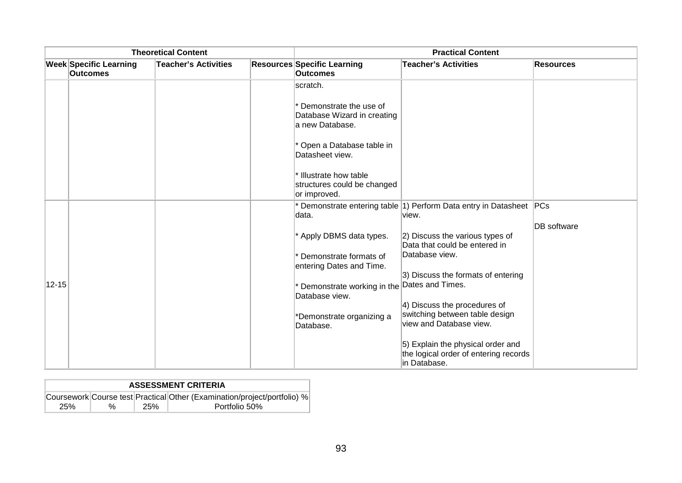| <b>Theoretical Content</b> |                                                  |                             | <b>Practical Content</b> |                                                                            |                                                                                            |                    |
|----------------------------|--------------------------------------------------|-----------------------------|--------------------------|----------------------------------------------------------------------------|--------------------------------------------------------------------------------------------|--------------------|
|                            | <b>Week Specific Learning</b><br><b>Outcomes</b> | <b>Teacher's Activities</b> |                          | <b>Resources Specific Learning</b><br><b>Outcomes</b>                      | <b>Teacher's Activities</b>                                                                | <b>Resources</b>   |
|                            |                                                  |                             |                          | scratch.                                                                   |                                                                                            |                    |
|                            |                                                  |                             |                          | * Demonstrate the use of<br>Database Wizard in creating<br>a new Database. |                                                                                            |                    |
|                            |                                                  |                             |                          | * Open a Database table in<br>Datasheet view.                              |                                                                                            |                    |
|                            |                                                  |                             |                          | * Illustrate how table<br>structures could be changed<br>or improved.      |                                                                                            |                    |
|                            |                                                  |                             |                          | data.                                                                      | * Demonstrate entering table 1) Perform Data entry in Datasheet PCs<br>view.               |                    |
|                            |                                                  |                             |                          |                                                                            |                                                                                            | <b>DB</b> software |
|                            |                                                  |                             |                          | * Apply DBMS data types.                                                   | 2) Discuss the various types of<br>Data that could be entered in                           |                    |
|                            |                                                  |                             |                          | Demonstrate formats of<br>entering Dates and Time.                         | Database view.                                                                             |                    |
|                            |                                                  |                             |                          |                                                                            | 3) Discuss the formats of entering                                                         |                    |
| $12 - 15$                  |                                                  |                             |                          | Demonstrate working in the<br>Database view.                               | Dates and Times.                                                                           |                    |
|                            |                                                  |                             |                          |                                                                            | 4) Discuss the procedures of<br>switching between table design                             |                    |
|                            |                                                  |                             |                          | *Demonstrate organizing a<br>Database.                                     | view and Database view.                                                                    |                    |
|                            |                                                  |                             |                          |                                                                            | 5) Explain the physical order and<br>the logical order of entering records<br>in Database. |                    |

|     | <b>ASSESSMENT CRITERIA</b> |     |                                                                          |  |  |  |  |  |
|-----|----------------------------|-----|--------------------------------------------------------------------------|--|--|--|--|--|
|     |                            |     | Coursework Course test Practical Other (Examination/project/portfolio) % |  |  |  |  |  |
| 25% | $\%$                       | 25% | Portfolio 50%                                                            |  |  |  |  |  |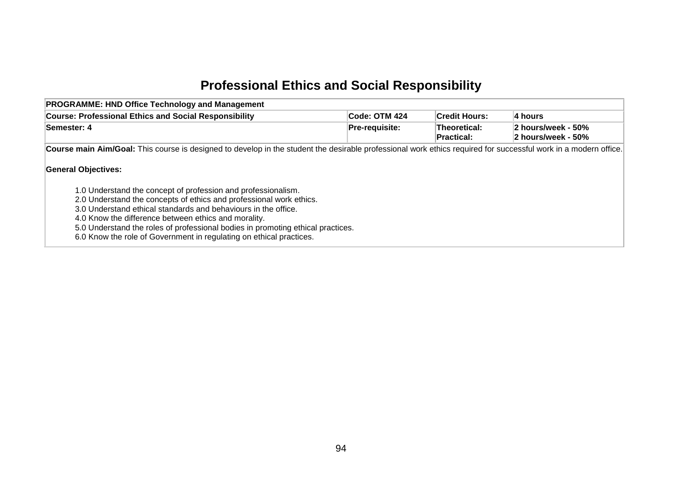# **Professional Ethics and Social Responsibility**

| <b>PROGRAMME: HND Office Technology and Management</b>                                                                                                                                                                                                                                                                                                                                                                                                 |                       |                                   |                                          |
|--------------------------------------------------------------------------------------------------------------------------------------------------------------------------------------------------------------------------------------------------------------------------------------------------------------------------------------------------------------------------------------------------------------------------------------------------------|-----------------------|-----------------------------------|------------------------------------------|
| <b>Course: Professional Ethics and Social Responsibility</b>                                                                                                                                                                                                                                                                                                                                                                                           | Code: OTM 424         | <b>Credit Hours:</b>              | 4 hours                                  |
| Semester: 4                                                                                                                                                                                                                                                                                                                                                                                                                                            | <b>Pre-requisite:</b> | Theoretical:<br><b>Practical:</b> | 2 hours/week - 50%<br>2 hours/week - 50% |
| Course main Aim/Goal: This course is designed to develop in the student the desirable professional work ethics required for successful work in a modern office.                                                                                                                                                                                                                                                                                        |                       |                                   |                                          |
| <b>General Objectives:</b><br>1.0 Understand the concept of profession and professionalism.<br>2.0 Understand the concepts of ethics and professional work ethics.<br>3.0 Understand ethical standards and behaviours in the office.<br>4.0 Know the difference between ethics and morality.<br>5.0 Understand the roles of professional bodies in promoting ethical practices.<br>6.0 Know the role of Government in regulating on ethical practices. |                       |                                   |                                          |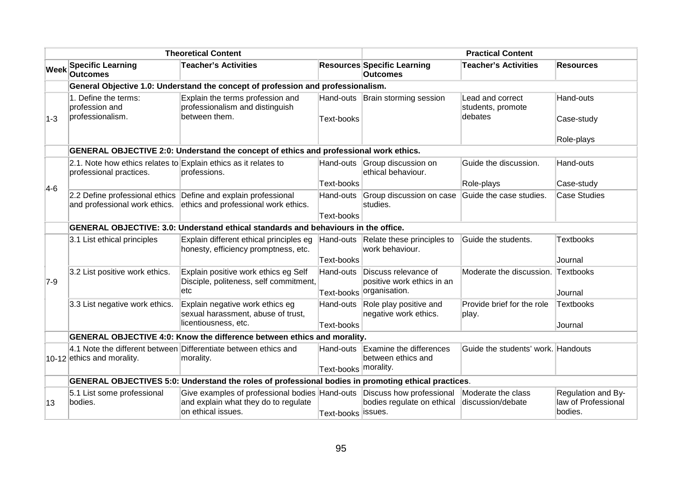|             |                                                                                            | <b>Theoretical Content</b>                                                                                   |                      |                                                                   | <b>Practical Content</b>                         |                                                      |
|-------------|--------------------------------------------------------------------------------------------|--------------------------------------------------------------------------------------------------------------|----------------------|-------------------------------------------------------------------|--------------------------------------------------|------------------------------------------------------|
| <b>Week</b> | <b>Specific Learning</b><br><b>Outcomes</b>                                                | <b>Teacher's Activities</b>                                                                                  |                      | <b>Resources Specific Learning</b><br><b>Outcomes</b>             | <b>Teacher's Activities</b>                      | <b>Resources</b>                                     |
|             |                                                                                            | General Objective 1.0: Understand the concept of profession and professionalism.                             |                      |                                                                   |                                                  |                                                      |
| $1-3$       | 1. Define the terms:<br>profession and<br>professionalism.                                 | Explain the terms profession and<br>professionalism and distinguish<br>between them.                         | <b>Text-books</b>    | Hand-outs Brain storming session                                  | Lead and correct<br>students, promote<br>debates | Hand-outs<br>Case-study                              |
|             |                                                                                            |                                                                                                              |                      |                                                                   |                                                  | Role-plays                                           |
|             |                                                                                            | GENERAL OBJECTIVE 2:0: Understand the concept of ethics and professional work ethics.                        |                      |                                                                   |                                                  |                                                      |
|             | 2.1. Note how ethics relates to Explain ethics as it relates to<br>professional practices. | professions.                                                                                                 |                      | Hand-outs Group discussion on<br>ethical behaviour.               | Guide the discussion.                            | Hand-outs                                            |
| $4-6$       |                                                                                            |                                                                                                              | Text-books           |                                                                   | Role-plays                                       | Case-study                                           |
|             | and professional work ethics.                                                              | 2.2 Define professional ethics Define and explain professional<br>ethics and professional work ethics.       | Hand-outs            | Group discussion on case<br>studies.                              | Guide the case studies.                          | <b>Case Studies</b>                                  |
|             |                                                                                            |                                                                                                              | Text-books           |                                                                   |                                                  |                                                      |
|             |                                                                                            | GENERAL OBJECTIVE: 3.0: Understand ethical standards and behaviours in the office.                           |                      |                                                                   |                                                  |                                                      |
|             | 3.1 List ethical principles                                                                | Explain different ethical principles eg<br>honesty, efficiency promptness, etc.                              | Hand-outs            | Relate these principles to<br>work behaviour.                     | Guide the students.                              | Textbooks                                            |
|             |                                                                                            |                                                                                                              | Text-books           |                                                                   |                                                  | Journal                                              |
| $7-9$       | 3.2 List positive work ethics.                                                             | Explain positive work ethics eg Self<br>Disciple, politeness, self commitment,                               | Hand-outs            | Discuss relevance of<br>positive work ethics in an                | Moderate the discussion. Textbooks               |                                                      |
|             |                                                                                            | etc                                                                                                          | Text-books           | organisation.                                                     |                                                  | Journal                                              |
|             | 3.3 List negative work ethics.                                                             | Explain negative work ethics eg<br>sexual harassment, abuse of trust,                                        | Hand-outs            | Role play positive and<br>negative work ethics.                   | Provide brief for the role<br>play.              | Textbooks                                            |
|             |                                                                                            | licentiousness, etc.                                                                                         | <b>Text-books</b>    |                                                                   |                                                  | Journal                                              |
|             |                                                                                            | <b>GENERAL OBJECTIVE 4:0: Know the difference between ethics and morality.</b>                               |                      |                                                                   |                                                  |                                                      |
|             | 10-12 ethics and morality.                                                                 | 4.1 Note the different between Differentiate between ethics and<br>morality.                                 | Hand-outs            | Examine the differences<br>between ethics and                     | Guide the students' work. Handouts               |                                                      |
|             |                                                                                            |                                                                                                              | Text-books morality. |                                                                   |                                                  |                                                      |
|             |                                                                                            | GENERAL OBJECTIVES 5:0: Understand the roles of professional bodies in promoting ethical practices.          |                      |                                                                   |                                                  |                                                      |
| 13          | 5.1 List some professional<br>bodies.                                                      | Give examples of professional bodies Hand-outs<br>and explain what they do to regulate<br>on ethical issues. | Text-books           | Discuss how professional<br>bodies regulate on ethical<br>issues. | Moderate the class<br>ldiscussion/debate         | Regulation and By-<br>law of Professional<br>bodies. |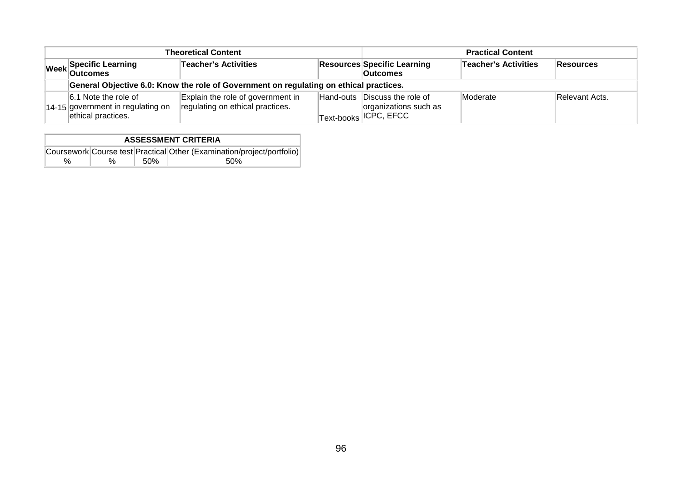| <b>Theoretical Content</b>                                                      | <b>Practical Content</b>                                                               |  |                                                                                                        |                             |                |
|---------------------------------------------------------------------------------|----------------------------------------------------------------------------------------|--|--------------------------------------------------------------------------------------------------------|-----------------------------|----------------|
| Week Specific Learning                                                          | Teacher's Activities                                                                   |  | <b>Resources Specific Learning</b><br><b>Outcomes</b>                                                  | <b>Teacher's Activities</b> | Resources      |
|                                                                                 | General Objective 6.0: Know the role of Government on regulating on ethical practices. |  |                                                                                                        |                             |                |
| 6.1 Note the role of<br>14-15 government in regulating on<br>ethical practices. | Explain the role of government in<br>regulating on ethical practices.                  |  | Hand-outs Discuss the role of<br>organizations such as<br>$\mathbb{F}_{\text{Text-books}}$  ICPC, EFCC | Moderate                    | Relevant Acts. |

| <b>ASSESSMENT CRITERIA</b> |   |      |                                                                        |  |  |  |  |
|----------------------------|---|------|------------------------------------------------------------------------|--|--|--|--|
|                            |   |      | Coursework Course test Practical Other (Examination/project/portfolio) |  |  |  |  |
| $\%$                       | % | .50% | .50%                                                                   |  |  |  |  |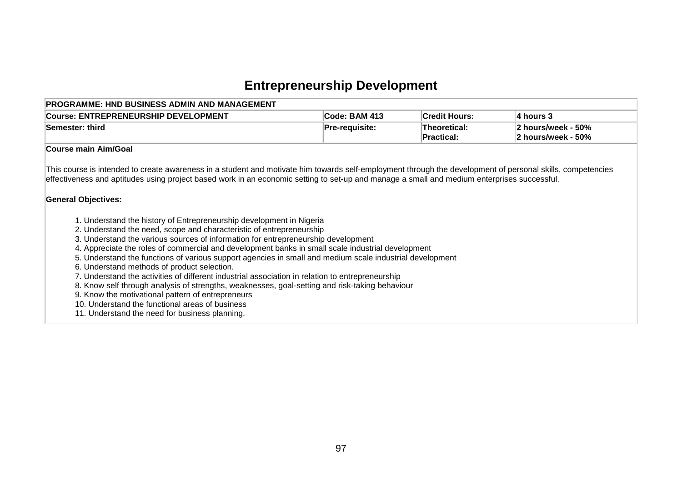# **Entrepreneurship Development**

| <b>Course: ENTREPRENEURSHIP DEVELOPMENT</b>                                                                                                                                                                                                                                                                                                                                                                                                                                                                                                                                                                                                                                                                                                                                                                                                                                                                                                                                                                                                                                                                                                                                                                  | Code: BAM 413  | <b>Credit Hours:</b>       | 4 hours 3                                |
|--------------------------------------------------------------------------------------------------------------------------------------------------------------------------------------------------------------------------------------------------------------------------------------------------------------------------------------------------------------------------------------------------------------------------------------------------------------------------------------------------------------------------------------------------------------------------------------------------------------------------------------------------------------------------------------------------------------------------------------------------------------------------------------------------------------------------------------------------------------------------------------------------------------------------------------------------------------------------------------------------------------------------------------------------------------------------------------------------------------------------------------------------------------------------------------------------------------|----------------|----------------------------|------------------------------------------|
| Semester: third                                                                                                                                                                                                                                                                                                                                                                                                                                                                                                                                                                                                                                                                                                                                                                                                                                                                                                                                                                                                                                                                                                                                                                                              | Pre-requisite: | Theoretical:<br>Practical: | 2 hours/week - 50%<br>2 hours/week - 50% |
| <b>Course main Aim/Goal</b>                                                                                                                                                                                                                                                                                                                                                                                                                                                                                                                                                                                                                                                                                                                                                                                                                                                                                                                                                                                                                                                                                                                                                                                  |                |                            |                                          |
| This course is intended to create awareness in a student and motivate him towards self-employment through the development of personal skills, competencies<br>effectiveness and aptitudes using project based work in an economic setting to set-up and manage a small and medium enterprises successful.<br><b>General Objectives:</b><br>1. Understand the history of Entrepreneurship development in Nigeria<br>2. Understand the need, scope and characteristic of entrepreneurship<br>3. Understand the various sources of information for entrepreneurship development<br>4. Appreciate the roles of commercial and development banks in small scale industrial development<br>5. Understand the functions of various support agencies in small and medium scale industrial development<br>6. Understand methods of product selection.<br>7. Understand the activities of different industrial association in relation to entrepreneurship<br>8. Know self through analysis of strengths, weaknesses, goal-setting and risk-taking behaviour<br>9. Know the motivational pattern of entrepreneurs<br>10. Understand the functional areas of business<br>11. Understand the need for business planning. |                |                            |                                          |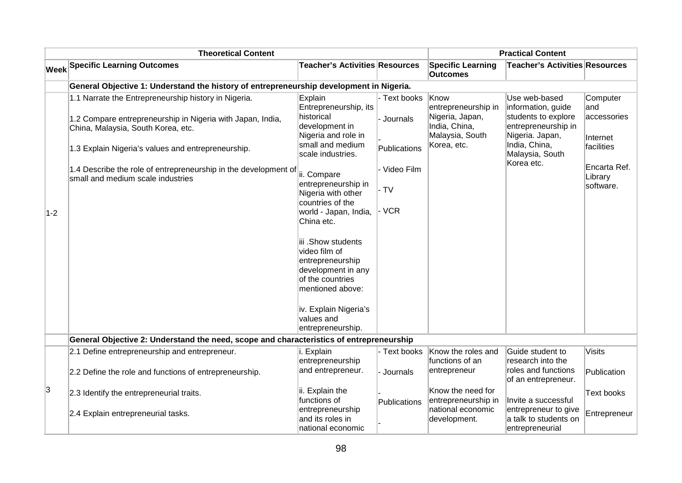|       | <b>Theoretical Content</b>                                                                                                                                                                                                                                                                                             |                                                                                                                                                                                                                                                                                                                                                                                  |                                                                              | <b>Practical Content</b>                                                                          |                                                                                                                                                        |                                                                                                   |  |
|-------|------------------------------------------------------------------------------------------------------------------------------------------------------------------------------------------------------------------------------------------------------------------------------------------------------------------------|----------------------------------------------------------------------------------------------------------------------------------------------------------------------------------------------------------------------------------------------------------------------------------------------------------------------------------------------------------------------------------|------------------------------------------------------------------------------|---------------------------------------------------------------------------------------------------|--------------------------------------------------------------------------------------------------------------------------------------------------------|---------------------------------------------------------------------------------------------------|--|
|       | <b>Week Specific Learning Outcomes</b>                                                                                                                                                                                                                                                                                 | <b>Teacher's Activities Resources</b>                                                                                                                                                                                                                                                                                                                                            |                                                                              | <b>Specific Learning</b><br><b>Outcomes</b>                                                       | <b>Teacher's Activities Resources</b>                                                                                                                  |                                                                                                   |  |
|       | General Objective 1: Understand the history of entrepreneurship development in Nigeria.                                                                                                                                                                                                                                |                                                                                                                                                                                                                                                                                                                                                                                  |                                                                              |                                                                                                   |                                                                                                                                                        |                                                                                                   |  |
| $1-2$ | 1.1 Narrate the Entrepreneurship history in Nigeria.<br>1.2 Compare entrepreneurship in Nigeria with Japan, India,<br>China, Malaysia, South Korea, etc.<br>1.3 Explain Nigeria's values and entrepreneurship.<br>1.4 Describe the role of entrepreneurship in the development of<br>small and medium scale industries | Explain<br>Entrepreneurship, its<br>historical<br>development in<br>Nigeria and role in<br>small and medium<br>scale industries.<br>ii. Compare<br>entrepreneurship in<br>Nigeria with other<br>countries of the<br>world - Japan, India,<br>China etc.<br>iii .Show students<br>video film of<br>entrepreneurship<br>development in any<br>of the countries<br>mentioned above: | - Text books<br>- Journals<br>Publications<br>- Video Film<br>$-TV$<br>- VCR | Know<br>entrepreneurship in<br>Nigeria, Japan,<br>India, China,<br>Malaysia, South<br>Korea, etc. | Use web-based<br>information, guide<br>students to explore<br>entrepreneurship in<br>Nigeria. Japan,<br>India, China,<br>Malaysia, South<br>Korea etc. | Computer<br>land<br>accessories<br>Internet<br>facilities<br>Encarta Ref.<br>Library<br>software. |  |
|       |                                                                                                                                                                                                                                                                                                                        | iv. Explain Nigeria's<br>values and<br>entrepreneurship.                                                                                                                                                                                                                                                                                                                         |                                                                              |                                                                                                   |                                                                                                                                                        |                                                                                                   |  |
|       | General Objective 2: Understand the need, scope and characteristics of entrepreneurship                                                                                                                                                                                                                                |                                                                                                                                                                                                                                                                                                                                                                                  |                                                                              |                                                                                                   |                                                                                                                                                        |                                                                                                   |  |
|       | 2.1 Define entrepreneurship and entrepreneur.                                                                                                                                                                                                                                                                          | i. Explain<br>entrepreneurship                                                                                                                                                                                                                                                                                                                                                   | - Text books                                                                 | Know the roles and<br>functions of an                                                             | Guide student to<br>research into the                                                                                                                  | <b>Visits</b>                                                                                     |  |
|       | 2.2 Define the role and functions of entrepreneurship.                                                                                                                                                                                                                                                                 | and entrepreneur.                                                                                                                                                                                                                                                                                                                                                                | - Journals                                                                   | entrepreneur                                                                                      | roles and functions<br>of an entrepreneur.                                                                                                             | Publication                                                                                       |  |
| 3     | 2.3 Identify the entrepreneurial traits.                                                                                                                                                                                                                                                                               | ii. Explain the<br>functions of                                                                                                                                                                                                                                                                                                                                                  | Publications                                                                 | Know the need for<br>entrepreneurship in                                                          | Invite a successful                                                                                                                                    | Text books                                                                                        |  |
|       | 2.4 Explain entrepreneurial tasks.                                                                                                                                                                                                                                                                                     | entrepreneurship<br>and its roles in<br>national economic                                                                                                                                                                                                                                                                                                                        |                                                                              | national economic<br>development.                                                                 | entrepreneur to give<br>a talk to students on<br>entrepreneurial                                                                                       | Entrepreneur                                                                                      |  |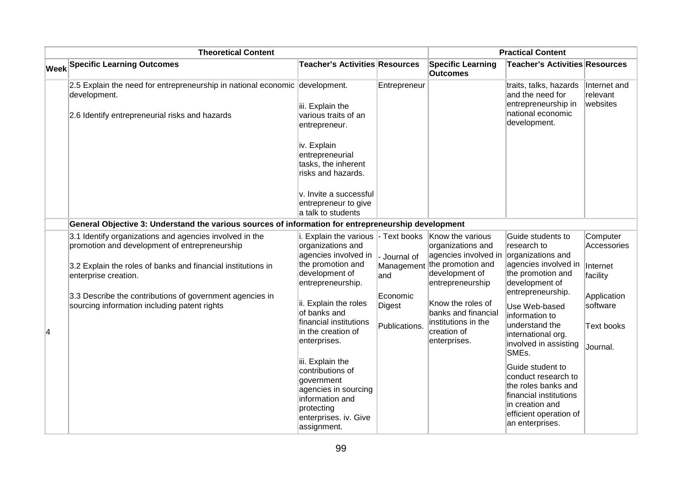|   | <b>Theoretical Content</b>                                                                               |                                                                                                                                                     |                              | <b>Practical Content</b>                                        |                                                                                                                                                          |                                      |  |
|---|----------------------------------------------------------------------------------------------------------|-----------------------------------------------------------------------------------------------------------------------------------------------------|------------------------------|-----------------------------------------------------------------|----------------------------------------------------------------------------------------------------------------------------------------------------------|--------------------------------------|--|
|   | <b>Week Specific Learning Outcomes</b>                                                                   | <b>Teacher's Activities Resources</b>                                                                                                               |                              | <b>Specific Learning</b><br><b>Outcomes</b>                     | <b>Teacher's Activities Resources</b>                                                                                                                    |                                      |  |
|   | 2.5 Explain the need for entrepreneurship in national economic development.<br>development.              | iii. Explain the                                                                                                                                    | Entrepreneur                 |                                                                 | traits, talks, hazards<br>and the need for<br>entrepreneurship in<br>national economic                                                                   | Internet and<br>relevant<br>websites |  |
|   | 2.6 Identify entrepreneurial risks and hazards                                                           | various traits of an<br>entrepreneur.<br>iv. Explain<br>entrepreneurial<br>tasks, the inherent<br>risks and hazards.                                |                              |                                                                 | development.                                                                                                                                             |                                      |  |
|   |                                                                                                          | v. Invite a successful<br>entrepreneur to give<br>a talk to students                                                                                |                              |                                                                 |                                                                                                                                                          |                                      |  |
|   | General Objective 3: Understand the various sources of information for entrepreneurship development      |                                                                                                                                                     |                              |                                                                 |                                                                                                                                                          |                                      |  |
|   | 3.1 Identify organizations and agencies involved in the<br>promotion and development of entrepreneurship | i. Explain the various<br>organizations and<br>agencies involved in                                                                                 | - Text books<br>- Journal of | Know the various<br>organizations and<br>agencies involved in   | Guide students to<br>research to<br>organizations and                                                                                                    | Computer<br>Accessories              |  |
|   | 3.2 Explain the roles of banks and financial institutions in<br>enterprise creation.                     | the promotion and<br>development of<br>entrepreneurship.                                                                                            | Management<br>and            | the promotion and<br>development of<br>entrepreneurship         | agencies involved in<br>the promotion and<br>development of<br>entrepreneurship.                                                                         | Internet<br>facility                 |  |
|   | 3.3 Describe the contributions of government agencies in<br>sourcing information including patent rights | ii. Explain the roles<br>of banks and<br>financial institutions                                                                                     | Economic<br>Digest           | Know the roles of<br>banks and financial<br>institutions in the | Use Web-based<br>information to                                                                                                                          | Application<br>software              |  |
| 4 |                                                                                                          | in the creation of<br>enterprises.                                                                                                                  | Publications.                | creation of<br>enterprises.                                     | understand the<br>international org.<br>involved in assisting<br>SME <sub>s</sub> .                                                                      | <b>Text books</b><br>Journal.        |  |
|   |                                                                                                          | iii. Explain the<br>contributions of<br>government<br>agencies in sourcing<br>information and<br>protecting<br>enterprises. iv. Give<br>assignment. |                              |                                                                 | Guide student to<br>conduct research to<br>the roles banks and<br>financial institutions<br>in creation and<br>efficient operation of<br>an enterprises. |                                      |  |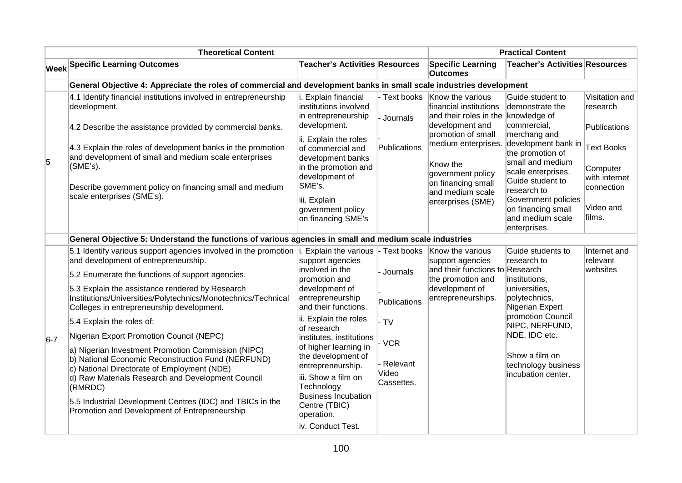|       | <b>Theoretical Content</b>                                                                                                                                                                                                                                                                                                                                                                                                                                                                                                                       |                                                                                                                                                                                                                                                                     |                                                                | <b>Practical Content</b>                                                                                                                                                                                                   |                                                                                                                                                                                                                                                                                                 |                                                                                                                                   |  |
|-------|--------------------------------------------------------------------------------------------------------------------------------------------------------------------------------------------------------------------------------------------------------------------------------------------------------------------------------------------------------------------------------------------------------------------------------------------------------------------------------------------------------------------------------------------------|---------------------------------------------------------------------------------------------------------------------------------------------------------------------------------------------------------------------------------------------------------------------|----------------------------------------------------------------|----------------------------------------------------------------------------------------------------------------------------------------------------------------------------------------------------------------------------|-------------------------------------------------------------------------------------------------------------------------------------------------------------------------------------------------------------------------------------------------------------------------------------------------|-----------------------------------------------------------------------------------------------------------------------------------|--|
|       | <b>Week Specific Learning Outcomes</b>                                                                                                                                                                                                                                                                                                                                                                                                                                                                                                           | Teacher's Activities Resources                                                                                                                                                                                                                                      |                                                                | <b>Specific Learning</b><br><b>Outcomes</b>                                                                                                                                                                                | <b>Teacher's Activities Resources</b>                                                                                                                                                                                                                                                           |                                                                                                                                   |  |
|       | General Objective 4: Appreciate the roles of commercial and development banks in small scale industries development                                                                                                                                                                                                                                                                                                                                                                                                                              |                                                                                                                                                                                                                                                                     |                                                                |                                                                                                                                                                                                                            |                                                                                                                                                                                                                                                                                                 |                                                                                                                                   |  |
| 5     | 4.1 Identify financial institutions involved in entrepreneurship<br>development.<br>4.2 Describe the assistance provided by commercial banks.<br>4.3 Explain the roles of development banks in the promotion<br>and development of small and medium scale enterprises<br>$(SME's)$ .<br>Describe government policy on financing small and medium<br>scale enterprises (SME's).                                                                                                                                                                   | Explain financial<br>institutions involved<br>in entrepreneurship<br>development.<br>ii. Explain the roles<br>of commercial and<br>development banks<br>in the promotion and<br>development of<br>SME's.<br>iii. Explain<br>government policy<br>on financing SME's | - Text books<br>- Journals<br>Publications                     | Know the various<br>financial institutions<br>and their roles in the knowledge of<br>development and<br>promotion of small<br>Know the<br>government policy<br>on financing small<br>and medium scale<br>enterprises (SME) | Guide student to<br>demonstrate the<br>commercial,<br>merchang and<br>medium enterprises. development bank in<br>the promotion of<br>small and medium<br>scale enterprises.<br>Guide student to<br>research to<br>Government policies<br>on financing small<br>and medium scale<br>enterprises. | Visitation and<br>research<br>Publications<br><b>Text Books</b><br>Computer<br>with internet<br>connection<br>Video and<br>films. |  |
|       | General Objective 5: Understand the functions of various agencies in small and medium scale industries                                                                                                                                                                                                                                                                                                                                                                                                                                           |                                                                                                                                                                                                                                                                     |                                                                |                                                                                                                                                                                                                            |                                                                                                                                                                                                                                                                                                 |                                                                                                                                   |  |
| $6-7$ | 5.1 Identify various support agencies involved in the promotion $\vert$ i. Explain the various<br>and development of entrepreneurship.<br>5.2 Enumerate the functions of support agencies.<br>5.3 Explain the assistance rendered by Research<br>Institutions/Universities/Polytechnics/Monotechnics/Technical<br>Colleges in entrepreneurship development.<br>5.4 Explain the roles of:<br>Nigerian Export Promotion Council (NEPC)<br>a) Nigerian Investment Promotion Commission (NIPC)<br>b) National Economic Reconstruction Fund (NERFUND) | support agencies<br>involved in the<br>promotion and<br>development of<br>entrepreneurship<br>and their functions.<br>ii. Explain the roles<br>lof research<br>institutes, institutions<br>of higher learning in<br>the development of                              | - Text books<br>Journals<br>Publications<br>- TV<br><b>VCR</b> | Know the various<br>support agencies<br>and their functions to Research<br>the promotion and<br>development of<br>entrepreneurships.                                                                                       | Guide students to<br>research to<br>institutions,<br>universities,<br>polytechnics,<br>Nigerian Expert<br>promotion Council<br>NIPC, NERFUND,<br>NDE, IDC etc.<br>Show a film on                                                                                                                | Internet and<br>relevant<br>websites                                                                                              |  |
|       | c) National Directorate of Employment (NDE)<br>d) Raw Materials Research and Development Council<br>(RMRDC)<br>5.5 Industrial Development Centres (IDC) and TBICs in the<br>Promotion and Development of Entrepreneurship                                                                                                                                                                                                                                                                                                                        | entrepreneurship.<br>iii. Show a film on<br>Technology<br>Business Incubation<br>Centre (TBIC)<br>operation.<br>iv. Conduct Test.                                                                                                                                   | Relevant<br>Video<br>Cassettes.                                |                                                                                                                                                                                                                            | technology business<br>incubation center.                                                                                                                                                                                                                                                       |                                                                                                                                   |  |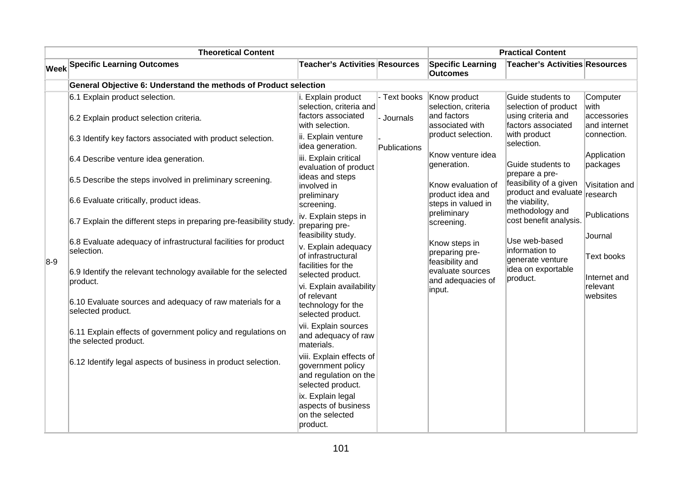|       | <b>Theoretical Content</b>                                                            |                                                                                             |                             | <b>Practical Content</b>                                                                                                                                                                                                                                                                               |                                                                                                                                                                                                                                                                                                                                                                               |                                                  |  |  |  |
|-------|---------------------------------------------------------------------------------------|---------------------------------------------------------------------------------------------|-----------------------------|--------------------------------------------------------------------------------------------------------------------------------------------------------------------------------------------------------------------------------------------------------------------------------------------------------|-------------------------------------------------------------------------------------------------------------------------------------------------------------------------------------------------------------------------------------------------------------------------------------------------------------------------------------------------------------------------------|--------------------------------------------------|--|--|--|
| Week  | <b>Specific Learning Outcomes</b>                                                     | <b>Teacher's Activities Resources</b>                                                       |                             | <b>Specific Learning</b><br><b>Outcomes</b>                                                                                                                                                                                                                                                            | <b>Teacher's Activities Resources</b>                                                                                                                                                                                                                                                                                                                                         |                                                  |  |  |  |
|       | General Objective 6: Understand the methods of Product selection                      |                                                                                             |                             |                                                                                                                                                                                                                                                                                                        |                                                                                                                                                                                                                                                                                                                                                                               |                                                  |  |  |  |
|       | 6.1 Explain product selection.<br>6.2 Explain product selection criteria.             | i. Explain product<br>selection, criteria and<br>factors associated<br>with selection.      | - Text books<br>- Journals  | Know product<br>selection, criteria<br>and factors<br>associated with<br>product selection.<br>Know venture idea<br>generation.<br>Know evaluation of<br>product idea and<br>steps in valued in<br>preliminary<br>screening.<br>Know steps in<br>preparing pre-<br>feasibility and<br>evaluate sources | Guide students to<br>selection of product<br>using criteria and<br>factors associated<br>with product<br>selection.<br>Guide students to<br>prepare a pre-<br>feasibility of a given<br>product and evaluate research<br>the viability,<br>methodology and<br>cost benefit analysis.<br>Use web-based<br>information to<br>generate venture<br>idea on exportable<br>product. | Computer<br>lwith<br>accessories<br>and internet |  |  |  |
|       | 6.3 Identify key factors associated with product selection.                           | ii. Explain venture<br>idea generation.                                                     | Publications                |                                                                                                                                                                                                                                                                                                        |                                                                                                                                                                                                                                                                                                                                                                               | connection.                                      |  |  |  |
|       | 6.4 Describe venture idea generation.                                                 | iii. Explain critical<br>evaluation of product                                              |                             |                                                                                                                                                                                                                                                                                                        |                                                                                                                                                                                                                                                                                                                                                                               | Application<br>packages                          |  |  |  |
|       | 6.5 Describe the steps involved in preliminary screening.                             | ideas and steps<br>involved in                                                              |                             |                                                                                                                                                                                                                                                                                                        |                                                                                                                                                                                                                                                                                                                                                                               | Visitation and                                   |  |  |  |
|       | 6.6 Evaluate critically, product ideas.                                               | preliminary<br>screening.                                                                   |                             |                                                                                                                                                                                                                                                                                                        |                                                                                                                                                                                                                                                                                                                                                                               | Publications                                     |  |  |  |
|       | 6.7 Explain the different steps in preparing pre-feasibility study.                   | iv. Explain steps in<br>preparing pre-<br>feasibility study.                                | and adequacies of<br>input. |                                                                                                                                                                                                                                                                                                        |                                                                                                                                                                                                                                                                                                                                                                               | Journal                                          |  |  |  |
|       | 6.8 Evaluate adequacy of infrastructural facilities for product<br>selection.         | v. Explain adequacy<br>of infrastructural<br>facilities for the<br>selected product.        |                             |                                                                                                                                                                                                                                                                                                        |                                                                                                                                                                                                                                                                                                                                                                               | Text books                                       |  |  |  |
| $8-9$ | 6.9 Identify the relevant technology available for the selected<br>product.           |                                                                                             |                             |                                                                                                                                                                                                                                                                                                        |                                                                                                                                                                                                                                                                                                                                                                               | Internet and                                     |  |  |  |
|       | 6.10 Evaluate sources and adequacy of raw materials for a<br>selected product.        | vi. Explain availability<br>of relevant<br>technology for the<br>selected product.          |                             |                                                                                                                                                                                                                                                                                                        | relevant<br>websites                                                                                                                                                                                                                                                                                                                                                          |                                                  |  |  |  |
|       | 6.11 Explain effects of government policy and regulations on<br>the selected product. | vii. Explain sources<br>and adequacy of raw<br>materials.                                   |                             |                                                                                                                                                                                                                                                                                                        |                                                                                                                                                                                                                                                                                                                                                                               |                                                  |  |  |  |
|       | 6.12 Identify legal aspects of business in product selection.                         | viii. Explain effects of<br>government policy<br>and regulation on the<br>selected product. |                             |                                                                                                                                                                                                                                                                                                        |                                                                                                                                                                                                                                                                                                                                                                               |                                                  |  |  |  |
|       |                                                                                       | ix. Explain legal<br>aspects of business<br>on the selected<br>product.                     |                             |                                                                                                                                                                                                                                                                                                        |                                                                                                                                                                                                                                                                                                                                                                               |                                                  |  |  |  |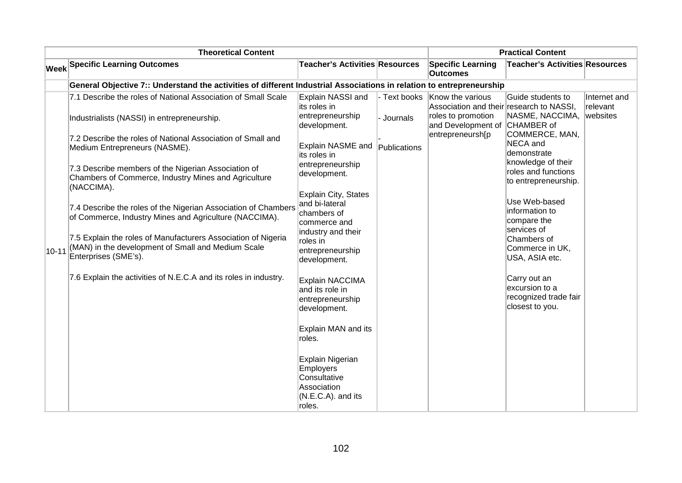|           | <b>Theoretical Content</b>                                                                                                                  |                                                                                              |              | <b>Practical Content</b>                                     |                                                                            |                          |
|-----------|---------------------------------------------------------------------------------------------------------------------------------------------|----------------------------------------------------------------------------------------------|--------------|--------------------------------------------------------------|----------------------------------------------------------------------------|--------------------------|
|           | <b>Week Specific Learning Outcomes</b>                                                                                                      | <b>Teacher's Activities Resources</b>                                                        |              | <b>Specific Learning</b><br><b>Outcomes</b>                  | Teacher's Activities Resources                                             |                          |
|           | General Objective 7:: Understand the activities of different Industrial Associations in relation to entrepreneurship                        |                                                                                              |              |                                                              |                                                                            |                          |
|           | 7.1 Describe the roles of National Association of Small Scale                                                                               | Explain NASSI and<br>its roles in                                                            | - Text books | Know the various<br>Association and their research to NASSI, | Guide students to                                                          | Internet and<br>relevant |
|           | Industrialists (NASSI) in entrepreneurship.                                                                                                 | entrepreneurship<br>development.                                                             | - Journals   | roles to promotion<br>and Development of                     | NASME, NACCIMA,<br>CHAMBER of                                              | websites                 |
|           | 7.2 Describe the roles of National Association of Small and<br>Medium Entrepreneurs (NASME).                                                | Explain NASME and<br>its roles in                                                            | Publications | entrepreneursh[p                                             | COMMERCE, MAN,<br>NECA and<br>demonstrate                                  |                          |
|           | 7.3 Describe members of the Nigerian Association of<br>Chambers of Commerce, Industry Mines and Agriculture<br>(NACCIMA).                   | entrepreneurship<br>development.                                                             |              |                                                              | knowledge of their<br>roles and functions<br>to entrepreneurship.          |                          |
| $10 - 11$ | 7.4 Describe the roles of the Nigerian Association of Chambers<br>of Commerce, Industry Mines and Agriculture (NACCIMA).                    | <b>Explain City, States</b><br>and bi-lateral<br>chambers of<br>commerce and                 |              |                                                              | Use Web-based<br>information to<br>compare the                             |                          |
|           | 7.5 Explain the roles of Manufacturers Association of Nigeria<br>(MAN) in the development of Small and Medium Scale<br>Enterprises (SME's). | industry and their<br>roles in<br>entrepreneurship<br>development.                           |              |                                                              | services of<br>Chambers of<br>Commerce in UK,<br>USA, ASIA etc.            |                          |
|           | 7.6 Explain the activities of N.E.C.A and its roles in industry.                                                                            | Explain NACCIMA<br>and its role in<br>entrepreneurship<br>development.                       |              |                                                              | Carry out an<br>excursion to a<br>recognized trade fair<br>closest to you. |                          |
|           |                                                                                                                                             | Explain MAN and its<br>roles.                                                                |              |                                                              |                                                                            |                          |
|           |                                                                                                                                             | Explain Nigerian<br>Employers<br>Consultative<br>Association<br>(N.E.C.A). and its<br>roles. |              |                                                              |                                                                            |                          |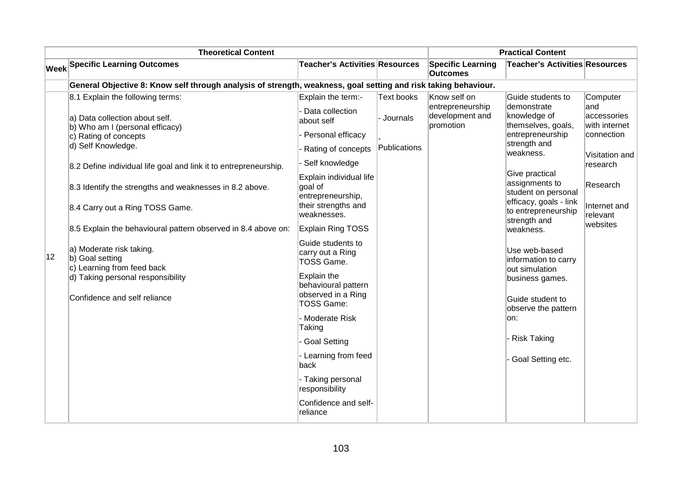|              | <b>Theoretical Content</b>                                                                                                                                                                                                                                                                                                                                                              |                                                                                                                                                                                                                                                                                                      |                                        |                                                                  | <b>Practical Content</b>                                                                                                                                                                                                                            |                                                                                                                                                 |
|--------------|-----------------------------------------------------------------------------------------------------------------------------------------------------------------------------------------------------------------------------------------------------------------------------------------------------------------------------------------------------------------------------------------|------------------------------------------------------------------------------------------------------------------------------------------------------------------------------------------------------------------------------------------------------------------------------------------------------|----------------------------------------|------------------------------------------------------------------|-----------------------------------------------------------------------------------------------------------------------------------------------------------------------------------------------------------------------------------------------------|-------------------------------------------------------------------------------------------------------------------------------------------------|
|              | <b>Week Specific Learning Outcomes</b>                                                                                                                                                                                                                                                                                                                                                  | <b>Teacher's Activities Resources</b>                                                                                                                                                                                                                                                                |                                        | <b>Specific Learning</b><br><b>Outcomes</b>                      | <b>Teacher's Activities Resources</b>                                                                                                                                                                                                               |                                                                                                                                                 |
|              | General Objective 8: Know self through analysis of strength, weakness, goal setting and risk taking behaviour.                                                                                                                                                                                                                                                                          |                                                                                                                                                                                                                                                                                                      |                                        |                                                                  |                                                                                                                                                                                                                                                     |                                                                                                                                                 |
|              | 8.1 Explain the following terms:<br>a) Data collection about self.<br>b) Who am I (personal efficacy)<br>c) Rating of concepts<br>d) Self Knowledge.<br>8.2 Define individual life goal and link it to entrepreneurship.<br>8.3 Identify the strengths and weaknesses in 8.2 above.<br>8.4 Carry out a Ring TOSS Game.<br>8.5 Explain the behavioural pattern observed in 8.4 above on: | Explain the term:-<br>Data collection<br>about self<br>- Personal efficacy<br>Rating of concepts<br>Self knowledge<br>Explain individual life<br>goal of<br>entrepreneurship,<br>their strengths and<br>weaknesses.<br>Explain Ring TOSS                                                             | Text books<br>Journals<br>Publications | Know self on<br>entrepreneurship<br>development and<br>promotion | Guide students to<br>demonstrate<br>knowledge of<br>themselves, goals,<br>entrepreneurship<br>strength and<br>weakness.<br>Give practical<br>assignments to<br>student on personal<br>efficacy, goals - link<br>to entrepreneurship<br>strength and | Computer<br>and<br>accessories<br>with internet<br>connection<br>Visitation and<br>research<br>Research<br>Internet and<br>relevant<br>websites |
| $ 12\rangle$ | a) Moderate risk taking.<br>b) Goal setting<br>c) Learning from feed back<br>d) Taking personal responsibility<br>Confidence and self reliance                                                                                                                                                                                                                                          | Guide students to<br>carry out a Ring<br><b>TOSS Game.</b><br>Explain the<br>behavioural pattern<br>observed in a Ring<br><b>TOSS Game:</b><br>- Moderate Risk<br>Taking<br>Goal Setting<br>- Learning from feed<br>back<br>- Taking personal<br>responsibility<br>Confidence and self-<br>Ireliance |                                        |                                                                  | weakness.<br>Use web-based<br>information to carry<br>out simulation<br>business games.<br>Guide student to<br>observe the pattern<br>on:<br><b>Risk Taking</b><br>Goal Setting etc.                                                                |                                                                                                                                                 |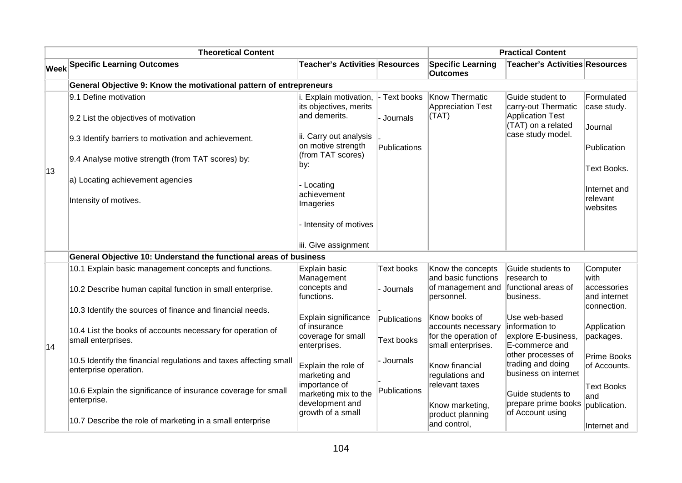| <b>Theoretical Content</b> |                                                                                               |                                                                   |                   | <b>Practical Content</b>                                         |                                                                    |                                            |
|----------------------------|-----------------------------------------------------------------------------------------------|-------------------------------------------------------------------|-------------------|------------------------------------------------------------------|--------------------------------------------------------------------|--------------------------------------------|
|                            | <b>Week Specific Learning Outcomes</b>                                                        | <b>Teacher's Activities Resources</b>                             |                   | <b>Specific Learning</b><br><b>Outcomes</b>                      | <b>Teacher's Activities Resources</b>                              |                                            |
|                            | General Objective 9: Know the motivational pattern of entrepreneurs                           |                                                                   |                   |                                                                  |                                                                    |                                            |
| $ 13\rangle$               | 9.1 Define motivation                                                                         | i. Explain motivation,<br>its objectives, merits<br>and demerits. | - Text books      | Know Thermatic<br><b>Appreciation Test</b>                       | Guide student to<br>carry-out Thermatic<br><b>Application Test</b> | Formulated<br>case study.                  |
|                            | 9.2 List the objectives of motivation<br>9.3 Identify barriers to motivation and achievement. | ii. Carry out analysis                                            | - Journals        | (TAT)                                                            | (TAT) on a related<br>case study model.                            | Journal                                    |
|                            | 9.4 Analyse motive strength (from TAT scores) by:                                             | on motive strength<br>(from TAT scores)                           | Publications      |                                                                  |                                                                    | Publication                                |
|                            | a) Locating achievement agencies                                                              | by:                                                               |                   |                                                                  |                                                                    | Text Books.                                |
|                            | Intensity of motives.                                                                         | - Locating<br>achievement                                         |                   |                                                                  |                                                                    | Internet and<br>relevant                   |
|                            |                                                                                               | Imageries                                                         |                   |                                                                  |                                                                    | websites                                   |
|                            |                                                                                               | - Intensity of motives<br>iii. Give assignment                    |                   |                                                                  |                                                                    |                                            |
|                            | General Objective 10: Understand the functional areas of business                             |                                                                   |                   |                                                                  |                                                                    |                                            |
|                            | 10.1 Explain basic management concepts and functions.                                         | Explain basic                                                     | <b>Text books</b> | Know the concepts                                                | Guide students to                                                  | Computer                                   |
|                            |                                                                                               | Management                                                        |                   | and basic functions                                              | research to                                                        | with                                       |
|                            | 10.2 Describe human capital function in small enterprise.                                     | concepts and<br>functions.                                        | - Journals        | of management and<br>personnel.                                  | functional areas of<br>business.                                   | accessories<br>and internet<br>connection. |
|                            | 10.3 Identify the sources of finance and financial needs.                                     | Explain significance                                              | Publications      | Know books of                                                    | Use web-based                                                      |                                            |
| 14                         | 10.4 List the books of accounts necessary for operation of<br>small enterprises.              | lof insurance<br>coverage for small<br>enterprises.               | Text books        | accounts necessary<br>for the operation of<br>small enterprises. | information to<br>explore E-business,<br>E-commerce and            | Application<br>packages.                   |
|                            | 10.5 Identify the financial regulations and taxes affecting small<br>enterprise operation.    | Explain the role of<br>marketing and                              | - Journals        | Know financial<br>regulations and                                | other processes of<br>trading and doing<br>business on internet    | Prime Books<br>of Accounts.                |
|                            | 10.6 Explain the significance of insurance coverage for small<br>enterprise.                  | importance of<br>marketing mix to the<br>development and          | Publications      | relevant taxes                                                   | Guide students to<br>prepare prime books                           | <b>Text Books</b><br>and                   |
|                            | 10.7 Describe the role of marketing in a small enterprise                                     | growth of a small                                                 |                   | Know marketing,<br>product planning<br>and control,              | of Account using                                                   | publication.<br>Internet and               |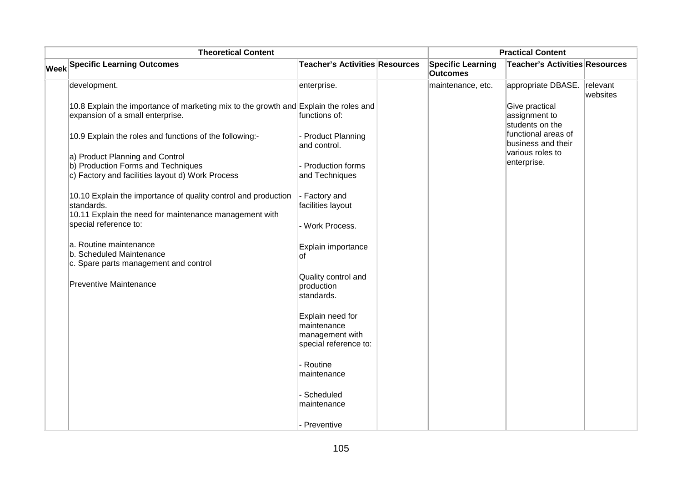| <b>Theoretical Content</b> |                                                                                                                                        |                                                                             |  | <b>Practical Content</b>                    |                                                                           |                      |
|----------------------------|----------------------------------------------------------------------------------------------------------------------------------------|-----------------------------------------------------------------------------|--|---------------------------------------------|---------------------------------------------------------------------------|----------------------|
|                            | <b>Week Specific Learning Outcomes</b>                                                                                                 | Teacher's Activities Resources                                              |  | <b>Specific Learning</b><br><b>Outcomes</b> | <b>Teacher's Activities Resources</b>                                     |                      |
|                            | development.                                                                                                                           | enterprise.                                                                 |  | maintenance, etc.                           | appropriate DBASE.                                                        | relevant<br>websites |
|                            | 10.8 Explain the importance of marketing mix to the growth and Explain the roles and<br>expansion of a small enterprise.               | functions of:                                                               |  |                                             | Give practical<br>assignment to<br>students on the<br>functional areas of |                      |
|                            | 10.9 Explain the roles and functions of the following:-                                                                                | <b>Product Planning</b><br>and control.                                     |  |                                             | business and their                                                        |                      |
|                            | a) Product Planning and Control<br>b) Production Forms and Techniques<br>c) Factory and facilities layout d) Work Process              | Production forms<br>and Techniques                                          |  |                                             | various roles to<br>enterprise.                                           |                      |
|                            | 10.10 Explain the importance of quality control and production<br>standards.<br>10.11 Explain the need for maintenance management with | - Factory and<br>facilities layout                                          |  |                                             |                                                                           |                      |
|                            | special reference to:                                                                                                                  | - Work Process.                                                             |  |                                             |                                                                           |                      |
|                            | a. Routine maintenance<br>b. Scheduled Maintenance<br>c. Spare parts management and control                                            | Explain importance<br>of                                                    |  |                                             |                                                                           |                      |
|                            | <b>Preventive Maintenance</b>                                                                                                          | Quality control and<br>production<br>standards.                             |  |                                             |                                                                           |                      |
|                            |                                                                                                                                        | Explain need for<br>maintenance<br>management with<br>special reference to: |  |                                             |                                                                           |                      |
|                            |                                                                                                                                        | Routine<br>maintenance                                                      |  |                                             |                                                                           |                      |
|                            |                                                                                                                                        | Scheduled<br>maintenance                                                    |  |                                             |                                                                           |                      |
|                            |                                                                                                                                        | Preventive                                                                  |  |                                             |                                                                           |                      |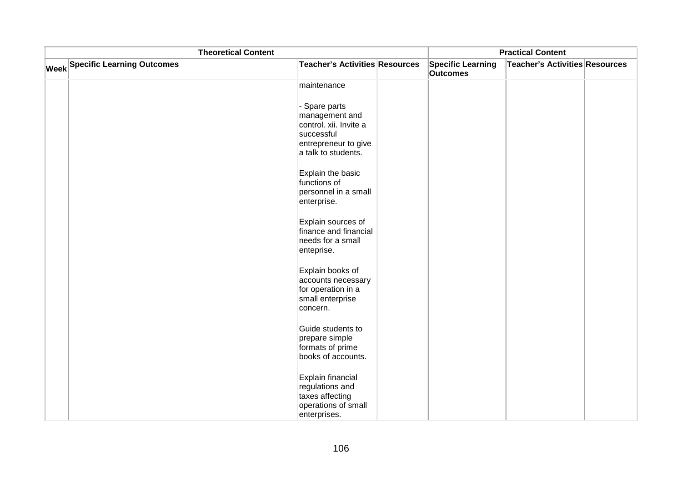| <b>Theoretical Content</b>             |                                                                                                                        |  |                                             | <b>Practical Content</b>       |  |
|----------------------------------------|------------------------------------------------------------------------------------------------------------------------|--|---------------------------------------------|--------------------------------|--|
| <b>Week Specific Learning Outcomes</b> | <b>Teacher's Activities Resources</b>                                                                                  |  | <b>Specific Learning</b><br><b>Outcomes</b> | Teacher's Activities Resources |  |
|                                        | maintenance                                                                                                            |  |                                             |                                |  |
|                                        | - Spare parts<br>management and<br>control. xii. Invite a<br>successful<br>entrepreneur to give<br>a talk to students. |  |                                             |                                |  |
|                                        | Explain the basic<br>functions of<br>personnel in a small<br>enterprise.                                               |  |                                             |                                |  |
|                                        | Explain sources of<br>finance and financial<br>needs for a small<br>enteprise.                                         |  |                                             |                                |  |
|                                        | Explain books of<br>accounts necessary<br>for operation in a<br>small enterprise<br>concern.                           |  |                                             |                                |  |
|                                        | Guide students to<br>prepare simple<br>formats of prime<br>books of accounts.                                          |  |                                             |                                |  |
|                                        | Explain financial<br>regulations and<br>taxes affecting<br>operations of small<br>enterprises.                         |  |                                             |                                |  |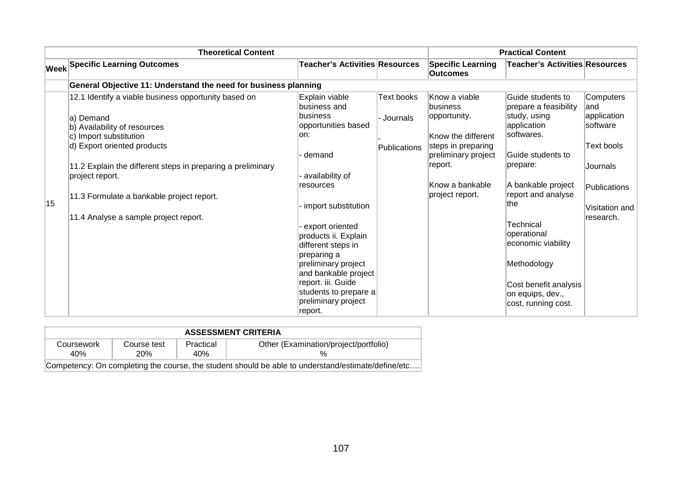|    | <b>Theoretical Content</b>                                                                                                                                                                                                                                                                                                          |                                                                                                                                                                                                                                                                                                                                                  |                                               |                                                                                                                                                               | <b>Practical Content</b>                                                                                                                                                                                                                                                                                           |                                                                                                                       |
|----|-------------------------------------------------------------------------------------------------------------------------------------------------------------------------------------------------------------------------------------------------------------------------------------------------------------------------------------|--------------------------------------------------------------------------------------------------------------------------------------------------------------------------------------------------------------------------------------------------------------------------------------------------------------------------------------------------|-----------------------------------------------|---------------------------------------------------------------------------------------------------------------------------------------------------------------|--------------------------------------------------------------------------------------------------------------------------------------------------------------------------------------------------------------------------------------------------------------------------------------------------------------------|-----------------------------------------------------------------------------------------------------------------------|
|    | <b>Week Specific Learning Outcomes</b>                                                                                                                                                                                                                                                                                              | <b>Teacher's Activities Resources</b>                                                                                                                                                                                                                                                                                                            |                                               | <b>Specific Learning</b><br><b>Outcomes</b>                                                                                                                   | Teacher's Activities Resources                                                                                                                                                                                                                                                                                     |                                                                                                                       |
|    | General Objective 11: Understand the need for business planning                                                                                                                                                                                                                                                                     |                                                                                                                                                                                                                                                                                                                                                  |                                               |                                                                                                                                                               |                                                                                                                                                                                                                                                                                                                    |                                                                                                                       |
| 15 | 12.1 Identify a viable business opportunity based on<br>la) Demand<br>b) Availability of resources<br>c) Import substitution<br>d) Export oriented products<br>11.2 Explain the different steps in preparing a preliminary<br>project report.<br>11.3 Formulate a bankable project report.<br>11.4 Analyse a sample project report. | Explain viable<br>business and<br> business<br>opportunities based<br>lon:<br>demand<br>availability of<br>resources<br>import substitution<br>export oriented<br>products ii. Explain<br>different steps in<br>preparing a<br>preliminary project<br>and bankable project<br>report. iii. Guide<br>students to prepare a<br>preliminary project | <b>Text books</b><br>Journals<br>Publications | Know a viable<br>business<br>opportunity.<br>Know the different<br>steps in preparing<br>preliminary project<br>report.<br>Know a bankable<br>project report. | Guide students to<br>prepare a feasibility<br>study, using<br>application<br>softwares.<br>lGuide students to<br>prepare:<br>A bankable project<br>report and analyse<br>∣the<br>Technical<br>operational<br>economic viability<br>Methodology<br>Cost benefit analysis<br>on equips, dev.,<br>cost, running cost. | Computers<br>land<br>application<br>software<br>Text bools<br>Journals<br>Publications<br>Visitation and<br>research. |

| <b>ASSESSMENT CRITERIA</b>                                                                         |                    |                  |                                       |  |  |  |  |
|----------------------------------------------------------------------------------------------------|--------------------|------------------|---------------------------------------|--|--|--|--|
| Coursework<br>40%                                                                                  | Course test<br>20% | Practical<br>40% | Other (Examination/project/portfolio) |  |  |  |  |
| Competency: On completing the course, the student should be able to understand/estimate/define/etc |                    |                  |                                       |  |  |  |  |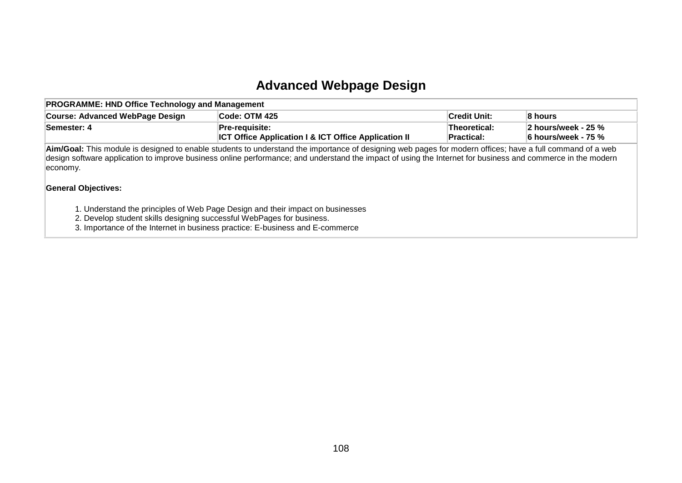### **Advanced Webpage Design**

| <b>PROGRAMME: HND Office Technology and Management</b> |                                                                                          |                                    |                                                                                |  |  |  |  |
|--------------------------------------------------------|------------------------------------------------------------------------------------------|------------------------------------|--------------------------------------------------------------------------------|--|--|--|--|
| Course: Advanced WebPage Design                        | Code: OTM 425                                                                            | <b>Credit Unit:</b>                | ∣8 hours                                                                       |  |  |  |  |
| Semester: 4                                            | <b>Pre-requisite:</b><br><b>ICT Office Application I &amp; ICT Office Application II</b> | ∣Theoretical:<br><b>Practical:</b> | $\parallel$ 2 hours/week - 25 % $\parallel$<br>$\parallel$ 6 hours/week - 75 % |  |  |  |  |

**Aim/Goal:** This module is designed to enable students to understand the importance of designing web pages for modern offices; have a full command of a web design software application to improve business online performance; and understand the impact of using the Internet for business and commerce in the modern economy.

#### **General Objectives:**

1. Understand the principles of Web Page Design and their impact on businesses

2. Develop student skills designing successful WebPages for business.

3. Importance of the Internet in business practice: E-business and E-commerce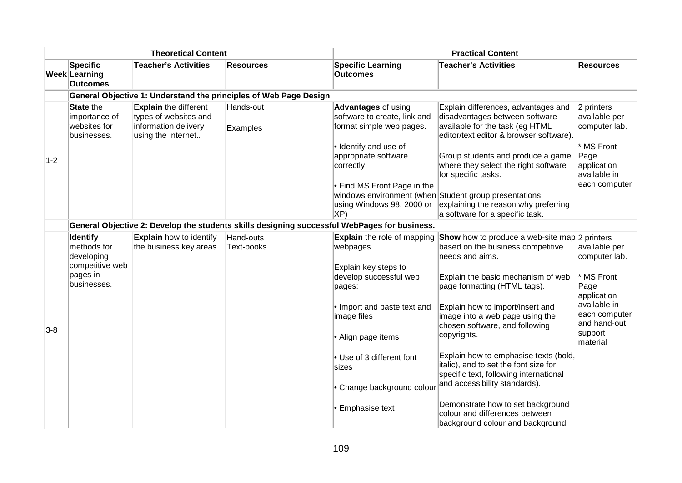| <b>Theoretical Content</b> |                                                                  | <b>Practical Content</b>                                                                            |                       |                                                                                                                                         |                                                                                                                                                                                                 |                                                                       |
|----------------------------|------------------------------------------------------------------|-----------------------------------------------------------------------------------------------------|-----------------------|-----------------------------------------------------------------------------------------------------------------------------------------|-------------------------------------------------------------------------------------------------------------------------------------------------------------------------------------------------|-----------------------------------------------------------------------|
|                            | <b>Specific</b><br>Week Learning<br><b>Outcomes</b>              | <b>Teacher's Activities</b>                                                                         | <b>Resources</b>      | <b>Specific Learning</b><br><b>Outcomes</b>                                                                                             | <b>Teacher's Activities</b>                                                                                                                                                                     | <b>Resources</b>                                                      |
|                            |                                                                  | General Objective 1: Understand the principles of Web Page Design                                   |                       |                                                                                                                                         |                                                                                                                                                                                                 |                                                                       |
|                            | <b>State the</b><br>importance of<br>websites for<br>businesses. | <b>Explain the different</b><br>types of websites and<br>information delivery<br>using the Internet | Hands-out<br>Examples | <b>Advantages of using</b><br>software to create, link and<br>format simple web pages.<br>· Identify and use of<br>appropriate software | Explain differences, advantages and<br>disadvantages between software<br>available for the task (eg HTML<br>editor/text editor & browser software).<br>Group students and produce a game        | $ 2$ printers<br>available per<br>computer lab.<br>* MS Front<br>Page |
| $1 - 2$                    |                                                                  |                                                                                                     |                       | correctly<br>$\cdot$ Find MS Front Page in the<br>using Windows 98, 2000 or<br>XP)                                                      | where they select the right software<br>for specific tasks.<br>windows environment (when Student group presentations<br>explaining the reason why preferring<br>a software for a specific task. | application<br>available in<br>each computer                          |
|                            |                                                                  |                                                                                                     |                       | General Objective 2: Develop the students skills designing successful WebPages for business.                                            |                                                                                                                                                                                                 |                                                                       |
|                            | <b>Identify</b>                                                  | <b>Explain</b> how to identify                                                                      | Hand-outs             |                                                                                                                                         | Explain the role of mapping Show how to produce a web-site map 2 printers                                                                                                                       |                                                                       |
|                            | methods for<br>developing<br>competitive web                     | the business key areas                                                                              | Text-books            | webpages<br>Explain key steps to                                                                                                        | based on the business competitive<br>needs and aims.                                                                                                                                            | available per<br>computer lab.                                        |
|                            | pages in<br>businesses.                                          |                                                                                                     |                       | develop successful web<br>pages:                                                                                                        | Explain the basic mechanism of web<br>page formatting (HTML tags).                                                                                                                              | * MS Front<br>Page<br>application                                     |
| $3-8$                      |                                                                  |                                                                                                     |                       | • Import and paste text and<br>image files                                                                                              | Explain how to import/insert and<br>image into a web page using the<br>chosen software, and following                                                                                           | available in<br>each computer<br>and hand-out                         |
|                            |                                                                  |                                                                                                     |                       | • Align page items                                                                                                                      | copyrights.                                                                                                                                                                                     | support<br>material                                                   |
|                            |                                                                  |                                                                                                     |                       | • Use of 3 different font<br>sizes                                                                                                      | Explain how to emphasise texts (bold,<br>italic), and to set the font size for<br>specific text, following international<br>and accessibility standards).                                       |                                                                       |
|                            |                                                                  |                                                                                                     |                       | • Change background colou<br><b>Emphasise text</b>                                                                                      | Demonstrate how to set background<br>colour and differences between<br>background colour and background                                                                                         |                                                                       |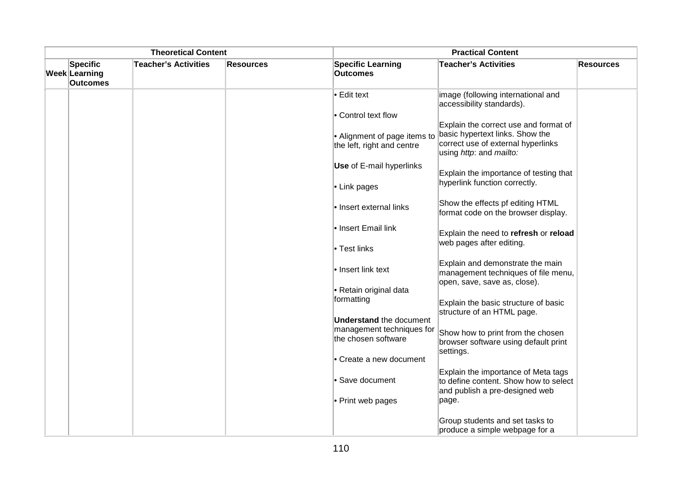| <b>Theoretical Content</b>                   |                             |                  | <b>Practical Content</b>                                   |                                                                                                                |                  |
|----------------------------------------------|-----------------------------|------------------|------------------------------------------------------------|----------------------------------------------------------------------------------------------------------------|------------------|
| Specific<br>Week Learning<br><b>Outcomes</b> | <b>Teacher's Activities</b> | <b>Resources</b> | <b>Specific Learning</b><br><b>Outcomes</b>                | <b>Teacher's Activities</b>                                                                                    | <b>Resources</b> |
|                                              |                             |                  | $\bullet$ Edit text                                        | image (following international and<br>accessibility standards).                                                |                  |
|                                              |                             |                  | • Control text flow                                        | Explain the correct use and format of                                                                          |                  |
|                                              |                             |                  | • Alignment of page items to<br>the left, right and centre | basic hypertext links. Show the<br>correct use of external hyperlinks<br>using http: and mailto:               |                  |
|                                              |                             |                  | <b>Use</b> of E-mail hyperlinks                            | Explain the importance of testing that                                                                         |                  |
|                                              |                             |                  | $\bullet$ Link pages                                       | hyperlink function correctly.                                                                                  |                  |
|                                              |                             |                  | le Insert external links                                   | Show the effects pf editing HTML<br>format code on the browser display.                                        |                  |
|                                              |                             |                  | • Insert Email link                                        | Explain the need to refresh or reload<br>web pages after editing.                                              |                  |
|                                              |                             |                  | • Test links                                               |                                                                                                                |                  |
|                                              |                             |                  | • Insert link text                                         | Explain and demonstrate the main<br>management techniques of file menu,<br>open, save, save as, close).        |                  |
|                                              |                             |                  | • Retain original data                                     |                                                                                                                |                  |
|                                              |                             |                  | formatting                                                 | Explain the basic structure of basic<br>structure of an HTML page.                                             |                  |
|                                              |                             |                  | <b>Understand the document</b>                             |                                                                                                                |                  |
|                                              |                             |                  | management techniques for<br>the chosen software           | Show how to print from the chosen<br>browser software using default print<br>settings.                         |                  |
|                                              |                             |                  | • Create a new document                                    |                                                                                                                |                  |
|                                              |                             |                  | • Save document                                            | Explain the importance of Meta tags<br>to define content. Show how to select<br>and publish a pre-designed web |                  |
|                                              |                             |                  | • Print web pages                                          | page.                                                                                                          |                  |
|                                              |                             |                  |                                                            | Group students and set tasks to<br>produce a simple webpage for a                                              |                  |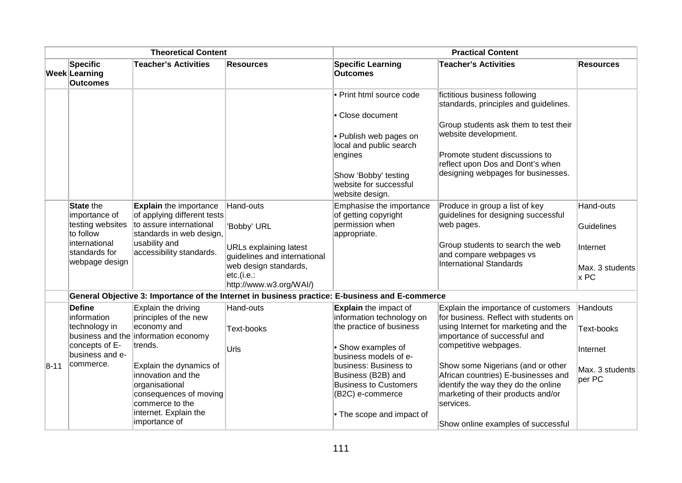| <b>Theoretical Content</b> |                                                                                                                        | <b>Practical Content</b>                                                                                                                                                                                                                                                  |                                                                                                                                                             |                                                                                                                                                                                                                                                                      |                                                                                                                                                                                                                                                                                                                                                                                            |                                                                  |
|----------------------------|------------------------------------------------------------------------------------------------------------------------|---------------------------------------------------------------------------------------------------------------------------------------------------------------------------------------------------------------------------------------------------------------------------|-------------------------------------------------------------------------------------------------------------------------------------------------------------|----------------------------------------------------------------------------------------------------------------------------------------------------------------------------------------------------------------------------------------------------------------------|--------------------------------------------------------------------------------------------------------------------------------------------------------------------------------------------------------------------------------------------------------------------------------------------------------------------------------------------------------------------------------------------|------------------------------------------------------------------|
|                            | <b>Specific</b><br>Week Learning<br><b>Outcomes</b>                                                                    | <b>Teacher's Activities</b>                                                                                                                                                                                                                                               | <b>Resources</b>                                                                                                                                            | <b>Specific Learning</b><br><b>Outcomes</b>                                                                                                                                                                                                                          | <b>Teacher's Activities</b>                                                                                                                                                                                                                                                                                                                                                                | <b>Resources</b>                                                 |
|                            |                                                                                                                        |                                                                                                                                                                                                                                                                           |                                                                                                                                                             | • Print html source code<br>• Close document<br>• Publish web pages on<br>local and public search<br>engines<br>Show 'Bobby' testing<br>website for successful<br>website design.                                                                                    | fictitious business following<br>standards, principles and guidelines.<br>Group students ask them to test their<br>website development.<br>Promote student discussions to<br>reflect upon Dos and Dont's when<br>designing webpages for businesses.                                                                                                                                        |                                                                  |
|                            | <b>State the</b><br>importance of<br>testing websites<br>to follow<br>international<br>standards for<br>webpage design | <b>Explain</b> the importance<br>of applying different tests<br>to assure international<br>standards in web design,<br>usability and<br>accessibility standards.                                                                                                          | Hand-outs<br>'Bobby' URL<br><b>URLs explaining latest</b><br>guidelines and international<br>web design standards,<br>etc.(i.e.:<br>http://www.w3.org/WAI/) | Emphasise the importance<br>of getting copyright<br>permission when<br>appropriate.                                                                                                                                                                                  | Produce in group a list of key<br>guidelines for designing successful<br>web pages.<br>Group students to search the web<br>and compare webpages vs<br><b>International Standards</b>                                                                                                                                                                                                       | Hand-outs<br>Guidelines<br>Internet<br>Max. 3 students<br>$x$ PC |
|                            |                                                                                                                        |                                                                                                                                                                                                                                                                           | General Objective 3: Importance of the Internet in business practice: E-business and E-commerce                                                             |                                                                                                                                                                                                                                                                      |                                                                                                                                                                                                                                                                                                                                                                                            |                                                                  |
| $8 - 11$                   | <b>Define</b><br>information<br>technology in<br>concepts of E-<br>business and e-<br>commerce.                        | Explain the driving<br>principles of the new<br>economy and<br>business and the information economy<br>trends.<br>Explain the dynamics of<br>linnovation and the<br>organisational<br>consequences of moving<br>commerce to the<br>internet. Explain the<br>importance of | Hand-outs<br><b>Text-books</b><br>Urls                                                                                                                      | <b>Explain</b> the impact of<br>information technology on<br>the practice of business<br>• Show examples of<br>business models of e-<br>business: Business to<br>Business (B2B) and<br><b>Business to Customers</b><br>(B2C) e-commerce<br>• The scope and impact of | Explain the importance of customers<br>for business. Reflect with students on<br>using Internet for marketing and the<br>importance of successful and<br>competitive webpages.<br>Show some Nigerians (and or other<br>African countries) E-businesses and<br>identify the way they do the online<br>marketing of their products and/or<br>services.<br>Show online examples of successful | Handouts<br>Text-books<br>Internet<br>Max. 3 students<br>per PC  |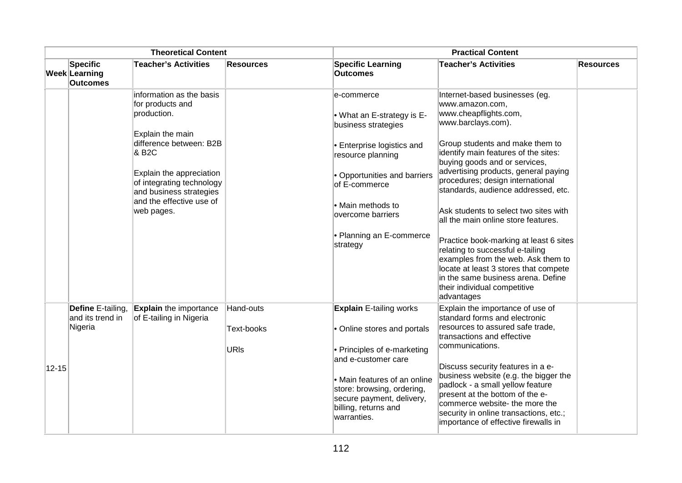|           |                                                     |                                                                                                                                                                                                                                                                | <b>Theoretical Content</b><br><b>Practical Content</b> |                                                                                                                                                                                                                                                       |                                                                                                                                                                                                                                                                                                                                                                                                                                                                                                                                                                                                                                                                  |                  |
|-----------|-----------------------------------------------------|----------------------------------------------------------------------------------------------------------------------------------------------------------------------------------------------------------------------------------------------------------------|--------------------------------------------------------|-------------------------------------------------------------------------------------------------------------------------------------------------------------------------------------------------------------------------------------------------------|------------------------------------------------------------------------------------------------------------------------------------------------------------------------------------------------------------------------------------------------------------------------------------------------------------------------------------------------------------------------------------------------------------------------------------------------------------------------------------------------------------------------------------------------------------------------------------------------------------------------------------------------------------------|------------------|
|           | <b>Specific</b><br>Week Learning<br><b>Outcomes</b> | <b>Teacher's Activities</b>                                                                                                                                                                                                                                    | <b>Resources</b>                                       | <b>Specific Learning</b><br><b>Outcomes</b>                                                                                                                                                                                                           | <b>Teacher's Activities</b>                                                                                                                                                                                                                                                                                                                                                                                                                                                                                                                                                                                                                                      | <b>Resources</b> |
|           |                                                     | information as the basis<br>for products and<br>production.<br>Explain the main<br>difference between: B2B<br>& B <sub>2</sub> C<br>Explain the appreciation<br>of integrating technology<br>and business strategies<br>and the effective use of<br>web pages. |                                                        | e-commerce<br>• What an E-strategy is E-<br>business strategies<br>• Enterprise logistics and<br>resource planning<br>· Opportunities and barriers<br>of E-commerce<br>• Main methods to<br>overcome barriers<br>• Planning an E-commerce<br>strategy | Internet-based businesses (eg.<br>www.amazon.com,<br>www.cheapflights.com,<br>www.barclays.com).<br>Group students and make them to<br>identify main features of the sites:<br>buying goods and or services,<br>advertising products, general paying<br>procedures; design international<br>standards, audience addressed, etc.<br>Ask students to select two sites with<br>all the main online store features.<br>Practice book-marking at least 6 sites<br>relating to successful e-tailing<br>examples from the web. Ask them to<br>locate at least 3 stores that compete<br>in the same business arena. Define<br>their individual competitive<br>advantages |                  |
| $12 - 15$ | Define E-tailing,<br>and its trend in<br>Nigeria    | <b>Explain</b> the importance<br>of E-tailing in Nigeria                                                                                                                                                                                                       | Hand-outs<br>Text-books<br><b>URIs</b>                 | <b>Explain E-tailing works</b><br>• Online stores and portals<br>• Principles of e-marketing<br>and e-customer care<br>• Main features of an online<br>store: browsing, ordering,<br>secure payment, delivery,<br>billing, returns and<br>warranties. | Explain the importance of use of<br>standard forms and electronic<br>resources to assured safe trade,<br>transactions and effective<br>communications.<br>Discuss security features in a e-<br>business website (e.g. the bigger the<br>padlock - a small yellow feature<br>present at the bottom of the e-<br>commerce website- the more the<br>security in online transactions, etc.;<br>importance of effective firewalls in                                                                                                                                                                                                                                  |                  |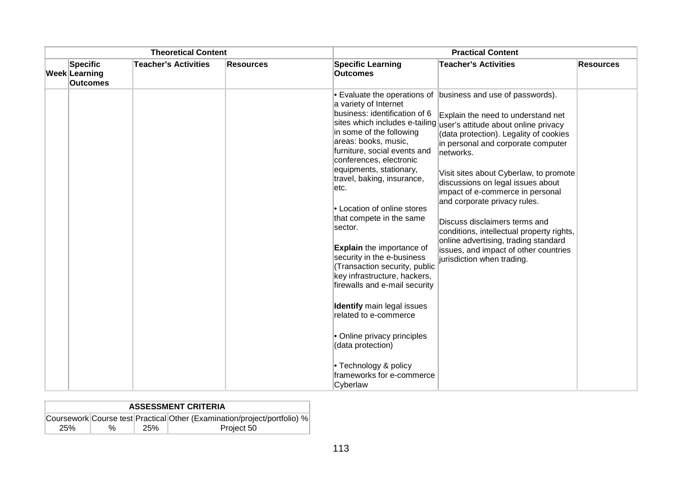| <b>Theoretical Content</b><br><b>Practical Content</b> |                                              |                             |           |                                                                                                                                                                                                                                                                                                                                                                                                                                                                                                                                                                                                                                                                             |                                                                                                                                                                                                                                                                                                                                                                                                                                                                                                                                                                                                                                |                  |
|--------------------------------------------------------|----------------------------------------------|-----------------------------|-----------|-----------------------------------------------------------------------------------------------------------------------------------------------------------------------------------------------------------------------------------------------------------------------------------------------------------------------------------------------------------------------------------------------------------------------------------------------------------------------------------------------------------------------------------------------------------------------------------------------------------------------------------------------------------------------------|--------------------------------------------------------------------------------------------------------------------------------------------------------------------------------------------------------------------------------------------------------------------------------------------------------------------------------------------------------------------------------------------------------------------------------------------------------------------------------------------------------------------------------------------------------------------------------------------------------------------------------|------------------|
|                                                        | Specific<br>Week Learning<br><b>Outcomes</b> | <b>Teacher's Activities</b> | Resources | <b>Specific Learning</b><br><b>Outcomes</b>                                                                                                                                                                                                                                                                                                                                                                                                                                                                                                                                                                                                                                 | <b>Teacher's Activities</b>                                                                                                                                                                                                                                                                                                                                                                                                                                                                                                                                                                                                    | <b>Resources</b> |
|                                                        |                                              |                             |           | a variety of Internet<br>business: identification of 6<br>in some of the following<br>areas: books, music,<br>furniture, social events and<br>conferences, electronic<br>equipments, stationary,<br>travel, baking, insurance,<br>letc.<br>• Location of online stores<br>that compete in the same<br>sector.<br><b>Explain</b> the importance of<br>security in the e-business<br>(Transaction security, public<br>key infrastructure, hackers,<br>firewalls and e-mail security<br><b>Identify</b> main legal issues<br>related to e-commerce<br>• Online privacy principles<br>(data protection)<br>$\cdot$ Technology & policy<br>frameworks for e-commerce<br>Cyberlaw | $\bullet$ Evaluate the operations of business and use of passwords).<br>Explain the need to understand net<br>sites which includes e-tailing user's attitude about online privacy<br>(data protection). Legality of cookies<br>in personal and corporate computer<br>networks.<br>Visit sites about Cyberlaw, to promote<br>discussions on legal issues about<br>impact of e-commerce in personal<br>and corporate privacy rules.<br>Discuss disclaimers terms and<br>conditions, intellectual property rights,<br>online advertising, trading standard<br>issues, and impact of other countries<br>jurisdiction when trading. |                  |

|     | <b>ASSESSMENT CRITERIA</b> |     |                                                                          |  |  |  |  |  |  |
|-----|----------------------------|-----|--------------------------------------------------------------------------|--|--|--|--|--|--|
|     |                            |     | Coursework Course test Practical Other (Examination/project/portfolio) % |  |  |  |  |  |  |
| 25% | %                          | 25% | Project 50                                                               |  |  |  |  |  |  |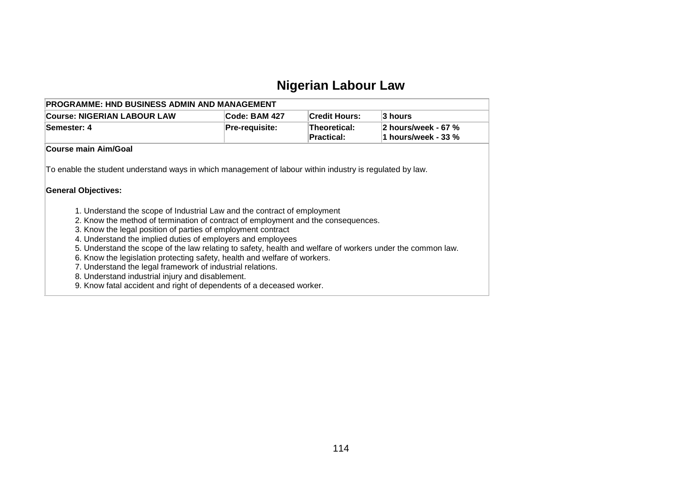## **Nigerian Labour Law**

| <b>PROGRAMME: HND BUSINESS ADMIN AND MANAGEMENT</b>                                                                                                                                                                                                                                                                                                                                                                                                                                                                                                   |                                                  |                            |                                            |
|-------------------------------------------------------------------------------------------------------------------------------------------------------------------------------------------------------------------------------------------------------------------------------------------------------------------------------------------------------------------------------------------------------------------------------------------------------------------------------------------------------------------------------------------------------|--------------------------------------------------|----------------------------|--------------------------------------------|
| <b>Course: NIGERIAN LABOUR LAW</b>                                                                                                                                                                                                                                                                                                                                                                                                                                                                                                                    | Code: BAM 427                                    | <b>Credit Hours:</b>       | 3 hours                                    |
| Semester: 4                                                                                                                                                                                                                                                                                                                                                                                                                                                                                                                                           | Pre-requisite:                                   | Theoretical:<br>Practical: | 2 hours/week - 67 %<br>1 hours/week - 33 % |
| Course main Aim/Goal                                                                                                                                                                                                                                                                                                                                                                                                                                                                                                                                  |                                                  |                            |                                            |
| To enable the student understand ways in which management of labour within industry is regulated by law.<br><b>General Objectives:</b>                                                                                                                                                                                                                                                                                                                                                                                                                |                                                  |                            |                                            |
| 1. Understand the scope of Industrial Law and the contract of employment<br>2. Know the method of termination of contract of employment and the consequences.<br>3. Know the legal position of parties of employment contract<br>4. Understand the implied duties of employers and employees<br>5. Understand the scope of the law relating to safety, health and welfare of workers under the common law.<br>6. Know the legislation protecting safety, health and welfare of workers.<br>7. Understand the legal framework of industrial relations. | 8. Understand industrial injury and disablement. |                            |                                            |

9. Know fatal accident and right of dependents of a deceased worker.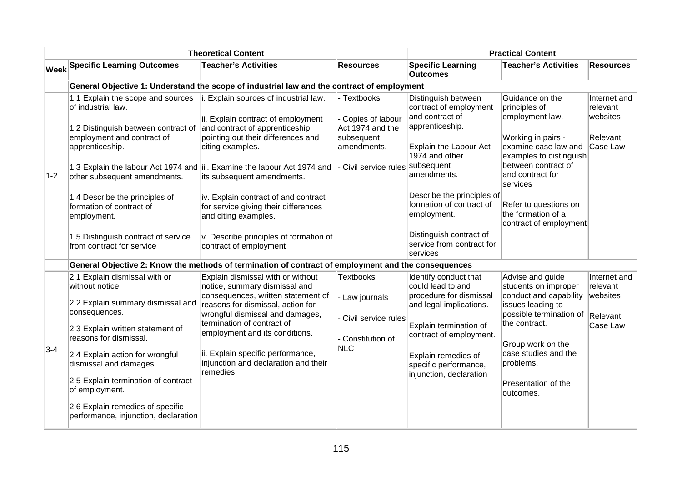|       |                                                                                                                                                                                                                                                              | <b>Theoretical Content</b>                                                                                                                                                                                                                                                                                                    |                                                                                                       |                                                                                                                                                                                                                        | <b>Practical Content</b>                                                                                                                                                                                     |                                                              |
|-------|--------------------------------------------------------------------------------------------------------------------------------------------------------------------------------------------------------------------------------------------------------------|-------------------------------------------------------------------------------------------------------------------------------------------------------------------------------------------------------------------------------------------------------------------------------------------------------------------------------|-------------------------------------------------------------------------------------------------------|------------------------------------------------------------------------------------------------------------------------------------------------------------------------------------------------------------------------|--------------------------------------------------------------------------------------------------------------------------------------------------------------------------------------------------------------|--------------------------------------------------------------|
|       | <b>Week Specific Learning Outcomes</b>                                                                                                                                                                                                                       | <b>Teacher's Activities</b>                                                                                                                                                                                                                                                                                                   | <b>Resources</b>                                                                                      | <b>Specific Learning</b><br><b>Outcomes</b>                                                                                                                                                                            | <b>Teacher's Activities</b>                                                                                                                                                                                  | <b>Resources</b>                                             |
|       |                                                                                                                                                                                                                                                              | General Objective 1: Understand the scope of industrial law and the contract of employment                                                                                                                                                                                                                                    |                                                                                                       |                                                                                                                                                                                                                        |                                                                                                                                                                                                              |                                                              |
| $1-2$ | 1.1 Explain the scope and sources<br>of industrial law.<br>1.2 Distinguish between contract of<br>employment and contract of<br>apprenticeship.<br>other subsequent amendments.<br>1.4 Describe the principles of<br>formation of contract of                | Explain sources of industrial law.<br>li.<br>ii. Explain contract of employment<br>and contract of apprenticeship<br>pointing out their differences and<br>citing examples.<br>1.3 Explain the labour Act 1974 and iii. Examine the labour Act 1974 and<br>its subsequent amendments.<br>iv. Explain contract of and contract | Textbooks<br>Copies of labour<br>Act 1974 and the<br>subsequent<br>amendments.<br>Civil service rules | Distinguish between<br>contract of employment<br>and contract of<br>apprenticeship.<br>Explain the Labour Act<br>1974 and other<br>subsequent<br>amendments.<br>Describe the principles of<br>formation of contract of | Guidance on the<br>principles of<br>employment law.<br>Working in pairs -<br>examine case law and<br>examples to distinguish<br>between contract of<br>and contract for<br>services<br>Refer to questions on | Internet and<br>relevant<br>websites<br>Relevant<br>Case Law |
|       | employment.<br>1.5 Distinguish contract of service<br>from contract for service                                                                                                                                                                              | for service giving their differences<br>and citing examples.<br>v. Describe principles of formation of<br>contract of employment                                                                                                                                                                                              |                                                                                                       | employment.<br>Distinguish contract of<br>service from contract for<br>services                                                                                                                                        | the formation of a<br>contract of employment                                                                                                                                                                 |                                                              |
|       |                                                                                                                                                                                                                                                              | General Objective 2: Know the methods of termination of contract of employment and the consequences                                                                                                                                                                                                                           |                                                                                                       |                                                                                                                                                                                                                        |                                                                                                                                                                                                              |                                                              |
|       | 2.1 Explain dismissal with or<br>without notice.<br>2.2 Explain summary dismissal and<br>consequences.                                                                                                                                                       | Explain dismissal with or without<br>notice, summary dismissal and<br>consequences, written statement of<br>reasons for dismissal, action for<br>wrongful dismissal and damages,                                                                                                                                              | <b>Textbooks</b><br>Law journals                                                                      | Identify conduct that<br>could lead to and<br>procedure for dismissal<br>and legal implications.                                                                                                                       | Advise and guide<br>students on improper<br>conduct and capability<br>issues leading to<br>possible termination of                                                                                           | Internet and<br>relevant<br>websites<br>Relevant             |
| $3-4$ | 2.3 Explain written statement of<br>reasons for dismissal.<br>2.4 Explain action for wrongful<br>dismissal and damages.<br>2.5 Explain termination of contract<br>of employment.<br>2.6 Explain remedies of specific<br>performance, injunction, declaration | termination of contract of<br>employment and its conditions.<br>ii. Explain specific performance,<br>injunction and declaration and their<br>remedies.                                                                                                                                                                        | Civil service rules<br>Constitution of<br><b>NLC</b>                                                  | Explain termination of<br>contract of employment.<br>Explain remedies of<br>specific performance,<br>injunction, declaration                                                                                           | the contract.<br>Group work on the<br>case studies and the<br>problems.<br>Presentation of the<br>outcomes.                                                                                                  | Case Law                                                     |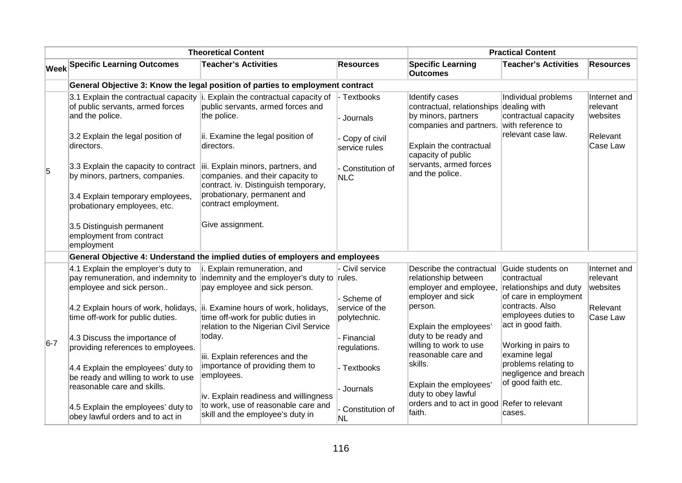|       |                                                                                                                                                                                                                                                                                                                                                          | <b>Theoretical Content</b>                                                                                                                                                                                                                                                                                                              |                                                                                              |                                                                                                                                                                                              | <b>Practical Content</b>                                                                               |                                                              |
|-------|----------------------------------------------------------------------------------------------------------------------------------------------------------------------------------------------------------------------------------------------------------------------------------------------------------------------------------------------------------|-----------------------------------------------------------------------------------------------------------------------------------------------------------------------------------------------------------------------------------------------------------------------------------------------------------------------------------------|----------------------------------------------------------------------------------------------|----------------------------------------------------------------------------------------------------------------------------------------------------------------------------------------------|--------------------------------------------------------------------------------------------------------|--------------------------------------------------------------|
|       | <b>Week Specific Learning Outcomes</b>                                                                                                                                                                                                                                                                                                                   | <b>Teacher's Activities</b>                                                                                                                                                                                                                                                                                                             | <b>Resources</b>                                                                             | <b>Specific Learning</b><br><b>Outcomes</b>                                                                                                                                                  | <b>Teacher's Activities</b>                                                                            | <b>Resources</b>                                             |
|       |                                                                                                                                                                                                                                                                                                                                                          | General Objective 3: Know the legal position of parties to employment contract                                                                                                                                                                                                                                                          |                                                                                              |                                                                                                                                                                                              |                                                                                                        |                                                              |
| 5     | 3.1 Explain the contractual capacity i<br>of public servants, armed forces<br>and the police.<br>3.2 Explain the legal position of<br>directors.<br>3.3 Explain the capacity to contract<br>by minors, partners, companies.<br>3.4 Explain temporary employees,<br>probationary employees, etc.<br>3.5 Distinguish permanent<br>employment from contract | Explain the contractual capacity of<br>public servants, armed forces and<br>the police.<br>ii. Examine the legal position of<br>directors.<br>iii. Explain minors, partners, and<br>companies. and their capacity to<br>contract. iv. Distinguish temporary,<br>probationary, permanent and<br>contract employment.<br>Give assignment. | - Textbooks<br>- Journals<br>Copy of civil<br>service rules<br>Constitution of<br><b>NLC</b> | Identify cases<br>contractual, relationships<br>by minors, partners<br>companies and partners.<br>Explain the contractual<br>capacity of public<br>servants, armed forces<br>and the police. | Individual problems<br>dealing with<br>contractual capacity<br>with reference to<br>relevant case law. | Internet and<br>relevant<br>websites<br>Relevant<br>Case Law |
|       | employment                                                                                                                                                                                                                                                                                                                                               | General Objective 4: Understand the implied duties of employers and employees                                                                                                                                                                                                                                                           |                                                                                              |                                                                                                                                                                                              |                                                                                                        |                                                              |
|       | 4.1 Explain the employer's duty to                                                                                                                                                                                                                                                                                                                       | i. Explain remuneration, and                                                                                                                                                                                                                                                                                                            | - Civil service                                                                              | Describe the contractual                                                                                                                                                                     | Guide students on                                                                                      | Internet and                                                 |
|       | pay remuneration, and indemnity to<br>employee and sick person                                                                                                                                                                                                                                                                                           | indemnity and the employer's duty to rules.<br>pay employee and sick person.                                                                                                                                                                                                                                                            | - Scheme of                                                                                  | relationship between<br>employer and employee,<br>employer and sick                                                                                                                          | contractual<br>relationships and duty<br>of care in employment                                         | relevant<br>websites                                         |
|       | 4.2 Explain hours of work, holidays,<br>time off-work for public duties.                                                                                                                                                                                                                                                                                 | ii. Examine hours of work, holidays,<br>time off-work for public duties in<br>relation to the Nigerian Civil Service                                                                                                                                                                                                                    | service of the<br>polytechnic.                                                               | person.<br>Explain the employees'                                                                                                                                                            | contracts. Also<br>employees duties to<br>act in good faith.                                           | Relevant<br>Case Law                                         |
| $6-7$ | 4.3 Discuss the importance of<br>providing references to employees.                                                                                                                                                                                                                                                                                      | today.<br>iii. Explain references and the                                                                                                                                                                                                                                                                                               | - Financial<br>regulations.                                                                  | duty to be ready and<br>willing to work to use<br>reasonable care and                                                                                                                        | Working in pairs to<br>examine legal                                                                   |                                                              |
|       | 4.4 Explain the employees' duty to<br>be ready and willing to work to use<br>reasonable care and skills.                                                                                                                                                                                                                                                 | importance of providing them to<br>employees.<br>iv. Explain readiness and willingness                                                                                                                                                                                                                                                  | - Textbooks<br>- Journals                                                                    | skills.<br>Explain the employees'<br>duty to obey lawful                                                                                                                                     | problems relating to<br>negligence and breach<br>of good faith etc.                                    |                                                              |
|       | 4.5 Explain the employees' duty to<br>obey lawful orders and to act in                                                                                                                                                                                                                                                                                   | to work, use of reasonable care and<br>skill and the employee's duty in                                                                                                                                                                                                                                                                 | Constitution of<br>NL                                                                        | orders and to act in good Refer to relevant<br>faith.                                                                                                                                        | cases.                                                                                                 |                                                              |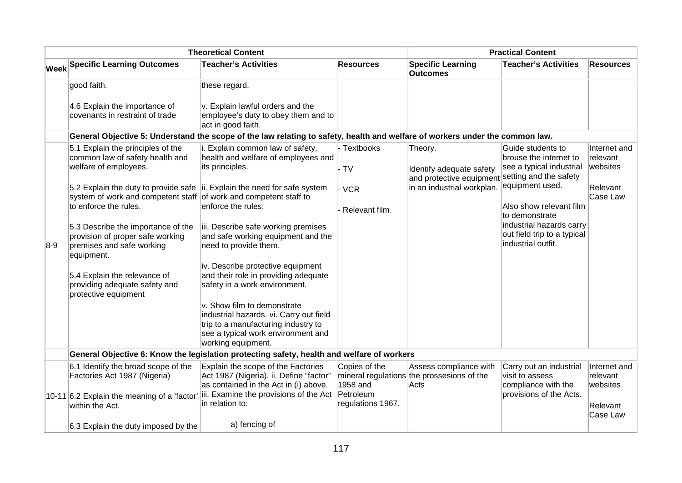|       |                                                                                                                                                        | <b>Theoretical Content</b>                                                                                                                                                |                           |                                                                               | <b>Practical Content</b>                                                      |                                      |
|-------|--------------------------------------------------------------------------------------------------------------------------------------------------------|---------------------------------------------------------------------------------------------------------------------------------------------------------------------------|---------------------------|-------------------------------------------------------------------------------|-------------------------------------------------------------------------------|--------------------------------------|
|       | <b>Week Specific Learning Outcomes</b>                                                                                                                 | <b>Teacher's Activities</b>                                                                                                                                               | <b>Resources</b>          | <b>Specific Learning</b><br><b>Outcomes</b>                                   | <b>Teacher's Activities</b>                                                   | <b>Resources</b>                     |
|       | good faith.                                                                                                                                            | these regard.                                                                                                                                                             |                           |                                                                               |                                                                               |                                      |
|       | 4.6 Explain the importance of<br>covenants in restraint of trade                                                                                       | v. Explain lawful orders and the<br>employee's duty to obey them and to<br>act in good faith.                                                                             |                           |                                                                               |                                                                               |                                      |
|       |                                                                                                                                                        | General Objective 5: Understand the scope of the law relating to safety, health and welfare of workers under the common law.                                              |                           |                                                                               |                                                                               |                                      |
|       | 5.1 Explain the principles of the<br>common law of safety health and<br>welfare of employees.                                                          | i. Explain common law of safety,<br>health and welfare of employees and<br>its principles.                                                                                | - Textbooks<br>$-TV$      | Theory.<br>Identify adequate safety                                           | Guide students to<br>brouse the internet to<br>see a typical industrial       | Internet and<br>relevant<br>websites |
|       | 5.2 Explain the duty to provide safe $\vert$ ii. Explain the need for safe system<br>system of work and competent staff of work and competent staff to |                                                                                                                                                                           | - VCR                     | and protective equipment setting and the safety<br>in an industrial workplan. | equipment used.                                                               | Relevant<br>Case Law                 |
|       | to enforce the rules.                                                                                                                                  | enforce the rules.                                                                                                                                                        | Relevant film.            |                                                                               | Also show relevant film<br>to demonstrate                                     |                                      |
| $8-9$ | 5.3 Describe the importance of the<br>provision of proper safe working<br>premises and safe working<br>equipment.                                      | iii. Describe safe working premises<br>and safe working equipment and the<br>need to provide them.                                                                        |                           |                                                                               | industrial hazards carry<br>out field trip to a typical<br>industrial outfit. |                                      |
|       | 5.4 Explain the relevance of<br>providing adequate safety and<br>protective equipment                                                                  | iv. Describe protective equipment<br>and their role in providing adequate<br>safety in a work environment.                                                                |                           |                                                                               |                                                                               |                                      |
|       |                                                                                                                                                        | v. Show film to demonstrate<br>industrial hazards. vi. Carry out field<br>trip to a manufacturing industry to<br>see a typical work environment and<br>working equipment. |                           |                                                                               |                                                                               |                                      |
|       |                                                                                                                                                        | General Objective 6: Know the legislation protecting safety, health and welfare of workers                                                                                |                           |                                                                               |                                                                               |                                      |
|       | 6.1 Identify the broad scope of the<br>Factories Act 1987 (Nigeria)                                                                                    | Explain the scope of the Factories<br>Act 1987 (Nigeria). ii. Define "factor"<br>as contained in the Act in (i) above.                                                    | Copies of the<br>1958 and | Assess compliance with<br>mineral regulations the prossesions of the<br>Acts  | Carry out an industrial<br>visit to assess<br>compliance with the             | Internet and<br>relevant<br>websites |
|       | 10-11 6.2 Explain the meaning of a 'factor'<br>within the Act.                                                                                         | iii. Examine the provisions of the Act Petroleum<br>in relation to:                                                                                                       | regulations 1967.         |                                                                               | provisions of the Acts.                                                       | Relevant<br>Case Law                 |
|       | 6.3 Explain the duty imposed by the                                                                                                                    | a) fencing of                                                                                                                                                             |                           |                                                                               |                                                                               |                                      |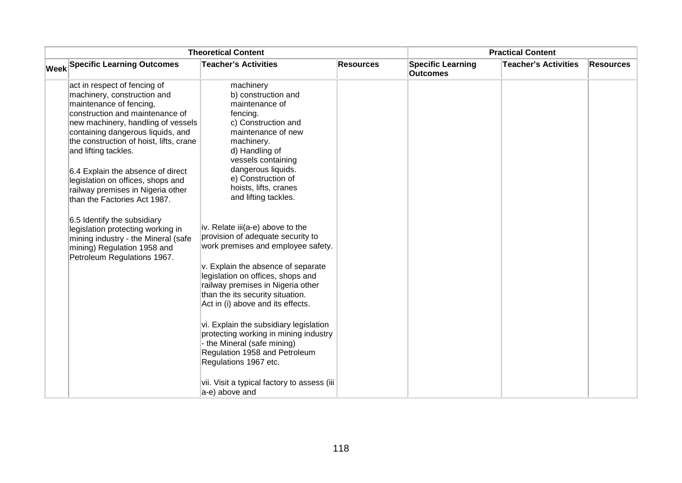|                                                                                                                                                                                                                                                                                                                                                                                                                        | <b>Theoretical Content</b>                                                                                                                                                                                                                                                                                                                                                                                                                                                                                                                        |                  |                                             | <b>Practical Content</b>    |                  |
|------------------------------------------------------------------------------------------------------------------------------------------------------------------------------------------------------------------------------------------------------------------------------------------------------------------------------------------------------------------------------------------------------------------------|---------------------------------------------------------------------------------------------------------------------------------------------------------------------------------------------------------------------------------------------------------------------------------------------------------------------------------------------------------------------------------------------------------------------------------------------------------------------------------------------------------------------------------------------------|------------------|---------------------------------------------|-----------------------------|------------------|
| <b>Week Specific Learning Outcomes</b>                                                                                                                                                                                                                                                                                                                                                                                 | <b>Teacher's Activities</b>                                                                                                                                                                                                                                                                                                                                                                                                                                                                                                                       | <b>Resources</b> | <b>Specific Learning</b><br><b>Outcomes</b> | <b>Teacher's Activities</b> | <b>Resources</b> |
| act in respect of fencing of<br>machinery, construction and<br>maintenance of fencing,<br>construction and maintenance of<br>new machinery, handling of vessels<br>containing dangerous liquids, and<br>the construction of hoist, lifts, crane<br>and lifting tackles.<br>6.4 Explain the absence of direct<br>legislation on offices, shops and<br>railway premises in Nigeria other<br>than the Factories Act 1987. | machinery<br>b) construction and<br>maintenance of<br>fencing.<br>c) Construction and<br>maintenance of new<br>machinery.<br>d) Handling of<br>vessels containing<br>dangerous liquids.<br>e) Construction of<br>hoists, lifts, cranes<br>and lifting tackles.                                                                                                                                                                                                                                                                                    |                  |                                             |                             |                  |
| 6.5 Identify the subsidiary<br>legislation protecting working in<br>mining industry - the Mineral (safe<br>mining) Regulation 1958 and<br>Petroleum Regulations 1967.                                                                                                                                                                                                                                                  | iv. Relate iii(a-e) above to the<br>provision of adequate security to<br>work premises and employee safety.<br>v. Explain the absence of separate<br>legislation on offices, shops and<br>railway premises in Nigeria other<br>than the its security situation.<br>Act in (i) above and its effects.<br>vi. Explain the subsidiary legislation<br>protecting working in mining industry<br>- the Mineral (safe mining)<br>Regulation 1958 and Petroleum<br>Regulations 1967 etc.<br>vii. Visit a typical factory to assess (iii<br>a-e) above and |                  |                                             |                             |                  |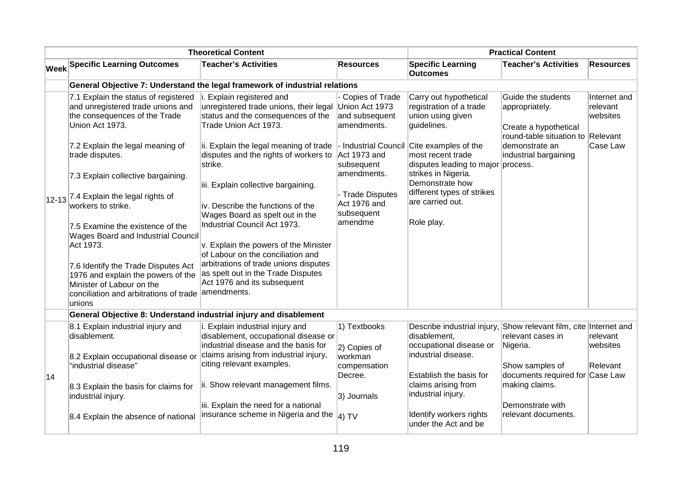|    |                                                                                                                                                                                                                                                                                                                                                                                                                                                                                                                                                                         | <b>Theoretical Content</b>                                                                                                                                                                                                                                                                                                                                                                                                                                                                                                                                                                 |                                                                                                                                                                                    |                                                                                                                                                                                                                                                                           | <b>Practical Content</b>                                                                                                                                  |                                                  |
|----|-------------------------------------------------------------------------------------------------------------------------------------------------------------------------------------------------------------------------------------------------------------------------------------------------------------------------------------------------------------------------------------------------------------------------------------------------------------------------------------------------------------------------------------------------------------------------|--------------------------------------------------------------------------------------------------------------------------------------------------------------------------------------------------------------------------------------------------------------------------------------------------------------------------------------------------------------------------------------------------------------------------------------------------------------------------------------------------------------------------------------------------------------------------------------------|------------------------------------------------------------------------------------------------------------------------------------------------------------------------------------|---------------------------------------------------------------------------------------------------------------------------------------------------------------------------------------------------------------------------------------------------------------------------|-----------------------------------------------------------------------------------------------------------------------------------------------------------|--------------------------------------------------|
|    | Week Specific Learning Outcomes                                                                                                                                                                                                                                                                                                                                                                                                                                                                                                                                         | <b>Teacher's Activities</b>                                                                                                                                                                                                                                                                                                                                                                                                                                                                                                                                                                | <b>Resources</b>                                                                                                                                                                   | <b>Specific Learning</b><br><b>Outcomes</b>                                                                                                                                                                                                                               | <b>Teacher's Activities</b>                                                                                                                               | <b>Resources</b>                                 |
|    |                                                                                                                                                                                                                                                                                                                                                                                                                                                                                                                                                                         | General Objective 7: Understand the legal framework of industrial relations                                                                                                                                                                                                                                                                                                                                                                                                                                                                                                                |                                                                                                                                                                                    |                                                                                                                                                                                                                                                                           |                                                                                                                                                           |                                                  |
|    | 7.1 Explain the status of registered<br>and unregistered trade unions and<br>the consequences of the Trade<br>Union Act 1973.<br>7.2 Explain the legal meaning of<br>trade disputes.<br>7.3 Explain collective bargaining.<br>$12-13$ <sup>7.4</sup> Explain the legal rights of<br>workers to strike.<br>7.5 Examine the existence of the<br>Wages Board and Industrial Council<br>Act 1973.<br>7.6 Identify the Trade Disputes Act<br>1976 and explain the powers of the<br>Minister of Labour on the<br>conciliation and arbitrations of trade amendments.<br>unions | i. Explain registered and<br>unregistered trade unions, their legal Union Act 1973<br>status and the consequences of the<br>Trade Union Act 1973.<br>ii. Explain the legal meaning of trade<br>disputes and the rights of workers to<br>strike.<br>iii. Explain collective bargaining.<br>iv. Describe the functions of the<br>Wages Board as spelt out in the<br>Industrial Council Act 1973.<br>v. Explain the powers of the Minister<br>of Labour on the conciliation and<br>arbitrations of trade unions disputes<br>as spelt out in the Trade Disputes<br>Act 1976 and its subsequent | Copies of Trade<br>and subsequent<br>amendments.<br>- Industrial Council<br>Act 1973 and<br>subsequent<br>amendments.<br>- Trade Disputes<br>Act 1976 and<br>subsequent<br>amendme | Carry out hypothetical<br>registration of a trade<br>union using given<br>guidelines.<br>Cite examples of the<br>most recent trade<br>disputes leading to major<br>strikes in Nigeria.<br>Demonstrate how<br>different types of strikes<br>are carried out.<br>Role play. | Guide the students<br>appropriately.<br>Create a hypothetical<br>round-table situation to Relevant<br>demonstrate an<br>industrial bargaining<br>process. | Internet and<br>relevant<br>websites<br>Case Law |
|    | General Objective 8: Understand industrial injury and disablement                                                                                                                                                                                                                                                                                                                                                                                                                                                                                                       |                                                                                                                                                                                                                                                                                                                                                                                                                                                                                                                                                                                            |                                                                                                                                                                                    |                                                                                                                                                                                                                                                                           |                                                                                                                                                           |                                                  |
|    | 8.1 Explain industrial injury and<br>disablement.<br>8.2 Explain occupational disease or                                                                                                                                                                                                                                                                                                                                                                                                                                                                                | i. Explain industrial injury and<br>disablement, occupational disease or<br>industrial disease and the basis for<br>claims arising from industrial injury,                                                                                                                                                                                                                                                                                                                                                                                                                                 | 1) Textbooks<br>2) Copies of<br>workman                                                                                                                                            | Describe industrial injury, Show relevant film, cite Internet and<br>disablement,<br>occupational disease or<br>industrial disease.                                                                                                                                       | relevant cases in<br>Nigeria.                                                                                                                             | relevant<br>websites                             |
| 14 | "industrial disease"<br>8.3 Explain the basis for claims for                                                                                                                                                                                                                                                                                                                                                                                                                                                                                                            | citing relevant examples.<br>ii. Show relevant management films.                                                                                                                                                                                                                                                                                                                                                                                                                                                                                                                           | compensation<br>Decree.                                                                                                                                                            | Establish the basis for<br>claims arising from                                                                                                                                                                                                                            | Show samples of<br>documents required for Case Law<br>making claims.                                                                                      | Relevant                                         |
|    | industrial injury.                                                                                                                                                                                                                                                                                                                                                                                                                                                                                                                                                      | iii. Explain the need for a national                                                                                                                                                                                                                                                                                                                                                                                                                                                                                                                                                       | 3) Journals                                                                                                                                                                        | industrial injury.                                                                                                                                                                                                                                                        | Demonstrate with                                                                                                                                          |                                                  |
|    | 8.4 Explain the absence of national                                                                                                                                                                                                                                                                                                                                                                                                                                                                                                                                     | insurance scheme in Nigeria and the                                                                                                                                                                                                                                                                                                                                                                                                                                                                                                                                                        | $ 4)$ TV                                                                                                                                                                           | Identify workers rights<br>under the Act and be                                                                                                                                                                                                                           | relevant documents.                                                                                                                                       |                                                  |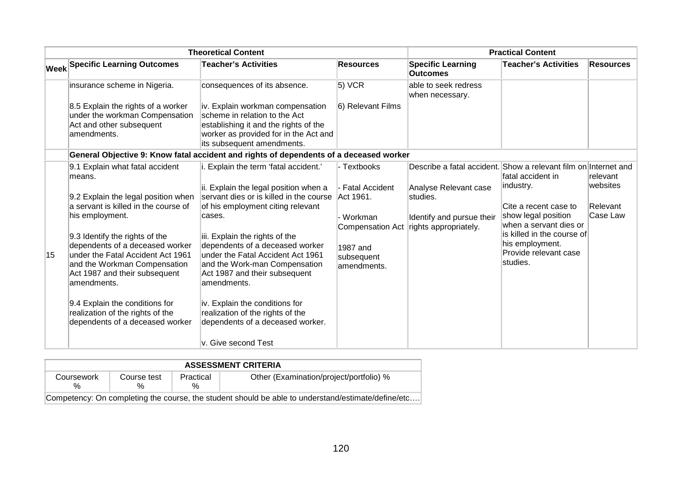|    |                                                                                                                                                                                                                                                                                                                                                                                                                                                | <b>Theoretical Content</b>                                                                                                                                                                                                                                                                                                                                                                                                                                                                                                                                                                              |                                                                                                           |                                                                                                                                                            | <b>Practical Content</b>                                                                                                                                                                       |                                              |
|----|------------------------------------------------------------------------------------------------------------------------------------------------------------------------------------------------------------------------------------------------------------------------------------------------------------------------------------------------------------------------------------------------------------------------------------------------|---------------------------------------------------------------------------------------------------------------------------------------------------------------------------------------------------------------------------------------------------------------------------------------------------------------------------------------------------------------------------------------------------------------------------------------------------------------------------------------------------------------------------------------------------------------------------------------------------------|-----------------------------------------------------------------------------------------------------------|------------------------------------------------------------------------------------------------------------------------------------------------------------|------------------------------------------------------------------------------------------------------------------------------------------------------------------------------------------------|----------------------------------------------|
|    | <b>Week Specific Learning Outcomes</b>                                                                                                                                                                                                                                                                                                                                                                                                         | <b>Teacher's Activities</b>                                                                                                                                                                                                                                                                                                                                                                                                                                                                                                                                                                             | <b>Resources</b>                                                                                          | <b>Specific Learning</b><br><b>Outcomes</b>                                                                                                                | <b>Teacher's Activities</b>                                                                                                                                                                    | <b>Resources</b>                             |
|    | insurance scheme in Nigeria.<br>8.5 Explain the rights of a worker<br>under the workman Compensation<br>Act and other subsequent<br>amendments.                                                                                                                                                                                                                                                                                                | consequences of its absence.<br>iv. Explain workman compensation<br>scheme in relation to the Act<br>establishing it and the rights of the<br>worker as provided for in the Act and                                                                                                                                                                                                                                                                                                                                                                                                                     | 5) VCR<br>6) Relevant Films                                                                               | able to seek redress<br>when necessary.                                                                                                                    |                                                                                                                                                                                                |                                              |
|    |                                                                                                                                                                                                                                                                                                                                                                                                                                                | its subsequent amendments.                                                                                                                                                                                                                                                                                                                                                                                                                                                                                                                                                                              |                                                                                                           |                                                                                                                                                            |                                                                                                                                                                                                |                                              |
| 15 | 9.1 Explain what fatal accident<br>means.<br>9.2 Explain the legal position when<br>a servant is killed in the course of<br>his employment.<br>9.3 Identify the rights of the<br>dependents of a deceased worker<br>under the Fatal Accident Act 1961<br>and the Workman Compensation<br>Act 1987 and their subsequent<br>amendments.<br>9.4 Explain the conditions for<br>realization of the rights of the<br>dependents of a deceased worker | General Objective 9: Know fatal accident and rights of dependents of a deceased worker<br>. Explain the term 'fatal accident.'<br>ii. Explain the legal position when a<br>servant dies or is killed in the course Act 1961.<br>of his employment citing relevant<br>cases.<br>iii. Explain the rights of the<br>dependents of a deceased worker<br>under the Fatal Accident Act 1961<br>and the Work-man Compensation<br>Act 1987 and their subsequent<br>amendments.<br>iv. Explain the conditions for<br>realization of the rights of the<br>dependents of a deceased worker.<br>v. Give second Test | - Textbooks<br>- Fatal Accident<br>- Workman<br>Compensation Act<br>1987 and<br>subsequent<br>amendments. | Describe a fatal accident. Show a relevant film on Internet and<br>Analyse Relevant case<br>studies.<br>Identify and pursue their<br>rights appropriately. | fatal accident in<br>industry.<br>Cite a recent case to<br>show legal position<br>when a servant dies or<br>is killed in the course of<br>his employment.<br>Provide relevant case<br>studies. | relevant<br>websites<br>Relevant<br>Case Law |

|                 | <b>ASSESSMENT CRITERIA</b>                                                                         |                   |                                         |  |  |  |
|-----------------|----------------------------------------------------------------------------------------------------|-------------------|-----------------------------------------|--|--|--|
| Coursework<br>% | Course test<br>%                                                                                   | Practical<br>$\%$ | Other (Examination/project/portfolio) % |  |  |  |
|                 | Competency: On completing the course, the student should be able to understand/estimate/define/etc |                   |                                         |  |  |  |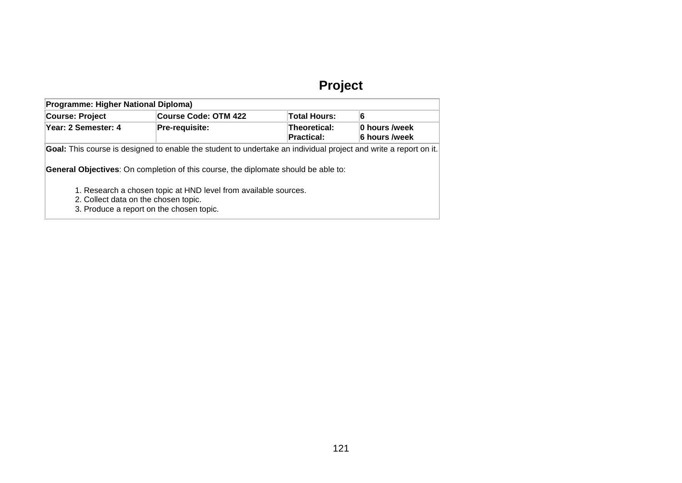# **Project**

| Programme: Higher National Diploma)                                   |                                                                                                                  |                                          |                                 |
|-----------------------------------------------------------------------|------------------------------------------------------------------------------------------------------------------|------------------------------------------|---------------------------------|
| Course Code: OTM 422<br><b>Course: Project</b><br><b>Total Hours:</b> |                                                                                                                  | 6                                        |                                 |
| Year: 2 Semester: 4                                                   | Pre-requisite:                                                                                                   | <b>Theoretical:</b><br><b>Practical:</b> | ∣0 hours /week<br>6 hours /week |
|                                                                       | Goal: This course is designed to enable the student to undertake an individual project and write a report on it. |                                          |                                 |
|                                                                       | <b>General Objectives:</b> On completion of this course, the diplomate should be able to:                        |                                          |                                 |
| 2. Collect data on the chosen topic.                                  | 1. Research a chosen topic at HND level from available sources.<br>3. Produce a report on the chosen topic.      |                                          |                                 |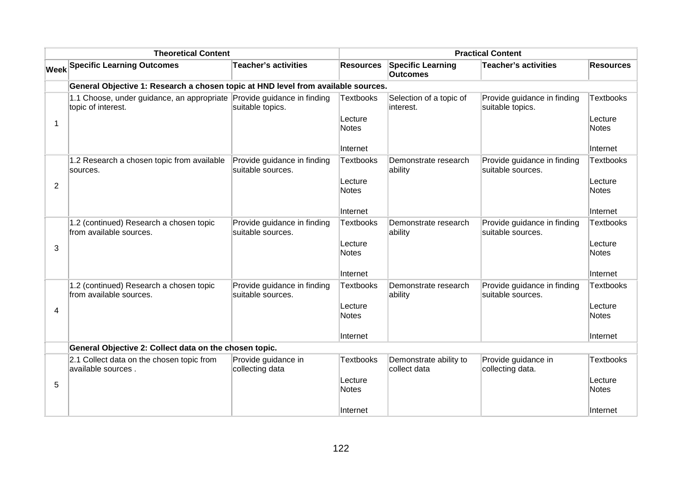|                | <b>Theoretical Content</b>                                                                   |                                                  |                         |                                             | <b>Practical Content</b>                         |                         |
|----------------|----------------------------------------------------------------------------------------------|--------------------------------------------------|-------------------------|---------------------------------------------|--------------------------------------------------|-------------------------|
|                | <b>Week Specific Learning Outcomes</b>                                                       | <b>Teacher's activities</b>                      | <b>Resources</b>        | <b>Specific Learning</b><br><b>Outcomes</b> | <b>Teacher's activities</b>                      | <b>Resources</b>        |
|                | General Objective 1: Research a chosen topic at HND level from available sources.            |                                                  |                         |                                             |                                                  |                         |
|                | 1.1 Choose, under guidance, an appropriate Provide guidance in finding<br>topic of interest. | suitable topics.                                 | <b>Textbooks</b>        | Selection of a topic of<br>linterest.       | Provide guidance in finding<br>suitable topics.  | <b>Textbooks</b>        |
| 1              |                                                                                              |                                                  | Lecture<br><b>Notes</b> |                                             |                                                  | Lecture<br><b>Notes</b> |
|                |                                                                                              |                                                  | Internet                |                                             |                                                  | Internet                |
|                | 1.2 Research a chosen topic from available<br>sources.                                       | Provide guidance in finding<br>suitable sources. | <b>Textbooks</b>        | Demonstrate research<br>ability             | Provide guidance in finding<br>suitable sources. | <b>Textbooks</b>        |
| $\overline{2}$ |                                                                                              |                                                  | Lecture<br><b>Notes</b> |                                             |                                                  | Lecture<br><b>Notes</b> |
|                |                                                                                              |                                                  | Internet                |                                             |                                                  | Internet                |
|                | 1.2 (continued) Research a chosen topic<br>from available sources.                           | Provide guidance in finding<br>suitable sources. | <b>Textbooks</b>        | Demonstrate research<br>ability             | Provide guidance in finding<br>suitable sources. | Textbooks               |
| 3              |                                                                                              |                                                  | Lecture<br><b>Notes</b> |                                             |                                                  | Lecture<br>Notes        |
|                |                                                                                              |                                                  | Internet                |                                             |                                                  | Internet                |
|                | 1.2 (continued) Research a chosen topic<br>from available sources.                           | Provide guidance in finding<br>suitable sources. | <b>Textbooks</b>        | Demonstrate research<br>ability             | Provide guidance in finding<br>suitable sources. | <b>Textbooks</b>        |
| 4              |                                                                                              |                                                  | Lecture<br><b>Notes</b> |                                             |                                                  | Lecture<br>Notes        |
|                |                                                                                              |                                                  | ∣Internet               |                                             |                                                  | Internet                |
|                | General Objective 2: Collect data on the chosen topic.                                       |                                                  |                         |                                             |                                                  |                         |
|                | 2.1 Collect data on the chosen topic from<br>available sources.                              | Provide guidance in<br>collecting data           | <b>Textbooks</b>        | Demonstrate ability to<br>collect data      | Provide guidance in<br>collecting data.          | Textbooks               |
| 5              |                                                                                              |                                                  | Lecture<br><b>Notes</b> |                                             |                                                  | Lecture<br>Notes        |
|                |                                                                                              |                                                  | Internet                |                                             |                                                  | Internet                |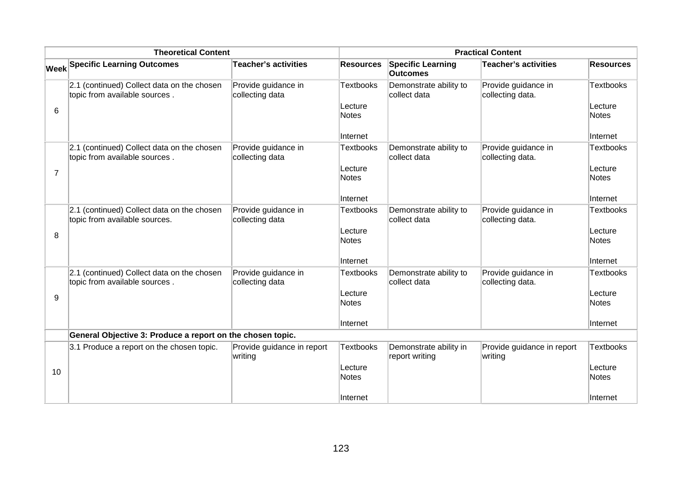|                | <b>Theoretical Content</b>                                                  |                                        |                                                  |                                             | <b>Practical Content</b>                |                                           |
|----------------|-----------------------------------------------------------------------------|----------------------------------------|--------------------------------------------------|---------------------------------------------|-----------------------------------------|-------------------------------------------|
|                | <b>Week Specific Learning Outcomes</b>                                      | <b>Teacher's activities</b>            | <b>Resources</b>                                 | <b>Specific Learning</b><br><b>Outcomes</b> | <b>Teacher's activities</b>             | <b>Resources</b>                          |
| 6              | 2.1 (continued) Collect data on the chosen<br>topic from available sources. | Provide guidance in<br>collecting data | <b>Textbooks</b><br>Lecture<br>Notes             | Demonstrate ability to<br>collect data      | Provide guidance in<br>collecting data. | Textbooks<br>Lecture<br>Notes             |
|                |                                                                             |                                        | Internet                                         |                                             |                                         | Internet                                  |
| $\overline{7}$ | 2.1 (continued) Collect data on the chosen<br>topic from available sources. | Provide guidance in<br>collecting data | <b>Textbooks</b><br>Lecture<br>Notes             | Demonstrate ability to<br>collect data      | Provide guidance in<br>collecting data. | Textbooks<br>Lecture<br>Notes             |
|                |                                                                             |                                        | Internet                                         |                                             |                                         | Internet                                  |
| 8              | 2.1 (continued) Collect data on the chosen<br>topic from available sources. | Provide guidance in<br>collecting data | <b>Textbooks</b><br>Lecture<br>Notes<br>Internet | Demonstrate ability to<br>collect data      | Provide guidance in<br>collecting data. | Textbooks<br>Lecture<br>Notes<br>Internet |
|                | 2.1 (continued) Collect data on the chosen                                  | Provide guidance in                    | <b>Textbooks</b>                                 | Demonstrate ability to                      | Provide guidance in                     | Textbooks                                 |
| 9              | topic from available sources.                                               | collecting data                        | Lecture<br>Notes                                 | collect data                                | collecting data.                        | Lecture<br>Notes                          |
|                |                                                                             |                                        | Internet                                         |                                             |                                         | Internet                                  |
|                | General Objective 3: Produce a report on the chosen topic.                  |                                        |                                                  |                                             |                                         |                                           |
| 10             | 3.1 Produce a report on the chosen topic.                                   | Provide guidance in report<br>writing  | <b>Textbooks</b><br>Lecture<br>Notes             | Demonstrate ability in<br>report writing    | Provide guidance in report<br>writing   | <b>Textbooks</b><br>Lecture<br>Notes      |
|                |                                                                             |                                        | Internet                                         |                                             |                                         | Internet                                  |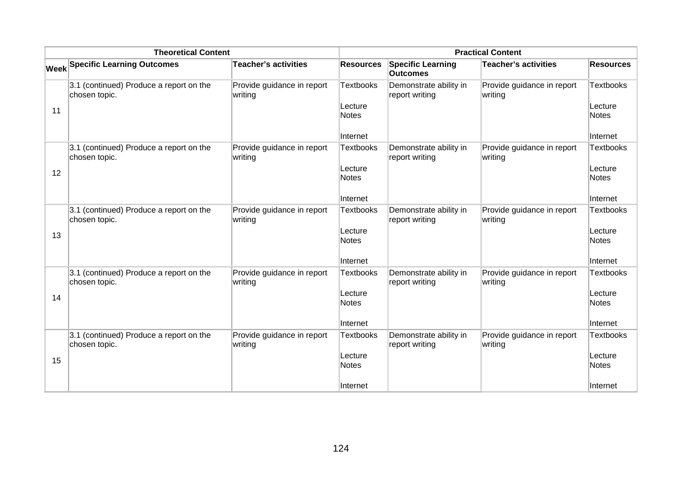| <b>Theoretical Content</b> |                                                          |                                       | <b>Practical Content</b>                                |                                             |                                       |                                                         |
|----------------------------|----------------------------------------------------------|---------------------------------------|---------------------------------------------------------|---------------------------------------------|---------------------------------------|---------------------------------------------------------|
|                            | <b>Week Specific Learning Outcomes</b>                   | <b>Teacher's activities</b>           | <b>Resources</b>                                        | <b>Specific Learning</b><br><b>Outcomes</b> | Teacher's activities                  | <b>Resources</b>                                        |
| 11                         | 3.1 (continued) Produce a report on the<br>chosen topic. | Provide guidance in report<br>writing | <b>Textbooks</b><br>Lecture<br><b>Notes</b><br>Internet | Demonstrate ability in<br>report writing    | Provide guidance in report<br>writing | <b>Textbooks</b><br>Lecture<br><b>Notes</b><br>Internet |
| 12                         | 3.1 (continued) Produce a report on the<br>chosen topic. | Provide guidance in report<br>writing | <b>Textbooks</b><br>Lecture<br><b>Notes</b><br>Internet | Demonstrate ability in<br>report writing    | Provide guidance in report<br>writing | Textbooks<br>Lecture<br><b>Notes</b><br>Internet        |
| 13                         | 3.1 (continued) Produce a report on the<br>chosen topic. | Provide guidance in report<br>writing | <b>Textbooks</b><br>Lecture<br><b>Notes</b><br>Internet | Demonstrate ability in<br>report writing    | Provide guidance in report<br>writing | <b>Textbooks</b><br>Lecture<br><b>Notes</b><br>Internet |
| 14                         | 3.1 (continued) Produce a report on the<br>chosen topic. | Provide guidance in report<br>writing | <b>Textbooks</b><br>Lecture<br>Notes<br>Internet        | Demonstrate ability in<br>report writing    | Provide guidance in report<br>writing | <b>Textbooks</b><br>Lecture<br><b>Notes</b><br>Internet |
| 15                         | 3.1 (continued) Produce a report on the<br>chosen topic. | Provide guidance in report<br>writing | <b>Textbooks</b><br>Lecture<br><b>Notes</b><br>Internet | Demonstrate ability in<br>report writing    | Provide guidance in report<br>writing | <b>Textbooks</b><br>Lecture<br><b>Notes</b><br>Internet |